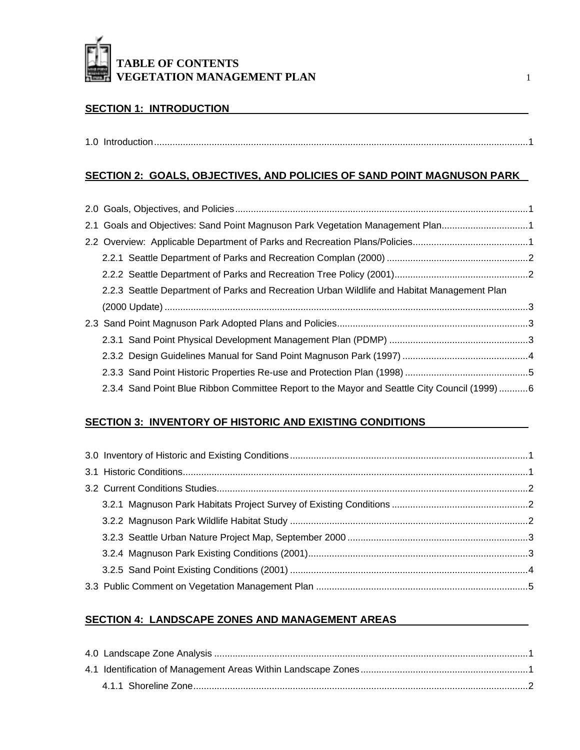

#### **SECTION 1: INTRODUCTION**

#### **SECTION 2: GOALS, OBJECTIVES, AND POLICIES OF SAND POINT MAGNUSON PARK**

| 2.1 Goals and Objectives: Sand Point Magnuson Park Vegetation Management Plan1               |  |
|----------------------------------------------------------------------------------------------|--|
|                                                                                              |  |
|                                                                                              |  |
|                                                                                              |  |
| 2.2.3 Seattle Department of Parks and Recreation Urban Wildlife and Habitat Management Plan  |  |
|                                                                                              |  |
|                                                                                              |  |
|                                                                                              |  |
|                                                                                              |  |
|                                                                                              |  |
|                                                                                              |  |
| 2.3.4 Sand Point Blue Ribbon Committee Report to the Mayor and Seattle City Council (1999) 6 |  |

#### **SECTION 3: INVENTORY OF HISTORIC AND EXISTING CONDITIONS**

#### **SECTION 4: LANDSCAPE ZONES AND MANAGEMENT AREAS**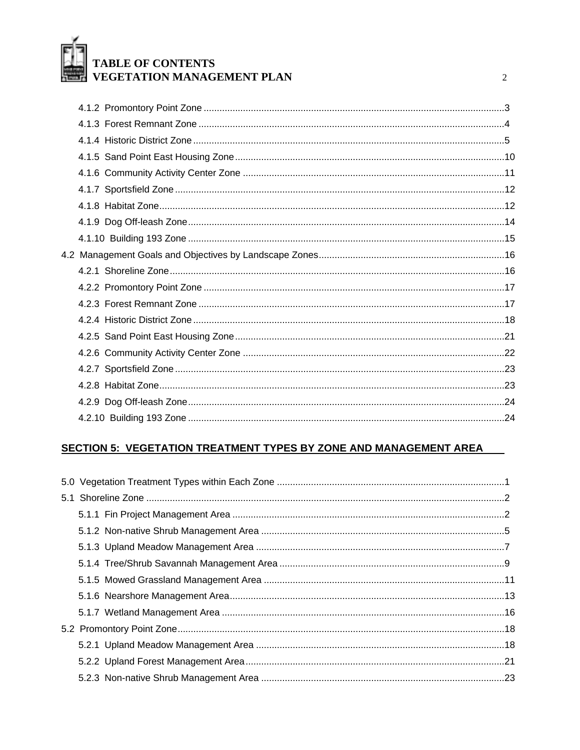

 $\overline{2}$ 

## **SECTION 5: VEGETATION TREATMENT TYPES BY ZONE AND MANAGEMENT AREA**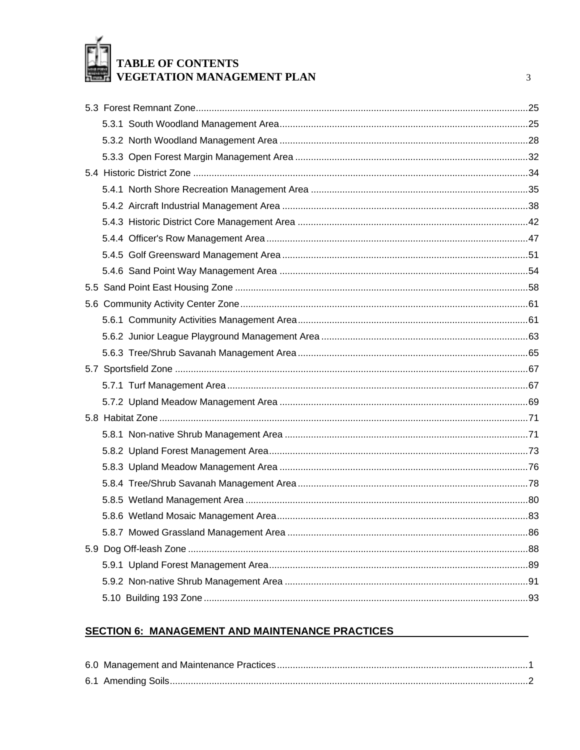# TABLE OF CONTENTS<br>VEGETATION MANAGEMENT PLAN

 $\overline{3}$ 

#### **SECTION 6: MANAGEMENT AND MAINTENANCE PRACTICES**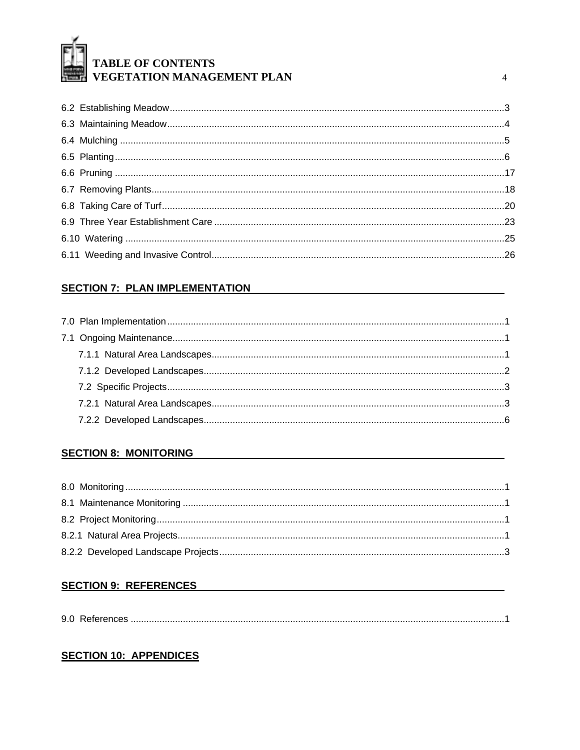

 $\overline{4}$ 

#### **SECTION 7: PLAN IMPLEMENTATION**

#### **SECTION 8: MONITORING**

## **SECTION 9: REFERENCES**

#### **SECTION 10: APPENDICES**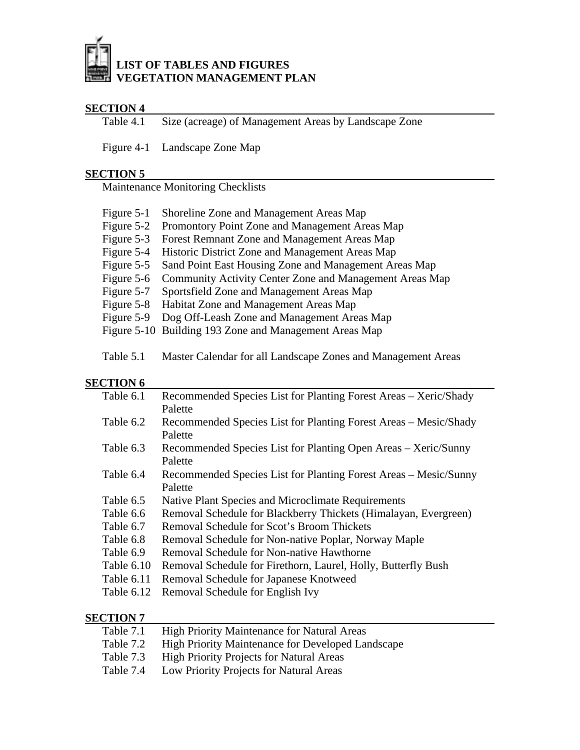

## **SECTION 4**<br>Table 4.1

Size (acreage) of Management Areas by Landscape Zone

Figure 4-1 Landscape Zone Map

#### **SECTION 5**

Maintenance Monitoring Checklists

| Figure 5-1 | Shoreline Zone and Management Areas Map                 |
|------------|---------------------------------------------------------|
| Figure 5-2 | Promontory Point Zone and Management Areas Map          |
| Figure 5-3 | Forest Remnant Zone and Management Areas Map            |
| Figure 5-4 | Historic District Zone and Management Areas Map         |
| Figure 5-5 | Sand Point East Housing Zone and Management Areas Map   |
| Figure 5-6 | Community Activity Center Zone and Management Areas Map |
| Figure 5-7 | Sportsfield Zone and Management Areas Map               |
|            | Figure 5-8 Habitat Zone and Management Areas Map        |
| Figure 5-9 | Dog Off-Leash Zone and Management Areas Map             |
|            | Figure 5-10 Building 193 Zone and Management Areas Map  |
|            |                                                         |

Table 5.1 Master Calendar for all Landscape Zones and Management Areas

#### **SECTION 6**

| Table 6.1  | Recommended Species List for Planting Forest Areas – Xeric/Shady |  |  |  |  |  |
|------------|------------------------------------------------------------------|--|--|--|--|--|
|            | Palette                                                          |  |  |  |  |  |
| Table 6.2  | Recommended Species List for Planting Forest Areas – Mesic/Shady |  |  |  |  |  |
|            | Palette                                                          |  |  |  |  |  |
| Table 6.3  | Recommended Species List for Planting Open Areas – Xeric/Sunny   |  |  |  |  |  |
|            | Palette                                                          |  |  |  |  |  |
| Table 6.4  | Recommended Species List for Planting Forest Areas - Mesic/Sunny |  |  |  |  |  |
|            | Palette                                                          |  |  |  |  |  |
| Table 6.5  | Native Plant Species and Microclimate Requirements               |  |  |  |  |  |
| Table 6.6  | Removal Schedule for Blackberry Thickets (Himalayan, Evergreen)  |  |  |  |  |  |
| Table 6.7  | Removal Schedule for Scot's Broom Thickets                       |  |  |  |  |  |
| Table 6.8  | Removal Schedule for Non-native Poplar, Norway Maple             |  |  |  |  |  |
| Table 6.9  | Removal Schedule for Non-native Hawthorne                        |  |  |  |  |  |
| Table 6.10 | Removal Schedule for Firethorn, Laurel, Holly, Butterfly Bush    |  |  |  |  |  |
| Table 6.11 | Removal Schedule for Japanese Knotweed                           |  |  |  |  |  |
| Table 6.12 | Removal Schedule for English Ivy                                 |  |  |  |  |  |
|            |                                                                  |  |  |  |  |  |

#### **SECTION 7**

| Table 7.1 | <b>High Priority Maintenance for Natural Areas</b>       |
|-----------|----------------------------------------------------------|
| Table 7.2 | <b>High Priority Maintenance for Developed Landscape</b> |
| Table 7.3 | <b>High Priority Projects for Natural Areas</b>          |
| Table 7.4 | Low Priority Projects for Natural Areas                  |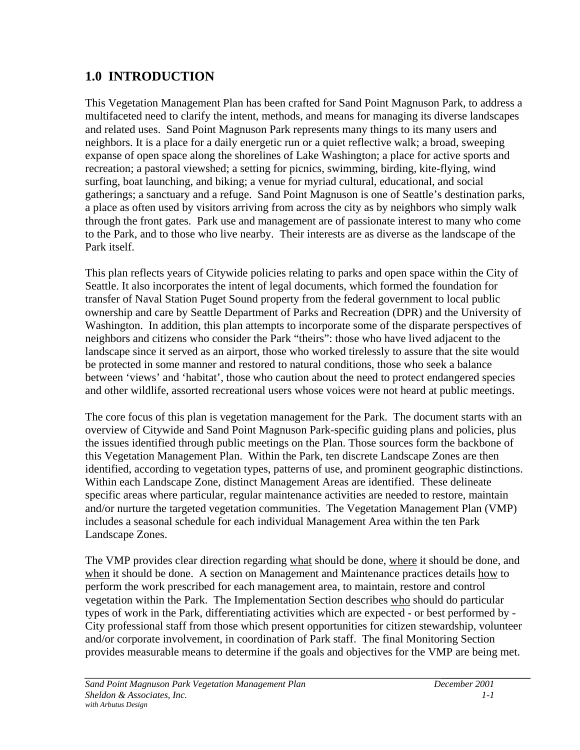## **1.0 INTRODUCTION**

This Vegetation Management Plan has been crafted for Sand Point Magnuson Park, to address a multifaceted need to clarify the intent, methods, and means for managing its diverse landscapes and related uses. Sand Point Magnuson Park represents many things to its many users and neighbors. It is a place for a daily energetic run or a quiet reflective walk; a broad, sweeping expanse of open space along the shorelines of Lake Washington; a place for active sports and recreation; a pastoral viewshed; a setting for picnics, swimming, birding, kite-flying, wind surfing, boat launching, and biking; a venue for myriad cultural, educational, and social gatherings; a sanctuary and a refuge. Sand Point Magnuson is one of Seattle's destination parks, a place as often used by visitors arriving from across the city as by neighbors who simply walk through the front gates. Park use and management are of passionate interest to many who come to the Park, and to those who live nearby. Their interests are as diverse as the landscape of the Park itself.

This plan reflects years of Citywide policies relating to parks and open space within the City of Seattle. It also incorporates the intent of legal documents, which formed the foundation for transfer of Naval Station Puget Sound property from the federal government to local public ownership and care by Seattle Department of Parks and Recreation (DPR) and the University of Washington. In addition, this plan attempts to incorporate some of the disparate perspectives of neighbors and citizens who consider the Park "theirs": those who have lived adjacent to the landscape since it served as an airport, those who worked tirelessly to assure that the site would be protected in some manner and restored to natural conditions, those who seek a balance between 'views' and 'habitat', those who caution about the need to protect endangered species and other wildlife, assorted recreational users whose voices were not heard at public meetings.

The core focus of this plan is vegetation management for the Park. The document starts with an overview of Citywide and Sand Point Magnuson Park-specific guiding plans and policies, plus the issues identified through public meetings on the Plan. Those sources form the backbone of this Vegetation Management Plan. Within the Park, ten discrete Landscape Zones are then identified, according to vegetation types, patterns of use, and prominent geographic distinctions. Within each Landscape Zone, distinct Management Areas are identified. These delineate specific areas where particular, regular maintenance activities are needed to restore, maintain and/or nurture the targeted vegetation communities. The Vegetation Management Plan (VMP) includes a seasonal schedule for each individual Management Area within the ten Park Landscape Zones.

The VMP provides clear direction regarding what should be done, where it should be done, and when it should be done. A section on Management and Maintenance practices details how to perform the work prescribed for each management area, to maintain, restore and control vegetation within the Park. The Implementation Section describes who should do particular types of work in the Park, differentiating activities which are expected - or best performed by - City professional staff from those which present opportunities for citizen stewardship, volunteer and/or corporate involvement, in coordination of Park staff. The final Monitoring Section provides measurable means to determine if the goals and objectives for the VMP are being met.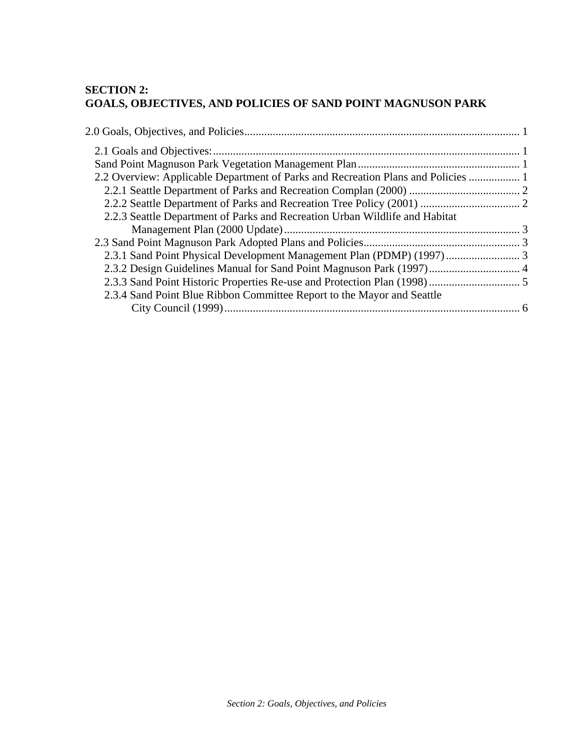#### **SECTION 2: GOALS, OBJECTIVES, AND POLICIES OF SAND POINT MAGNUSON PARK**

| 2.2 Overview: Applicable Department of Parks and Recreation Plans and Policies  1 |  |
|-----------------------------------------------------------------------------------|--|
|                                                                                   |  |
|                                                                                   |  |
| 2.2.3 Seattle Department of Parks and Recreation Urban Wildlife and Habitat       |  |
|                                                                                   |  |
|                                                                                   |  |
|                                                                                   |  |
| 2.3.2 Design Guidelines Manual for Sand Point Magnuson Park (1997) 4              |  |
|                                                                                   |  |
| 2.3.4 Sand Point Blue Ribbon Committee Report to the Mayor and Seattle            |  |
|                                                                                   |  |
|                                                                                   |  |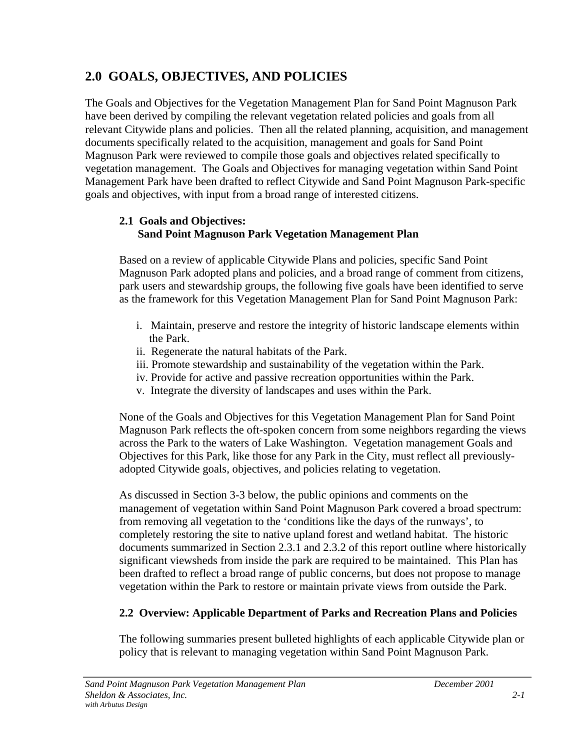## <span id="page-7-0"></span>**2.0 GOALS, OBJECTIVES, AND POLICIES**

The Goals and Objectives for the Vegetation Management Plan for Sand Point Magnuson Park have been derived by compiling the relevant vegetation related policies and goals from all relevant Citywide plans and policies. Then all the related planning, acquisition, and management documents specifically related to the acquisition, management and goals for Sand Point Magnuson Park were reviewed to compile those goals and objectives related specifically to vegetation management. The Goals and Objectives for managing vegetation within Sand Point Management Park have been drafted to reflect Citywide and Sand Point Magnuson Park-specific goals and objectives, with input from a broad range of interested citizens.

## **2.1 Goals and Objectives: Sand Point Magnuson Park Vegetation Management Plan**

Based on a review of applicable Citywide Plans and policies, specific Sand Point Magnuson Park adopted plans and policies, and a broad range of comment from citizens, park users and stewardship groups, the following five goals have been identified to serve as the framework for this Vegetation Management Plan for Sand Point Magnuson Park:

- i. Maintain, preserve and restore the integrity of historic landscape elements within the Park.
- ii. Regenerate the natural habitats of the Park.
- iii. Promote stewardship and sustainability of the vegetation within the Park.
- iv. Provide for active and passive recreation opportunities within the Park.
- v. Integrate the diversity of landscapes and uses within the Park.

None of the Goals and Objectives for this Vegetation Management Plan for Sand Point Magnuson Park reflects the oft-spoken concern from some neighbors regarding the views across the Park to the waters of Lake Washington. Vegetation management Goals and Objectives for this Park, like those for any Park in the City, must reflect all previouslyadopted Citywide goals, objectives, and policies relating to vegetation.

As discussed in Section 3-3 below, the public opinions and comments on the management of vegetation within Sand Point Magnuson Park covered a broad spectrum: from removing all vegetation to the 'conditions like the days of the runways', to completely restoring the site to native upland forest and wetland habitat. The historic documents summarized in Section 2.3.1 and 2.3.2 of this report outline where historically significant viewsheds from inside the park are required to be maintained. This Plan has been drafted to reflect a broad range of public concerns, but does not propose to manage vegetation within the Park to restore or maintain private views from outside the Park.

## **2.2 Overview: Applicable Department of Parks and Recreation Plans and Policies**

The following summaries present bulleted highlights of each applicable Citywide plan or policy that is relevant to managing vegetation within Sand Point Magnuson Park.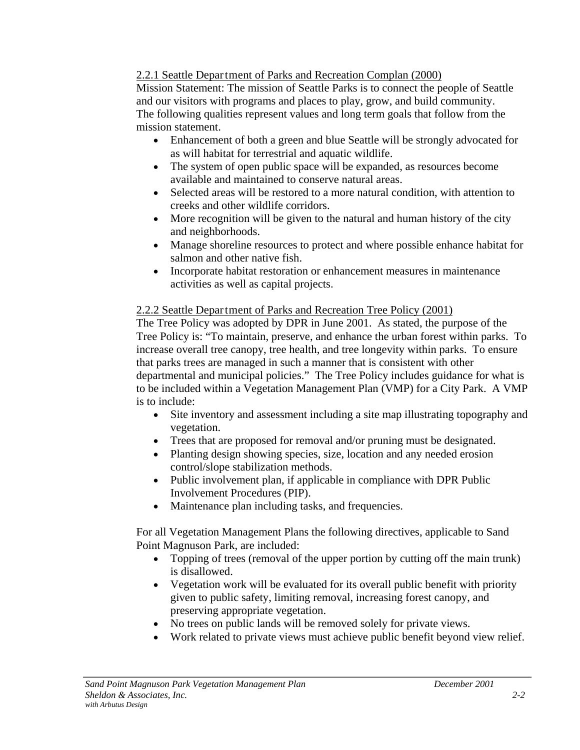## <span id="page-8-0"></span>2.2.1 Seattle Department of Parks and Recreation Complan (2000)

Mission Statement: The mission of Seattle Parks is to connect the people of Seattle and our visitors with programs and places to play, grow, and build community. The following qualities represent values and long term goals that follow from the mission statement.

- Enhancement of both a green and blue Seattle will be strongly advocated for as will habitat for terrestrial and aquatic wildlife.
- The system of open public space will be expanded, as resources become available and maintained to conserve natural areas.
- Selected areas will be restored to a more natural condition, with attention to creeks and other wildlife corridors.
- More recognition will be given to the natural and human history of the city and neighborhoods.
- Manage shoreline resources to protect and where possible enhance habitat for salmon and other native fish.
- Incorporate habitat restoration or enhancement measures in maintenance activities as well as capital projects.

## 2.2.2 Seattle Department of Parks and Recreation Tree Policy (2001)

The Tree Policy was adopted by DPR in June 2001. As stated, the purpose of the Tree Policy is: "To maintain, preserve, and enhance the urban forest within parks. To increase overall tree canopy, tree health, and tree longevity within parks. To ensure that parks trees are managed in such a manner that is consistent with other departmental and municipal policies." The Tree Policy includes guidance for what is to be included within a Vegetation Management Plan (VMP) for a City Park. A VMP is to include:

- Site inventory and assessment including a site map illustrating topography and vegetation.
- Trees that are proposed for removal and/or pruning must be designated.
- Planting design showing species, size, location and any needed erosion control/slope stabilization methods.
- Public involvement plan, if applicable in compliance with DPR Public Involvement Procedures (PIP).
- Maintenance plan including tasks, and frequencies.

For all Vegetation Management Plans the following directives, applicable to Sand Point Magnuson Park, are included:

- Topping of trees (removal of the upper portion by cutting off the main trunk) is disallowed.
- Vegetation work will be evaluated for its overall public benefit with priority given to public safety, limiting removal, increasing forest canopy, and preserving appropriate vegetation.
- No trees on public lands will be removed solely for private views.
- Work related to private views must achieve public benefit beyond view relief.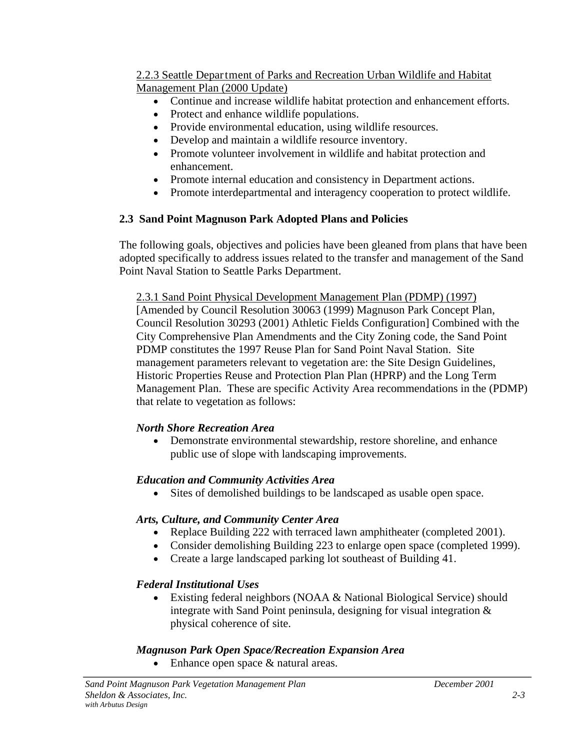#### <span id="page-9-0"></span>2.2.3 Seattle Department of Parks and Recreation Urban Wildlife and Habitat Management Plan (2000 Update)

- Continue and increase wildlife habitat protection and enhancement efforts.
- Protect and enhance wildlife populations.
- Provide environmental education, using wildlife resources.
- Develop and maintain a wildlife resource inventory.
- Promote volunteer involvement in wildlife and habitat protection and enhancement.
- Promote internal education and consistency in Department actions.
- Promote interdepartmental and interagency cooperation to protect wildlife.

## **2.3 Sand Point Magnuson Park Adopted Plans and Policies**

The following goals, objectives and policies have been gleaned from plans that have been adopted specifically to address issues related to the transfer and management of the Sand Point Naval Station to Seattle Parks Department.

2.3.1 Sand Point Physical Development Management Plan (PDMP) (1997) [Amended by Council Resolution 30063 (1999) Magnuson Park Concept Plan, Council Resolution 30293 (2001) Athletic Fields Configuration] Combined with the City Comprehensive Plan Amendments and the City Zoning code, the Sand Point PDMP constitutes the 1997 Reuse Plan for Sand Point Naval Station. Site management parameters relevant to vegetation are: the Site Design Guidelines, Historic Properties Reuse and Protection Plan Plan (HPRP) and the Long Term Management Plan. These are specific Activity Area recommendations in the (PDMP) that relate to vegetation as follows:

## *North Shore Recreation Area*

• Demonstrate environmental stewardship, restore shoreline, and enhance public use of slope with landscaping improvements.

## *Education and Community Activities Area*

• Sites of demolished buildings to be landscaped as usable open space.

## *Arts, Culture, and Community Center Area*

- Replace Building 222 with terraced lawn amphitheater (completed 2001).
- Consider demolishing Building 223 to enlarge open space (completed 1999).
- Create a large landscaped parking lot southeast of Building 41.

## *Federal Institutional Uses*

• Existing federal neighbors (NOAA & National Biological Service) should integrate with Sand Point peninsula, designing for visual integration & physical coherence of site.

## *Magnuson Park Open Space/Recreation Expansion Area*

• Enhance open space & natural areas.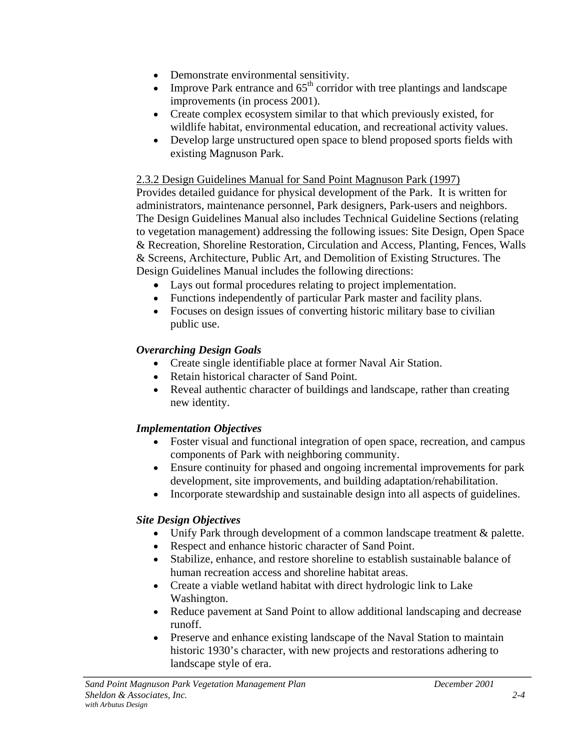- <span id="page-10-0"></span>• Demonstrate environmental sensitivity.
- Improve Park entrance and  $65<sup>th</sup>$  corridor with tree plantings and landscape improvements (in process 2001).
- Create complex ecosystem similar to that which previously existed, for wildlife habitat, environmental education, and recreational activity values.
- Develop large unstructured open space to blend proposed sports fields with existing Magnuson Park.

## 2.3.2 Design Guidelines Manual for Sand Point Magnuson Park (1997)

Provides detailed guidance for physical development of the Park. It is written for administrators, maintenance personnel, Park designers, Park-users and neighbors. The Design Guidelines Manual also includes Technical Guideline Sections (relating to vegetation management) addressing the following issues: Site Design, Open Space & Recreation, Shoreline Restoration, Circulation and Access, Planting, Fences, Walls & Screens, Architecture, Public Art, and Demolition of Existing Structures. The Design Guidelines Manual includes the following directions:

- Lays out formal procedures relating to project implementation.
- Functions independently of particular Park master and facility plans.
- Focuses on design issues of converting historic military base to civilian public use.

## *Overarching Design Goals*

- Create single identifiable place at former Naval Air Station.
- Retain historical character of Sand Point.
- Reveal authentic character of buildings and landscape, rather than creating new identity.

## *Implementation Objectives*

- Foster visual and functional integration of open space, recreation, and campus components of Park with neighboring community.
- Ensure continuity for phased and ongoing incremental improvements for park development, site improvements, and building adaptation/rehabilitation.
- Incorporate stewardship and sustainable design into all aspects of guidelines.

## *Site Design Objectives*

- Unify Park through development of a common landscape treatment & palette.
- Respect and enhance historic character of Sand Point.
- Stabilize, enhance, and restore shoreline to establish sustainable balance of human recreation access and shoreline habitat areas.
- Create a viable wetland habitat with direct hydrologic link to Lake Washington.
- Reduce pavement at Sand Point to allow additional landscaping and decrease runoff.
- Preserve and enhance existing landscape of the Naval Station to maintain historic 1930's character, with new projects and restorations adhering to landscape style of era.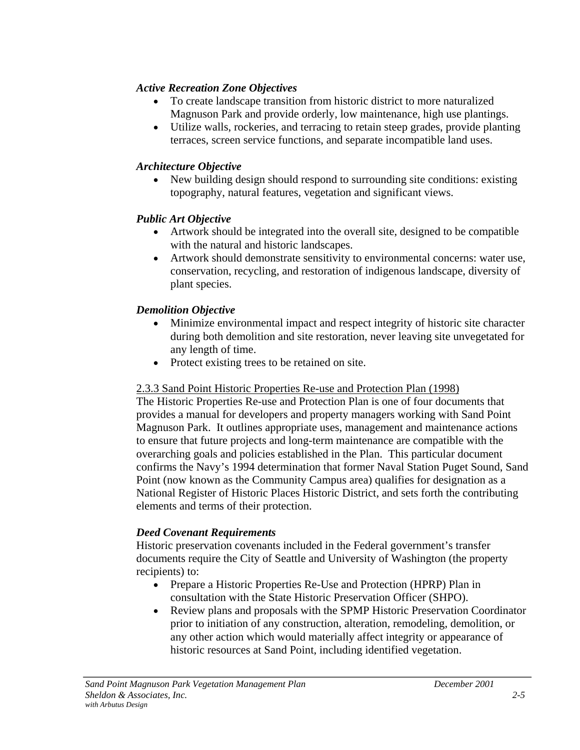## <span id="page-11-0"></span>*Active Recreation Zone Objectives*

- To create landscape transition from historic district to more naturalized Magnuson Park and provide orderly, low maintenance, high use plantings.
- Utilize walls, rockeries, and terracing to retain steep grades, provide planting terraces, screen service functions, and separate incompatible land uses.

## *Architecture Objective*

• New building design should respond to surrounding site conditions: existing topography, natural features, vegetation and significant views.

## *Public Art Objective*

- Artwork should be integrated into the overall site, designed to be compatible with the natural and historic landscapes.
- Artwork should demonstrate sensitivity to environmental concerns: water use, conservation, recycling, and restoration of indigenous landscape, diversity of plant species.

## *Demolition Objective*

- Minimize environmental impact and respect integrity of historic site character during both demolition and site restoration, never leaving site unvegetated for any length of time.
- Protect existing trees to be retained on site.

## 2.3.3 Sand Point Historic Properties Re-use and Protection Plan (1998)

The Historic Properties Re-use and Protection Plan is one of four documents that provides a manual for developers and property managers working with Sand Point Magnuson Park. It outlines appropriate uses, management and maintenance actions to ensure that future projects and long-term maintenance are compatible with the overarching goals and policies established in the Plan. This particular document confirms the Navy's 1994 determination that former Naval Station Puget Sound, Sand Point (now known as the Community Campus area) qualifies for designation as a National Register of Historic Places Historic District, and sets forth the contributing elements and terms of their protection.

## *Deed Covenant Requirements*

Historic preservation covenants included in the Federal government's transfer documents require the City of Seattle and University of Washington (the property recipients) to:

- Prepare a Historic Properties Re-Use and Protection (HPRP) Plan in consultation with the State Historic Preservation Officer (SHPO).
- Review plans and proposals with the SPMP Historic Preservation Coordinator prior to initiation of any construction, alteration, remodeling, demolition, or any other action which would materially affect integrity or appearance of historic resources at Sand Point, including identified vegetation.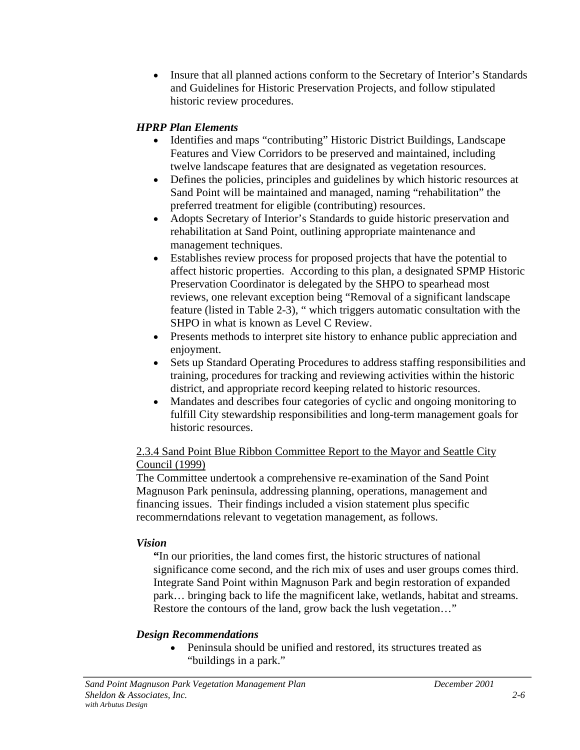<span id="page-12-0"></span>• Insure that all planned actions conform to the Secretary of Interior's Standards and Guidelines for Historic Preservation Projects, and follow stipulated historic review procedures.

## *HPRP Plan Elements*

- Identifies and maps "contributing" Historic District Buildings, Landscape Features and View Corridors to be preserved and maintained, including twelve landscape features that are designated as vegetation resources.
- Defines the policies, principles and guidelines by which historic resources at Sand Point will be maintained and managed, naming "rehabilitation" the preferred treatment for eligible (contributing) resources.
- Adopts Secretary of Interior's Standards to guide historic preservation and rehabilitation at Sand Point, outlining appropriate maintenance and management techniques.
- Establishes review process for proposed projects that have the potential to affect historic properties. According to this plan, a designated SPMP Historic Preservation Coordinator is delegated by the SHPO to spearhead most reviews, one relevant exception being "Removal of a significant landscape feature (listed in Table 2-3), " which triggers automatic consultation with the SHPO in what is known as Level C Review.
- Presents methods to interpret site history to enhance public appreciation and enjoyment.
- Sets up Standard Operating Procedures to address staffing responsibilities and training, procedures for tracking and reviewing activities within the historic district, and appropriate record keeping related to historic resources.
- Mandates and describes four categories of cyclic and ongoing monitoring to fulfill City stewardship responsibilities and long-term management goals for historic resources.

## 2.3.4 Sand Point Blue Ribbon Committee Report to the Mayor and Seattle City Council (1999)

The Committee undertook a comprehensive re-examination of the Sand Point Magnuson Park peninsula, addressing planning, operations, management and financing issues. Their findings included a vision statement plus specific recommerndations relevant to vegetation management, as follows.

## *Vision*

**"**In our priorities, the land comes first, the historic structures of national significance come second, and the rich mix of uses and user groups comes third. Integrate Sand Point within Magnuson Park and begin restoration of expanded park… bringing back to life the magnificent lake, wetlands, habitat and streams. Restore the contours of the land, grow back the lush vegetation…"

## *Design Recommendations*

• Peninsula should be unified and restored, its structures treated as "buildings in a park."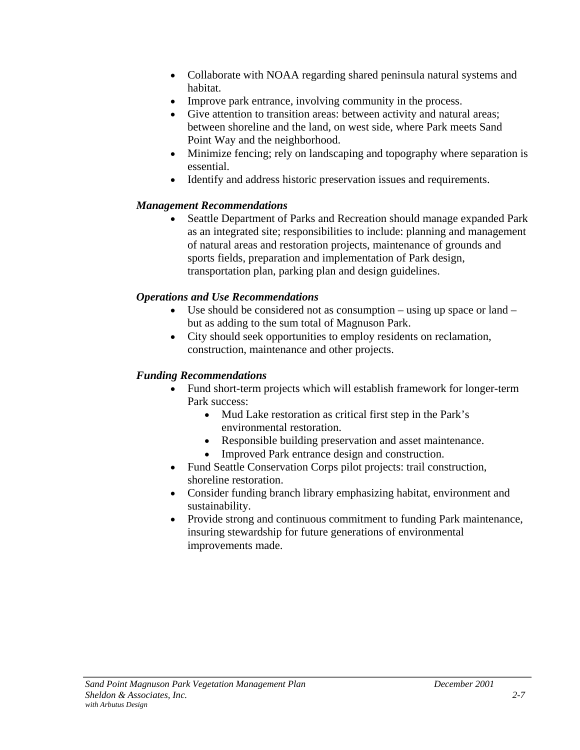- Collaborate with NOAA regarding shared peninsula natural systems and habitat.
- Improve park entrance, involving community in the process.
- Give attention to transition areas: between activity and natural areas; between shoreline and the land, on west side, where Park meets Sand Point Way and the neighborhood.
- Minimize fencing; rely on landscaping and topography where separation is essential.
- Identify and address historic preservation issues and requirements.

## *Management Recommendations*

• Seattle Department of Parks and Recreation should manage expanded Park as an integrated site; responsibilities to include: planning and management of natural areas and restoration projects, maintenance of grounds and sports fields, preparation and implementation of Park design, transportation plan, parking plan and design guidelines.

## *Operations and Use Recommendations*

- Use should be considered not as consumption using up space or land but as adding to the sum total of Magnuson Park.
- City should seek opportunities to employ residents on reclamation, construction, maintenance and other projects.

## *Funding Recommendations*

- Fund short-term projects which will establish framework for longer-term Park success:
	- Mud Lake restoration as critical first step in the Park's environmental restoration.
	- Responsible building preservation and asset maintenance.
	- Improved Park entrance design and construction.
- Fund Seattle Conservation Corps pilot projects: trail construction, shoreline restoration.
- Consider funding branch library emphasizing habitat, environment and sustainability.
- Provide strong and continuous commitment to funding Park maintenance, insuring stewardship for future generations of environmental improvements made.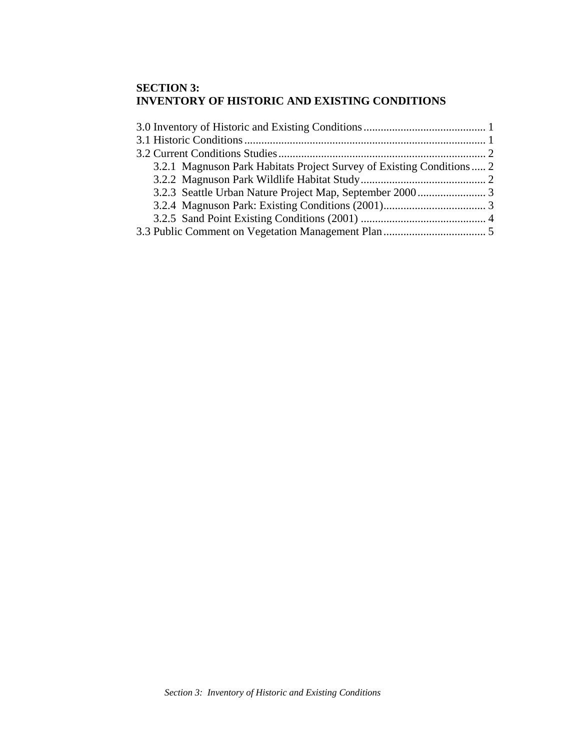#### **SECTION 3: INVENTORY OF HISTORIC AND EXISTING CONDITIONS**

| 3.2.1 Magnuson Park Habitats Project Survey of Existing Conditions  2 |
|-----------------------------------------------------------------------|
|                                                                       |
|                                                                       |
|                                                                       |
|                                                                       |
|                                                                       |
|                                                                       |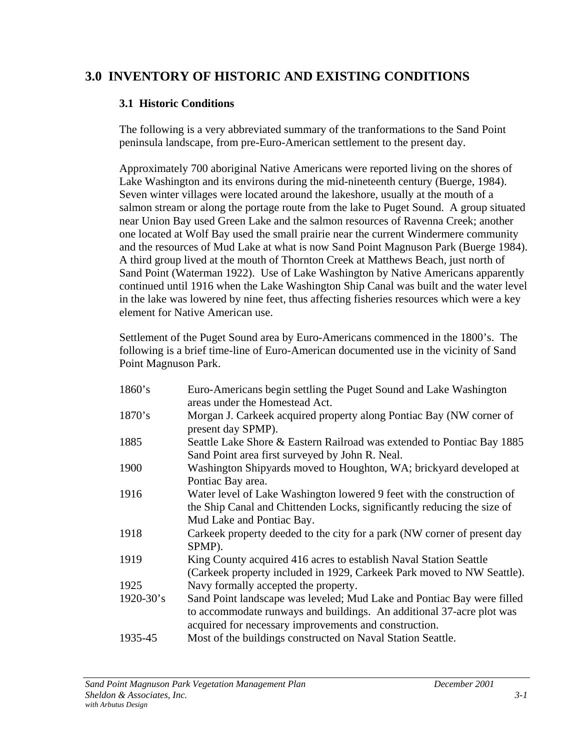## <span id="page-15-0"></span>**3.0 INVENTORY OF HISTORIC AND EXISTING CONDITIONS**

## **3.1 Historic Conditions**

The following is a very abbreviated summary of the tranformations to the Sand Point peninsula landscape, from pre-Euro-American settlement to the present day.

Approximately 700 aboriginal Native Americans were reported living on the shores of Lake Washington and its environs during the mid-nineteenth century (Buerge, 1984). Seven winter villages were located around the lakeshore, usually at the mouth of a salmon stream or along the portage route from the lake to Puget Sound. A group situated near Union Bay used Green Lake and the salmon resources of Ravenna Creek; another one located at Wolf Bay used the small prairie near the current Windermere community and the resources of Mud Lake at what is now Sand Point Magnuson Park (Buerge 1984). A third group lived at the mouth of Thornton Creek at Matthews Beach, just north of Sand Point (Waterman 1922). Use of Lake Washington by Native Americans apparently continued until 1916 when the Lake Washington Ship Canal was built and the water level in the lake was lowered by nine feet, thus affecting fisheries resources which were a key element for Native American use.

Settlement of the Puget Sound area by Euro-Americans commenced in the 1800's. The following is a brief time-line of Euro-American documented use in the vicinity of Sand Point Magnuson Park.

| 1860's         | Euro-Americans begin settling the Puget Sound and Lake Washington<br>areas under the Homestead Act.                                                                                                     |
|----------------|---------------------------------------------------------------------------------------------------------------------------------------------------------------------------------------------------------|
| 1870's         | Morgan J. Carkeek acquired property along Pontiac Bay (NW corner of<br>present day SPMP).                                                                                                               |
| 1885           | Seattle Lake Shore & Eastern Railroad was extended to Pontiac Bay 1885<br>Sand Point area first surveyed by John R. Neal.                                                                               |
| 1900           | Washington Shipyards moved to Houghton, WA; brickyard developed at<br>Pontiac Bay area.                                                                                                                 |
| 1916           | Water level of Lake Washington lowered 9 feet with the construction of<br>the Ship Canal and Chittenden Locks, significantly reducing the size of<br>Mud Lake and Pontiac Bay.                          |
| 1918           | Carkeek property deeded to the city for a park (NW corner of present day<br>SPMP).                                                                                                                      |
| 1919           | King County acquired 416 acres to establish Naval Station Seattle<br>(Carkeek property included in 1929, Carkeek Park moved to NW Seattle).                                                             |
| 1925           | Navy formally accepted the property.                                                                                                                                                                    |
| $1920 - 30$ 's | Sand Point landscape was leveled; Mud Lake and Pontiac Bay were filled<br>to accommodate runways and buildings. An additional 37-acre plot was<br>acquired for necessary improvements and construction. |
| 1935-45        | Most of the buildings constructed on Naval Station Seattle.                                                                                                                                             |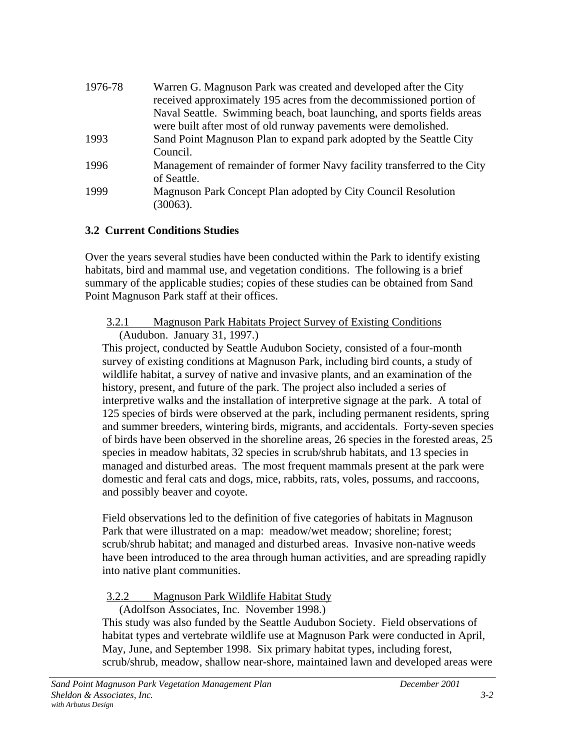<span id="page-16-0"></span>

| 1976-78 | Warren G. Magnuson Park was created and developed after the City        |
|---------|-------------------------------------------------------------------------|
|         | received approximately 195 acres from the decommissioned portion of     |
|         | Naval Seattle. Swimming beach, boat launching, and sports fields areas  |
|         | were built after most of old runway pavements were demolished.          |
| 1993    | Sand Point Magnuson Plan to expand park adopted by the Seattle City     |
|         | Council.                                                                |
| 1996    | Management of remainder of former Navy facility transferred to the City |
|         | of Seattle.                                                             |
| 1999    | Magnuson Park Concept Plan adopted by City Council Resolution           |
|         | (30063).                                                                |

## **3.2 Current Conditions Studies**

Over the years several studies have been conducted within the Park to identify existing habitats, bird and mammal use, and vegetation conditions. The following is a brief summary of the applicable studies; copies of these studies can be obtained from Sand Point Magnuson Park staff at their offices.

#### 3.2.1 Magnuson Park Habitats Project Survey of Existing Conditions (Audubon. January 31, 1997.)

This project, conducted by Seattle Audubon Society, consisted of a four-month survey of existing conditions at Magnuson Park, including bird counts, a study of wildlife habitat, a survey of native and invasive plants, and an examination of the history, present, and future of the park. The project also included a series of interpretive walks and the installation of interpretive signage at the park. A total of 125 species of birds were observed at the park, including permanent residents, spring and summer breeders, wintering birds, migrants, and accidentals. Forty-seven species of birds have been observed in the shoreline areas, 26 species in the forested areas, 25 species in meadow habitats, 32 species in scrub/shrub habitats, and 13 species in managed and disturbed areas. The most frequent mammals present at the park were domestic and feral cats and dogs, mice, rabbits, rats, voles, possums, and raccoons, and possibly beaver and coyote.

Field observations led to the definition of five categories of habitats in Magnuson Park that were illustrated on a map: meadow/wet meadow; shoreline; forest; scrub/shrub habitat; and managed and disturbed areas. Invasive non-native weeds have been introduced to the area through human activities, and are spreading rapidly into native plant communities.

## 3.2.2 Magnuson Park Wildlife Habitat Study

(Adolfson Associates, Inc. November 1998.) This study was also funded by the Seattle Audubon Society. Field observations of habitat types and vertebrate wildlife use at Magnuson Park were conducted in April,

May, June, and September 1998. Six primary habitat types, including forest, scrub/shrub, meadow, shallow near-shore, maintained lawn and developed areas were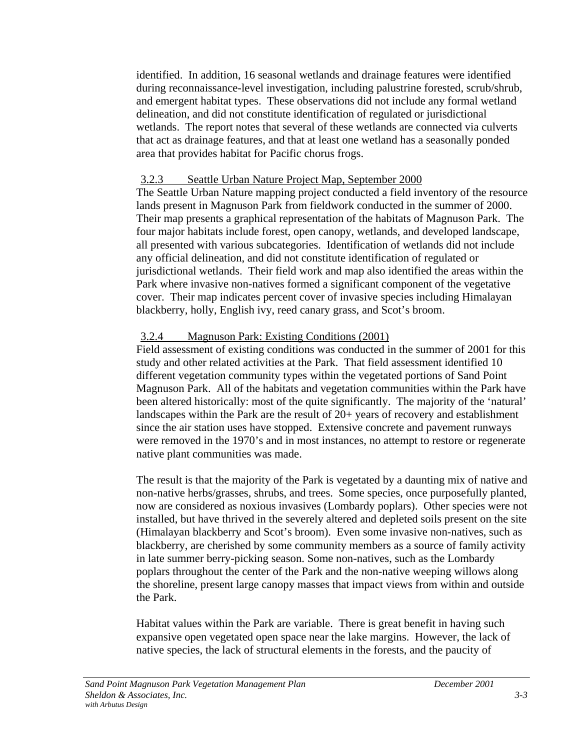identified. In addition, 16 seasonal wetlands and drainage features were identified during reconnaissance-level investigation, including palustrine forested, scrub/shrub, and emergent habitat types. These observations did not include any formal wetland delineation, and did not constitute identification of regulated or jurisdictional wetlands. The report notes that several of these wetlands are connected via culverts that act as drainage features, and that at least one wetland has a seasonally ponded area that provides habitat for Pacific chorus frogs.

#### 3.2.3 Seattle Urban Nature Project Map, September 2000

The Seattle Urban Nature mapping project conducted a field inventory of the resource lands present in Magnuson Park from fieldwork conducted in the summer of 2000. Their map presents a graphical representation of the habitats of Magnuson Park. The four major habitats include forest, open canopy, wetlands, and developed landscape, all presented with various subcategories. Identification of wetlands did not include any official delineation, and did not constitute identification of regulated or jurisdictional wetlands. Their field work and map also identified the areas within the Park where invasive non-natives formed a significant component of the vegetative cover. Their map indicates percent cover of invasive species including Himalayan blackberry, holly, English ivy, reed canary grass, and Scot's broom.

## 3.2.4 Magnuson Park: Existing Conditions (2001)

Field assessment of existing conditions was conducted in the summer of 2001 for this study and other related activities at the Park. That field assessment identified 10 different vegetation community types within the vegetated portions of Sand Point Magnuson Park. All of the habitats and vegetation communities within the Park have been altered historically: most of the quite significantly. The majority of the 'natural' landscapes within the Park are the result of 20+ years of recovery and establishment since the air station uses have stopped. Extensive concrete and pavement runways were removed in the 1970's and in most instances, no attempt to restore or regenerate native plant communities was made.

The result is that the majority of the Park is vegetated by a daunting mix of native and non-native herbs/grasses, shrubs, and trees. Some species, once purposefully planted, now are considered as noxious invasives (Lombardy poplars). Other species were not installed, but have thrived in the severely altered and depleted soils present on the site (Himalayan blackberry and Scot's broom). Even some invasive non-natives, such as blackberry, are cherished by some community members as a source of family activity in late summer berry-picking season. Some non-natives, such as the Lombardy poplars throughout the center of the Park and the non-native weeping willows along the shoreline, present large canopy masses that impact views from within and outside the Park.

Habitat values within the Park are variable. There is great benefit in having such expansive open vegetated open space near the lake margins. However, the lack of native species, the lack of structural elements in the forests, and the paucity of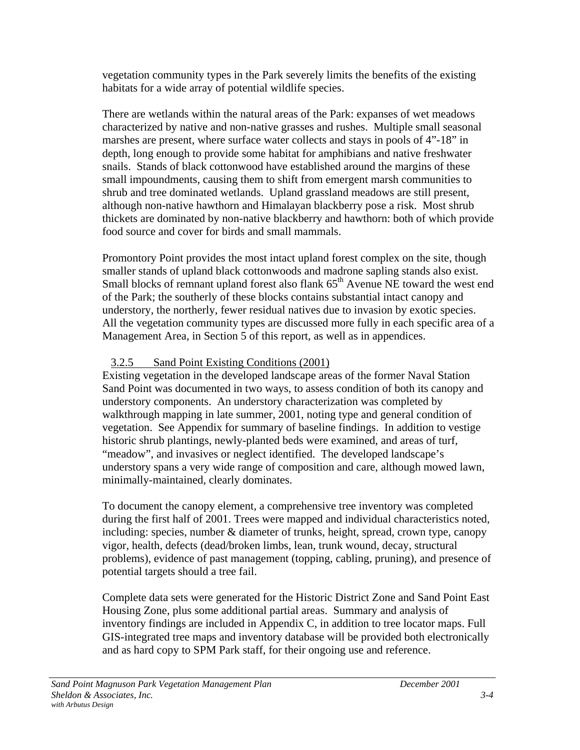vegetation community types in the Park severely limits the benefits of the existing habitats for a wide array of potential wildlife species.

There are wetlands within the natural areas of the Park: expanses of wet meadows characterized by native and non-native grasses and rushes. Multiple small seasonal marshes are present, where surface water collects and stays in pools of 4"-18" in depth, long enough to provide some habitat for amphibians and native freshwater snails. Stands of black cottonwood have established around the margins of these small impoundments, causing them to shift from emergent marsh communities to shrub and tree dominated wetlands. Upland grassland meadows are still present, although non-native hawthorn and Himalayan blackberry pose a risk. Most shrub thickets are dominated by non-native blackberry and hawthorn: both of which provide food source and cover for birds and small mammals.

Promontory Point provides the most intact upland forest complex on the site, though smaller stands of upland black cottonwoods and madrone sapling stands also exist. Small blocks of remnant upland forest also flank  $65<sup>th</sup>$  Avenue NE toward the west end of the Park; the southerly of these blocks contains substantial intact canopy and understory, the northerly, fewer residual natives due to invasion by exotic species. All the vegetation community types are discussed more fully in each specific area of a Management Area, in Section 5 of this report, as well as in appendices.

## 3.2.5 Sand Point Existing Conditions (2001)

Existing vegetation in the developed landscape areas of the former Naval Station Sand Point was documented in two ways, to assess condition of both its canopy and understory components. An understory characterization was completed by walkthrough mapping in late summer, 2001, noting type and general condition of vegetation. See Appendix for summary of baseline findings. In addition to vestige historic shrub plantings, newly-planted beds were examined, and areas of turf, "meadow", and invasives or neglect identified. The developed landscape's understory spans a very wide range of composition and care, although mowed lawn, minimally-maintained, clearly dominates.

To document the canopy element, a comprehensive tree inventory was completed during the first half of 2001. Trees were mapped and individual characteristics noted, including: species, number & diameter of trunks, height, spread, crown type, canopy vigor, health, defects (dead/broken limbs, lean, trunk wound, decay, structural problems), evidence of past management (topping, cabling, pruning), and presence of potential targets should a tree fail.

Complete data sets were generated for the Historic District Zone and Sand Point East Housing Zone, plus some additional partial areas. Summary and analysis of inventory findings are included in Appendix C, in addition to tree locator maps. Full GIS-integrated tree maps and inventory database will be provided both electronically and as hard copy to SPM Park staff, for their ongoing use and reference.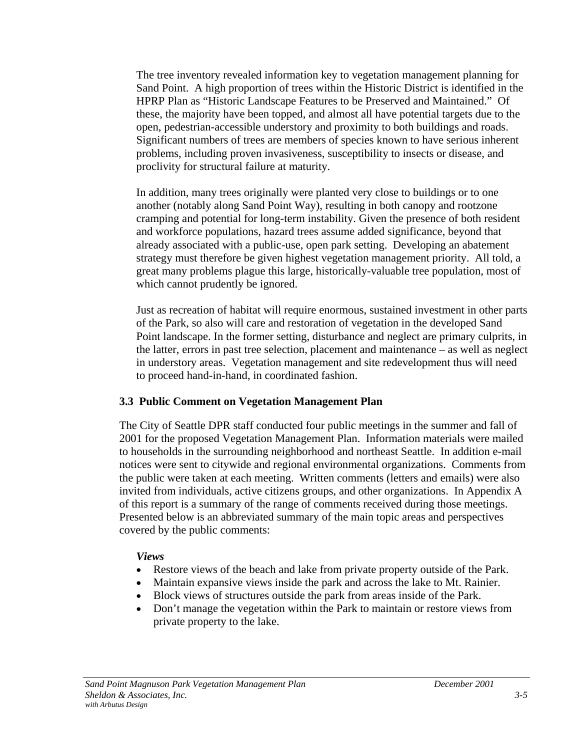<span id="page-19-0"></span>The tree inventory revealed information key to vegetation management planning for Sand Point. A high proportion of trees within the Historic District is identified in the HPRP Plan as "Historic Landscape Features to be Preserved and Maintained." Of these, the majority have been topped, and almost all have potential targets due to the open, pedestrian-accessible understory and proximity to both buildings and roads. Significant numbers of trees are members of species known to have serious inherent problems, including proven invasiveness, susceptibility to insects or disease, and proclivity for structural failure at maturity.

In addition, many trees originally were planted very close to buildings or to one another (notably along Sand Point Way), resulting in both canopy and rootzone cramping and potential for long-term instability. Given the presence of both resident and workforce populations, hazard trees assume added significance, beyond that already associated with a public-use, open park setting. Developing an abatement strategy must therefore be given highest vegetation management priority. All told, a great many problems plague this large, historically-valuable tree population, most of which cannot prudently be ignored.

Just as recreation of habitat will require enormous, sustained investment in other parts of the Park, so also will care and restoration of vegetation in the developed Sand Point landscape. In the former setting, disturbance and neglect are primary culprits, in the latter, errors in past tree selection, placement and maintenance – as well as neglect in understory areas. Vegetation management and site redevelopment thus will need to proceed hand-in-hand, in coordinated fashion.

## **3.3 Public Comment on Vegetation Management Plan**

The City of Seattle DPR staff conducted four public meetings in the summer and fall of 2001 for the proposed Vegetation Management Plan. Information materials were mailed to households in the surrounding neighborhood and northeast Seattle. In addition e-mail notices were sent to citywide and regional environmental organizations. Comments from the public were taken at each meeting. Written comments (letters and emails) were also invited from individuals, active citizens groups, and other organizations. In Appendix A of this report is a summary of the range of comments received during those meetings. Presented below is an abbreviated summary of the main topic areas and perspectives covered by the public comments:

#### *Views*

- Restore views of the beach and lake from private property outside of the Park.
- Maintain expansive views inside the park and across the lake to Mt. Rainier.
- Block views of structures outside the park from areas inside of the Park.
- Don't manage the vegetation within the Park to maintain or restore views from private property to the lake.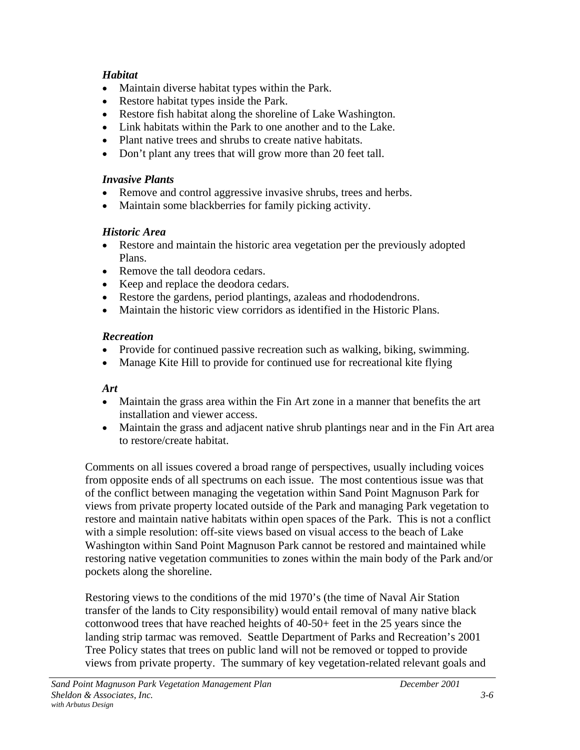## *Habitat*

- Maintain diverse habitat types within the Park.
- Restore habitat types inside the Park.
- Restore fish habitat along the shoreline of Lake Washington.
- Link habitats within the Park to one another and to the Lake.
- Plant native trees and shrubs to create native habitats.
- Don't plant any trees that will grow more than 20 feet tall.

## *Invasive Plants*

- Remove and control aggressive invasive shrubs, trees and herbs.
- Maintain some blackberries for family picking activity.

## *Historic Area*

- Restore and maintain the historic area vegetation per the previously adopted Plans.
- Remove the tall deodora cedars.
- Keep and replace the deodora cedars.
- Restore the gardens, period plantings, azaleas and rhododendrons.
- Maintain the historic view corridors as identified in the Historic Plans.

## *Recreation*

- Provide for continued passive recreation such as walking, biking, swimming.
- Manage Kite Hill to provide for continued use for recreational kite flying

## *Art*

- Maintain the grass area within the Fin Art zone in a manner that benefits the art installation and viewer access.
- Maintain the grass and adjacent native shrub plantings near and in the Fin Art area to restore/create habitat.

Comments on all issues covered a broad range of perspectives, usually including voices from opposite ends of all spectrums on each issue. The most contentious issue was that of the conflict between managing the vegetation within Sand Point Magnuson Park for views from private property located outside of the Park and managing Park vegetation to restore and maintain native habitats within open spaces of the Park. This is not a conflict with a simple resolution: off-site views based on visual access to the beach of Lake Washington within Sand Point Magnuson Park cannot be restored and maintained while restoring native vegetation communities to zones within the main body of the Park and/or pockets along the shoreline.

Restoring views to the conditions of the mid 1970's (the time of Naval Air Station transfer of the lands to City responsibility) would entail removal of many native black cottonwood trees that have reached heights of 40-50+ feet in the 25 years since the landing strip tarmac was removed. Seattle Department of Parks and Recreation's 2001 Tree Policy states that trees on public land will not be removed or topped to provide views from private property. The summary of key vegetation-related relevant goals and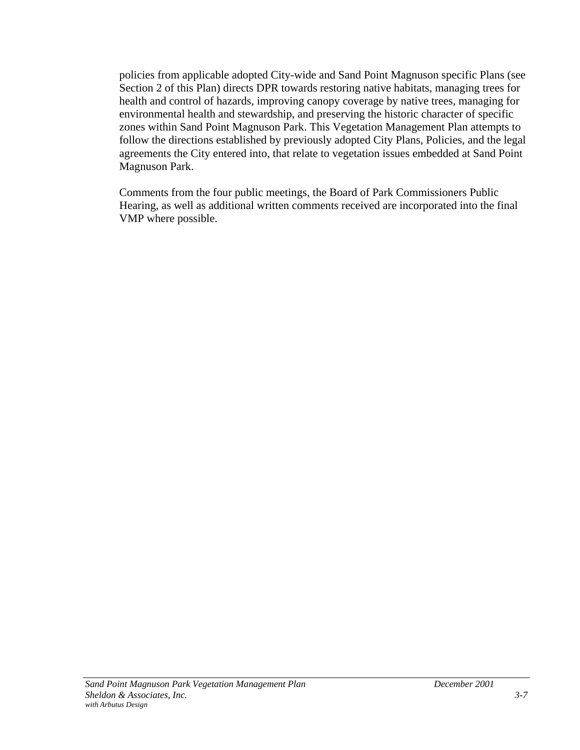policies from applicable adopted City-wide and Sand Point Magnuson specific Plans (see Section 2 of this Plan) directs DPR towards restoring native habitats, managing trees for health and control of hazards, improving canopy coverage by native trees, managing for environmental health and stewardship, and preserving the historic character of specific zones within Sand Point Magnuson Park. This Vegetation Management Plan attempts to follow the directions established by previously adopted City Plans, Policies, and the legal agreements the City entered into, that relate to vegetation issues embedded at Sand Point Magnuson Park.

Comments from the four public meetings, the Board of Park Commissioners Public Hearing, as well as additional written comments received are incorporated into the final VMP where possible.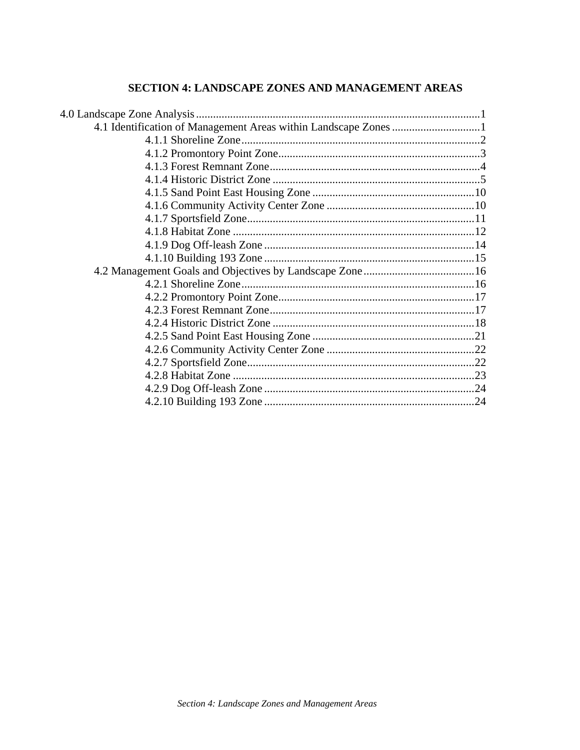## SECTION 4: LANDSCAPE ZONES AND MANAGEMENT AREAS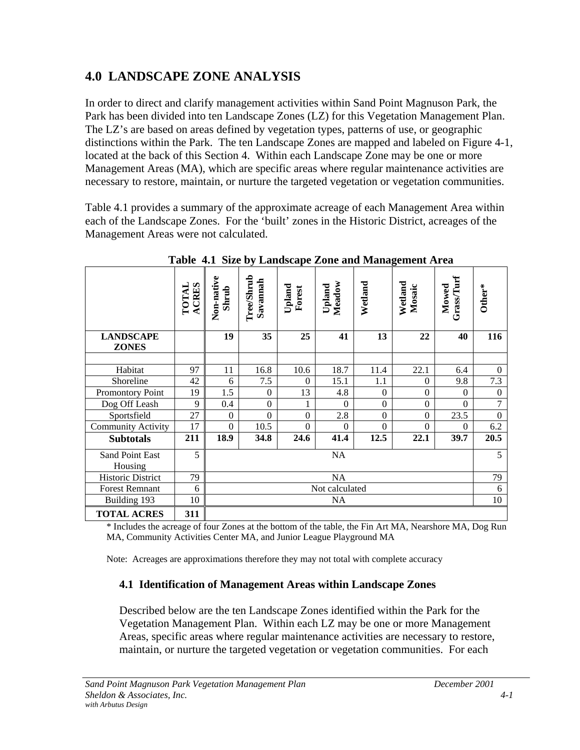## <span id="page-23-0"></span>**4.0 LANDSCAPE ZONE ANALYSIS**

In order to direct and clarify management activities within Sand Point Magnuson Park, the Park has been divided into ten Landscape Zones (LZ) for this Vegetation Management Plan. The LZ's are based on areas defined by vegetation types, patterns of use, or geographic distinctions within the Park. The ten Landscape Zones are mapped and labeled on Figure 4-1, located at the back of this Section 4. Within each Landscape Zone may be one or more Management Areas (MA), which are specific areas where regular maintenance activities are necessary to restore, maintain, or nurture the targeted vegetation or vegetation communities.

Table 4.1 provides a summary of the approximate acreage of each Management Area within each of the Landscape Zones. For the 'built' zones in the Historic District, acreages of the Management Areas were not calculated.

|                                  | <b>ACRES</b><br><b>LVLOL</b> | Non-native<br>Shrub | Tree/Shrub<br>Savannah | $U$ pland<br>Forest | Meadow<br>Upland | Wetland        | Wetland<br>Mosaic | Grass/Turf<br>Mowed | Other*         |
|----------------------------------|------------------------------|---------------------|------------------------|---------------------|------------------|----------------|-------------------|---------------------|----------------|
| <b>LANDSCAPE</b><br><b>ZONES</b> |                              | 19                  | 35                     | 25                  | 41               | 13             | 22                | 40                  | 116            |
|                                  |                              |                     |                        |                     |                  |                |                   |                     |                |
| Habitat                          | 97                           | 11                  | 16.8                   | 10.6                | 18.7             | 11.4           | 22.1              | 6.4                 | $\overline{0}$ |
| Shoreline                        | 42                           | 6                   | 7.5                    | $\theta$            | 15.1             | 1.1            | $\theta$          | 9.8                 | 7.3            |
| Promontory Point                 | 19                           | 1.5                 | $\theta$               | 13                  | 4.8              | $\overline{0}$ | $\theta$          | $\theta$            | $\overline{0}$ |
| Dog Off Leash                    | 9                            | 0.4                 | $\boldsymbol{0}$       |                     | $\Omega$         | $\Omega$       | $\boldsymbol{0}$  | $\Omega$            | 7              |
| Sportsfield                      | 27                           | $\Omega$            | $\overline{0}$         | $\Omega$            | 2.8              | $\Omega$       | $\theta$          | 23.5                | $\Omega$       |
| <b>Community Activity</b>        | 17                           | $\mathbf{0}$        | 10.5                   | $\theta$            | $\Omega$         | $\overline{0}$ | $\theta$          | $\theta$            | 6.2            |
| <b>Subtotals</b>                 | 211                          | 18.9                | 34.8                   | 24.6                | 41.4             | 12.5           | 22.1              | 39.7                | 20.5           |
| Sand Point East<br>Housing       | 5                            | NA                  |                        |                     |                  |                | 5                 |                     |                |
| <b>Historic District</b>         | 79                           | <b>NA</b>           |                        |                     |                  | 79             |                   |                     |                |
| <b>Forest Remnant</b>            | 6                            | Not calculated      |                        |                     |                  | 6              |                   |                     |                |
| Building 193                     | 10                           | NA.                 |                        |                     |                  |                | 10                |                     |                |
| <b>TOTAL ACRES</b>               | 311                          |                     |                        |                     |                  |                |                   |                     |                |

**Table 4.1 Size by Landscape Zone and Management Area**

\* Includes the acreage of four Zones at the bottom of the table, the Fin Art MA, Nearshore MA, Dog Run MA, Community Activities Center MA, and Junior League Playground MA

Note: Acreages are approximations therefore they may not total with complete accuracy

#### **4.1 Identification of Management Areas within Landscape Zones**

Described below are the ten Landscape Zones identified within the Park for the Vegetation Management Plan. Within each LZ may be one or more Management Areas, specific areas where regular maintenance activities are necessary to restore, maintain, or nurture the targeted vegetation or vegetation communities. For each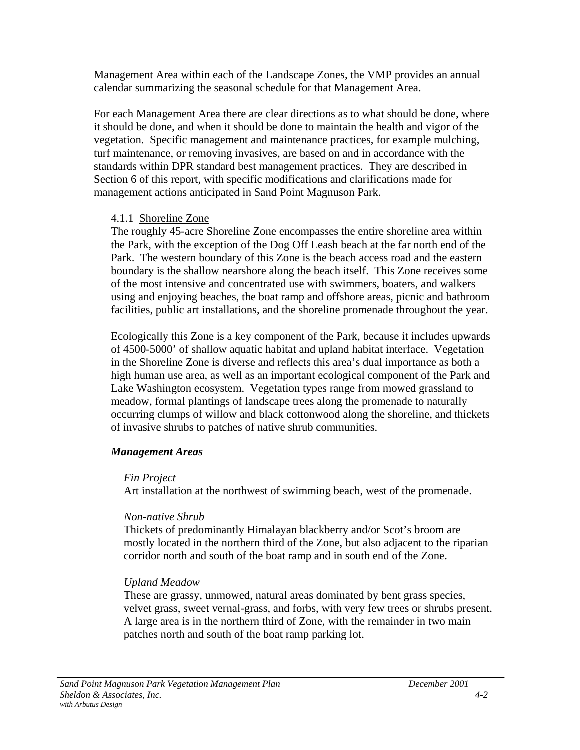Management Area within each of the Landscape Zones, the VMP provides an annual calendar summarizing the seasonal schedule for that Management Area.

For each Management Area there are clear directions as to what should be done, where it should be done, and when it should be done to maintain the health and vigor of the vegetation. Specific management and maintenance practices, for example mulching, turf maintenance, or removing invasives, are based on and in accordance with the standards within DPR standard best management practices. They are described in Section 6 of this report, with specific modifications and clarifications made for management actions anticipated in Sand Point Magnuson Park.

#### 4.1.1 Shoreline Zone

The roughly 45-acre Shoreline Zone encompasses the entire shoreline area within the Park, with the exception of the Dog Off Leash beach at the far north end of the Park. The western boundary of this Zone is the beach access road and the eastern boundary is the shallow nearshore along the beach itself. This Zone receives some of the most intensive and concentrated use with swimmers, boaters, and walkers using and enjoying beaches, the boat ramp and offshore areas, picnic and bathroom facilities, public art installations, and the shoreline promenade throughout the year.

Ecologically this Zone is a key component of the Park, because it includes upwards of 4500-5000' of shallow aquatic habitat and upland habitat interface. Vegetation in the Shoreline Zone is diverse and reflects this area's dual importance as both a high human use area, as well as an important ecological component of the Park and Lake Washington ecosystem. Vegetation types range from mowed grassland to meadow, formal plantings of landscape trees along the promenade to naturally occurring clumps of willow and black cottonwood along the shoreline, and thickets of invasive shrubs to patches of native shrub communities.

## *Management Areas*

#### *Fin Project*

Art installation at the northwest of swimming beach, west of the promenade.

## *Non-native Shrub*

Thickets of predominantly Himalayan blackberry and/or Scot's broom are mostly located in the northern third of the Zone, but also adjacent to the riparian corridor north and south of the boat ramp and in south end of the Zone.

## *Upland Meadow*

These are grassy, unmowed, natural areas dominated by bent grass species, velvet grass, sweet vernal-grass, and forbs, with very few trees or shrubs present. A large area is in the northern third of Zone, with the remainder in two main patches north and south of the boat ramp parking lot.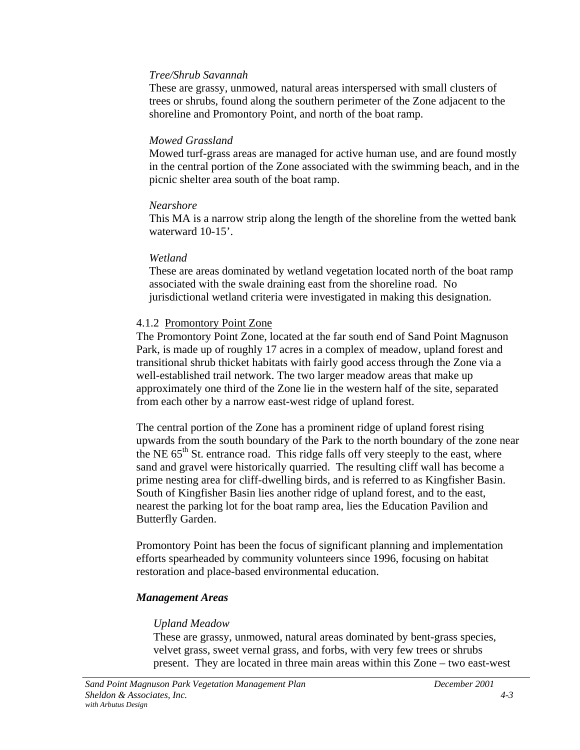#### *Tree/Shrub Savannah*

These are grassy, unmowed, natural areas interspersed with small clusters of trees or shrubs, found along the southern perimeter of the Zone adjacent to the shoreline and Promontory Point, and north of the boat ramp.

#### *Mowed Grassland*

Mowed turf-grass areas are managed for active human use, and are found mostly in the central portion of the Zone associated with the swimming beach, and in the picnic shelter area south of the boat ramp.

#### *Nearshore*

This MA is a narrow strip along the length of the shoreline from the wetted bank waterward 10-15'.

#### *Wetland*

These are areas dominated by wetland vegetation located north of the boat ramp associated with the swale draining east from the shoreline road. No jurisdictional wetland criteria were investigated in making this designation.

#### 4.1.2 Promontory Point Zone

The Promontory Point Zone, located at the far south end of Sand Point Magnuson Park, is made up of roughly 17 acres in a complex of meadow, upland forest and transitional shrub thicket habitats with fairly good access through the Zone via a well-established trail network. The two larger meadow areas that make up approximately one third of the Zone lie in the western half of the site, separated from each other by a narrow east-west ridge of upland forest.

The central portion of the Zone has a prominent ridge of upland forest rising upwards from the south boundary of the Park to the north boundary of the zone near the NE  $65<sup>th</sup>$  St. entrance road. This ridge falls off very steeply to the east, where sand and gravel were historically quarried. The resulting cliff wall has become a prime nesting area for cliff-dwelling birds, and is referred to as Kingfisher Basin. South of Kingfisher Basin lies another ridge of upland forest, and to the east, nearest the parking lot for the boat ramp area, lies the Education Pavilion and Butterfly Garden.

Promontory Point has been the focus of significant planning and implementation efforts spearheaded by community volunteers since 1996, focusing on habitat restoration and place-based environmental education.

## *Management Areas*

## *Upland Meadow*

These are grassy, unmowed, natural areas dominated by bent-grass species, velvet grass, sweet vernal grass, and forbs, with very few trees or shrubs present. They are located in three main areas within this Zone – two east-west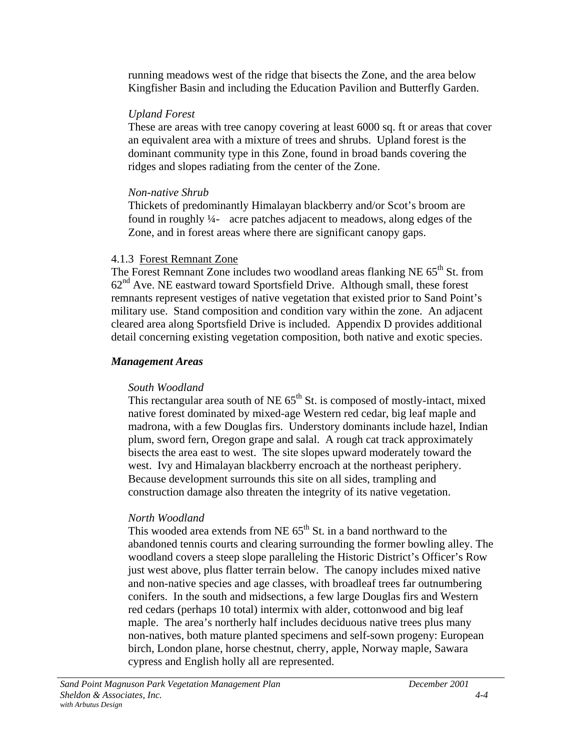running meadows west of the ridge that bisects the Zone, and the area below Kingfisher Basin and including the Education Pavilion and Butterfly Garden.

#### *Upland Forest*

These are areas with tree canopy covering at least 6000 sq. ft or areas that cover an equivalent area with a mixture of trees and shrubs. Upland forest is the dominant community type in this Zone, found in broad bands covering the ridges and slopes radiating from the center of the Zone.

#### *Non-native Shrub*

Thickets of predominantly Himalayan blackberry and/or Scot's broom are found in roughly ¼- acre patches adjacent to meadows, along edges of the Zone, and in forest areas where there are significant canopy gaps.

#### 4.1.3 Forest Remnant Zone

The Forest Remnant Zone includes two woodland areas flanking NE 65<sup>th</sup> St. from  $62<sup>nd</sup>$  Ave. NE eastward toward Sportsfield Drive. Although small, these forest remnants represent vestiges of native vegetation that existed prior to Sand Point's military use. Stand composition and condition vary within the zone. An adjacent cleared area along Sportsfield Drive is included. Appendix D provides additional detail concerning existing vegetation composition, both native and exotic species.

#### *Management Areas*

## *South Woodland*

This rectangular area south of NE  $65<sup>th</sup>$  St. is composed of mostly-intact, mixed native forest dominated by mixed-age Western red cedar, big leaf maple and madrona, with a few Douglas firs. Understory dominants include hazel, Indian plum, sword fern, Oregon grape and salal. A rough cat track approximately bisects the area east to west. The site slopes upward moderately toward the west. Ivy and Himalayan blackberry encroach at the northeast periphery. Because development surrounds this site on all sides, trampling and construction damage also threaten the integrity of its native vegetation.

## *North Woodland*

This wooded area extends from NE  $65<sup>th</sup>$  St. in a band northward to the abandoned tennis courts and clearing surrounding the former bowling alley. The woodland covers a steep slope paralleling the Historic District's Officer's Row just west above, plus flatter terrain below. The canopy includes mixed native and non-native species and age classes, with broadleaf trees far outnumbering conifers. In the south and midsections, a few large Douglas firs and Western red cedars (perhaps 10 total) intermix with alder, cottonwood and big leaf maple. The area's northerly half includes deciduous native trees plus many non-natives, both mature planted specimens and self-sown progeny: European birch, London plane, horse chestnut, cherry, apple, Norway maple, Sawara cypress and English holly all are represented.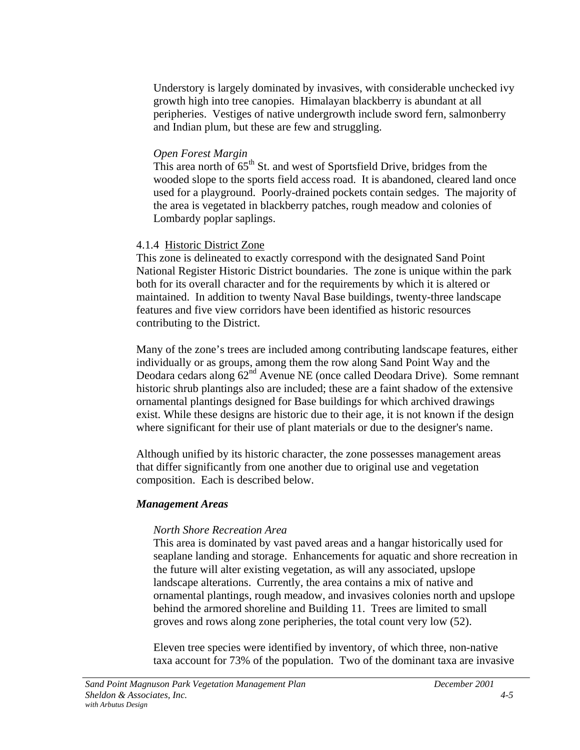Understory is largely dominated by invasives, with considerable unchecked ivy growth high into tree canopies. Himalayan blackberry is abundant at all peripheries. Vestiges of native undergrowth include sword fern, salmonberry and Indian plum, but these are few and struggling.

#### *Open Forest Margin*

This area north of  $65<sup>th</sup>$  St. and west of Sportsfield Drive, bridges from the wooded slope to the sports field access road. It is abandoned, cleared land once used for a playground. Poorly-drained pockets contain sedges. The majority of the area is vegetated in blackberry patches, rough meadow and colonies of Lombardy poplar saplings.

#### 4.1.4 Historic District Zone

This zone is delineated to exactly correspond with the designated Sand Point National Register Historic District boundaries. The zone is unique within the park both for its overall character and for the requirements by which it is altered or maintained. In addition to twenty Naval Base buildings, twenty-three landscape features and five view corridors have been identified as historic resources contributing to the District.

Many of the zone's trees are included among contributing landscape features, either individually or as groups, among them the row along Sand Point Way and the Deodara cedars along  $62<sup>nd</sup>$  Avenue NE (once called Deodara Drive). Some remnant historic shrub plantings also are included; these are a faint shadow of the extensive ornamental plantings designed for Base buildings for which archived drawings exist. While these designs are historic due to their age, it is not known if the design where significant for their use of plant materials or due to the designer's name.

Although unified by its historic character, the zone possesses management areas that differ significantly from one another due to original use and vegetation composition. Each is described below.

#### *Management Areas*

#### *North Shore Recreation Area*

This area is dominated by vast paved areas and a hangar historically used for seaplane landing and storage. Enhancements for aquatic and shore recreation in the future will alter existing vegetation, as will any associated, upslope landscape alterations. Currently, the area contains a mix of native and ornamental plantings, rough meadow, and invasives colonies north and upslope behind the armored shoreline and Building 11. Trees are limited to small groves and rows along zone peripheries, the total count very low (52).

Eleven tree species were identified by inventory, of which three, non-native taxa account for 73% of the population. Two of the dominant taxa are invasive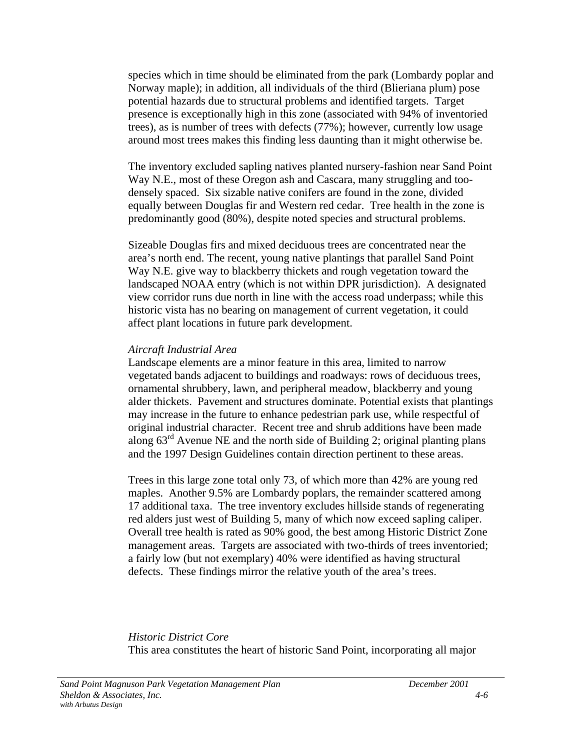species which in time should be eliminated from the park (Lombardy poplar and Norway maple); in addition, all individuals of the third (Blieriana plum) pose potential hazards due to structural problems and identified targets. Target presence is exceptionally high in this zone (associated with 94% of inventoried trees), as is number of trees with defects (77%); however, currently low usage around most trees makes this finding less daunting than it might otherwise be.

The inventory excluded sapling natives planted nursery-fashion near Sand Point Way N.E., most of these Oregon ash and Cascara, many struggling and toodensely spaced. Six sizable native conifers are found in the zone, divided equally between Douglas fir and Western red cedar. Tree health in the zone is predominantly good (80%), despite noted species and structural problems.

Sizeable Douglas firs and mixed deciduous trees are concentrated near the area's north end. The recent, young native plantings that parallel Sand Point Way N.E. give way to blackberry thickets and rough vegetation toward the landscaped NOAA entry (which is not within DPR jurisdiction). A designated view corridor runs due north in line with the access road underpass; while this historic vista has no bearing on management of current vegetation, it could affect plant locations in future park development.

#### *Aircraft Industrial Area*

Landscape elements are a minor feature in this area, limited to narrow vegetated bands adjacent to buildings and roadways: rows of deciduous trees, ornamental shrubbery, lawn, and peripheral meadow, blackberry and young alder thickets. Pavement and structures dominate. Potential exists that plantings may increase in the future to enhance pedestrian park use, while respectful of original industrial character. Recent tree and shrub additions have been made along  $63<sup>rd</sup>$  Avenue NE and the north side of Building 2; original planting plans and the 1997 Design Guidelines contain direction pertinent to these areas.

Trees in this large zone total only 73, of which more than 42% are young red maples. Another 9.5% are Lombardy poplars, the remainder scattered among 17 additional taxa. The tree inventory excludes hillside stands of regenerating red alders just west of Building 5, many of which now exceed sapling caliper. Overall tree health is rated as 90% good, the best among Historic District Zone management areas. Targets are associated with two-thirds of trees inventoried; a fairly low (but not exemplary) 40% were identified as having structural defects. These findings mirror the relative youth of the area's trees.

*Historic District Core* This area constitutes the heart of historic Sand Point, incorporating all major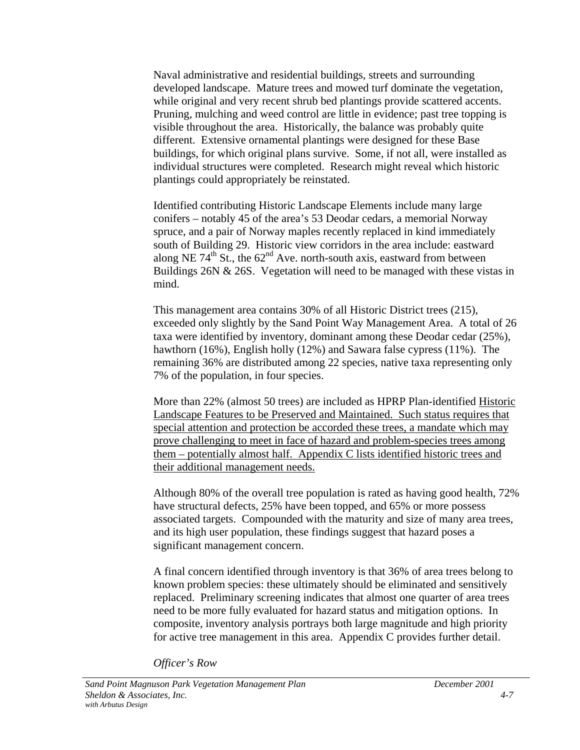Naval administrative and residential buildings, streets and surrounding developed landscape. Mature trees and mowed turf dominate the vegetation, while original and very recent shrub bed plantings provide scattered accents. Pruning, mulching and weed control are little in evidence; past tree topping is visible throughout the area. Historically, the balance was probably quite different. Extensive ornamental plantings were designed for these Base buildings, for which original plans survive. Some, if not all, were installed as individual structures were completed. Research might reveal which historic plantings could appropriately be reinstated.

Identified contributing Historic Landscape Elements include many large conifers – notably 45 of the area's 53 Deodar cedars, a memorial Norway spruce, and a pair of Norway maples recently replaced in kind immediately south of Building 29. Historic view corridors in the area include: eastward along NE 74<sup>th</sup> St., the  $62<sup>nd</sup>$  Ave. north-south axis, eastward from between Buildings 26N & 26S. Vegetation will need to be managed with these vistas in mind.

This management area contains 30% of all Historic District trees (215), exceeded only slightly by the Sand Point Way Management Area. A total of 26 taxa were identified by inventory, dominant among these Deodar cedar (25%), hawthorn (16%), English holly (12%) and Sawara false cypress (11%). The remaining 36% are distributed among 22 species, native taxa representing only 7% of the population, in four species.

More than 22% (almost 50 trees) are included as HPRP Plan-identified Historic Landscape Features to be Preserved and Maintained. Such status requires that special attention and protection be accorded these trees, a mandate which may prove challenging to meet in face of hazard and problem-species trees among them – potentially almost half. Appendix C lists identified historic trees and their additional management needs.

Although 80% of the overall tree population is rated as having good health, 72% have structural defects, 25% have been topped, and 65% or more possess associated targets. Compounded with the maturity and size of many area trees, and its high user population, these findings suggest that hazard poses a significant management concern.

A final concern identified through inventory is that 36% of area trees belong to known problem species: these ultimately should be eliminated and sensitively replaced. Preliminary screening indicates that almost one quarter of area trees need to be more fully evaluated for hazard status and mitigation options. In composite, inventory analysis portrays both large magnitude and high priority for active tree management in this area. Appendix C provides further detail.

*Officer's Row*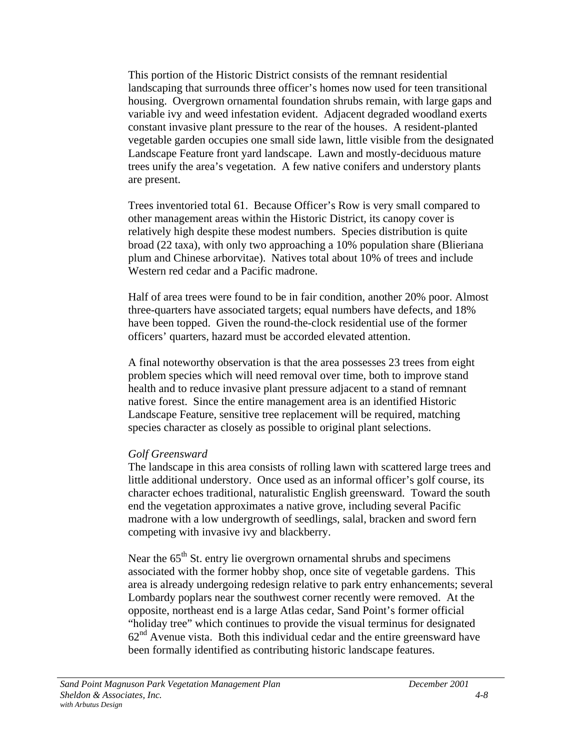This portion of the Historic District consists of the remnant residential landscaping that surrounds three officer's homes now used for teen transitional housing. Overgrown ornamental foundation shrubs remain, with large gaps and variable ivy and weed infestation evident. Adjacent degraded woodland exerts constant invasive plant pressure to the rear of the houses. A resident-planted vegetable garden occupies one small side lawn, little visible from the designated Landscape Feature front yard landscape. Lawn and mostly-deciduous mature trees unify the area's vegetation. A few native conifers and understory plants are present.

Trees inventoried total 61. Because Officer's Row is very small compared to other management areas within the Historic District, its canopy cover is relatively high despite these modest numbers. Species distribution is quite broad (22 taxa), with only two approaching a 10% population share (Blieriana plum and Chinese arborvitae). Natives total about 10% of trees and include Western red cedar and a Pacific madrone.

Half of area trees were found to be in fair condition, another 20% poor. Almost three-quarters have associated targets; equal numbers have defects, and 18% have been topped. Given the round-the-clock residential use of the former officers' quarters, hazard must be accorded elevated attention.

A final noteworthy observation is that the area possesses 23 trees from eight problem species which will need removal over time, both to improve stand health and to reduce invasive plant pressure adjacent to a stand of remnant native forest. Since the entire management area is an identified Historic Landscape Feature, sensitive tree replacement will be required, matching species character as closely as possible to original plant selections.

#### *Golf Greensward*

The landscape in this area consists of rolling lawn with scattered large trees and little additional understory. Once used as an informal officer's golf course, its character echoes traditional, naturalistic English greensward. Toward the south end the vegetation approximates a native grove, including several Pacific madrone with a low undergrowth of seedlings, salal, bracken and sword fern competing with invasive ivy and blackberry.

Near the  $65<sup>th</sup>$  St. entry lie overgrown ornamental shrubs and specimens associated with the former hobby shop, once site of vegetable gardens. This area is already undergoing redesign relative to park entry enhancements; several Lombardy poplars near the southwest corner recently were removed. At the opposite, northeast end is a large Atlas cedar, Sand Point's former official "holiday tree" which continues to provide the visual terminus for designated  $62<sup>nd</sup>$  Avenue vista. Both this individual cedar and the entire greensward have been formally identified as contributing historic landscape features.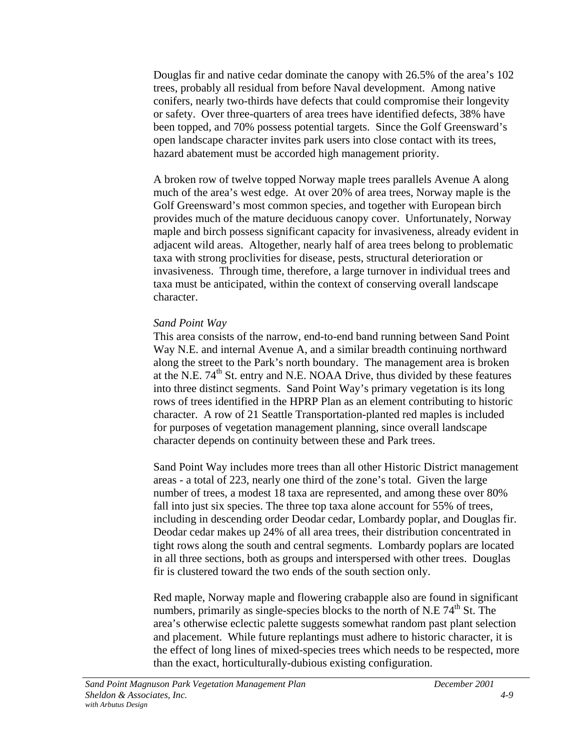Douglas fir and native cedar dominate the canopy with 26.5% of the area's 102 trees, probably all residual from before Naval development. Among native conifers, nearly two-thirds have defects that could compromise their longevity or safety. Over three-quarters of area trees have identified defects, 38% have been topped, and 70% possess potential targets. Since the Golf Greensward's open landscape character invites park users into close contact with its trees, hazard abatement must be accorded high management priority.

A broken row of twelve topped Norway maple trees parallels Avenue A along much of the area's west edge. At over 20% of area trees, Norway maple is the Golf Greensward's most common species, and together with European birch provides much of the mature deciduous canopy cover. Unfortunately, Norway maple and birch possess significant capacity for invasiveness, already evident in adjacent wild areas. Altogether, nearly half of area trees belong to problematic taxa with strong proclivities for disease, pests, structural deterioration or invasiveness. Through time, therefore, a large turnover in individual trees and taxa must be anticipated, within the context of conserving overall landscape character.

#### *Sand Point Way*

This area consists of the narrow, end-to-end band running between Sand Point Way N.E. and internal Avenue A, and a similar breadth continuing northward along the street to the Park's north boundary. The management area is broken at the N.E.  $74<sup>th</sup>$  St. entry and N.E. NOAA Drive, thus divided by these features into three distinct segments. Sand Point Way's primary vegetation is its long rows of trees identified in the HPRP Plan as an element contributing to historic character. A row of 21 Seattle Transportation-planted red maples is included for purposes of vegetation management planning, since overall landscape character depends on continuity between these and Park trees.

Sand Point Way includes more trees than all other Historic District management areas - a total of 223, nearly one third of the zone's total. Given the large number of trees, a modest 18 taxa are represented, and among these over 80% fall into just six species. The three top taxa alone account for 55% of trees, including in descending order Deodar cedar, Lombardy poplar, and Douglas fir. Deodar cedar makes up 24% of all area trees, their distribution concentrated in tight rows along the south and central segments. Lombardy poplars are located in all three sections, both as groups and interspersed with other trees. Douglas fir is clustered toward the two ends of the south section only.

Red maple, Norway maple and flowering crabapple also are found in significant numbers, primarily as single-species blocks to the north of N.E  $74<sup>th</sup>$  St. The area's otherwise eclectic palette suggests somewhat random past plant selection and placement. While future replantings must adhere to historic character, it is the effect of long lines of mixed-species trees which needs to be respected, more than the exact, horticulturally-dubious existing configuration.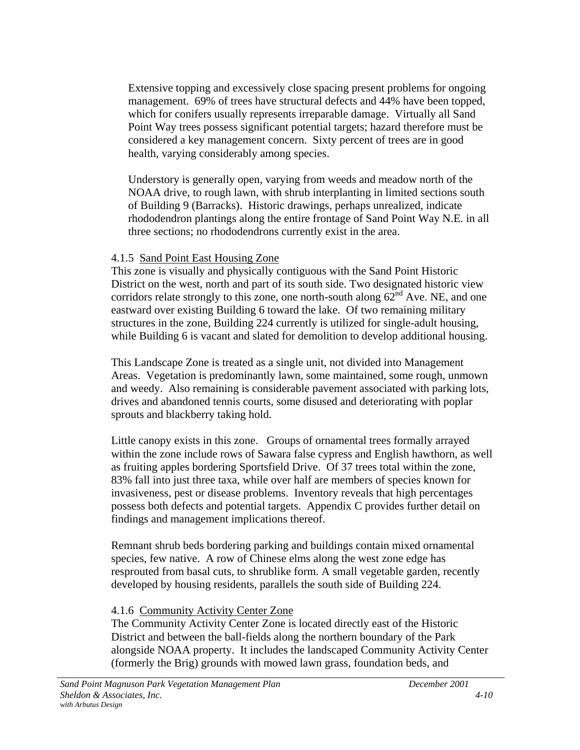Extensive topping and excessively close spacing present problems for ongoing management. 69% of trees have structural defects and 44% have been topped, which for conifers usually represents irreparable damage. Virtually all Sand Point Way trees possess significant potential targets; hazard therefore must be considered a key management concern. Sixty percent of trees are in good health, varying considerably among species.

Understory is generally open, varying from weeds and meadow north of the NOAA drive, to rough lawn, with shrub interplanting in limited sections south of Building 9 (Barracks). Historic drawings, perhaps unrealized, indicate rhododendron plantings along the entire frontage of Sand Point Way N.E. in all three sections; no rhododendrons currently exist in the area.

#### 4.1.5 Sand Point East Housing Zone

This zone is visually and physically contiguous with the Sand Point Historic District on the west, north and part of its south side. Two designated historic view corridors relate strongly to this zone, one north-south along  $62<sup>nd</sup>$  Ave. NE, and one eastward over existing Building 6 toward the lake. Of two remaining military structures in the zone, Building 224 currently is utilized for single-adult housing, while Building 6 is vacant and slated for demolition to develop additional housing.

This Landscape Zone is treated as a single unit, not divided into Management Areas. Vegetation is predominantly lawn, some maintained, some rough, unmown and weedy. Also remaining is considerable pavement associated with parking lots, drives and abandoned tennis courts, some disused and deteriorating with poplar sprouts and blackberry taking hold.

Little canopy exists in this zone. Groups of ornamental trees formally arrayed within the zone include rows of Sawara false cypress and English hawthorn, as well as fruiting apples bordering Sportsfield Drive. Of 37 trees total within the zone, 83% fall into just three taxa, while over half are members of species known for invasiveness, pest or disease problems. Inventory reveals that high percentages possess both defects and potential targets. Appendix C provides further detail on findings and management implications thereof.

Remnant shrub beds bordering parking and buildings contain mixed ornamental species, few native. A row of Chinese elms along the west zone edge has resprouted from basal cuts, to shrublike form. A small vegetable garden, recently developed by housing residents, parallels the south side of Building 224.

#### 4.1.6 Community Activity Center Zone

The Community Activity Center Zone is located directly east of the Historic District and between the ball-fields along the northern boundary of the Park alongside NOAA property. It includes the landscaped Community Activity Center (formerly the Brig) grounds with mowed lawn grass, foundation beds, and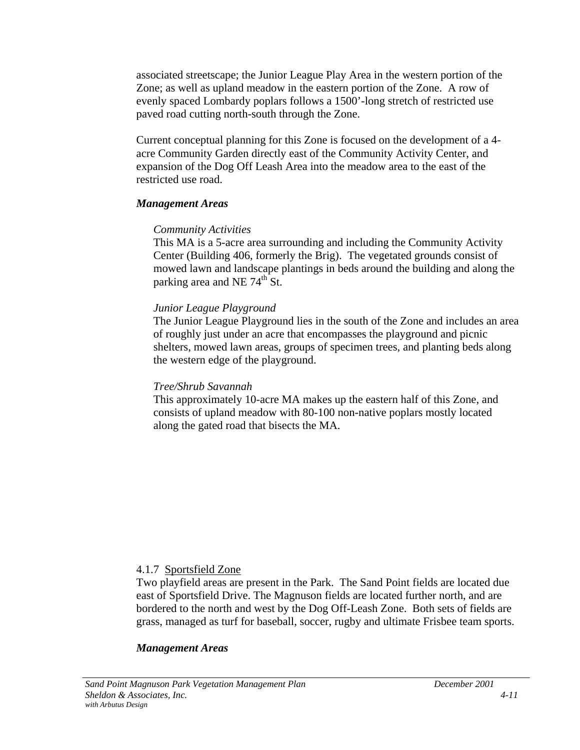associated streetscape; the Junior League Play Area in the western portion of the Zone; as well as upland meadow in the eastern portion of the Zone. A row of evenly spaced Lombardy poplars follows a 1500'-long stretch of restricted use paved road cutting north-south through the Zone.

Current conceptual planning for this Zone is focused on the development of a 4 acre Community Garden directly east of the Community Activity Center, and expansion of the Dog Off Leash Area into the meadow area to the east of the restricted use road.

#### *Management Areas*

#### *Community Activities*

This MA is a 5-acre area surrounding and including the Community Activity Center (Building 406, formerly the Brig). The vegetated grounds consist of mowed lawn and landscape plantings in beds around the building and along the parking area and NE  $74<sup>th</sup>$  St.

#### *Junior League Playground*

The Junior League Playground lies in the south of the Zone and includes an area of roughly just under an acre that encompasses the playground and picnic shelters, mowed lawn areas, groups of specimen trees, and planting beds along the western edge of the playground.

#### *Tree/Shrub Savannah*

This approximately 10-acre MA makes up the eastern half of this Zone, and consists of upland meadow with 80-100 non-native poplars mostly located along the gated road that bisects the MA.

#### 4.1.7 Sportsfield Zone

Two playfield areas are present in the Park. The Sand Point fields are located due east of Sportsfield Drive. The Magnuson fields are located further north, and are bordered to the north and west by the Dog Off-Leash Zone. Both sets of fields are grass, managed as turf for baseball, soccer, rugby and ultimate Frisbee team sports.

#### *Management Areas*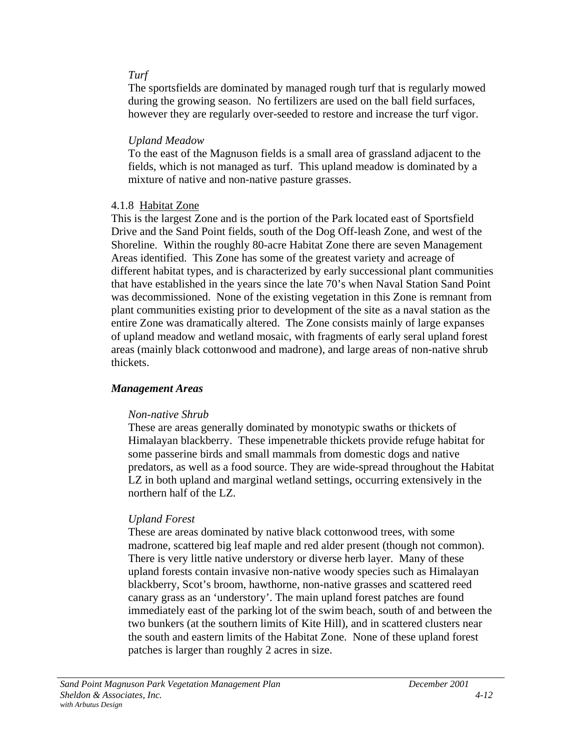#### *Turf*

The sportsfields are dominated by managed rough turf that is regularly mowed during the growing season. No fertilizers are used on the ball field surfaces, however they are regularly over-seeded to restore and increase the turf vigor.

#### *Upland Meadow*

To the east of the Magnuson fields is a small area of grassland adjacent to the fields, which is not managed as turf. This upland meadow is dominated by a mixture of native and non-native pasture grasses.

## 4.1.8 Habitat Zone

This is the largest Zone and is the portion of the Park located east of Sportsfield Drive and the Sand Point fields, south of the Dog Off-leash Zone, and west of the Shoreline. Within the roughly 80-acre Habitat Zone there are seven Management Areas identified. This Zone has some of the greatest variety and acreage of different habitat types, and is characterized by early successional plant communities that have established in the years since the late 70's when Naval Station Sand Point was decommissioned. None of the existing vegetation in this Zone is remnant from plant communities existing prior to development of the site as a naval station as the entire Zone was dramatically altered. The Zone consists mainly of large expanses of upland meadow and wetland mosaic, with fragments of early seral upland forest areas (mainly black cottonwood and madrone), and large areas of non-native shrub thickets.

## *Management Areas*

## *Non-native Shrub*

These are areas generally dominated by monotypic swaths or thickets of Himalayan blackberry. These impenetrable thickets provide refuge habitat for some passerine birds and small mammals from domestic dogs and native predators, as well as a food source. They are wide-spread throughout the Habitat LZ in both upland and marginal wetland settings, occurring extensively in the northern half of the LZ.

## *Upland Forest*

These are areas dominated by native black cottonwood trees, with some madrone, scattered big leaf maple and red alder present (though not common). There is very little native understory or diverse herb layer. Many of these upland forests contain invasive non-native woody species such as Himalayan blackberry, Scot's broom, hawthorne, non-native grasses and scattered reed canary grass as an 'understory'. The main upland forest patches are found immediately east of the parking lot of the swim beach, south of and between the two bunkers (at the southern limits of Kite Hill), and in scattered clusters near the south and eastern limits of the Habitat Zone. None of these upland forest patches is larger than roughly 2 acres in size.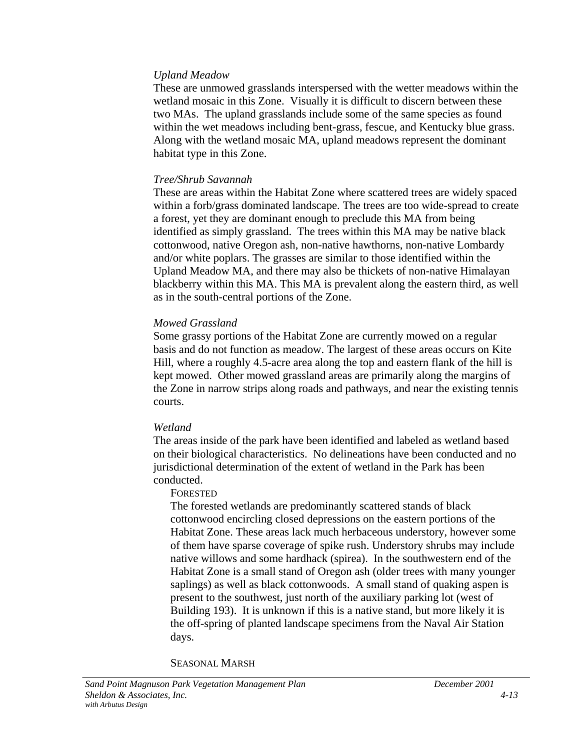#### *Upland Meadow*

These are unmowed grasslands interspersed with the wetter meadows within the wetland mosaic in this Zone. Visually it is difficult to discern between these two MAs. The upland grasslands include some of the same species as found within the wet meadows including bent-grass, fescue, and Kentucky blue grass. Along with the wetland mosaic MA, upland meadows represent the dominant habitat type in this Zone.

#### *Tree/Shrub Savannah*

These are areas within the Habitat Zone where scattered trees are widely spaced within a forb/grass dominated landscape. The trees are too wide-spread to create a forest, yet they are dominant enough to preclude this MA from being identified as simply grassland. The trees within this MA may be native black cottonwood, native Oregon ash, non-native hawthorns, non-native Lombardy and/or white poplars. The grasses are similar to those identified within the Upland Meadow MA, and there may also be thickets of non-native Himalayan blackberry within this MA. This MA is prevalent along the eastern third, as well as in the south-central portions of the Zone.

#### *Mowed Grassland*

Some grassy portions of the Habitat Zone are currently mowed on a regular basis and do not function as meadow. The largest of these areas occurs on Kite Hill, where a roughly 4.5-acre area along the top and eastern flank of the hill is kept mowed. Other mowed grassland areas are primarily along the margins of the Zone in narrow strips along roads and pathways, and near the existing tennis courts.

#### *Wetland*

The areas inside of the park have been identified and labeled as wetland based on their biological characteristics. No delineations have been conducted and no jurisdictional determination of the extent of wetland in the Park has been conducted.

#### FORESTED

The forested wetlands are predominantly scattered stands of black cottonwood encircling closed depressions on the eastern portions of the Habitat Zone. These areas lack much herbaceous understory, however some of them have sparse coverage of spike rush. Understory shrubs may include native willows and some hardhack (spirea). In the southwestern end of the Habitat Zone is a small stand of Oregon ash (older trees with many younger saplings) as well as black cottonwoods. A small stand of quaking aspen is present to the southwest, just north of the auxiliary parking lot (west of Building 193). It is unknown if this is a native stand, but more likely it is the off-spring of planted landscape specimens from the Naval Air Station days.

SEASONAL MARSH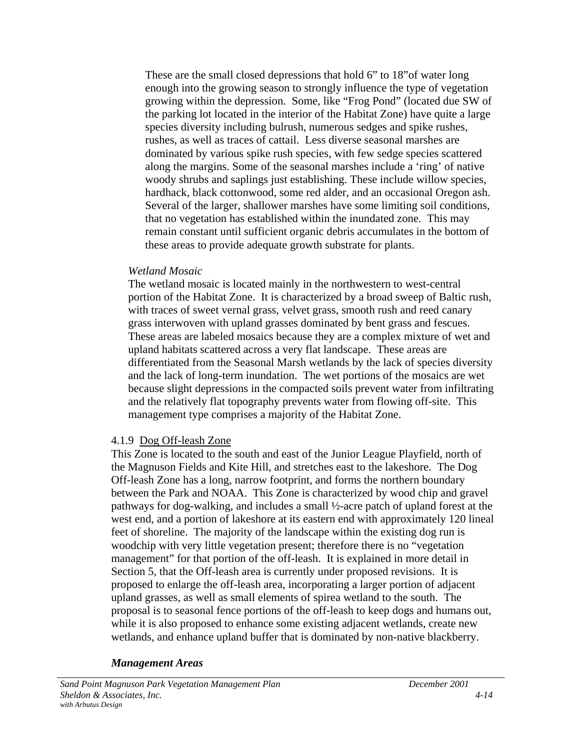These are the small closed depressions that hold 6" to 18"of water long enough into the growing season to strongly influence the type of vegetation growing within the depression. Some, like "Frog Pond" (located due SW of the parking lot located in the interior of the Habitat Zone) have quite a large species diversity including bulrush, numerous sedges and spike rushes, rushes, as well as traces of cattail. Less diverse seasonal marshes are dominated by various spike rush species, with few sedge species scattered along the margins. Some of the seasonal marshes include a 'ring' of native woody shrubs and saplings just establishing. These include willow species, hardhack, black cottonwood, some red alder, and an occasional Oregon ash. Several of the larger, shallower marshes have some limiting soil conditions, that no vegetation has established within the inundated zone. This may remain constant until sufficient organic debris accumulates in the bottom of these areas to provide adequate growth substrate for plants.

### *Wetland Mosaic*

The wetland mosaic is located mainly in the northwestern to west-central portion of the Habitat Zone. It is characterized by a broad sweep of Baltic rush, with traces of sweet vernal grass, velvet grass, smooth rush and reed canary grass interwoven with upland grasses dominated by bent grass and fescues. These areas are labeled mosaics because they are a complex mixture of wet and upland habitats scattered across a very flat landscape. These areas are differentiated from the Seasonal Marsh wetlands by the lack of species diversity and the lack of long-term inundation. The wet portions of the mosaics are wet because slight depressions in the compacted soils prevent water from infiltrating and the relatively flat topography prevents water from flowing off-site. This management type comprises a majority of the Habitat Zone.

### 4.1.9 Dog Off-leash Zone

This Zone is located to the south and east of the Junior League Playfield, north of the Magnuson Fields and Kite Hill, and stretches east to the lakeshore. The Dog Off-leash Zone has a long, narrow footprint, and forms the northern boundary between the Park and NOAA. This Zone is characterized by wood chip and gravel pathways for dog-walking, and includes a small ½-acre patch of upland forest at the west end, and a portion of lakeshore at its eastern end with approximately 120 lineal feet of shoreline. The majority of the landscape within the existing dog run is woodchip with very little vegetation present; therefore there is no "vegetation management" for that portion of the off-leash. It is explained in more detail in Section 5, that the Off-leash area is currently under proposed revisions. It is proposed to enlarge the off-leash area, incorporating a larger portion of adjacent upland grasses, as well as small elements of spirea wetland to the south. The proposal is to seasonal fence portions of the off-leash to keep dogs and humans out, while it is also proposed to enhance some existing adjacent wetlands, create new wetlands, and enhance upland buffer that is dominated by non-native blackberry.

### *Management Areas*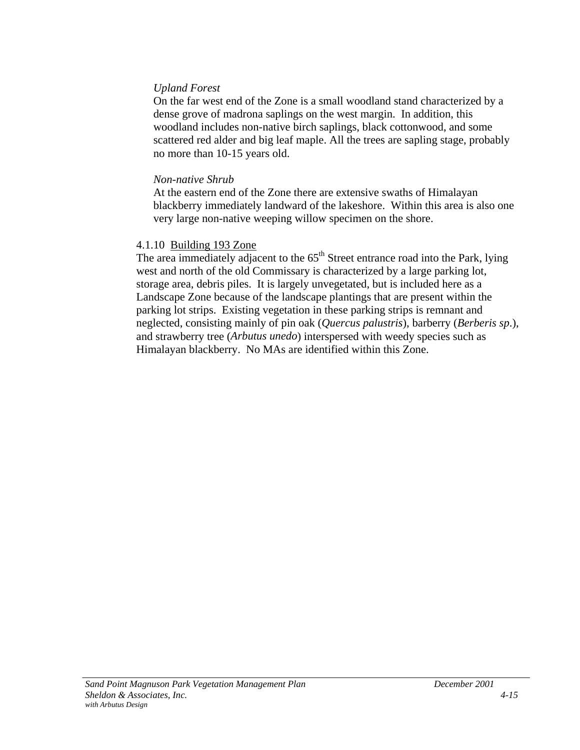### *Upland Forest*

On the far west end of the Zone is a small woodland stand characterized by a dense grove of madrona saplings on the west margin. In addition, this woodland includes non-native birch saplings, black cottonwood, and some scattered red alder and big leaf maple. All the trees are sapling stage, probably no more than 10-15 years old.

#### *Non-native Shrub*

At the eastern end of the Zone there are extensive swaths of Himalayan blackberry immediately landward of the lakeshore. Within this area is also one very large non-native weeping willow specimen on the shore.

### 4.1.10 Building 193 Zone

The area immediately adjacent to the  $65<sup>th</sup>$  Street entrance road into the Park, lying west and north of the old Commissary is characterized by a large parking lot, storage area, debris piles. It is largely unvegetated, but is included here as a Landscape Zone because of the landscape plantings that are present within the parking lot strips. Existing vegetation in these parking strips is remnant and neglected, consisting mainly of pin oak (*Quercus palustris*), barberry (*Berberis sp*.), and strawberry tree (*Arbutus unedo*) interspersed with weedy species such as Himalayan blackberry. No MAs are identified within this Zone.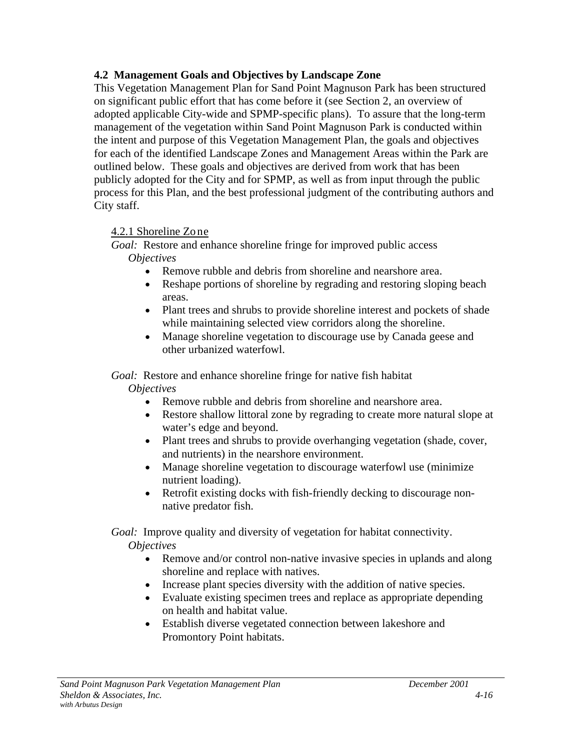## **4.2 Management Goals and Objectives by Landscape Zone**

This Vegetation Management Plan for Sand Point Magnuson Park has been structured on significant public effort that has come before it (see Section 2, an overview of adopted applicable City-wide and SPMP-specific plans). To assure that the long-term management of the vegetation within Sand Point Magnuson Park is conducted within the intent and purpose of this Vegetation Management Plan, the goals and objectives for each of the identified Landscape Zones and Management Areas within the Park are outlined below. These goals and objectives are derived from work that has been publicly adopted for the City and for SPMP, as well as from input through the public process for this Plan, and the best professional judgment of the contributing authors and City staff.

# 4.2.1 Shoreline Zone

*Goal:* Restore and enhance shoreline fringe for improved public access *Objectives*

- Remove rubble and debris from shoreline and nearshore area.
- Reshape portions of shoreline by regrading and restoring sloping beach areas.
- Plant trees and shrubs to provide shoreline interest and pockets of shade while maintaining selected view corridors along the shoreline.
- Manage shoreline vegetation to discourage use by Canada geese and other urbanized waterfowl.

*Goal:* Restore and enhance shoreline fringe for native fish habitat

*Objectives*

- Remove rubble and debris from shoreline and nearshore area.
- Restore shallow littoral zone by regrading to create more natural slope at water's edge and beyond.
- Plant trees and shrubs to provide overhanging vegetation (shade, cover, and nutrients) in the nearshore environment.
- Manage shoreline vegetation to discourage waterfowl use (minimize) nutrient loading).
- Retrofit existing docks with fish-friendly decking to discourage nonnative predator fish.

*Goal:* Improve quality and diversity of vegetation for habitat connectivity. *Objectives*

- Remove and/or control non-native invasive species in uplands and along shoreline and replace with natives.
- Increase plant species diversity with the addition of native species.
- Evaluate existing specimen trees and replace as appropriate depending on health and habitat value.
- Establish diverse vegetated connection between lakeshore and Promontory Point habitats.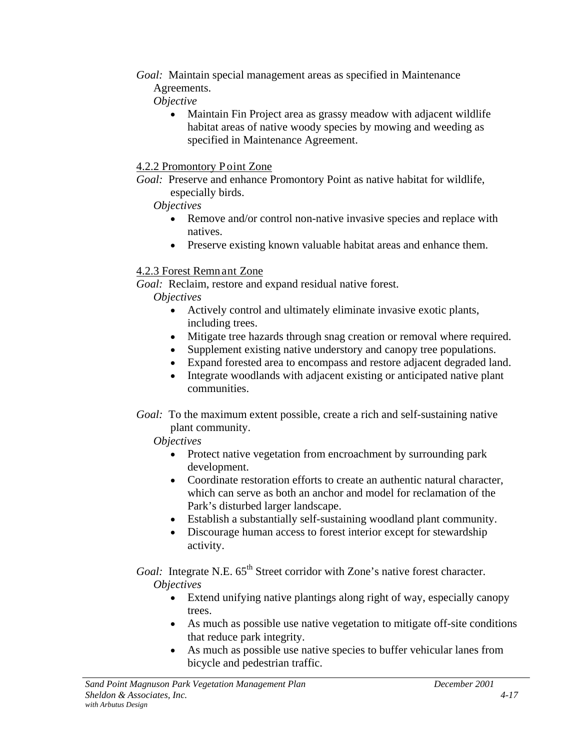*Goal:* Maintain special management areas as specified in Maintenance Agreements.

*Objective*

• Maintain Fin Project area as grassy meadow with adjacent wildlife habitat areas of native woody species by mowing and weeding as specified in Maintenance Agreement.

## 4.2.2 Promontory Point Zone

*Goal:* Preserve and enhance Promontory Point as native habitat for wildlife, especially birds.

## *Objectives*

- Remove and/or control non-native invasive species and replace with natives.
- Preserve existing known valuable habitat areas and enhance them.

# 4.2.3 Forest Remnant Zone

*Goal:* Reclaim, restore and expand residual native forest.

*Objectives*

- Actively control and ultimately eliminate invasive exotic plants, including trees.
- Mitigate tree hazards through snag creation or removal where required.
- Supplement existing native understory and canopy tree populations.
- Expand forested area to encompass and restore adjacent degraded land.
- Integrate woodlands with adjacent existing or anticipated native plant communities.
- *Goal:* To the maximum extent possible, create a rich and self-sustaining native plant community.

# *Objectives*

- Protect native vegetation from encroachment by surrounding park development.
- Coordinate restoration efforts to create an authentic natural character, which can serve as both an anchor and model for reclamation of the Park's disturbed larger landscape.
- Establish a substantially self-sustaining woodland plant community.
- Discourage human access to forest interior except for stewardship activity.

*Goal:* Integrate N.E. 65<sup>th</sup> Street corridor with Zone's native forest character. *Objectives*

- Extend unifying native plantings along right of way, especially canopy trees.
- As much as possible use native vegetation to mitigate off-site conditions that reduce park integrity.
- As much as possible use native species to buffer vehicular lanes from bicycle and pedestrian traffic.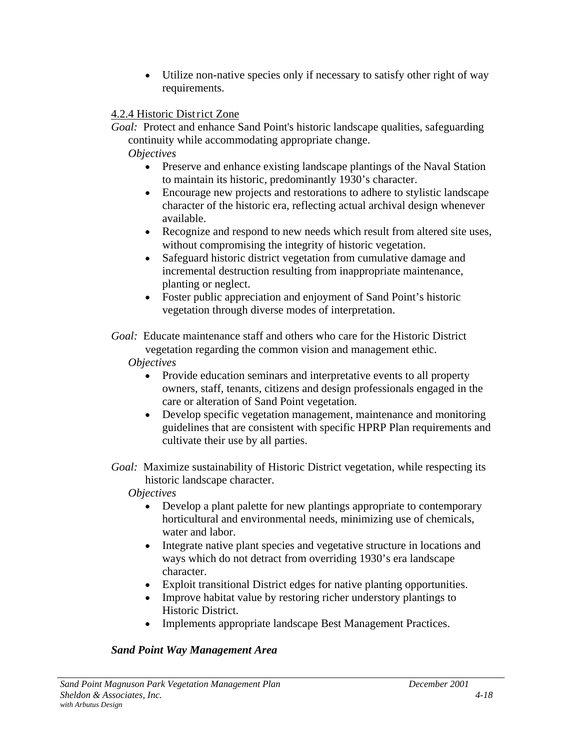• Utilize non-native species only if necessary to satisfy other right of way requirements.

## 4.2.4 Historic District Zone

*Goal:* Protect and enhance Sand Point's historic landscape qualities, safeguarding continuity while accommodating appropriate change.

*Objectives*

- Preserve and enhance existing landscape plantings of the Naval Station to maintain its historic, predominantly 1930's character.
- Encourage new projects and restorations to adhere to stylistic landscape character of the historic era, reflecting actual archival design whenever available.
- Recognize and respond to new needs which result from altered site uses, without compromising the integrity of historic vegetation.
- Safeguard historic district vegetation from cumulative damage and incremental destruction resulting from inappropriate maintenance, planting or neglect.
- Foster public appreciation and enjoyment of Sand Point's historic vegetation through diverse modes of interpretation.
- *Goal:* Educate maintenance staff and others who care for the Historic District vegetation regarding the common vision and management ethic.

# *Objectives*

- Provide education seminars and interpretative events to all property owners, staff, tenants, citizens and design professionals engaged in the care or alteration of Sand Point vegetation.
- Develop specific vegetation management, maintenance and monitoring guidelines that are consistent with specific HPRP Plan requirements and cultivate their use by all parties.
- *Goal:* Maximize sustainability of Historic District vegetation, while respecting its historic landscape character.

*Objectives*

- Develop a plant palette for new plantings appropriate to contemporary horticultural and environmental needs, minimizing use of chemicals, water and labor.
- Integrate native plant species and vegetative structure in locations and ways which do not detract from overriding 1930's era landscape character.
- Exploit transitional District edges for native planting opportunities.
- Improve habitat value by restoring richer understory plantings to Historic District.
- Implements appropriate landscape Best Management Practices.

# *Sand Point Way Management Area*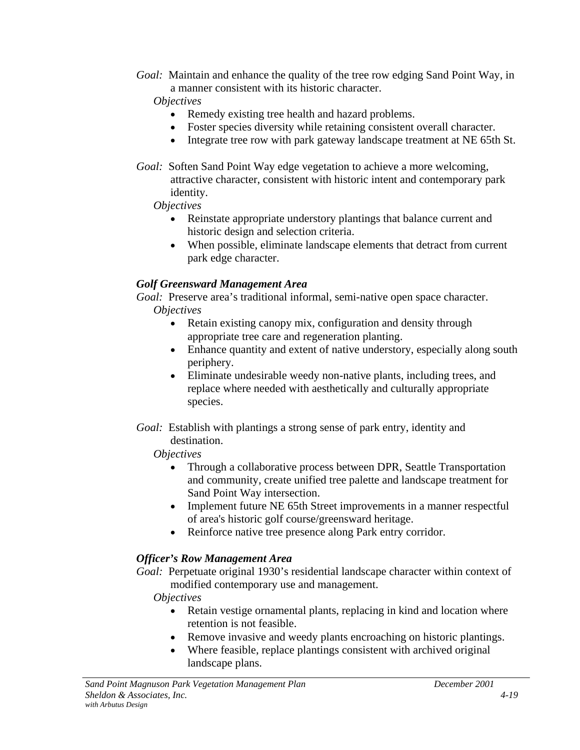*Goal:* Maintain and enhance the quality of the tree row edging Sand Point Way, in a manner consistent with its historic character.

*Objectives*

- Remedy existing tree health and hazard problems.
- Foster species diversity while retaining consistent overall character.
- Integrate tree row with park gateway landscape treatment at NE 65th St.
- *Goal:* Soften Sand Point Way edge vegetation to achieve a more welcoming, attractive character, consistent with historic intent and contemporary park identity.

### *Objectives*

- Reinstate appropriate understory plantings that balance current and historic design and selection criteria.
- When possible, eliminate landscape elements that detract from current park edge character.

## *Golf Greensward Management Area*

*Goal:* Preserve area's traditional informal, semi-native open space character. *Objectives*

- Retain existing canopy mix, configuration and density through appropriate tree care and regeneration planting.
- Enhance quantity and extent of native understory, especially along south periphery.
- Eliminate undesirable weedy non-native plants, including trees, and replace where needed with aesthetically and culturally appropriate species.
- *Goal:* Establish with plantings a strong sense of park entry, identity and destination.

### *Objectives*

- Through a collaborative process between DPR, Seattle Transportation and community, create unified tree palette and landscape treatment for Sand Point Way intersection.
- Implement future NE 65th Street improvements in a manner respectful of area's historic golf course/greensward heritage.
- Reinforce native tree presence along Park entry corridor.

# *Officer's Row Management Area*

*Goal:* Perpetuate original 1930's residential landscape character within context of modified contemporary use and management.

*Objectives*

- Retain vestige ornamental plants, replacing in kind and location where retention is not feasible.
- Remove invasive and weedy plants encroaching on historic plantings.
- Where feasible, replace plantings consistent with archived original landscape plans.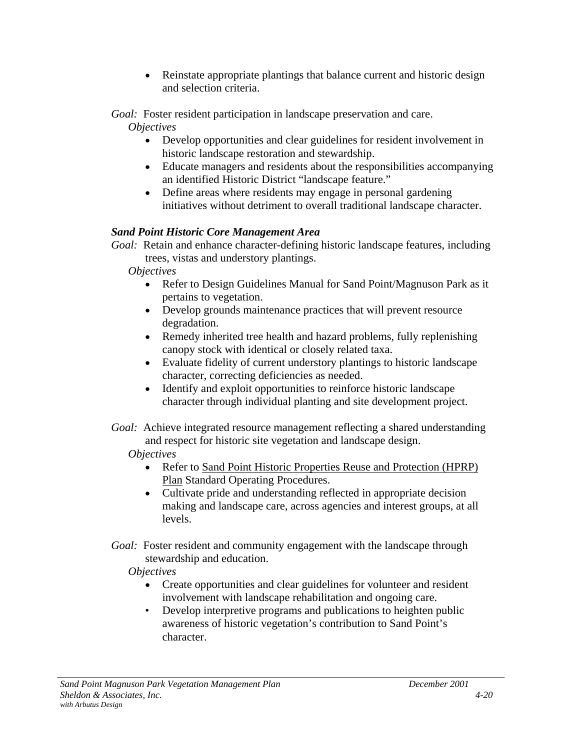• Reinstate appropriate plantings that balance current and historic design and selection criteria.

*Goal:* Foster resident participation in landscape preservation and care.

*Objectives*

- Develop opportunities and clear guidelines for resident involvement in historic landscape restoration and stewardship.
- Educate managers and residents about the responsibilities accompanying an identified Historic District "landscape feature."
- Define areas where residents may engage in personal gardening initiatives without detriment to overall traditional landscape character.

# *Sand Point Historic Core Management Area*

*Goal:* Retain and enhance character-defining historic landscape features, including trees, vistas and understory plantings.

*Objectives*

- Refer to Design Guidelines Manual for Sand Point/Magnuson Park as it pertains to vegetation.
- Develop grounds maintenance practices that will prevent resource degradation.
- Remedy inherited tree health and hazard problems, fully replenishing canopy stock with identical or closely related taxa.
- Evaluate fidelity of current understory plantings to historic landscape character, correcting deficiencies as needed.
- Identify and exploit opportunities to reinforce historic landscape character through individual planting and site development project.
- *Goal:* Achieve integrated resource management reflecting a shared understanding and respect for historic site vegetation and landscape design.

# *Objectives*

- Refer to Sand Point Historic Properties Reuse and Protection (HPRP) Plan Standard Operating Procedures.
- Cultivate pride and understanding reflected in appropriate decision making and landscape care, across agencies and interest groups, at all levels.
- *Goal:* Foster resident and community engagement with the landscape through stewardship and education.

# *Objectives*

- Create opportunities and clear guidelines for volunteer and resident involvement with landscape rehabilitation and ongoing care.
- Develop interpretive programs and publications to heighten public awareness of historic vegetation's contribution to Sand Point's character.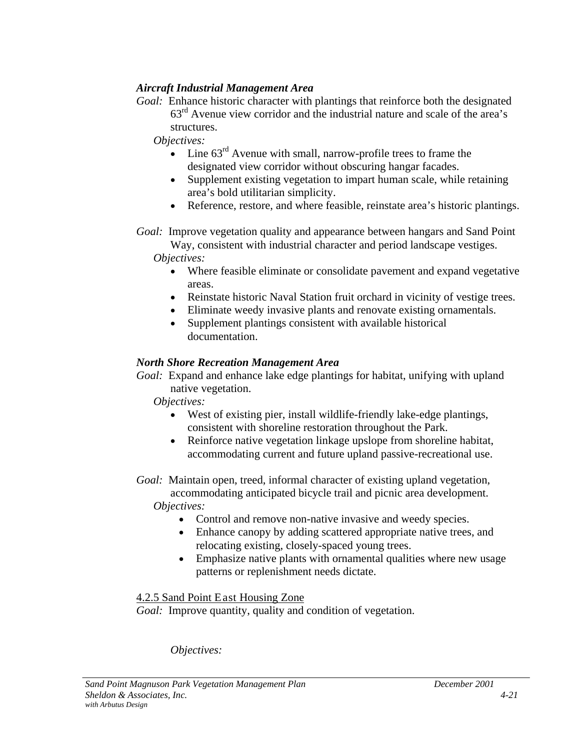## *Aircraft Industrial Management Area*

*Goal:* Enhance historic character with plantings that reinforce both the designated 63rd Avenue view corridor and the industrial nature and scale of the area's structures.

*Objectives:*

- Line  $63^{\text{rd}}$  Avenue with small, narrow-profile trees to frame the designated view corridor without obscuring hangar facades.
- Supplement existing vegetation to impart human scale, while retaining area's bold utilitarian simplicity.
- Reference, restore, and where feasible, reinstate area's historic plantings.
- *Goal:* Improve vegetation quality and appearance between hangars and Sand Point

Way, consistent with industrial character and period landscape vestiges. *Objectives:*

- Where feasible eliminate or consolidate pavement and expand vegetative areas.
- Reinstate historic Naval Station fruit orchard in vicinity of vestige trees.
- Eliminate weedy invasive plants and renovate existing ornamentals.
- Supplement plantings consistent with available historical documentation.

### *North Shore Recreation Management Area*

*Goal:* Expand and enhance lake edge plantings for habitat, unifying with upland native vegetation.

*Objectives:*

- West of existing pier, install wildlife-friendly lake-edge plantings, consistent with shoreline restoration throughout the Park.
- Reinforce native vegetation linkage upslope from shoreline habitat, accommodating current and future upland passive-recreational use.
- *Goal:* Maintain open, treed, informal character of existing upland vegetation, accommodating anticipated bicycle trail and picnic area development.

*Objectives:*

- Control and remove non-native invasive and weedy species.
- Enhance canopy by adding scattered appropriate native trees, and relocating existing, closely-spaced young trees.
- Emphasize native plants with ornamental qualities where new usage patterns or replenishment needs dictate.

4.2.5 Sand Point East Housing Zone

*Goal:* Improve quantity, quality and condition of vegetation.

*Objectives:*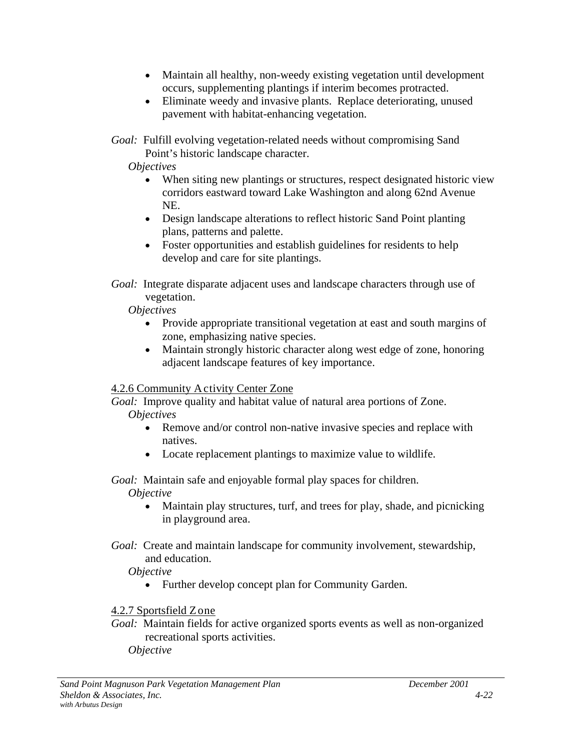- Maintain all healthy, non-weedy existing vegetation until development occurs, supplementing plantings if interim becomes protracted.
- Eliminate weedy and invasive plants. Replace deteriorating, unused pavement with habitat-enhancing vegetation.
- *Goal:* Fulfill evolving vegetation-related needs without compromising Sand Point's historic landscape character.
	- *Objectives*
		- When siting new plantings or structures, respect designated historic view corridors eastward toward Lake Washington and along 62nd Avenue NE.
		- Design landscape alterations to reflect historic Sand Point planting plans, patterns and palette.
		- Foster opportunities and establish guidelines for residents to help develop and care for site plantings.
- *Goal:* Integrate disparate adjacent uses and landscape characters through use of vegetation.
	- *Objectives*
		- Provide appropriate transitional vegetation at east and south margins of zone, emphasizing native species.
		- Maintain strongly historic character along west edge of zone, honoring adjacent landscape features of key importance.

# 4.2.6 Community Activity Center Zone

*Goal:* Improve quality and habitat value of natural area portions of Zone. *Objectives*

- Remove and/or control non-native invasive species and replace with natives.
- Locate replacement plantings to maximize value to wildlife.

# *Goal:* Maintain safe and enjoyable formal play spaces for children.

# *Objective*

- Maintain play structures, turf, and trees for play, shade, and picnicking in playground area.
- *Goal:* Create and maintain landscape for community involvement, stewardship, and education.
	- *Objective*
		- Further develop concept plan for Community Garden.

# 4.2.7 Sportsfield Zone

*Goal:* Maintain fields for active organized sports events as well as non-organized recreational sports activities. *Objective*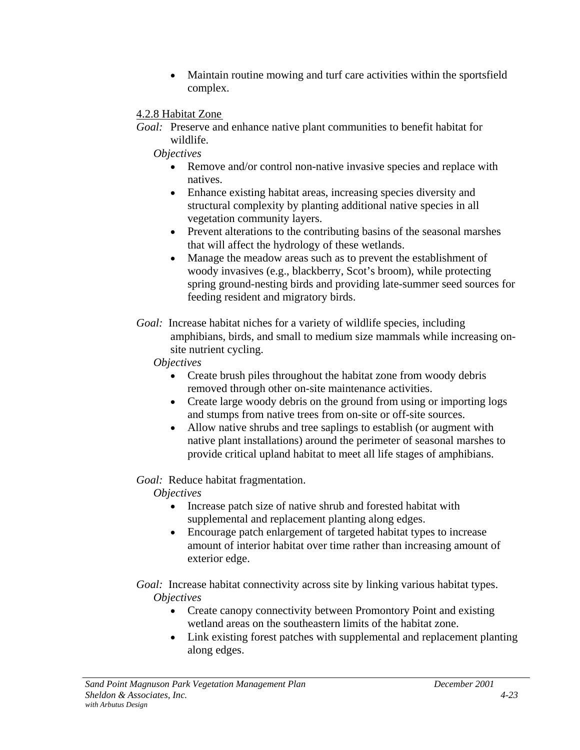- Maintain routine mowing and turf care activities within the sportsfield complex.
- 4.2.8 Habitat Zone
- *Goal:* Preserve and enhance native plant communities to benefit habitat for wildlife.

*Objectives*

- Remove and/or control non-native invasive species and replace with natives.
- Enhance existing habitat areas, increasing species diversity and structural complexity by planting additional native species in all vegetation community layers.
- Prevent alterations to the contributing basins of the seasonal marshes that will affect the hydrology of these wetlands.
- Manage the meadow areas such as to prevent the establishment of woody invasives (e.g., blackberry, Scot's broom), while protecting spring ground-nesting birds and providing late-summer seed sources for feeding resident and migratory birds.
- *Goal:* Increase habitat niches for a variety of wildlife species, including amphibians, birds, and small to medium size mammals while increasing onsite nutrient cycling.

## *Objectives*

- Create brush piles throughout the habitat zone from woody debris removed through other on-site maintenance activities.
- Create large woody debris on the ground from using or importing logs and stumps from native trees from on-site or off-site sources.
- Allow native shrubs and tree saplings to establish (or augment with native plant installations) around the perimeter of seasonal marshes to provide critical upland habitat to meet all life stages of amphibians.

# *Goal:* Reduce habitat fragmentation.

*Objectives*

- Increase patch size of native shrub and forested habitat with supplemental and replacement planting along edges.
- Encourage patch enlargement of targeted habitat types to increase amount of interior habitat over time rather than increasing amount of exterior edge.

*Goal:* Increase habitat connectivity across site by linking various habitat types. *Objectives*

- Create canopy connectivity between Promontory Point and existing wetland areas on the southeastern limits of the habitat zone.
- Link existing forest patches with supplemental and replacement planting along edges.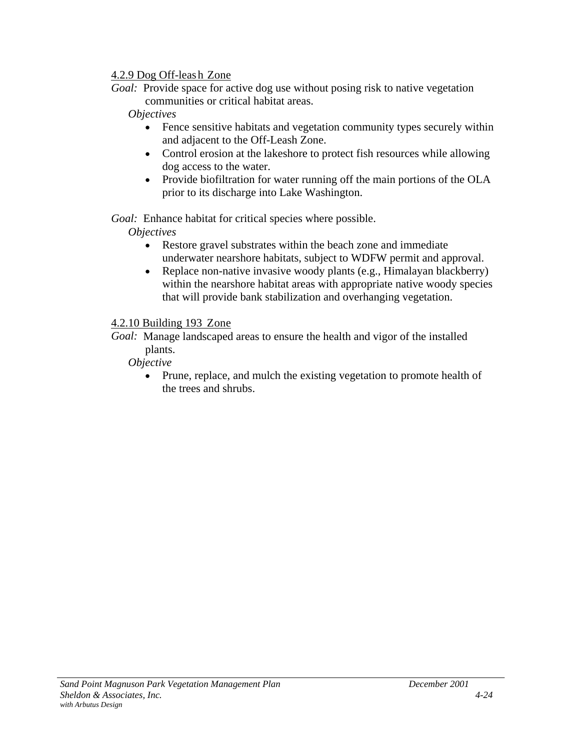## 4.2.9 Dog Off-leas h Zone

*Goal:* Provide space for active dog use without posing risk to native vegetation communities or critical habitat areas.

## *Objectives*

- Fence sensitive habitats and vegetation community types securely within and adjacent to the Off-Leash Zone.
- Control erosion at the lakeshore to protect fish resources while allowing dog access to the water.
- Provide biofiltration for water running off the main portions of the OLA prior to its discharge into Lake Washington.

*Goal:* Enhance habitat for critical species where possible.

*Objectives*

- Restore gravel substrates within the beach zone and immediate underwater nearshore habitats, subject to WDFW permit and approval.
- Replace non-native invasive woody plants (e.g., Himalayan blackberry) within the nearshore habitat areas with appropriate native woody species that will provide bank stabilization and overhanging vegetation.

# 4.2.10 Building 193 Zone

*Goal:* Manage landscaped areas to ensure the health and vigor of the installed plants.

- *Objective*
	- Prune, replace, and mulch the existing vegetation to promote health of the trees and shrubs.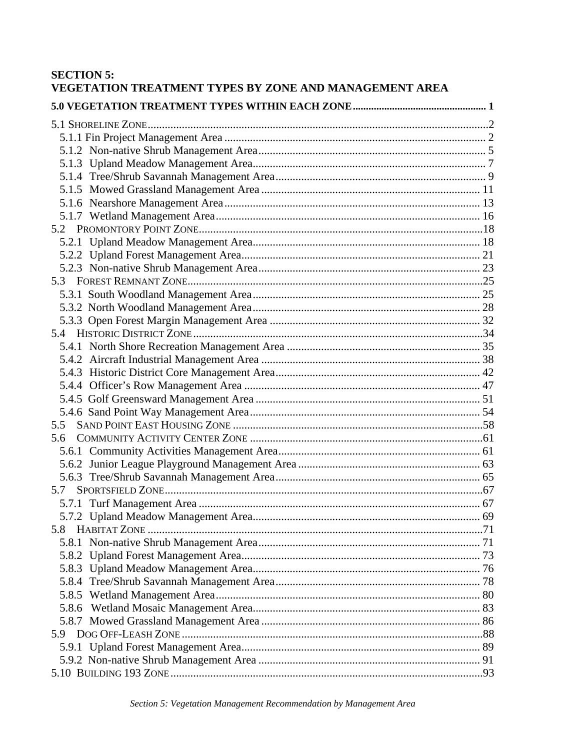# **SECTION 5:** VEGETATION TREATMENT TYPES BY ZONE AND MANAGEMENT AREA

| 5.5 |  |
|-----|--|
| 5.6 |  |
|     |  |
|     |  |
|     |  |
| 5.7 |  |
|     |  |
|     |  |
|     |  |
|     |  |
|     |  |
|     |  |
|     |  |
|     |  |
|     |  |
|     |  |
|     |  |
|     |  |
|     |  |
|     |  |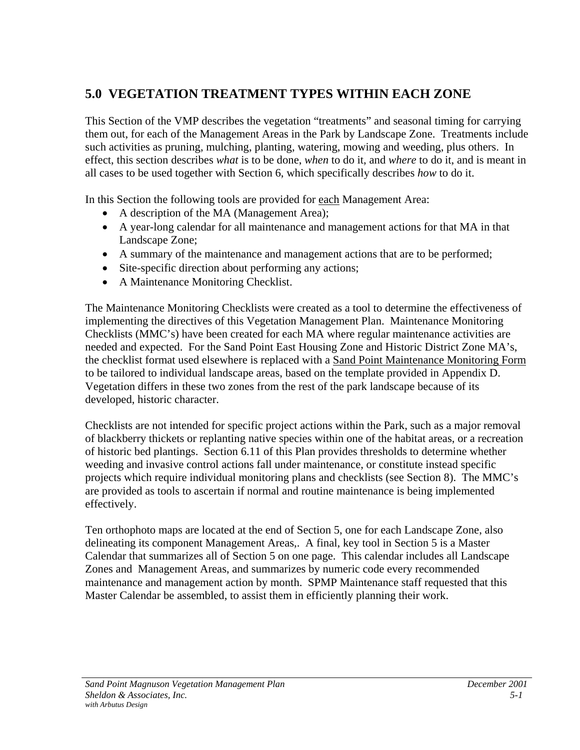# <span id="page-48-0"></span>**5.0 VEGETATION TREATMENT TYPES WITHIN EACH ZONE**

This Section of the VMP describes the vegetation "treatments" and seasonal timing for carrying them out, for each of the Management Areas in the Park by Landscape Zone. Treatments include such activities as pruning, mulching, planting, watering, mowing and weeding, plus others. In effect, this section describes *what* is to be done, *when* to do it, and *where* to do it, and is meant in all cases to be used together with Section 6, which specifically describes *how* to do it.

In this Section the following tools are provided for each Management Area:

- A description of the MA (Management Area);
- A year-long calendar for all maintenance and management actions for that MA in that Landscape Zone;
- A summary of the maintenance and management actions that are to be performed;
- Site-specific direction about performing any actions;
- A Maintenance Monitoring Checklist.

The Maintenance Monitoring Checklists were created as a tool to determine the effectiveness of implementing the directives of this Vegetation Management Plan. Maintenance Monitoring Checklists (MMC's) have been created for each MA where regular maintenance activities are needed and expected. For the Sand Point East Housing Zone and Historic District Zone MA's, the checklist format used elsewhere is replaced with a Sand Point Maintenance Monitoring Form to be tailored to individual landscape areas, based on the template provided in Appendix D. Vegetation differs in these two zones from the rest of the park landscape because of its developed, historic character.

Checklists are not intended for specific project actions within the Park, such as a major removal of blackberry thickets or replanting native species within one of the habitat areas, or a recreation of historic bed plantings. Section 6.11 of this Plan provides thresholds to determine whether weeding and invasive control actions fall under maintenance, or constitute instead specific projects which require individual monitoring plans and checklists (see Section 8). The MMC's are provided as tools to ascertain if normal and routine maintenance is being implemented effectively.

Ten orthophoto maps are located at the end of Section 5, one for each Landscape Zone, also delineating its component Management Areas,. A final, key tool in Section 5 is a Master Calendar that summarizes all of Section 5 on one page. This calendar includes all Landscape Zones and Management Areas, and summarizes by numeric code every recommended maintenance and management action by month. SPMP Maintenance staff requested that this Master Calendar be assembled, to assist them in efficiently planning their work.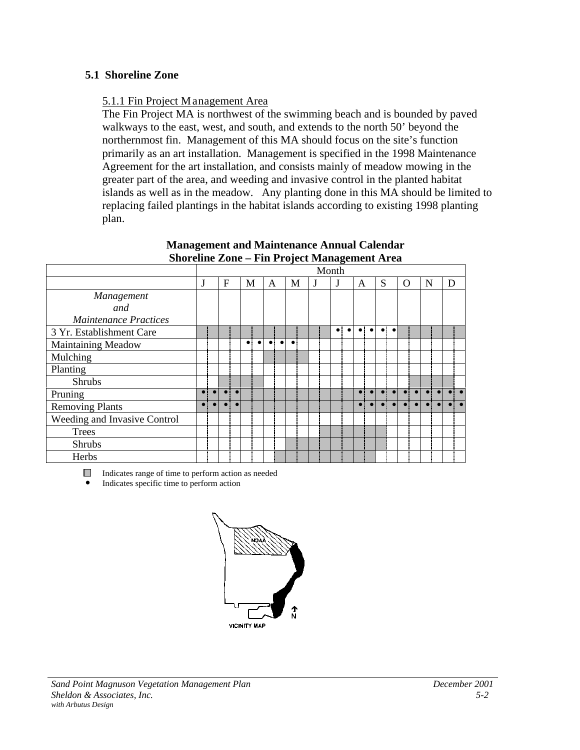### <span id="page-49-0"></span>**5.1 Shoreline Zone**

### 5.1.1 Fin Project Management Area

The Fin Project MA is northwest of the swimming beach and is bounded by paved walkways to the east, west, and south, and extends to the north 50' beyond the northernmost fin. Management of this MA should focus on the site's function primarily as an art installation. Management is specified in the 1998 Maintenance Agreement for the art installation, and consists mainly of meadow mowing in the greater part of the area, and weeding and invasive control in the planted habitat islands as well as in the meadow. Any planting done in this MA should be limited to replacing failed plantings in the habitat islands according to existing 1998 planting plan.

|                              |           |           |           |     |           |   |                                 | v           |  | o<br>Month |           |           |             |           |   |           |   |  |
|------------------------------|-----------|-----------|-----------|-----|-----------|---|---------------------------------|-------------|--|------------|-----------|-----------|-------------|-----------|---|-----------|---|--|
|                              | J         | F         |           | M   |           | A |                                 | M           |  |            | A         |           | S           |           | O | N         | D |  |
| Management                   |           |           |           |     |           |   |                                 |             |  |            |           |           |             |           |   |           |   |  |
| and                          |           |           |           |     |           |   |                                 |             |  |            |           |           |             |           |   |           |   |  |
| <b>Maintenance Practices</b> |           |           |           |     |           |   |                                 |             |  |            |           |           |             |           |   |           |   |  |
| 3 Yr. Establishment Care     |           |           |           |     |           |   |                                 |             |  |            | $\bullet$ | $\bullet$ | $\bullet$ : | $\bullet$ |   |           |   |  |
| Maintaining Meadow           |           |           |           | ا ہ | $\bullet$ |   | $\bullet$ : $\bullet$ $\bullet$ | $\bullet$ : |  |            |           |           |             |           |   |           |   |  |
| Mulching                     |           |           |           |     |           |   |                                 |             |  |            |           |           |             |           |   |           |   |  |
| Planting                     |           |           |           |     |           |   |                                 |             |  |            |           |           |             |           |   |           |   |  |
| <b>Shrubs</b>                |           |           |           |     |           |   |                                 |             |  |            |           |           |             |           |   |           |   |  |
| Pruning                      | $\bullet$ |           |           |     |           |   |                                 |             |  |            |           |           |             |           |   |           |   |  |
| <b>Removing Plants</b>       | $\bullet$ | $\bullet$ | $\bullet$ |     |           |   |                                 |             |  |            |           |           |             |           |   | $\bullet$ |   |  |
| Weeding and Invasive Control |           |           |           |     |           |   |                                 |             |  |            |           |           |             |           |   |           |   |  |
| Trees                        |           |           |           |     |           |   |                                 |             |  |            |           |           |             |           |   |           |   |  |
| <b>Shrubs</b>                |           |           |           |     |           |   |                                 |             |  |            |           |           |             |           |   |           |   |  |
| Herbs                        |           |           |           |     |           |   |                                 |             |  |            |           |           |             |           |   |           |   |  |

#### **Management and Maintenance Annual Calendar Shoreline Zone – Fin Project Management Area**

Indicates range of time to perform action as needed

 $\bullet$  Indicates specific time to perform action

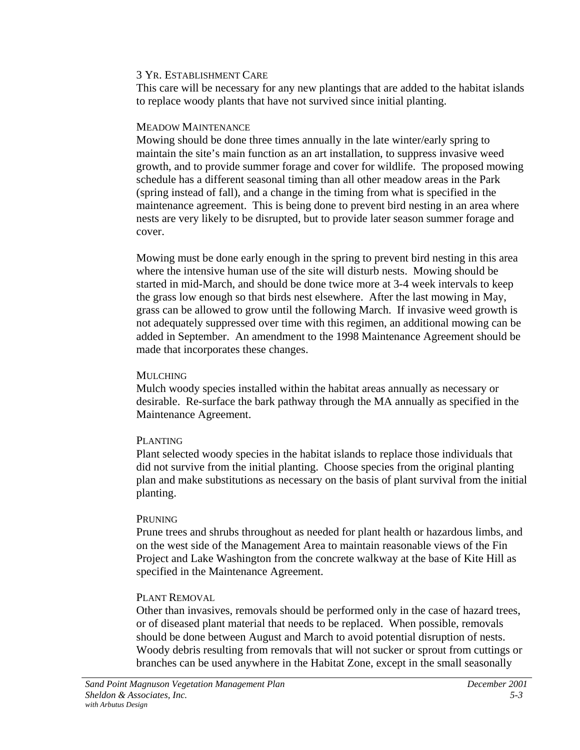This care will be necessary for any new plantings that are added to the habitat islands to replace woody plants that have not survived since initial planting.

### MEADOW MAINTENANCE

Mowing should be done three times annually in the late winter/early spring to maintain the site's main function as an art installation, to suppress invasive weed growth, and to provide summer forage and cover for wildlife. The proposed mowing schedule has a different seasonal timing than all other meadow areas in the Park (spring instead of fall), and a change in the timing from what is specified in the maintenance agreement. This is being done to prevent bird nesting in an area where nests are very likely to be disrupted, but to provide later season summer forage and cover.

Mowing must be done early enough in the spring to prevent bird nesting in this area where the intensive human use of the site will disturb nests. Mowing should be started in mid-March, and should be done twice more at 3-4 week intervals to keep the grass low enough so that birds nest elsewhere. After the last mowing in May, grass can be allowed to grow until the following March. If invasive weed growth is not adequately suppressed over time with this regimen, an additional mowing can be added in September. An amendment to the 1998 Maintenance Agreement should be made that incorporates these changes.

### **MULCHING**

Mulch woody species installed within the habitat areas annually as necessary or desirable. Re-surface the bark pathway through the MA annually as specified in the Maintenance Agreement.

### PLANTING

Plant selected woody species in the habitat islands to replace those individuals that did not survive from the initial planting. Choose species from the original planting plan and make substitutions as necessary on the basis of plant survival from the initial planting.

### PRUNING

Prune trees and shrubs throughout as needed for plant health or hazardous limbs, and on the west side of the Management Area to maintain reasonable views of the Fin Project and Lake Washington from the concrete walkway at the base of Kite Hill as specified in the Maintenance Agreement.

# PLANT REMOVAL

Other than invasives, removals should be performed only in the case of hazard trees, or of diseased plant material that needs to be replaced. When possible, removals should be done between August and March to avoid potential disruption of nests. Woody debris resulting from removals that will not sucker or sprout from cuttings or branches can be used anywhere in the Habitat Zone, except in the small seasonally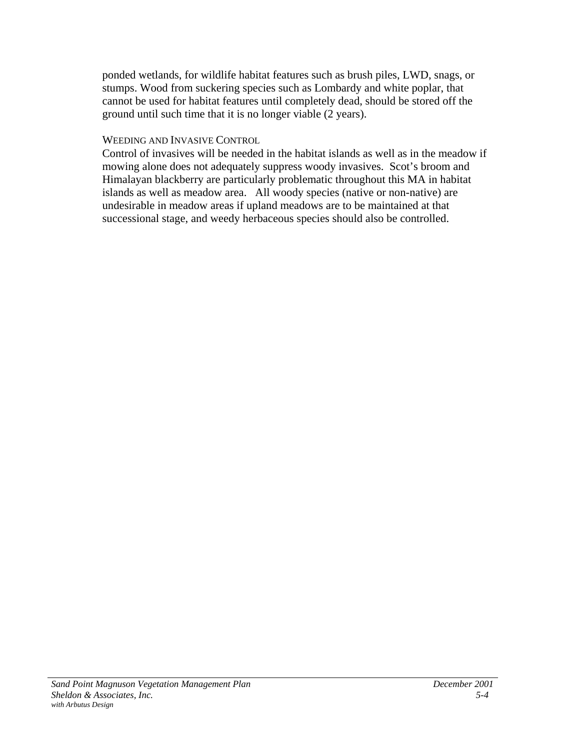ponded wetlands, for wildlife habitat features such as brush piles, LWD, snags, or stumps. Wood from suckering species such as Lombardy and white poplar, that cannot be used for habitat features until completely dead, should be stored off the ground until such time that it is no longer viable (2 years).

### WEEDING AND INVASIVE CONTROL

Control of invasives will be needed in the habitat islands as well as in the meadow if mowing alone does not adequately suppress woody invasives. Scot's broom and Himalayan blackberry are particularly problematic throughout this MA in habitat islands as well as meadow area. All woody species (native or non-native) are undesirable in meadow areas if upland meadows are to be maintained at that successional stage, and weedy herbaceous species should also be controlled.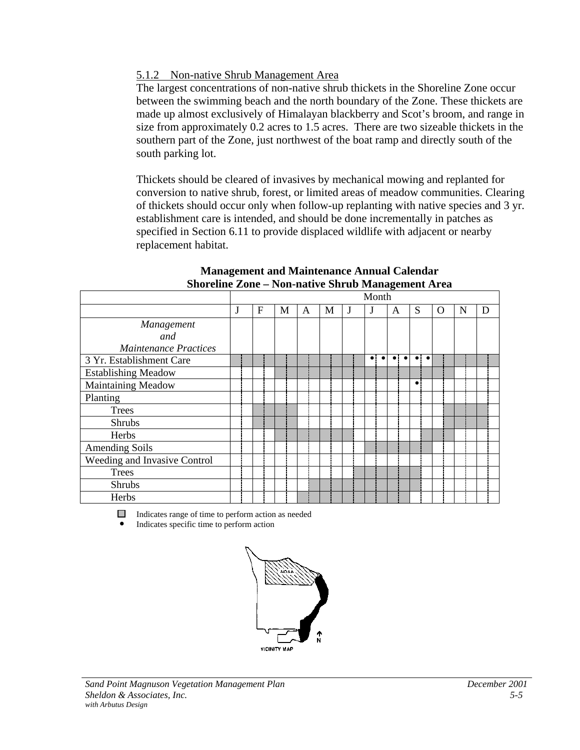### 5.1.2 Non-native Shrub Management Area

The largest concentrations of non-native shrub thickets in the Shoreline Zone occur between the swimming beach and the north boundary of the Zone. These thickets are made up almost exclusively of Himalayan blackberry and Scot's broom, and range in size from approximately 0.2 acres to 1.5 acres. There are two sizeable thickets in the southern part of the Zone, just northwest of the boat ramp and directly south of the south parking lot.

Thickets should be cleared of invasives by mechanical mowing and replanted for conversion to native shrub, forest, or limited areas of meadow communities. Clearing of thickets should occur only when follow-up replanting with native species and 3 yr. establishment care is intended, and should be done incrementally in patches as specified in Section 6.11 to provide displaced wildlife with adjacent or nearby replacement habitat.

|                              |   |   |   |   |   | Month     |           |                          |   |   |   |
|------------------------------|---|---|---|---|---|-----------|-----------|--------------------------|---|---|---|
|                              | J | F | M | A | М |           | A         | S                        | O | N | D |
| <i>Management</i><br>and     |   |   |   |   |   |           |           |                          |   |   |   |
| <b>Maintenance Practices</b> |   |   |   |   |   |           |           |                          |   |   |   |
| 3 Yr. Establishment Care     |   |   |   |   |   | $\bullet$ | $\bullet$ | $\bullet$ :<br>$\bullet$ |   |   |   |
| <b>Establishing Meadow</b>   |   |   |   |   |   |           |           |                          |   |   |   |
| <b>Maintaining Meadow</b>    |   |   |   |   |   |           |           | $\bullet$                |   |   |   |
| Planting                     |   |   |   |   |   |           |           |                          |   |   |   |
| <b>Trees</b>                 |   |   |   |   |   |           |           |                          |   |   |   |
| Shrubs                       |   |   |   |   |   |           |           |                          |   |   |   |
| Herbs                        |   |   |   |   |   |           |           |                          |   |   |   |
| <b>Amending Soils</b>        |   |   |   |   |   |           |           |                          |   |   |   |
| Weeding and Invasive Control |   |   |   |   |   |           |           |                          |   |   |   |
| <b>Trees</b>                 |   |   |   |   |   |           |           |                          |   |   |   |
| <b>Shrubs</b>                |   |   |   |   |   |           |           |                          |   |   |   |
| Herbs                        |   |   |   |   |   |           |           |                          |   |   |   |

#### **Management and Maintenance Annual Calendar Shoreline Zone – Non-native Shrub Management Area**

Indicates range of time to perform action as needed

! Indicates specific time to perform action

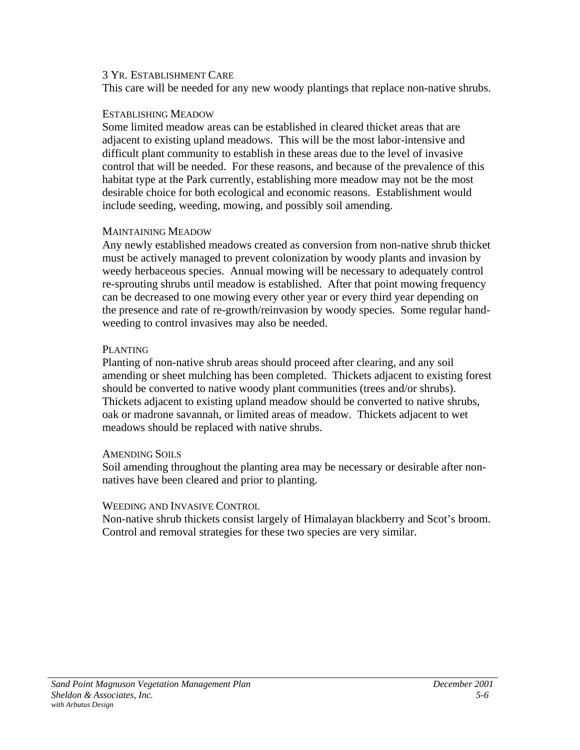This care will be needed for any new woody plantings that replace non-native shrubs.

#### ESTABLISHING MEADOW

Some limited meadow areas can be established in cleared thicket areas that are adjacent to existing upland meadows. This will be the most labor-intensive and difficult plant community to establish in these areas due to the level of invasive control that will be needed. For these reasons, and because of the prevalence of this habitat type at the Park currently, establishing more meadow may not be the most desirable choice for both ecological and economic reasons. Establishment would include seeding, weeding, mowing, and possibly soil amending.

### MAINTAINING MEADOW

Any newly established meadows created as conversion from non-native shrub thicket must be actively managed to prevent colonization by woody plants and invasion by weedy herbaceous species. Annual mowing will be necessary to adequately control re-sprouting shrubs until meadow is established. After that point mowing frequency can be decreased to one mowing every other year or every third year depending on the presence and rate of re-growth/reinvasion by woody species. Some regular handweeding to control invasives may also be needed.

### PLANTING

Planting of non-native shrub areas should proceed after clearing, and any soil amending or sheet mulching has been completed. Thickets adjacent to existing forest should be converted to native woody plant communities (trees and/or shrubs). Thickets adjacent to existing upland meadow should be converted to native shrubs, oak or madrone savannah, or limited areas of meadow. Thickets adjacent to wet meadows should be replaced with native shrubs.

### **AMENDING SOILS**

Soil amending throughout the planting area may be necessary or desirable after nonnatives have been cleared and prior to planting.

### WEEDING AND INVASIVE CONTROL

Non-native shrub thickets consist largely of Himalayan blackberry and Scot's broom. Control and removal strategies for these two species are very similar.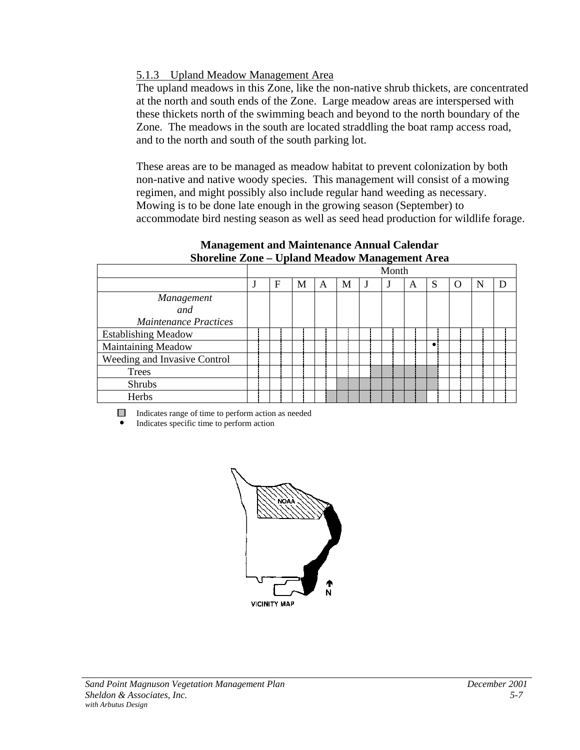### 5.1.3 Upland Meadow Management Area

The upland meadows in this Zone, like the non-native shrub thickets, are concentrated at the north and south ends of the Zone. Large meadow areas are interspersed with these thickets north of the swimming beach and beyond to the north boundary of the Zone. The meadows in the south are located straddling the boat ramp access road, and to the north and south of the south parking lot.

These areas are to be managed as meadow habitat to prevent colonization by both non-native and native woody species. This management will consist of a mowing regimen, and might possibly also include regular hand weeding as necessary. Mowing is to be done late enough in the growing season (September) to accommodate bird nesting season as well as seed head production for wildlife forage.

| --------------               |   | $\sim$ process strategies in |   |   | $\cdots$ |   |   |     |   |  |
|------------------------------|---|------------------------------|---|---|----------|---|---|-----|---|--|
|                              |   |                              |   |   | Month    |   |   |     |   |  |
|                              | F | М                            | А | М |          | A | S | ( ) | N |  |
| Management                   |   |                              |   |   |          |   |   |     |   |  |
| and                          |   |                              |   |   |          |   |   |     |   |  |
| <b>Maintenance Practices</b> |   |                              |   |   |          |   |   |     |   |  |
| <b>Establishing Meadow</b>   |   |                              |   |   |          |   |   |     |   |  |
| Maintaining Meadow           |   |                              |   |   |          |   |   |     |   |  |
| Weeding and Invasive Control |   |                              |   |   |          |   |   |     |   |  |
| <b>Trees</b>                 |   |                              |   |   |          |   |   |     |   |  |
| <b>Shrubs</b>                |   |                              |   |   |          |   |   |     |   |  |
| Herbs                        |   |                              |   |   |          |   |   |     |   |  |

**Management and Maintenance Annual Calendar Shoreline Zone – Upland Meadow Management Area**

Indicates range of time to perform action as needed

! Indicates specific time to perform action

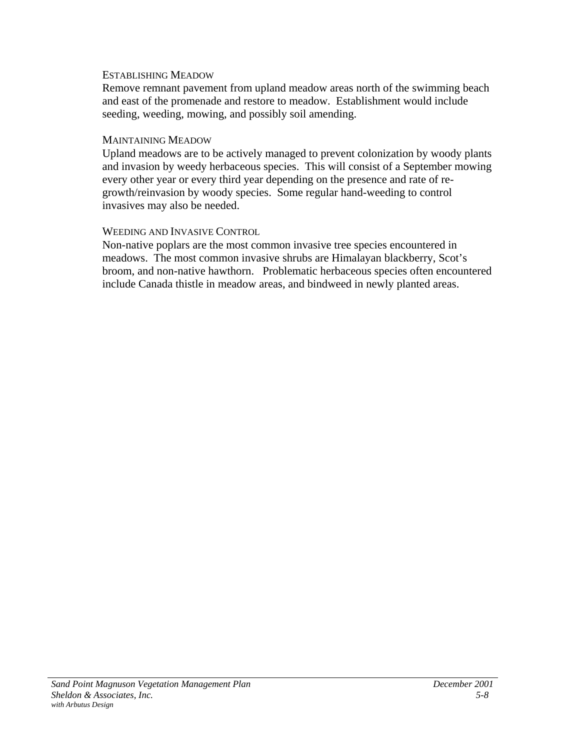#### ESTABLISHING MEADOW

Remove remnant pavement from upland meadow areas north of the swimming beach and east of the promenade and restore to meadow. Establishment would include seeding, weeding, mowing, and possibly soil amending.

#### MAINTAINING MEADOW

Upland meadows are to be actively managed to prevent colonization by woody plants and invasion by weedy herbaceous species. This will consist of a September mowing every other year or every third year depending on the presence and rate of regrowth/reinvasion by woody species. Some regular hand-weeding to control invasives may also be needed.

### WEEDING AND INVASIVE CONTROL

Non-native poplars are the most common invasive tree species encountered in meadows. The most common invasive shrubs are Himalayan blackberry, Scot's broom, and non-native hawthorn. Problematic herbaceous species often encountered include Canada thistle in meadow areas, and bindweed in newly planted areas.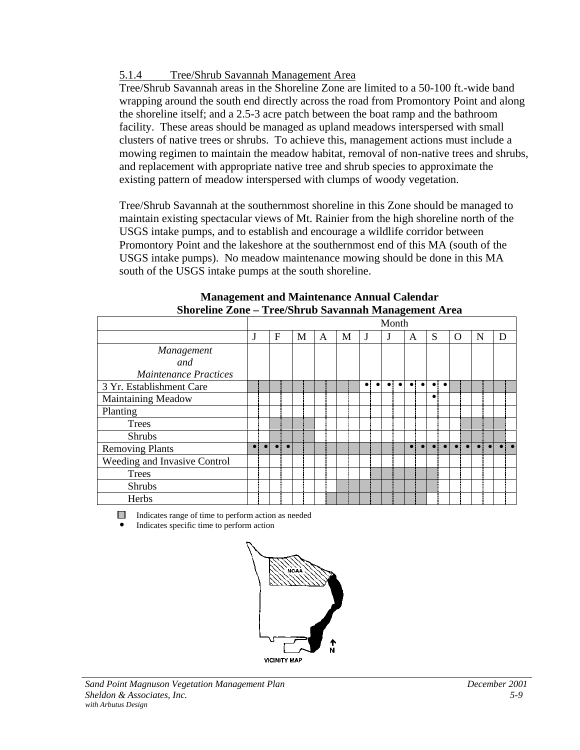### 5.1.4 Tree/Shrub Savannah Management Area

Tree/Shrub Savannah areas in the Shoreline Zone are limited to a 50-100 ft.-wide band wrapping around the south end directly across the road from Promontory Point and along the shoreline itself; and a 2.5-3 acre patch between the boat ramp and the bathroom facility. These areas should be managed as upland meadows interspersed with small clusters of native trees or shrubs. To achieve this, management actions must include a mowing regimen to maintain the meadow habitat, removal of non-native trees and shrubs, and replacement with appropriate native tree and shrub species to approximate the existing pattern of meadow interspersed with clumps of woody vegetation.

Tree/Shrub Savannah at the southernmost shoreline in this Zone should be managed to maintain existing spectacular views of Mt. Rainier from the high shoreline north of the USGS intake pumps, and to establish and encourage a wildlife corridor between Promontory Point and the lakeshore at the southernmost end of this MA (south of the USGS intake pumps). No meadow maintenance mowing should be done in this MA south of the USGS intake pumps at the south shoreline.

|                              |   |   |   |   |   | Month |   |           |   |   |   |
|------------------------------|---|---|---|---|---|-------|---|-----------|---|---|---|
|                              | J | F | М | A | М | J     | A | S         | O | N | D |
| Management                   |   |   |   |   |   |       |   |           |   |   |   |
| and                          |   |   |   |   |   |       |   |           |   |   |   |
| <b>Maintenance Practices</b> |   |   |   |   |   |       |   |           |   |   |   |
| 3 Yr. Establishment Care     |   |   |   |   |   |       |   | ٠         |   |   |   |
| <b>Maintaining Meadow</b>    |   |   |   |   |   |       |   | $\bullet$ |   |   |   |
| Planting                     |   |   |   |   |   |       |   |           |   |   |   |
| Trees                        |   |   |   |   |   |       |   |           |   |   |   |
| <b>Shrubs</b>                |   |   |   |   |   |       |   |           |   |   |   |
| <b>Removing Plants</b>       |   |   |   |   |   |       |   |           |   |   |   |
| Weeding and Invasive Control |   |   |   |   |   |       |   |           |   |   |   |
| <b>Trees</b>                 |   |   |   |   |   |       |   |           |   |   |   |
| <b>Shrubs</b>                |   |   |   |   |   |       |   |           |   |   |   |
| Herbs                        |   |   |   |   |   |       |   |           |   |   |   |

| <b>Management and Maintenance Annual Calendar</b>    |  |
|------------------------------------------------------|--|
| Shoreline Zone – Tree/Shrub Savannah Management Area |  |

Indicates range of time to perform action as needed

! Indicates specific time to perform action

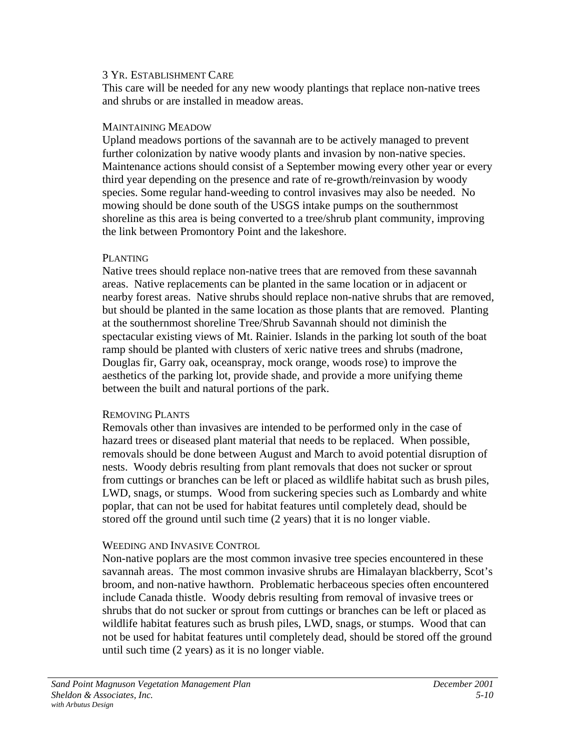This care will be needed for any new woody plantings that replace non-native trees and shrubs or are installed in meadow areas.

#### MAINTAINING MEADOW

Upland meadows portions of the savannah are to be actively managed to prevent further colonization by native woody plants and invasion by non-native species. Maintenance actions should consist of a September mowing every other year or every third year depending on the presence and rate of re-growth/reinvasion by woody species. Some regular hand-weeding to control invasives may also be needed. No mowing should be done south of the USGS intake pumps on the southernmost shoreline as this area is being converted to a tree/shrub plant community, improving the link between Promontory Point and the lakeshore.

#### PLANTING

Native trees should replace non-native trees that are removed from these savannah areas. Native replacements can be planted in the same location or in adjacent or nearby forest areas. Native shrubs should replace non-native shrubs that are removed, but should be planted in the same location as those plants that are removed. Planting at the southernmost shoreline Tree/Shrub Savannah should not diminish the spectacular existing views of Mt. Rainier. Islands in the parking lot south of the boat ramp should be planted with clusters of xeric native trees and shrubs (madrone, Douglas fir, Garry oak, oceanspray, mock orange, woods rose) to improve the aesthetics of the parking lot, provide shade, and provide a more unifying theme between the built and natural portions of the park.

### REMOVING PLANTS

Removals other than invasives are intended to be performed only in the case of hazard trees or diseased plant material that needs to be replaced. When possible, removals should be done between August and March to avoid potential disruption of nests. Woody debris resulting from plant removals that does not sucker or sprout from cuttings or branches can be left or placed as wildlife habitat such as brush piles, LWD, snags, or stumps. Wood from suckering species such as Lombardy and white poplar, that can not be used for habitat features until completely dead, should be stored off the ground until such time (2 years) that it is no longer viable.

### WEEDING AND INVASIVE CONTROL

Non-native poplars are the most common invasive tree species encountered in these savannah areas. The most common invasive shrubs are Himalayan blackberry, Scot's broom, and non-native hawthorn. Problematic herbaceous species often encountered include Canada thistle. Woody debris resulting from removal of invasive trees or shrubs that do not sucker or sprout from cuttings or branches can be left or placed as wildlife habitat features such as brush piles, LWD, snags, or stumps. Wood that can not be used for habitat features until completely dead, should be stored off the ground until such time (2 years) as it is no longer viable.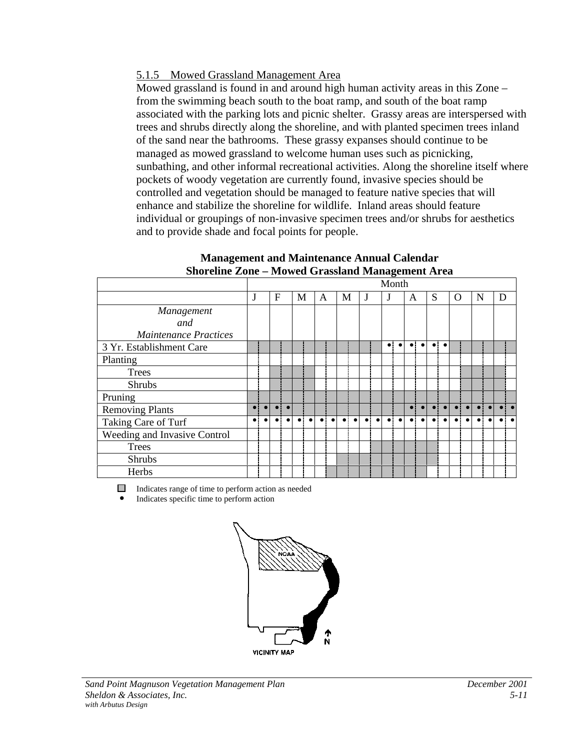### 5.1.5 Mowed Grassland Management Area

Mowed grassland is found in and around high human activity areas in this Zone – from the swimming beach south to the boat ramp, and south of the boat ramp associated with the parking lots and picnic shelter. Grassy areas are interspersed with trees and shrubs directly along the shoreline, and with planted specimen trees inland of the sand near the bathrooms. These grassy expanses should continue to be managed as mowed grassland to welcome human uses such as picnicking, sunbathing, and other informal recreational activities. Along the shoreline itself where pockets of woody vegetation are currently found, invasive species should be controlled and vegetation should be managed to feature native species that will enhance and stabilize the shoreline for wildlife. Inland areas should feature individual or groupings of non-invasive specimen trees and/or shrubs for aesthetics and to provide shade and focal points for people.

|                              |           |   |           |   |           |   |           |   |           |             |           | Month     |           |             |           |   |       |             |   |   |     |
|------------------------------|-----------|---|-----------|---|-----------|---|-----------|---|-----------|-------------|-----------|-----------|-----------|-------------|-----------|---|-------|-------------|---|---|-----|
|                              | J         | F |           | M |           | A |           | М |           | J           |           |           |           | A           |           | S |       | O           | N | D |     |
| Management                   |           |   |           |   |           |   |           |   |           |             |           |           |           |             |           |   |       |             |   |   |     |
| and                          |           |   |           |   |           |   |           |   |           |             |           |           |           |             |           |   |       |             |   |   |     |
| <b>Maintenance Practices</b> |           |   |           |   |           |   |           |   |           |             |           |           |           |             |           |   |       |             |   |   |     |
| 3 Yr. Establishment Care     |           |   |           |   |           |   |           |   |           |             |           | $\bullet$ | $\bullet$ | $\bullet$ . | $\bullet$ |   | ol ol |             |   |   |     |
| Planting                     |           |   |           |   |           |   |           |   |           |             |           |           |           |             |           |   |       |             |   |   |     |
| <b>Trees</b>                 |           |   |           |   |           |   |           |   |           |             |           |           |           |             |           |   |       |             |   |   |     |
| <b>Shrubs</b>                |           |   |           |   |           |   |           |   |           |             |           |           |           |             |           |   |       |             |   |   |     |
| Pruning                      |           |   |           |   |           |   |           |   |           |             |           |           |           |             |           |   |       |             |   |   |     |
| <b>Removing Plants</b>       | $\bullet$ |   | $\bullet$ |   |           |   |           |   |           |             |           |           |           |             |           |   |       |             |   |   | . . |
| Taking Care of Turf          |           |   |           |   | $\bullet$ |   | $\bullet$ |   | $\bullet$ | $\bullet$ : | $\bullet$ | e i       | $\bullet$ | . .         |           |   |       | $\bullet$ : |   |   |     |
| Weeding and Invasive Control |           |   |           |   |           |   |           |   |           |             |           |           |           |             |           |   |       |             |   |   |     |
| <b>Trees</b>                 |           |   |           |   |           |   |           |   |           |             |           |           |           |             |           |   |       |             |   |   |     |
| <b>Shrubs</b>                |           |   |           |   |           |   |           |   |           |             |           |           |           |             |           |   |       |             |   |   |     |
| Herbs                        |           |   |           |   |           |   |           |   |           |             |           |           |           |             |           |   |       |             |   |   |     |

#### **Management and Maintenance Annual Calendar Shoreline Zone – Mowed Grassland Management Area**

Indicates range of time to perform action as needed ! Indicates specific time to perform action

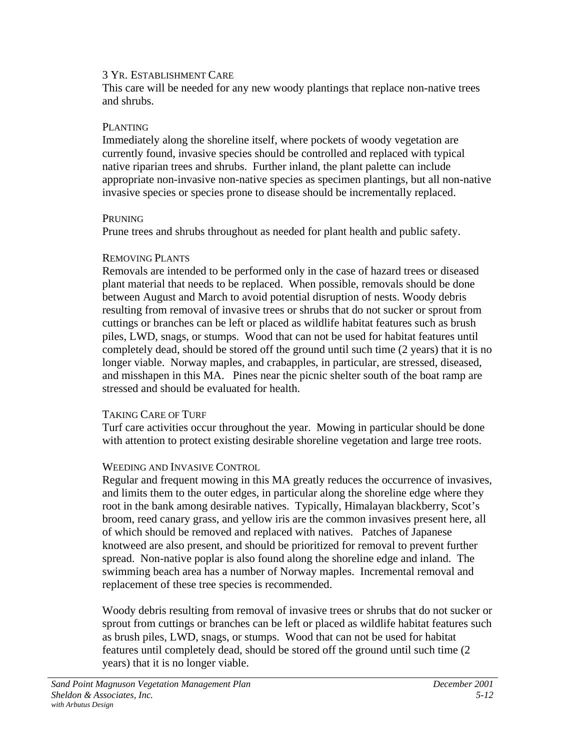This care will be needed for any new woody plantings that replace non-native trees and shrubs.

### PLANTING

Immediately along the shoreline itself, where pockets of woody vegetation are currently found, invasive species should be controlled and replaced with typical native riparian trees and shrubs. Further inland, the plant palette can include appropriate non-invasive non-native species as specimen plantings, but all non-native invasive species or species prone to disease should be incrementally replaced.

### PRUNING

Prune trees and shrubs throughout as needed for plant health and public safety.

### REMOVING PLANTS

Removals are intended to be performed only in the case of hazard trees or diseased plant material that needs to be replaced. When possible, removals should be done between August and March to avoid potential disruption of nests. Woody debris resulting from removal of invasive trees or shrubs that do not sucker or sprout from cuttings or branches can be left or placed as wildlife habitat features such as brush piles, LWD, snags, or stumps. Wood that can not be used for habitat features until completely dead, should be stored off the ground until such time (2 years) that it is no longer viable. Norway maples, and crabapples, in particular, are stressed, diseased, and misshapen in this MA. Pines near the picnic shelter south of the boat ramp are stressed and should be evaluated for health.

### TAKING CARE OF TURF

Turf care activities occur throughout the year. Mowing in particular should be done with attention to protect existing desirable shoreline vegetation and large tree roots.

### WEEDING AND INVASIVE CONTROL

Regular and frequent mowing in this MA greatly reduces the occurrence of invasives, and limits them to the outer edges, in particular along the shoreline edge where they root in the bank among desirable natives. Typically, Himalayan blackberry, Scot's broom, reed canary grass, and yellow iris are the common invasives present here, all of which should be removed and replaced with natives. Patches of Japanese knotweed are also present, and should be prioritized for removal to prevent further spread. Non-native poplar is also found along the shoreline edge and inland. The swimming beach area has a number of Norway maples. Incremental removal and replacement of these tree species is recommended.

Woody debris resulting from removal of invasive trees or shrubs that do not sucker or sprout from cuttings or branches can be left or placed as wildlife habitat features such as brush piles, LWD, snags, or stumps. Wood that can not be used for habitat features until completely dead, should be stored off the ground until such time (2 years) that it is no longer viable.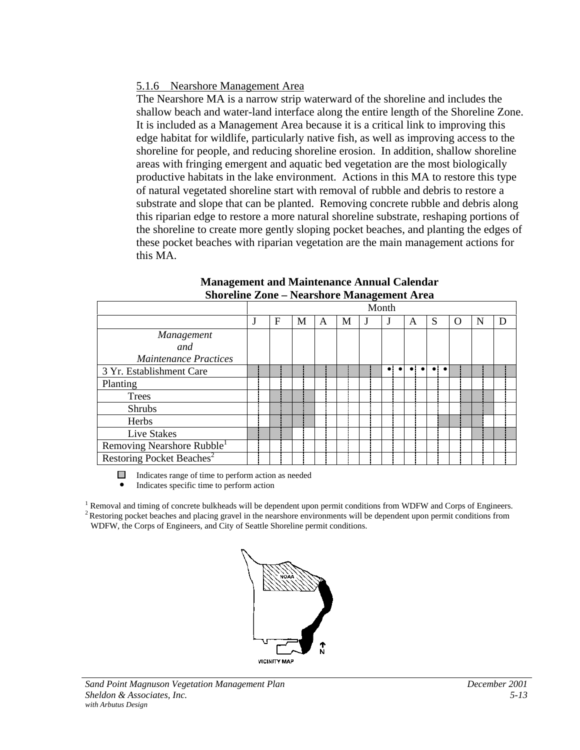### 5.1.6 Nearshore Management Area

The Nearshore MA is a narrow strip waterward of the shoreline and includes the shallow beach and water-land interface along the entire length of the Shoreline Zone. It is included as a Management Area because it is a critical link to improving this edge habitat for wildlife, particularly native fish, as well as improving access to the shoreline for people, and reducing shoreline erosion. In addition, shallow shoreline areas with fringing emergent and aquatic bed vegetation are the most biologically productive habitats in the lake environment. Actions in this MA to restore this type of natural vegetated shoreline start with removal of rubble and debris to restore a substrate and slope that can be planted. Removing concrete rubble and debris along this riparian edge to restore a more natural shoreline substrate, reshaping portions of the shoreline to create more gently sloping pocket beaches, and planting the edges of these pocket beaches with riparian vegetation are the main management actions for this MA.

|                                        |   |   |   |   | Month |   |   |   |   |   |
|----------------------------------------|---|---|---|---|-------|---|---|---|---|---|
|                                        | F | М | A | М |       | A | S | O | N | D |
| Management                             |   |   |   |   |       |   |   |   |   |   |
| and                                    |   |   |   |   |       |   |   |   |   |   |
| <b>Maintenance Practices</b>           |   |   |   |   |       |   |   |   |   |   |
| 3 Yr. Establishment Care               |   |   |   |   |       |   |   |   |   |   |
| Planting                               |   |   |   |   |       |   |   |   |   |   |
| Trees                                  |   |   |   |   |       |   |   |   |   |   |
| Shrubs                                 |   |   |   |   |       |   |   |   |   |   |
| Herbs                                  |   |   |   |   |       |   |   |   |   |   |
| Live Stakes                            |   |   |   |   |       |   |   |   |   |   |
| Removing Nearshore Rubble <sup>1</sup> |   |   |   |   |       |   |   |   |   |   |
| Restoring Pocket Beaches <sup>2</sup>  |   |   |   |   |       |   |   |   |   |   |

#### **Management and Maintenance Annual Calendar Shoreline Zone – Nearshore Management Area**

 $\Box$  Indicates range of time to perform action as needed

! Indicates specific time to perform action

 $1$  Removal and timing of concrete bulkheads will be dependent upon permit conditions from WDFW and Corps of Engineers. <sup>2</sup> Restoring pocket beaches and placing gravel in the nearshore environments will be dependent upon permit conditions from WDFW, the Corps of Engineers, and City of Seattle Shoreline permit conditions.

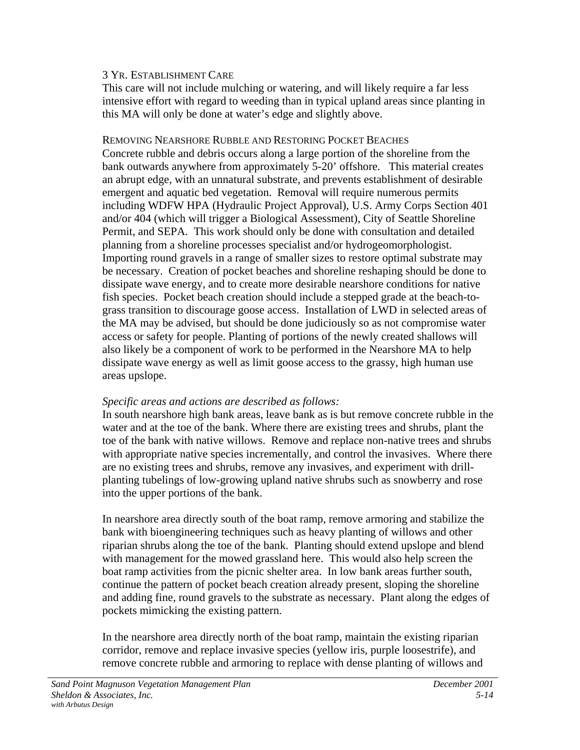This care will not include mulching or watering, and will likely require a far less intensive effort with regard to weeding than in typical upland areas since planting in this MA will only be done at water's edge and slightly above.

REMOVING NEARSHORE RUBBLE AND RESTORING POCKET BEACHES Concrete rubble and debris occurs along a large portion of the shoreline from the bank outwards anywhere from approximately 5-20' offshore. This material creates an abrupt edge, with an unnatural substrate, and prevents establishment of desirable emergent and aquatic bed vegetation. Removal will require numerous permits including WDFW HPA (Hydraulic Project Approval), U.S. Army Corps Section 401 and/or 404 (which will trigger a Biological Assessment), City of Seattle Shoreline Permit, and SEPA. This work should only be done with consultation and detailed planning from a shoreline processes specialist and/or hydrogeomorphologist. Importing round gravels in a range of smaller sizes to restore optimal substrate may be necessary. Creation of pocket beaches and shoreline reshaping should be done to dissipate wave energy, and to create more desirable nearshore conditions for native fish species. Pocket beach creation should include a stepped grade at the beach-tograss transition to discourage goose access. Installation of LWD in selected areas of the MA may be advised, but should be done judiciously so as not compromise water access or safety for people. Planting of portions of the newly created shallows will also likely be a component of work to be performed in the Nearshore MA to help dissipate wave energy as well as limit goose access to the grassy, high human use areas upslope.

### *Specific areas and actions are described as follows:*

In south nearshore high bank areas, leave bank as is but remove concrete rubble in the water and at the toe of the bank. Where there are existing trees and shrubs, plant the toe of the bank with native willows. Remove and replace non-native trees and shrubs with appropriate native species incrementally, and control the invasives. Where there are no existing trees and shrubs, remove any invasives, and experiment with drillplanting tubelings of low-growing upland native shrubs such as snowberry and rose into the upper portions of the bank.

In nearshore area directly south of the boat ramp, remove armoring and stabilize the bank with bioengineering techniques such as heavy planting of willows and other riparian shrubs along the toe of the bank. Planting should extend upslope and blend with management for the mowed grassland here. This would also help screen the boat ramp activities from the picnic shelter area. In low bank areas further south, continue the pattern of pocket beach creation already present, sloping the shoreline and adding fine, round gravels to the substrate as necessary. Plant along the edges of pockets mimicking the existing pattern.

In the nearshore area directly north of the boat ramp, maintain the existing riparian corridor, remove and replace invasive species (yellow iris, purple loosestrife), and remove concrete rubble and armoring to replace with dense planting of willows and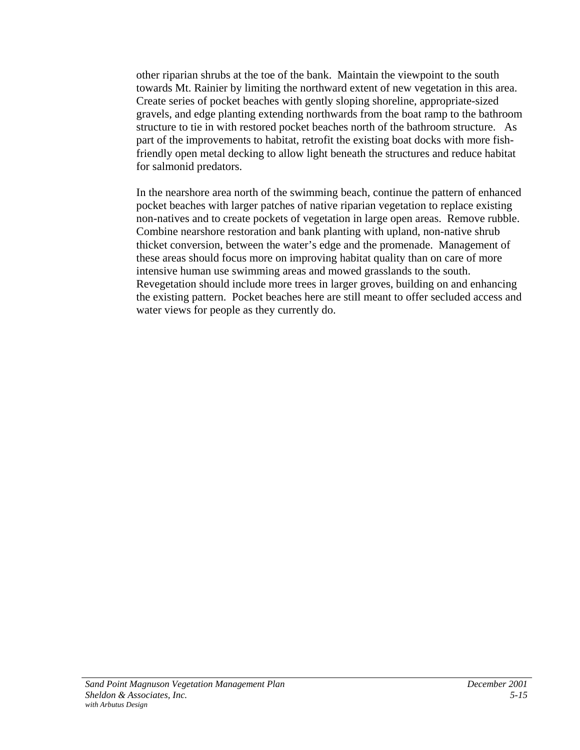other riparian shrubs at the toe of the bank. Maintain the viewpoint to the south towards Mt. Rainier by limiting the northward extent of new vegetation in this area. Create series of pocket beaches with gently sloping shoreline, appropriate-sized gravels, and edge planting extending northwards from the boat ramp to the bathroom structure to tie in with restored pocket beaches north of the bathroom structure. As part of the improvements to habitat, retrofit the existing boat docks with more fishfriendly open metal decking to allow light beneath the structures and reduce habitat for salmonid predators.

In the nearshore area north of the swimming beach, continue the pattern of enhanced pocket beaches with larger patches of native riparian vegetation to replace existing non-natives and to create pockets of vegetation in large open areas. Remove rubble. Combine nearshore restoration and bank planting with upland, non-native shrub thicket conversion, between the water's edge and the promenade. Management of these areas should focus more on improving habitat quality than on care of more intensive human use swimming areas and mowed grasslands to the south. Revegetation should include more trees in larger groves, building on and enhancing the existing pattern. Pocket beaches here are still meant to offer secluded access and water views for people as they currently do.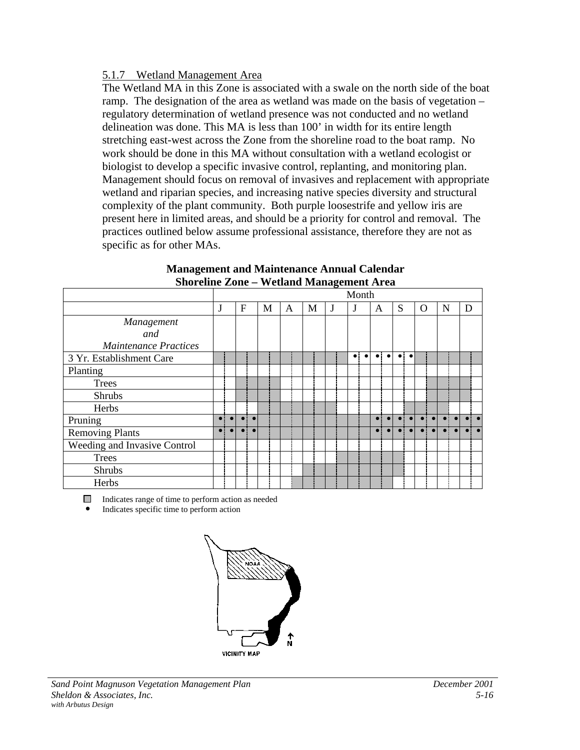### 5.1.7 Wetland Management Area

The Wetland MA in this Zone is associated with a swale on the north side of the boat ramp. The designation of the area as wetland was made on the basis of vegetation – regulatory determination of wetland presence was not conducted and no wetland delineation was done. This MA is less than 100' in width for its entire length stretching east-west across the Zone from the shoreline road to the boat ramp. No work should be done in this MA without consultation with a wetland ecologist or biologist to develop a specific invasive control, replanting, and monitoring plan. Management should focus on removal of invasives and replacement with appropriate wetland and riparian species, and increasing native species diversity and structural complexity of the plant community. Both purple loosestrife and yellow iris are present here in limited areas, and should be a priority for control and removal. The practices outlined below assume professional assistance, therefore they are not as specific as for other MAs.

|                              | Month       |           |              |           |   |  |   |   |   |  |           |           |           |           |   |                         |          |  |   |   |  |
|------------------------------|-------------|-----------|--------------|-----------|---|--|---|---|---|--|-----------|-----------|-----------|-----------|---|-------------------------|----------|--|---|---|--|
|                              | J           |           | $\mathbf{F}$ |           | M |  | A | M | J |  | J         |           | A         |           | S |                         | $\Omega$ |  | N | D |  |
| Management                   |             |           |              |           |   |  |   |   |   |  |           |           |           |           |   |                         |          |  |   |   |  |
| and                          |             |           |              |           |   |  |   |   |   |  |           |           |           |           |   |                         |          |  |   |   |  |
| <b>Maintenance Practices</b> |             |           |              |           |   |  |   |   |   |  |           |           |           |           |   |                         |          |  |   |   |  |
| 3 Yr. Establishment Care     |             |           |              |           |   |  |   |   |   |  | $\bullet$ | $\bullet$ | $\bullet$ | $\bullet$ |   | $\bullet\bullet\bullet$ |          |  |   |   |  |
| Planting                     |             |           |              |           |   |  |   |   |   |  |           |           |           |           |   |                         |          |  |   |   |  |
| <b>Trees</b>                 |             |           |              |           |   |  |   |   |   |  |           |           |           |           |   |                         |          |  |   |   |  |
| <b>Shrubs</b>                |             |           |              |           |   |  |   |   |   |  |           |           |           |           |   |                         |          |  |   |   |  |
| Herbs                        |             |           |              |           |   |  |   |   |   |  |           |           |           |           |   |                         |          |  |   |   |  |
| Pruning                      | $\bullet$ : | $\bullet$ |              | $\bullet$ |   |  |   |   |   |  |           |           |           |           |   |                         |          |  |   |   |  |
| <b>Removing Plants</b>       | $\bullet$   |           |              |           |   |  |   |   |   |  |           |           |           |           |   |                         |          |  |   |   |  |
| Weeding and Invasive Control |             |           |              |           |   |  |   |   |   |  |           |           |           |           |   |                         |          |  |   |   |  |
| <b>Trees</b>                 |             |           |              |           |   |  |   |   |   |  |           |           |           |           |   |                         |          |  |   |   |  |
| <b>Shrubs</b>                |             |           |              |           |   |  |   |   |   |  |           |           |           |           |   |                         |          |  |   |   |  |
| Herbs                        |             |           |              |           |   |  |   |   |   |  |           |           |           |           |   |                         |          |  |   |   |  |

#### **Management and Maintenance Annual Calendar Shoreline Zone – Wetland Management Area**

 $\Box$  Indicates range of time to perform action as needed

Indicates specific time to perform action

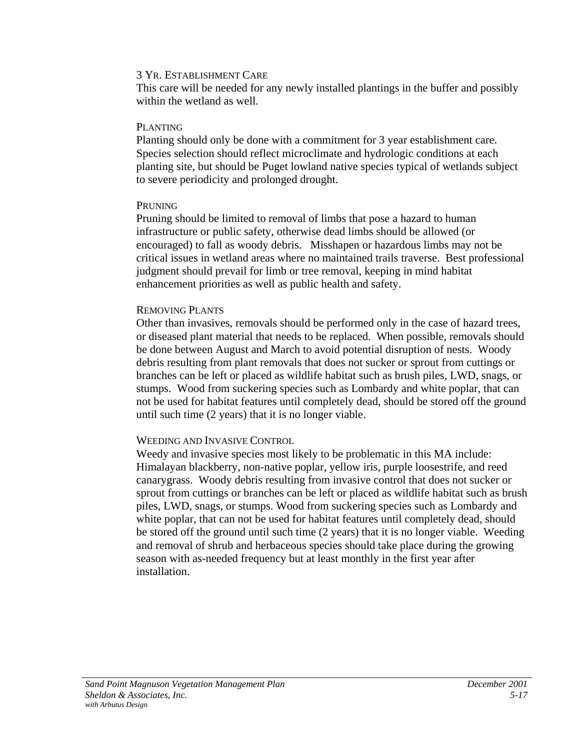This care will be needed for any newly installed plantings in the buffer and possibly within the wetland as well.

#### PLANTING

Planting should only be done with a commitment for 3 year establishment care. Species selection should reflect microclimate and hydrologic conditions at each planting site, but should be Puget lowland native species typical of wetlands subject to severe periodicity and prolonged drought.

### PRUNING

Pruning should be limited to removal of limbs that pose a hazard to human infrastructure or public safety, otherwise dead limbs should be allowed (or encouraged) to fall as woody debris. Misshapen or hazardous limbs may not be critical issues in wetland areas where no maintained trails traverse. Best professional judgment should prevail for limb or tree removal, keeping in mind habitat enhancement priorities as well as public health and safety.

### REMOVING PLANTS

Other than invasives, removals should be performed only in the case of hazard trees, or diseased plant material that needs to be replaced. When possible, removals should be done between August and March to avoid potential disruption of nests. Woody debris resulting from plant removals that does not sucker or sprout from cuttings or branches can be left or placed as wildlife habitat such as brush piles, LWD, snags, or stumps. Wood from suckering species such as Lombardy and white poplar, that can not be used for habitat features until completely dead, should be stored off the ground until such time (2 years) that it is no longer viable.

### WEEDING AND INVASIVE CONTROL

Weedy and invasive species most likely to be problematic in this MA include: Himalayan blackberry, non-native poplar, yellow iris, purple loosestrife, and reed canarygrass. Woody debris resulting from invasive control that does not sucker or sprout from cuttings or branches can be left or placed as wildlife habitat such as brush piles, LWD, snags, or stumps. Wood from suckering species such as Lombardy and white poplar, that can not be used for habitat features until completely dead, should be stored off the ground until such time (2 years) that it is no longer viable. Weeding and removal of shrub and herbaceous species should take place during the growing season with as-needed frequency but at least monthly in the first year after installation.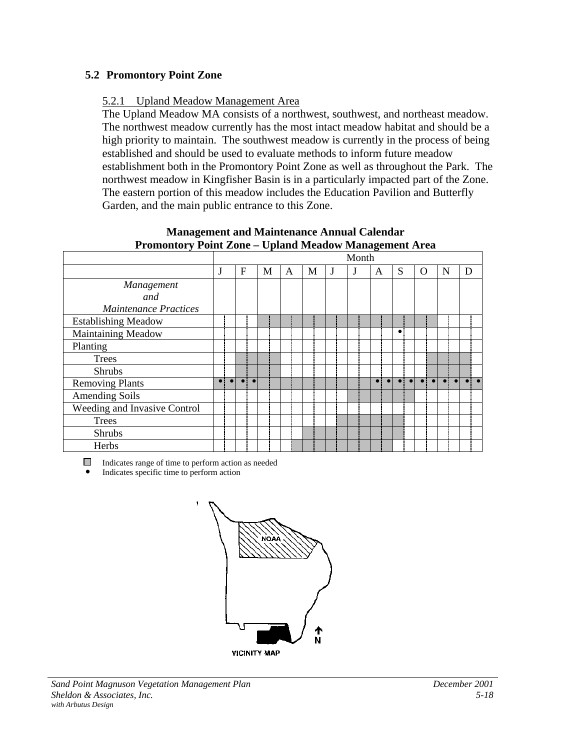### <span id="page-65-0"></span>**5.2 Promontory Point Zone**

### 5.2.1 Upland Meadow Management Area

The Upland Meadow MA consists of a northwest, southwest, and northeast meadow. The northwest meadow currently has the most intact meadow habitat and should be a high priority to maintain. The southwest meadow is currently in the process of being established and should be used to evaluate methods to inform future meadow establishment both in the Promontory Point Zone as well as throughout the Park. The northwest meadow in Kingfisher Basin is in a particularly impacted part of the Zone. The eastern portion of this meadow includes the Education Pavilion and Butterfly Garden, and the main public entrance to this Zone.

|                              |           |           |           |   |   |   |   | Month |   |           |          |   |   |  |
|------------------------------|-----------|-----------|-----------|---|---|---|---|-------|---|-----------|----------|---|---|--|
|                              |           | F         |           | M | A | M | J | J     | A | S         | $\Omega$ | N | D |  |
| Management                   |           |           |           |   |   |   |   |       |   |           |          |   |   |  |
| and                          |           |           |           |   |   |   |   |       |   |           |          |   |   |  |
| <b>Maintenance Practices</b> |           |           |           |   |   |   |   |       |   |           |          |   |   |  |
| <b>Establishing Meadow</b>   |           |           |           |   |   |   |   |       |   |           |          |   |   |  |
| Maintaining Meadow           |           |           |           |   |   |   |   |       |   | $\bullet$ |          |   |   |  |
| Planting                     |           |           |           |   |   |   |   |       |   |           |          |   |   |  |
| <b>Trees</b>                 |           |           |           |   |   |   |   |       |   |           |          |   |   |  |
| <b>Shrubs</b>                |           |           |           |   |   |   |   |       |   |           |          |   |   |  |
| <b>Removing Plants</b>       | $\bullet$ | $\bullet$ | $\bullet$ |   |   |   |   |       |   |           |          |   |   |  |
| <b>Amending Soils</b>        |           |           |           |   |   |   |   |       |   |           |          |   |   |  |
| Weeding and Invasive Control |           |           |           |   |   |   |   |       |   |           |          |   |   |  |
| <b>Trees</b>                 |           |           |           |   |   |   |   |       |   |           |          |   |   |  |
| <b>Shrubs</b>                |           |           |           |   |   |   |   |       |   |           |          |   |   |  |
| Herbs                        |           |           |           |   |   |   |   |       |   |           |          |   |   |  |

**Management and Maintenance Annual Calendar Promontory Point Zone – Upland Meadow Management Area**

 $\Box$  Indicates range of time to perform action as needed

! Indicates specific time to perform action

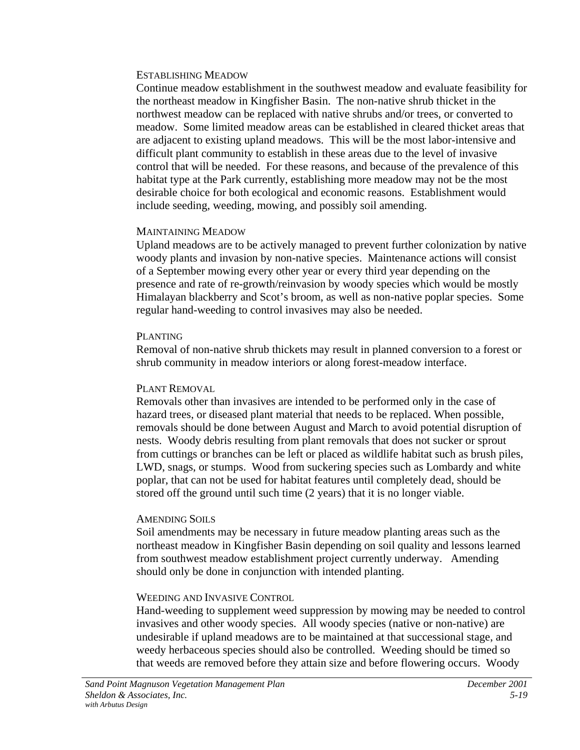#### ESTABLISHING MEADOW

Continue meadow establishment in the southwest meadow and evaluate feasibility for the northeast meadow in Kingfisher Basin. The non-native shrub thicket in the northwest meadow can be replaced with native shrubs and/or trees, or converted to meadow. Some limited meadow areas can be established in cleared thicket areas that are adjacent to existing upland meadows. This will be the most labor-intensive and difficult plant community to establish in these areas due to the level of invasive control that will be needed. For these reasons, and because of the prevalence of this habitat type at the Park currently, establishing more meadow may not be the most desirable choice for both ecological and economic reasons. Establishment would include seeding, weeding, mowing, and possibly soil amending.

### MAINTAINING MEADOW

Upland meadows are to be actively managed to prevent further colonization by native woody plants and invasion by non-native species. Maintenance actions will consist of a September mowing every other year or every third year depending on the presence and rate of re-growth/reinvasion by woody species which would be mostly Himalayan blackberry and Scot's broom, as well as non-native poplar species. Some regular hand-weeding to control invasives may also be needed.

### PLANTING

Removal of non-native shrub thickets may result in planned conversion to a forest or shrub community in meadow interiors or along forest-meadow interface.

### PLANT REMOVAL

Removals other than invasives are intended to be performed only in the case of hazard trees, or diseased plant material that needs to be replaced. When possible, removals should be done between August and March to avoid potential disruption of nests. Woody debris resulting from plant removals that does not sucker or sprout from cuttings or branches can be left or placed as wildlife habitat such as brush piles, LWD, snags, or stumps. Wood from suckering species such as Lombardy and white poplar, that can not be used for habitat features until completely dead, should be stored off the ground until such time (2 years) that it is no longer viable.

### AMENDING SOILS

Soil amendments may be necessary in future meadow planting areas such as the northeast meadow in Kingfisher Basin depending on soil quality and lessons learned from southwest meadow establishment project currently underway. Amending should only be done in conjunction with intended planting.

### WEEDING AND INVASIVE CONTROL

Hand-weeding to supplement weed suppression by mowing may be needed to control invasives and other woody species. All woody species (native or non-native) are undesirable if upland meadows are to be maintained at that successional stage, and weedy herbaceous species should also be controlled. Weeding should be timed so that weeds are removed before they attain size and before flowering occurs. Woody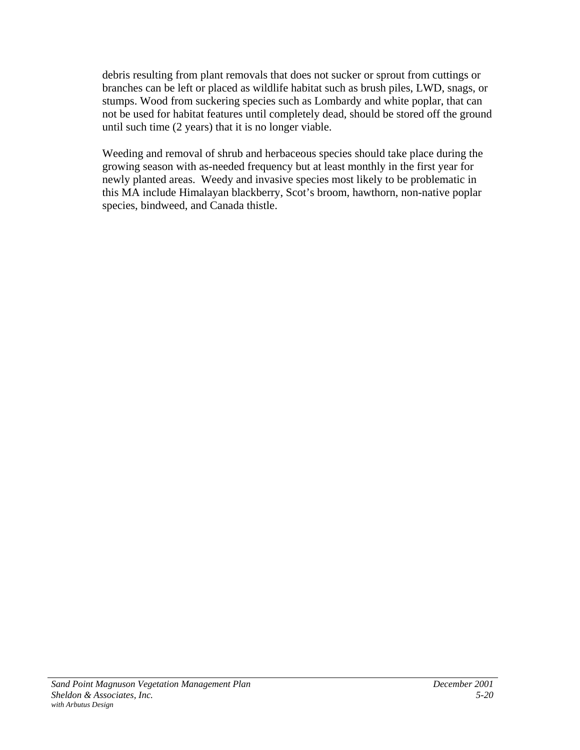debris resulting from plant removals that does not sucker or sprout from cuttings or branches can be left or placed as wildlife habitat such as brush piles, LWD, snags, or stumps. Wood from suckering species such as Lombardy and white poplar, that can not be used for habitat features until completely dead, should be stored off the ground until such time (2 years) that it is no longer viable.

Weeding and removal of shrub and herbaceous species should take place during the growing season with as-needed frequency but at least monthly in the first year for newly planted areas. Weedy and invasive species most likely to be problematic in this MA include Himalayan blackberry, Scot's broom, hawthorn, non-native poplar species, bindweed, and Canada thistle.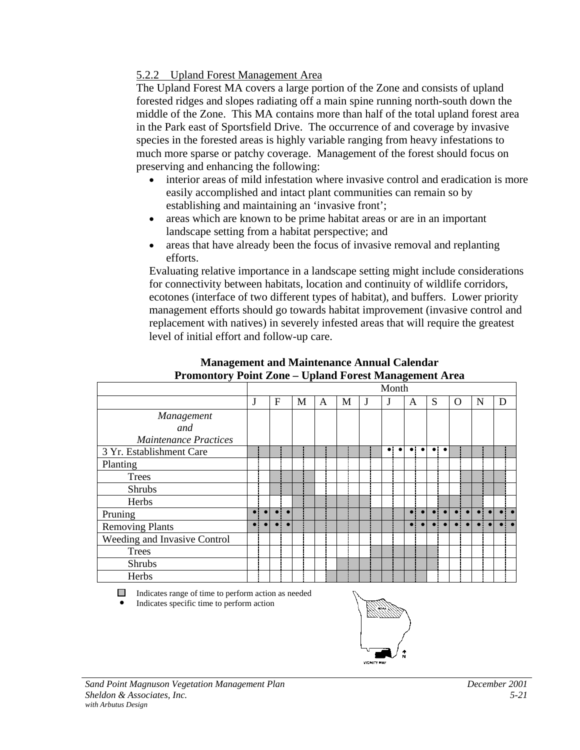### 5.2.2 Upland Forest Management Area

The Upland Forest MA covers a large portion of the Zone and consists of upland forested ridges and slopes radiating off a main spine running north-south down the middle of the Zone. This MA contains more than half of the total upland forest area in the Park east of Sportsfield Drive. The occurrence of and coverage by invasive species in the forested areas is highly variable ranging from heavy infestations to much more sparse or patchy coverage. Management of the forest should focus on preserving and enhancing the following:

- interior areas of mild infestation where invasive control and eradication is more easily accomplished and intact plant communities can remain so by establishing and maintaining an 'invasive front';
- areas which are known to be prime habitat areas or are in an important landscape setting from a habitat perspective; and
- areas that have already been the focus of invasive removal and replanting efforts.

Evaluating relative importance in a landscape setting might include considerations for connectivity between habitats, location and continuity of wildlife corridors, ecotones (interface of two different types of habitat), and buffers. Lower priority management efforts should go towards habitat improvement (invasive control and replacement with natives) in severely infested areas that will require the greatest level of initial effort and follow-up care.

|                              |   |   |   |   |   |   | Month     |           |             |           |             |                  |             |           |           |           |   |  |
|------------------------------|---|---|---|---|---|---|-----------|-----------|-------------|-----------|-------------|------------------|-------------|-----------|-----------|-----------|---|--|
|                              | J | F | М | A | М | J | J         |           | A           |           | S           |                  | O           |           | N         |           | D |  |
| Management                   |   |   |   |   |   |   |           |           |             |           |             |                  |             |           |           |           |   |  |
| and                          |   |   |   |   |   |   |           |           |             |           |             |                  |             |           |           |           |   |  |
| <b>Maintenance Practices</b> |   |   |   |   |   |   |           |           |             |           |             |                  |             |           |           |           |   |  |
| 3 Yr. Establishment Care     |   |   |   |   |   |   | $\bullet$ | $\bullet$ | $\bullet$ : | $\bullet$ |             | $\bullet\bullet$ |             |           |           |           |   |  |
| Planting                     |   |   |   |   |   |   |           |           |             |           |             |                  |             |           |           |           |   |  |
| <b>Trees</b>                 |   |   |   |   |   |   |           |           |             |           |             |                  |             |           |           |           |   |  |
| <b>Shrubs</b>                |   |   |   |   |   |   |           |           |             |           |             |                  |             |           |           |           |   |  |
| Herbs                        |   |   |   |   |   |   |           |           |             |           |             |                  |             |           |           |           |   |  |
| Pruning                      |   |   |   |   |   |   |           |           | $\bullet$ ! |           | $\bullet$ : | $\bullet$        | - i         |           | al al     | $\bullet$ |   |  |
| Removing Plants              |   |   |   |   |   |   |           |           | $\bullet$ : |           | $\bullet$   | $\bullet$        | $\bullet$ : | $\bullet$ | $\bullet$ | $\bullet$ |   |  |
| Weeding and Invasive Control |   |   |   |   |   |   |           |           |             |           |             |                  |             |           |           |           |   |  |
| <b>Trees</b>                 |   |   |   |   |   |   |           |           |             |           |             |                  |             |           |           |           |   |  |
| Shrubs                       |   |   |   |   |   |   |           |           |             |           |             |                  |             |           |           |           |   |  |
| Herbs                        |   |   |   |   |   |   |           |           |             |           |             |                  |             |           |           |           |   |  |

#### **Management and Maintenance Annual Calendar Promontory Point Zone – Upland Forest Management Area**

Indicates range of time to perform action as needed

! Indicates specific time to perform action

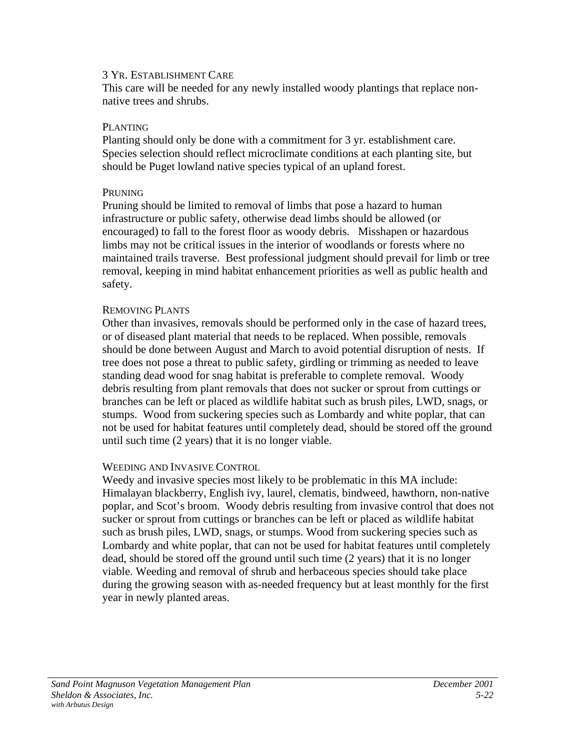This care will be needed for any newly installed woody plantings that replace nonnative trees and shrubs.

#### PLANTING

Planting should only be done with a commitment for 3 yr. establishment care. Species selection should reflect microclimate conditions at each planting site, but should be Puget lowland native species typical of an upland forest.

#### PRUNING

Pruning should be limited to removal of limbs that pose a hazard to human infrastructure or public safety, otherwise dead limbs should be allowed (or encouraged) to fall to the forest floor as woody debris. Misshapen or hazardous limbs may not be critical issues in the interior of woodlands or forests where no maintained trails traverse. Best professional judgment should prevail for limb or tree removal, keeping in mind habitat enhancement priorities as well as public health and safety.

### REMOVING PLANTS

Other than invasives, removals should be performed only in the case of hazard trees, or of diseased plant material that needs to be replaced. When possible, removals should be done between August and March to avoid potential disruption of nests. If tree does not pose a threat to public safety, girdling or trimming as needed to leave standing dead wood for snag habitat is preferable to complete removal. Woody debris resulting from plant removals that does not sucker or sprout from cuttings or branches can be left or placed as wildlife habitat such as brush piles, LWD, snags, or stumps. Wood from suckering species such as Lombardy and white poplar, that can not be used for habitat features until completely dead, should be stored off the ground until such time (2 years) that it is no longer viable.

### WEEDING AND INVASIVE CONTROL

Weedy and invasive species most likely to be problematic in this MA include: Himalayan blackberry, English ivy, laurel, clematis, bindweed, hawthorn, non-native poplar, and Scot's broom. Woody debris resulting from invasive control that does not sucker or sprout from cuttings or branches can be left or placed as wildlife habitat such as brush piles, LWD, snags, or stumps. Wood from suckering species such as Lombardy and white poplar, that can not be used for habitat features until completely dead, should be stored off the ground until such time (2 years) that it is no longer viable. Weeding and removal of shrub and herbaceous species should take place during the growing season with as-needed frequency but at least monthly for the first year in newly planted areas.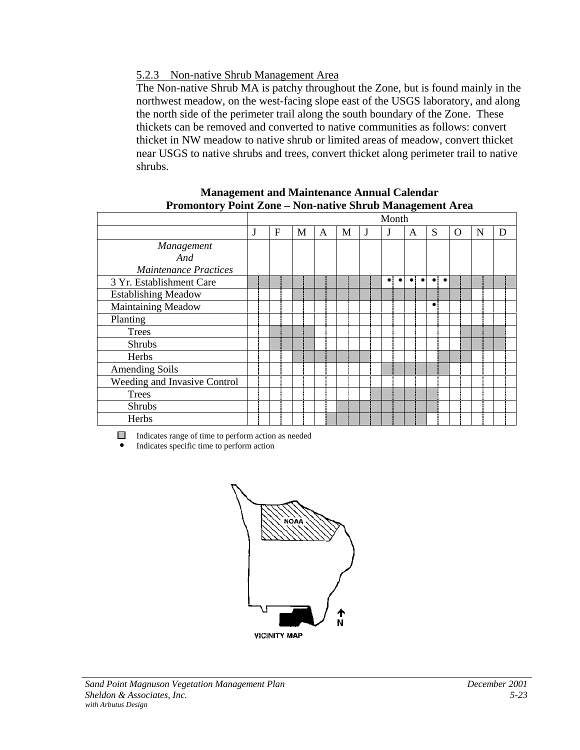### 5.2.3 Non-native Shrub Management Area

The Non-native Shrub MA is patchy throughout the Zone, but is found mainly in the northwest meadow, on the west-facing slope east of the USGS laboratory, and along the north side of the perimeter trail along the south boundary of the Zone. These thickets can be removed and converted to native communities as follows: convert thicket in NW meadow to native shrub or limited areas of meadow, convert thicket near USGS to native shrubs and trees, convert thicket along perimeter trail to native shrubs.

#### **Management and Maintenance Annual Calendar Promontory Point Zone – Non-native Shrub Management Area**

|                              |   |   |   |   | Month     |                          |                          |   |   |   |
|------------------------------|---|---|---|---|-----------|--------------------------|--------------------------|---|---|---|
|                              | F | M | A | M |           | A                        | S                        | O | N | D |
| Management                   |   |   |   |   |           |                          |                          |   |   |   |
| And                          |   |   |   |   |           |                          |                          |   |   |   |
| <b>Maintenance Practices</b> |   |   |   |   |           |                          |                          |   |   |   |
| 3 Yr. Establishment Care     |   |   |   |   | $\bullet$ | $\bullet$ :<br>$\bullet$ | $\bullet$ :<br>$\bullet$ |   |   |   |
| <b>Establishing Meadow</b>   |   |   |   |   |           |                          |                          |   |   |   |
| Maintaining Meadow           |   |   |   |   |           |                          | $\bullet$                |   |   |   |
| Planting                     |   |   |   |   |           |                          |                          |   |   |   |
| Trees                        |   |   |   |   |           |                          |                          |   |   |   |
| <b>Shrubs</b>                |   |   |   |   |           |                          |                          |   |   |   |
| Herbs                        |   |   |   |   |           |                          |                          |   |   |   |
| <b>Amending Soils</b>        |   |   |   |   |           |                          |                          |   |   |   |
| Weeding and Invasive Control |   |   |   |   |           |                          |                          |   |   |   |
| <b>Trees</b>                 |   |   |   |   |           |                          |                          |   |   |   |
| Shrubs                       |   |   |   |   |           |                          |                          |   |   |   |
| Herbs                        |   |   |   |   |           |                          |                          |   |   |   |

Indicates range of time to perform action as needed

 $\bullet$  Indicates specific time to perform action

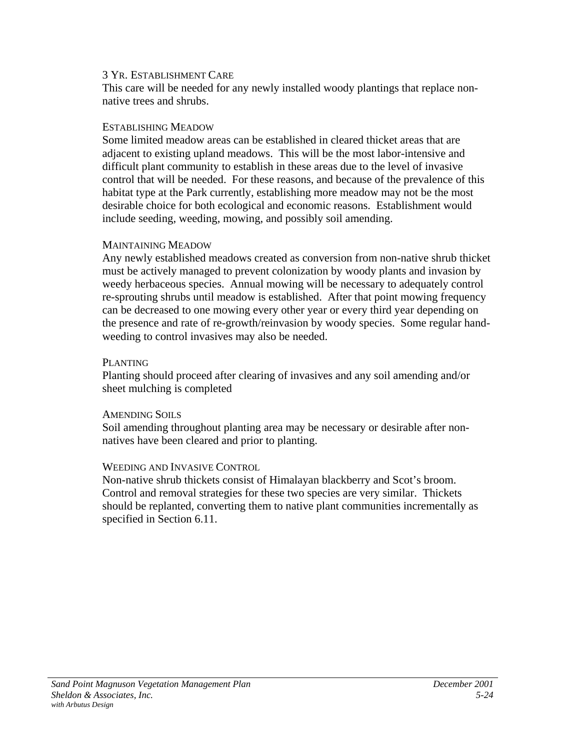This care will be needed for any newly installed woody plantings that replace nonnative trees and shrubs.

#### ESTABLISHING MEADOW

Some limited meadow areas can be established in cleared thicket areas that are adjacent to existing upland meadows. This will be the most labor-intensive and difficult plant community to establish in these areas due to the level of invasive control that will be needed. For these reasons, and because of the prevalence of this habitat type at the Park currently, establishing more meadow may not be the most desirable choice for both ecological and economic reasons. Establishment would include seeding, weeding, mowing, and possibly soil amending.

#### MAINTAINING MEADOW

Any newly established meadows created as conversion from non-native shrub thicket must be actively managed to prevent colonization by woody plants and invasion by weedy herbaceous species. Annual mowing will be necessary to adequately control re-sprouting shrubs until meadow is established. After that point mowing frequency can be decreased to one mowing every other year or every third year depending on the presence and rate of re-growth/reinvasion by woody species. Some regular handweeding to control invasives may also be needed.

#### PLANTING

Planting should proceed after clearing of invasives and any soil amending and/or sheet mulching is completed

### AMENDING SOILS

Soil amending throughout planting area may be necessary or desirable after nonnatives have been cleared and prior to planting.

### WEEDING AND INVASIVE CONTROL

Non-native shrub thickets consist of Himalayan blackberry and Scot's broom. Control and removal strategies for these two species are very similar. Thickets should be replanted, converting them to native plant communities incrementally as specified in Section 6.11.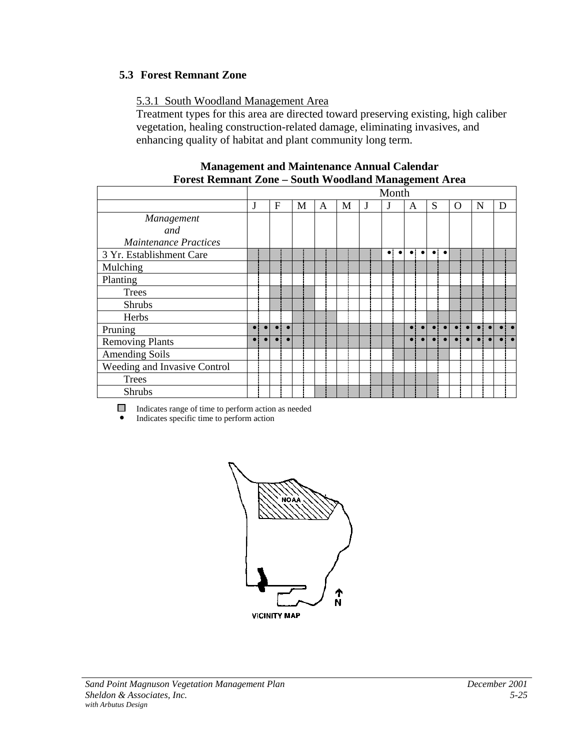# **5.3 Forest Remnant Zone**

## 5.3.1 South Woodland Management Area

Treatment types for this area are directed toward preserving existing, high caliber vegetation, healing construction-related damage, eliminating invasives, and enhancing quality of habitat and plant community long term.

| гогем кеппант доне – бойиг тгооитани гланадентен Агеа |  |   |   |   |   |   |             |           |             |           |   |                     |   |   |   |  |
|-------------------------------------------------------|--|---|---|---|---|---|-------------|-----------|-------------|-----------|---|---------------------|---|---|---|--|
|                                                       |  |   |   |   |   |   | Month       |           |             |           |   |                     |   |   |   |  |
|                                                       |  | F | M | A | M | J |             |           | A           |           | S |                     | O | N | D |  |
| Management                                            |  |   |   |   |   |   |             |           |             |           |   |                     |   |   |   |  |
| and                                                   |  |   |   |   |   |   |             |           |             |           |   |                     |   |   |   |  |
| Maintenance Practices                                 |  |   |   |   |   |   |             |           |             |           |   |                     |   |   |   |  |
| 3 Yr. Establishment Care                              |  |   |   |   |   |   | $\bullet$ : | $\bullet$ | $\bullet$ : | $\bullet$ |   | $\bullet$ $\bullet$ |   |   |   |  |
| Mulching                                              |  |   |   |   |   |   |             |           |             |           |   |                     |   |   |   |  |
| Planting                                              |  |   |   |   |   |   |             |           |             |           |   |                     |   |   |   |  |
| <b>Trees</b>                                          |  |   |   |   |   |   |             |           |             |           |   |                     |   |   |   |  |
| <b>Shrubs</b>                                         |  |   |   |   |   |   |             |           |             |           |   |                     |   |   |   |  |
| Herbs                                                 |  |   |   |   |   |   |             |           |             |           |   |                     |   |   |   |  |
| Pruning                                               |  |   |   |   |   |   |             |           |             |           |   |                     |   |   |   |  |
| <b>Removing Plants</b>                                |  |   |   |   |   |   |             |           |             |           |   |                     |   |   |   |  |
| <b>Amending Soils</b>                                 |  |   |   |   |   |   |             |           |             |           |   |                     |   |   |   |  |
| Weeding and Invasive Control                          |  |   |   |   |   |   |             |           |             |           |   |                     |   |   |   |  |
| <b>Trees</b>                                          |  |   |   |   |   |   |             |           |             |           |   |                     |   |   |   |  |
| Shrubs                                                |  |   |   |   |   |   |             |           |             |           |   |                     |   |   |   |  |

#### **Management and Maintenance Annual Calendar Forest Remnant Zone – South Woodland Management Area**

Indicates range of time to perform action as needed

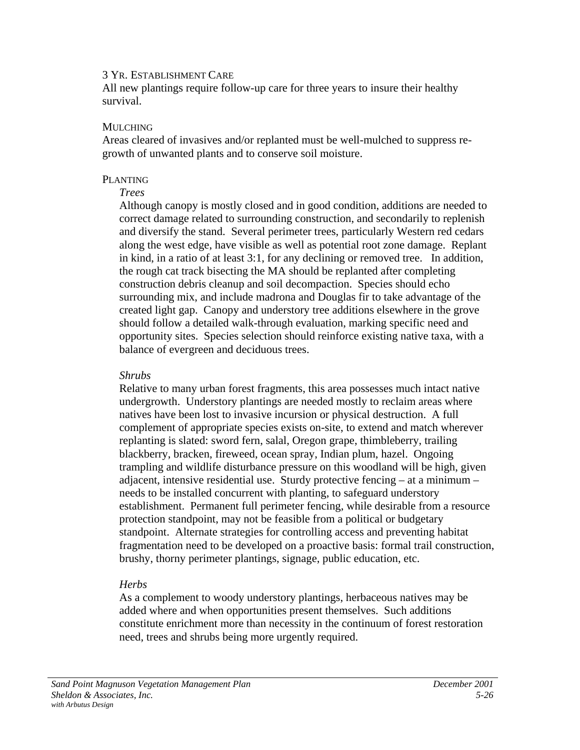All new plantings require follow-up care for three years to insure their healthy survival.

#### MULCHING

Areas cleared of invasives and/or replanted must be well-mulched to suppress regrowth of unwanted plants and to conserve soil moisture.

#### PLANTING

#### *Trees*

Although canopy is mostly closed and in good condition, additions are needed to correct damage related to surrounding construction, and secondarily to replenish and diversify the stand. Several perimeter trees, particularly Western red cedars along the west edge, have visible as well as potential root zone damage. Replant in kind, in a ratio of at least 3:1, for any declining or removed tree. In addition, the rough cat track bisecting the MA should be replanted after completing construction debris cleanup and soil decompaction. Species should echo surrounding mix, and include madrona and Douglas fir to take advantage of the created light gap. Canopy and understory tree additions elsewhere in the grove should follow a detailed walk-through evaluation, marking specific need and opportunity sites. Species selection should reinforce existing native taxa, with a balance of evergreen and deciduous trees.

#### *Shrubs*

Relative to many urban forest fragments, this area possesses much intact native undergrowth. Understory plantings are needed mostly to reclaim areas where natives have been lost to invasive incursion or physical destruction. A full complement of appropriate species exists on-site, to extend and match wherever replanting is slated: sword fern, salal, Oregon grape, thimbleberry, trailing blackberry, bracken, fireweed, ocean spray, Indian plum, hazel. Ongoing trampling and wildlife disturbance pressure on this woodland will be high, given adjacent, intensive residential use. Sturdy protective fencing – at a minimum – needs to be installed concurrent with planting, to safeguard understory establishment. Permanent full perimeter fencing, while desirable from a resource protection standpoint, may not be feasible from a political or budgetary standpoint. Alternate strategies for controlling access and preventing habitat fragmentation need to be developed on a proactive basis: formal trail construction, brushy, thorny perimeter plantings, signage, public education, etc.

## *Herbs*

As a complement to woody understory plantings, herbaceous natives may be added where and when opportunities present themselves. Such additions constitute enrichment more than necessity in the continuum of forest restoration need, trees and shrubs being more urgently required.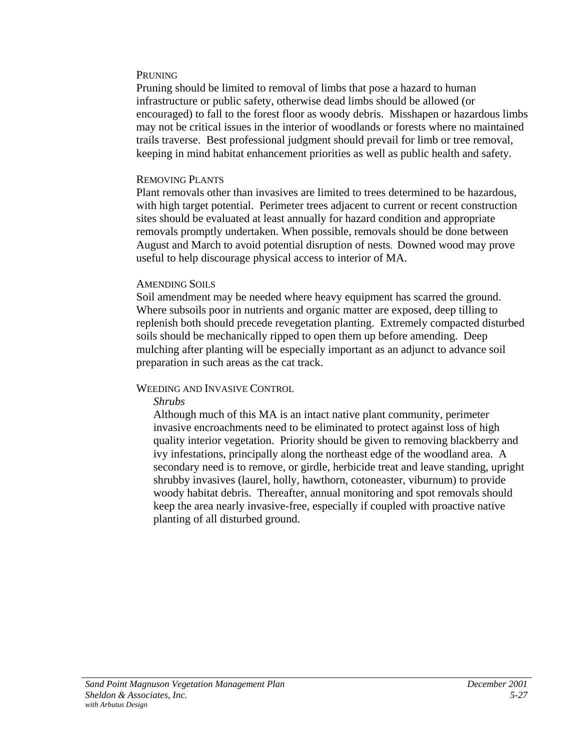#### PRUNING

Pruning should be limited to removal of limbs that pose a hazard to human infrastructure or public safety, otherwise dead limbs should be allowed (or encouraged) to fall to the forest floor as woody debris. Misshapen or hazardous limbs may not be critical issues in the interior of woodlands or forests where no maintained trails traverse. Best professional judgment should prevail for limb or tree removal, keeping in mind habitat enhancement priorities as well as public health and safety.

#### REMOVING PLANTS

Plant removals other than invasives are limited to trees determined to be hazardous, with high target potential. Perimeter trees adjacent to current or recent construction sites should be evaluated at least annually for hazard condition and appropriate removals promptly undertaken. When possible, removals should be done between August and March to avoid potential disruption of nests. Downed wood may prove useful to help discourage physical access to interior of MA.

#### AMENDING SOILS

Soil amendment may be needed where heavy equipment has scarred the ground. Where subsoils poor in nutrients and organic matter are exposed, deep tilling to replenish both should precede revegetation planting. Extremely compacted disturbed soils should be mechanically ripped to open them up before amending. Deep mulching after planting will be especially important as an adjunct to advance soil preparation in such areas as the cat track.

## WEEDING AND INVASIVE CONTROL

## *Shrubs*

Although much of this MA is an intact native plant community, perimeter invasive encroachments need to be eliminated to protect against loss of high quality interior vegetation. Priority should be given to removing blackberry and ivy infestations, principally along the northeast edge of the woodland area. A secondary need is to remove, or girdle, herbicide treat and leave standing, upright shrubby invasives (laurel, holly, hawthorn, cotoneaster, viburnum) to provide woody habitat debris. Thereafter, annual monitoring and spot removals should keep the area nearly invasive-free, especially if coupled with proactive native planting of all disturbed ground.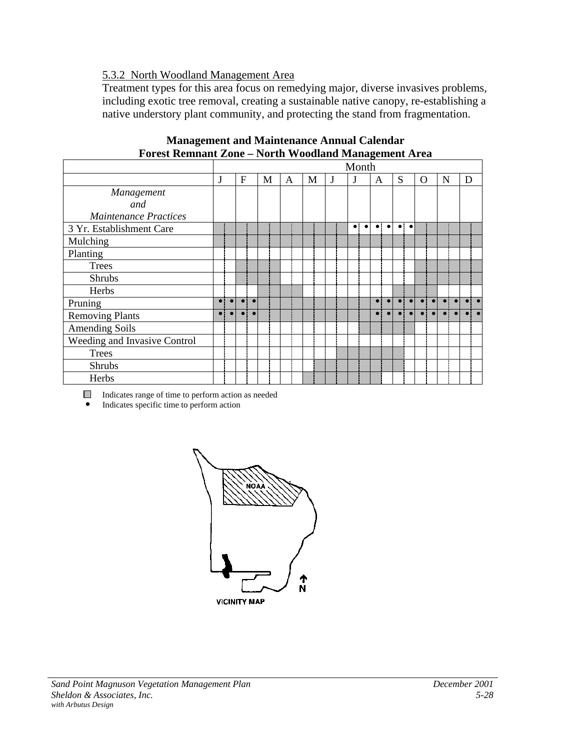## 5.3.2 North Woodland Management Area

Treatment types for this area focus on remedying major, diverse invasives problems, including exotic tree removal, creating a sustainable native canopy, re-establishing a native understory plant community, and protecting the stand from fragmentation.

|                              |           |           |              |           |   |   |   |   |   | Month                    |             |           |           |                      |             |           |           |   |                      |
|------------------------------|-----------|-----------|--------------|-----------|---|---|---|---|---|--------------------------|-------------|-----------|-----------|----------------------|-------------|-----------|-----------|---|----------------------|
|                              | J         |           | $\mathbf{F}$ |           | M | A | M | J | J |                          | A           |           | S         |                      | O           |           | N         | D |                      |
| Management                   |           |           |              |           |   |   |   |   |   |                          |             |           |           |                      |             |           |           |   |                      |
| and                          |           |           |              |           |   |   |   |   |   |                          |             |           |           |                      |             |           |           |   |                      |
| <b>Maintenance Practices</b> |           |           |              |           |   |   |   |   |   |                          |             |           |           |                      |             |           |           |   |                      |
| 3 Yr. Establishment Care     |           |           |              |           |   |   |   |   |   | $\bullet$ :<br>$\bullet$ | $\bullet$ : | $\bullet$ |           | $\bullet\quadbullet$ |             |           |           |   |                      |
| Mulching                     |           |           |              |           |   |   |   |   |   |                          |             |           |           |                      |             |           |           |   |                      |
| Planting                     |           |           |              |           |   |   |   |   |   |                          |             |           |           |                      |             |           |           |   |                      |
| <b>Trees</b>                 |           |           |              |           |   |   |   |   |   |                          |             |           |           |                      |             |           |           |   |                      |
| <b>Shrubs</b>                |           |           |              |           |   |   |   |   |   |                          |             |           |           |                      |             |           |           |   |                      |
| Herbs                        |           |           |              |           |   |   |   |   |   |                          |             |           |           |                      |             |           |           |   |                      |
| Pruning                      | $\bullet$ | $\bullet$ | $\bullet$    | $\bullet$ |   |   |   |   |   |                          | $\bullet$   | $\bullet$ | $\bullet$ | $\bullet$            | $\bullet$ : | $\bullet$ | $\bullet$ |   | $\bullet\quadbullet$ |
| <b>Removing Plants</b>       | $\bullet$ |           |              |           |   |   |   |   |   |                          |             |           |           |                      |             |           |           |   |                      |
| <b>Amending Soils</b>        |           |           |              |           |   |   |   |   |   |                          |             |           |           |                      |             |           |           |   |                      |
| Weeding and Invasive Control |           |           |              |           |   |   |   |   |   |                          |             |           |           |                      |             |           |           |   |                      |
| <b>Trees</b>                 |           |           |              |           |   |   |   |   |   |                          |             |           |           |                      |             |           |           |   |                      |
| <b>Shrubs</b>                |           |           |              |           |   |   |   |   |   |                          |             |           |           |                      |             |           |           |   |                      |
| Herbs                        |           |           |              |           |   |   |   |   |   |                          |             |           |           |                      |             |           |           |   |                      |

| <b>Management and Maintenance Annual Calendar</b>           |  |
|-------------------------------------------------------------|--|
| <b>Forest Remnant Zone - North Woodland Management Area</b> |  |

Indicates range of time to perform action as needed

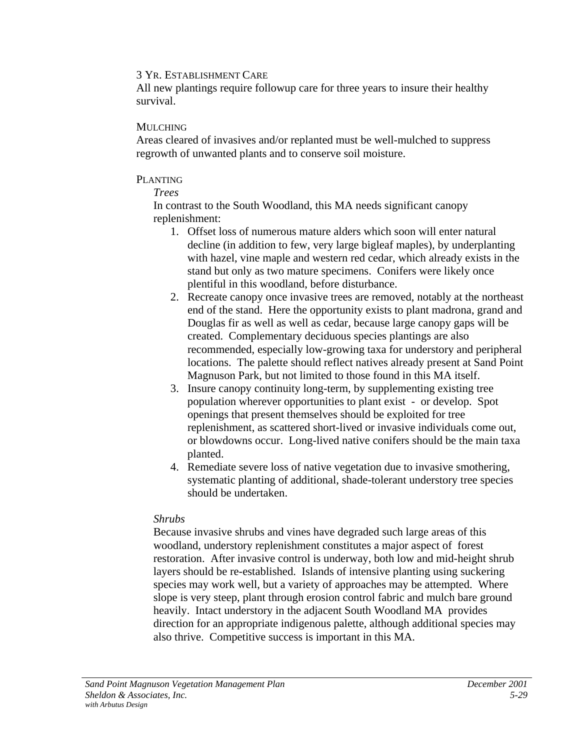All new plantings require followup care for three years to insure their healthy survival.

#### MULCHING

Areas cleared of invasives and/or replanted must be well-mulched to suppress regrowth of unwanted plants and to conserve soil moisture.

#### PLANTING

*Trees*

In contrast to the South Woodland, this MA needs significant canopy replenishment:

- 1. Offset loss of numerous mature alders which soon will enter natural decline (in addition to few, very large bigleaf maples), by underplanting with hazel, vine maple and western red cedar, which already exists in the stand but only as two mature specimens. Conifers were likely once plentiful in this woodland, before disturbance.
- 2. Recreate canopy once invasive trees are removed, notably at the northeast end of the stand. Here the opportunity exists to plant madrona, grand and Douglas fir as well as well as cedar, because large canopy gaps will be created. Complementary deciduous species plantings are also recommended, especially low-growing taxa for understory and peripheral locations. The palette should reflect natives already present at Sand Point Magnuson Park, but not limited to those found in this MA itself.
- 3. Insure canopy continuity long-term, by supplementing existing tree population wherever opportunities to plant exist - or develop. Spot openings that present themselves should be exploited for tree replenishment, as scattered short-lived or invasive individuals come out, or blowdowns occur. Long-lived native conifers should be the main taxa planted.
- 4. Remediate severe loss of native vegetation due to invasive smothering, systematic planting of additional, shade-tolerant understory tree species should be undertaken.

## *Shrubs*

Because invasive shrubs and vines have degraded such large areas of this woodland, understory replenishment constitutes a major aspect of forest restoration. After invasive control is underway, both low and mid-height shrub layers should be re-established. Islands of intensive planting using suckering species may work well, but a variety of approaches may be attempted. Where slope is very steep, plant through erosion control fabric and mulch bare ground heavily. Intact understory in the adjacent South Woodland MA provides direction for an appropriate indigenous palette, although additional species may also thrive. Competitive success is important in this MA.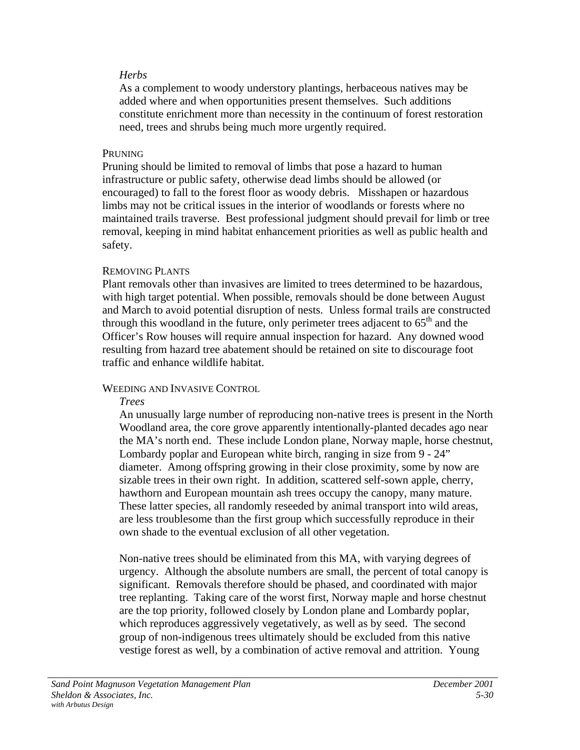#### *Herbs*

As a complement to woody understory plantings, herbaceous natives may be added where and when opportunities present themselves. Such additions constitute enrichment more than necessity in the continuum of forest restoration need, trees and shrubs being much more urgently required.

#### **PRUNING**

Pruning should be limited to removal of limbs that pose a hazard to human infrastructure or public safety, otherwise dead limbs should be allowed (or encouraged) to fall to the forest floor as woody debris. Misshapen or hazardous limbs may not be critical issues in the interior of woodlands or forests where no maintained trails traverse. Best professional judgment should prevail for limb or tree removal, keeping in mind habitat enhancement priorities as well as public health and safety.

## REMOVING PLANTS

Plant removals other than invasives are limited to trees determined to be hazardous, with high target potential. When possible, removals should be done between August and March to avoid potential disruption of nests. Unless formal trails are constructed through this woodland in the future, only perimeter trees adjacent to  $65<sup>th</sup>$  and the Officer's Row houses will require annual inspection for hazard. Any downed wood resulting from hazard tree abatement should be retained on site to discourage foot traffic and enhance wildlife habitat.

## WEEDING AND INVASIVE CONTROL

#### *Trees*

An unusually large number of reproducing non-native trees is present in the North Woodland area, the core grove apparently intentionally-planted decades ago near the MA's north end. These include London plane, Norway maple, horse chestnut, Lombardy poplar and European white birch, ranging in size from 9 - 24" diameter. Among offspring growing in their close proximity, some by now are sizable trees in their own right. In addition, scattered self-sown apple, cherry, hawthorn and European mountain ash trees occupy the canopy, many mature. These latter species, all randomly reseeded by animal transport into wild areas, are less troublesome than the first group which successfully reproduce in their own shade to the eventual exclusion of all other vegetation.

Non-native trees should be eliminated from this MA, with varying degrees of urgency. Although the absolute numbers are small, the percent of total canopy is significant. Removals therefore should be phased, and coordinated with major tree replanting. Taking care of the worst first, Norway maple and horse chestnut are the top priority, followed closely by London plane and Lombardy poplar, which reproduces aggressively vegetatively, as well as by seed. The second group of non-indigenous trees ultimately should be excluded from this native vestige forest as well, by a combination of active removal and attrition. Young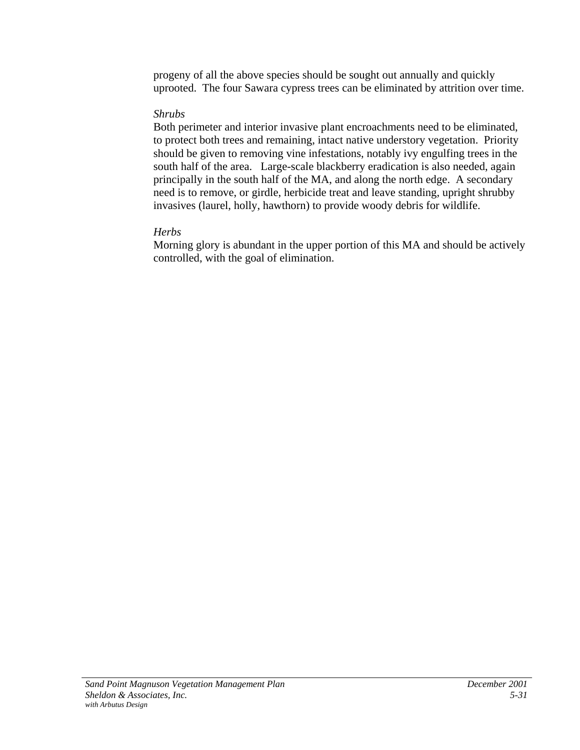progeny of all the above species should be sought out annually and quickly uprooted. The four Sawara cypress trees can be eliminated by attrition over time.

## *Shrubs*

Both perimeter and interior invasive plant encroachments need to be eliminated, to protect both trees and remaining, intact native understory vegetation. Priority should be given to removing vine infestations, notably ivy engulfing trees in the south half of the area. Large-scale blackberry eradication is also needed, again principally in the south half of the MA, and along the north edge. A secondary need is to remove, or girdle, herbicide treat and leave standing, upright shrubby invasives (laurel, holly, hawthorn) to provide woody debris for wildlife.

# *Herbs*

Morning glory is abundant in the upper portion of this MA and should be actively controlled, with the goal of elimination.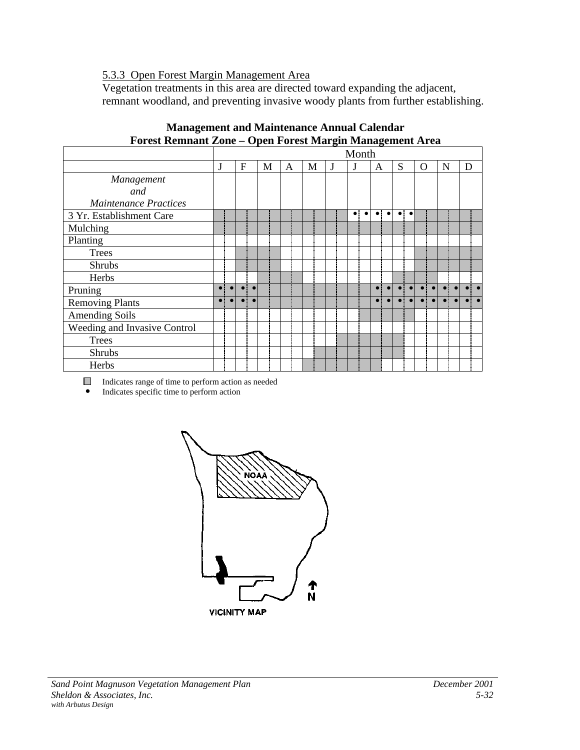## 5.3.3 Open Forest Margin Management Area

Vegetation treatments in this area are directed toward expanding the adjacent, remnant woodland, and preventing invasive woody plants from further establishing.

|                              |           |           |           |           |   |   |   |   | Month                  |           |           |           |           |             |           |   |   |  |
|------------------------------|-----------|-----------|-----------|-----------|---|---|---|---|------------------------|-----------|-----------|-----------|-----------|-------------|-----------|---|---|--|
|                              | J         |           | F         |           | M | A | M | J | J                      | A         |           | S         |           | $\Omega$    |           | N | D |  |
| Management                   |           |           |           |           |   |   |   |   |                        |           |           |           |           |             |           |   |   |  |
| and                          |           |           |           |           |   |   |   |   |                        |           |           |           |           |             |           |   |   |  |
| <b>Maintenance Practices</b> |           |           |           |           |   |   |   |   |                        |           |           |           |           |             |           |   |   |  |
| 3 Yr. Establishment Care     |           |           |           |           |   |   |   |   | $\bullet$<br>$\bullet$ | $\bullet$ | $\bullet$ | $\bullet$ | $\bullet$ |             |           |   |   |  |
| Mulching                     |           |           |           |           |   |   |   |   |                        |           |           |           |           |             |           |   |   |  |
| Planting                     |           |           |           |           |   |   |   |   |                        |           |           |           |           |             |           |   |   |  |
| <b>Trees</b>                 |           |           |           |           |   |   |   |   |                        |           |           |           |           |             |           |   |   |  |
| <b>Shrubs</b>                |           |           |           |           |   |   |   |   |                        |           |           |           |           |             |           |   |   |  |
| Herbs                        |           |           |           |           |   |   |   |   |                        |           |           |           |           |             |           |   |   |  |
| Pruning                      | $\bullet$ | $\bullet$ | $\bullet$ | $\bullet$ |   |   |   |   |                        | $\bullet$ |           |           |           | $\bullet$ : | $\bullet$ |   |   |  |
| <b>Removing Plants</b>       | $\bullet$ | $\bullet$ |           | $\bullet$ |   |   |   |   |                        |           |           |           |           |             |           |   |   |  |
| <b>Amending Soils</b>        |           |           |           |           |   |   |   |   |                        |           |           |           |           |             |           |   |   |  |
| Weeding and Invasive Control |           |           |           |           |   |   |   |   |                        |           |           |           |           |             |           |   |   |  |
| <b>Trees</b>                 |           |           |           |           |   |   |   |   |                        |           |           |           |           |             |           |   |   |  |
| Shrubs                       |           |           |           |           |   |   |   |   |                        |           |           |           |           |             |           |   |   |  |
| Herbs                        |           |           |           |           |   |   |   |   |                        |           |           |           |           |             |           |   |   |  |

# **Management and Maintenance Annual Calendar Forest Remnant Zone – Open Forest Margin Management Area**

Indicates range of time to perform action as needed

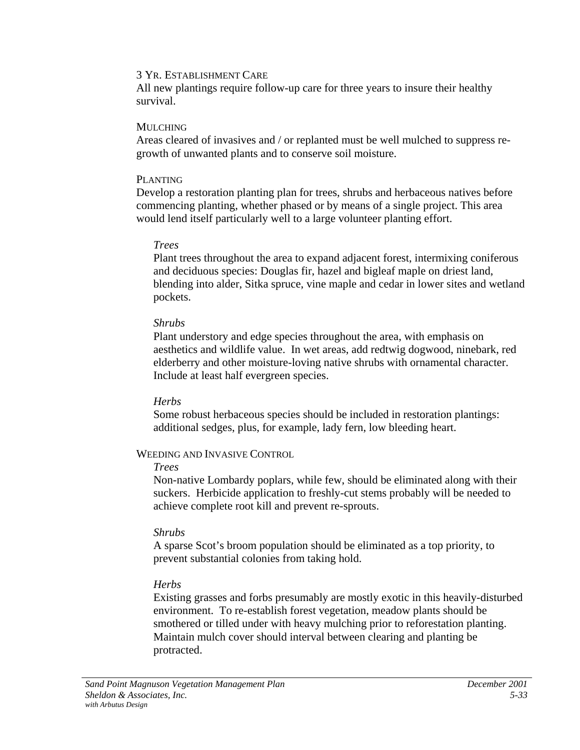All new plantings require follow-up care for three years to insure their healthy survival.

#### MULCHING

Areas cleared of invasives and / or replanted must be well mulched to suppress regrowth of unwanted plants and to conserve soil moisture.

#### PLANTING

Develop a restoration planting plan for trees, shrubs and herbaceous natives before commencing planting, whether phased or by means of a single project. This area would lend itself particularly well to a large volunteer planting effort.

## *Trees*

Plant trees throughout the area to expand adjacent forest, intermixing coniferous and deciduous species: Douglas fir, hazel and bigleaf maple on driest land, blending into alder, Sitka spruce, vine maple and cedar in lower sites and wetland pockets.

## *Shrubs*

Plant understory and edge species throughout the area, with emphasis on aesthetics and wildlife value. In wet areas, add redtwig dogwood, ninebark, red elderberry and other moisture-loving native shrubs with ornamental character. Include at least half evergreen species.

## *Herbs*

Some robust herbaceous species should be included in restoration plantings: additional sedges, plus, for example, lady fern, low bleeding heart.

## WEEDING AND INVASIVE CONTROL

## *Trees*

Non-native Lombardy poplars, while few, should be eliminated along with their suckers. Herbicide application to freshly-cut stems probably will be needed to achieve complete root kill and prevent re-sprouts.

## *Shrubs*

A sparse Scot's broom population should be eliminated as a top priority, to prevent substantial colonies from taking hold.

# *Herbs*

Existing grasses and forbs presumably are mostly exotic in this heavily-disturbed environment. To re-establish forest vegetation, meadow plants should be smothered or tilled under with heavy mulching prior to reforestation planting. Maintain mulch cover should interval between clearing and planting be protracted.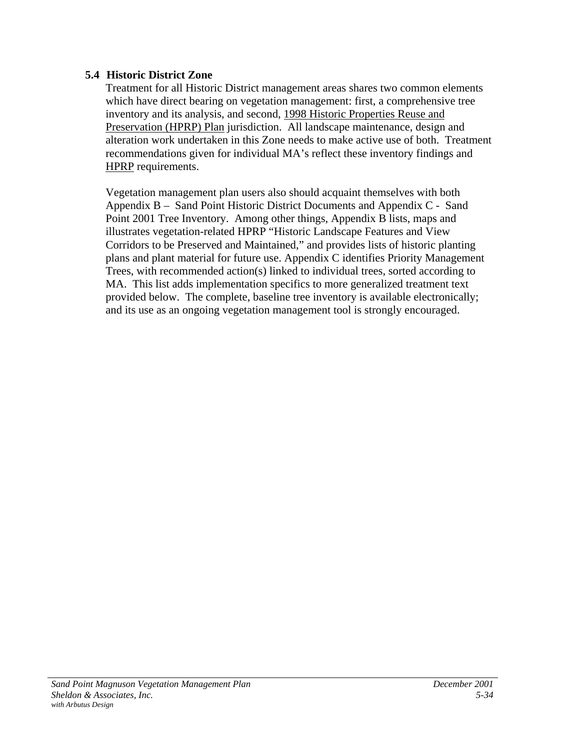# **5.4 Historic District Zone**

Treatment for all Historic District management areas shares two common elements which have direct bearing on vegetation management: first, a comprehensive tree inventory and its analysis, and second, 1998 Historic Properties Reuse and Preservation (HPRP) Plan jurisdiction. All landscape maintenance, design and alteration work undertaken in this Zone needs to make active use of both. Treatment recommendations given for individual MA's reflect these inventory findings and HPRP requirements.

Vegetation management plan users also should acquaint themselves with both Appendix B – Sand Point Historic District Documents and Appendix C - Sand Point 2001 Tree Inventory. Among other things, Appendix B lists, maps and illustrates vegetation-related HPRP "Historic Landscape Features and View Corridors to be Preserved and Maintained," and provides lists of historic planting plans and plant material for future use. Appendix C identifies Priority Management Trees, with recommended action(s) linked to individual trees, sorted according to MA. This list adds implementation specifics to more generalized treatment text provided below. The complete, baseline tree inventory is available electronically; and its use as an ongoing vegetation management tool is strongly encouraged.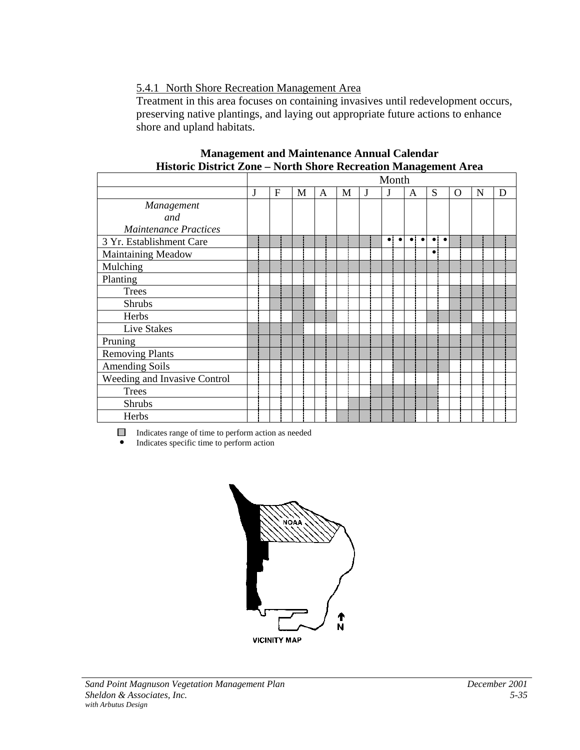# 5.4.1 North Shore Recreation Management Area

Treatment in this area focuses on containing invasives until redevelopment occurs, preserving native plantings, and laying out appropriate future actions to enhance shore and upland habitats.

|                              |   |   |   |   |   |   | Month                    |                        |                      |             |   |   |
|------------------------------|---|---|---|---|---|---|--------------------------|------------------------|----------------------|-------------|---|---|
|                              | J | F | M | A | M | J | J                        | A                      | S                    | $\mathbf O$ | N | D |
| Management                   |   |   |   |   |   |   |                          |                        |                      |             |   |   |
| and                          |   |   |   |   |   |   |                          |                        |                      |             |   |   |
| <b>Maintenance Practices</b> |   |   |   |   |   |   |                          |                        |                      |             |   |   |
| 3 Yr. Establishment Care     |   |   |   |   |   |   | $\bullet$<br>$\bullet$ : | $\bullet$<br>$\bullet$ | $\bullet\quadbullet$ |             |   |   |
| Maintaining Meadow           |   |   |   |   |   |   |                          |                        |                      |             |   |   |
| Mulching                     |   |   |   |   |   |   |                          |                        |                      |             |   |   |
| Planting                     |   |   |   |   |   |   |                          |                        |                      |             |   |   |
| <b>Trees</b>                 |   |   |   |   |   |   |                          |                        |                      |             |   |   |
| <b>Shrubs</b>                |   |   |   |   |   |   |                          |                        |                      |             |   |   |
| Herbs                        |   |   |   |   |   |   |                          |                        |                      |             |   |   |
| Live Stakes                  |   |   |   |   |   |   |                          |                        |                      |             |   |   |
| Pruning                      |   |   |   |   |   |   |                          |                        |                      |             |   |   |
| <b>Removing Plants</b>       |   |   |   |   |   |   |                          |                        |                      |             |   |   |
| <b>Amending Soils</b>        |   |   |   |   |   |   |                          |                        |                      |             |   |   |
| Weeding and Invasive Control |   |   |   |   |   |   |                          |                        |                      |             |   |   |
| <b>Trees</b>                 |   |   |   |   |   |   |                          |                        |                      |             |   |   |
| Shrubs                       |   |   |   |   |   |   |                          |                        |                      |             |   |   |
| Herbs                        |   |   |   |   |   |   |                          |                        |                      |             |   |   |

#### **Management and Maintenance Annual Calendar Historic District Zone – North Shore Recreation Management Area**

Indicates range of time to perform action as needed

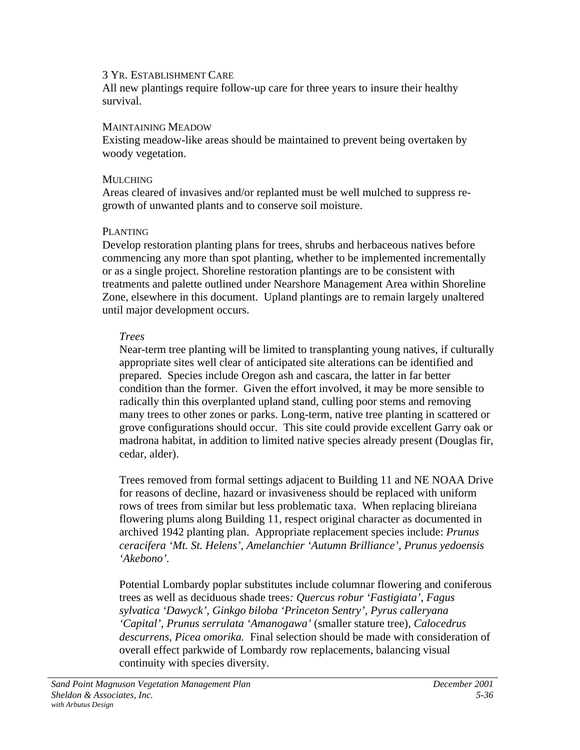All new plantings require follow-up care for three years to insure their healthy survival.

#### MAINTAINING MEADOW

Existing meadow-like areas should be maintained to prevent being overtaken by woody vegetation.

#### **MULCHING**

Areas cleared of invasives and/or replanted must be well mulched to suppress regrowth of unwanted plants and to conserve soil moisture.

## PLANTING

Develop restoration planting plans for trees, shrubs and herbaceous natives before commencing any more than spot planting, whether to be implemented incrementally or as a single project. Shoreline restoration plantings are to be consistent with treatments and palette outlined under Nearshore Management Area within Shoreline Zone, elsewhere in this document. Upland plantings are to remain largely unaltered until major development occurs.

## *Trees*

Near-term tree planting will be limited to transplanting young natives, if culturally appropriate sites well clear of anticipated site alterations can be identified and prepared. Species include Oregon ash and cascara, the latter in far better condition than the former. Given the effort involved, it may be more sensible to radically thin this overplanted upland stand, culling poor stems and removing many trees to other zones or parks. Long-term, native tree planting in scattered or grove configurations should occur. This site could provide excellent Garry oak or madrona habitat, in addition to limited native species already present (Douglas fir, cedar, alder).

Trees removed from formal settings adjacent to Building 11 and NE NOAA Drive for reasons of decline, hazard or invasiveness should be replaced with uniform rows of trees from similar but less problematic taxa. When replacing blireiana flowering plums along Building 11, respect original character as documented in archived 1942 planting plan. Appropriate replacement species include: *Prunus ceracifera 'Mt. St. Helens', Amelanchier 'Autumn Brilliance', Prunus yedoensis 'Akebono'.*

Potential Lombardy poplar substitutes include columnar flowering and coniferous trees as well as deciduous shade trees*: Quercus robur 'Fastigiata', Fagus sylvatica 'Dawyck', Ginkgo biloba 'Princeton Sentry', Pyrus calleryana 'Capital', Prunus serrulata 'Amanogawa'* (smaller stature tree), *Calocedrus descurrens, Picea omorika.* Final selection should be made with consideration of overall effect parkwide of Lombardy row replacements, balancing visual continuity with species diversity*.*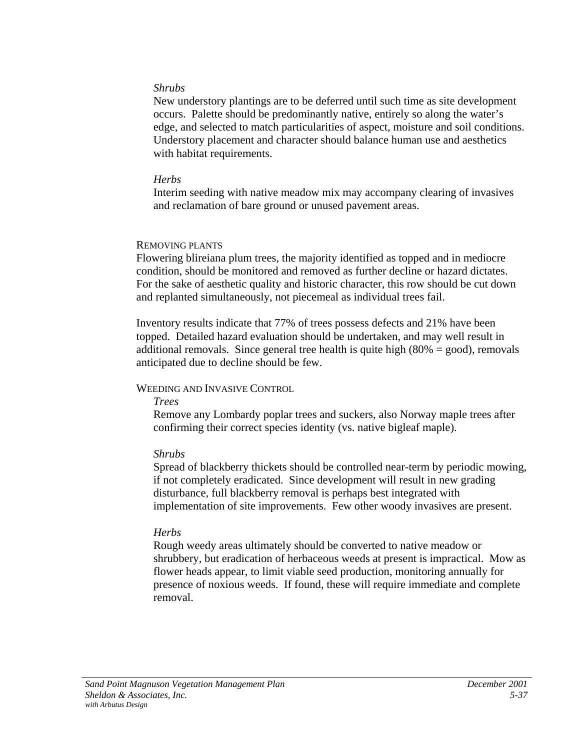#### *Shrubs*

New understory plantings are to be deferred until such time as site development occurs. Palette should be predominantly native, entirely so along the water's edge, and selected to match particularities of aspect, moisture and soil conditions. Understory placement and character should balance human use and aesthetics with habitat requirements.

#### *Herbs*

Interim seeding with native meadow mix may accompany clearing of invasives and reclamation of bare ground or unused pavement areas.

#### REMOVING PLANTS

Flowering blireiana plum trees, the majority identified as topped and in mediocre condition, should be monitored and removed as further decline or hazard dictates. For the sake of aesthetic quality and historic character, this row should be cut down and replanted simultaneously, not piecemeal as individual trees fail.

Inventory results indicate that 77% of trees possess defects and 21% have been topped. Detailed hazard evaluation should be undertaken, and may well result in additional removals. Since general tree health is quite high  $(80\% = \text{good})$ , removals anticipated due to decline should be few.

## WEEDING AND INVASIVE CONTROL

#### *Trees*

Remove any Lombardy poplar trees and suckers, also Norway maple trees after confirming their correct species identity (vs. native bigleaf maple).

## *Shrubs*

Spread of blackberry thickets should be controlled near-term by periodic mowing, if not completely eradicated. Since development will result in new grading disturbance, full blackberry removal is perhaps best integrated with implementation of site improvements. Few other woody invasives are present.

## *Herbs*

Rough weedy areas ultimately should be converted to native meadow or shrubbery, but eradication of herbaceous weeds at present is impractical. Mow as flower heads appear, to limit viable seed production, monitoring annually for presence of noxious weeds. If found, these will require immediate and complete removal.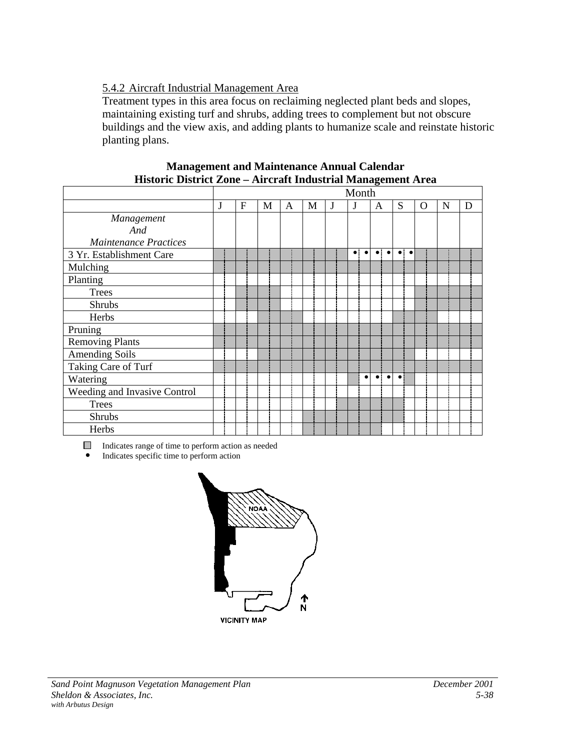# 5.4.2 Aircraft Industrial Management Area

Treatment types in this area focus on reclaiming neglected plant beds and slopes, maintaining existing turf and shrubs, adding trees to complement but not obscure buildings and the view axis, and adding plants to humanize scale and reinstate historic planting plans.

| THSWER DISTRICT ZONC – AILCLART INGUSTRIA MANAGEMENT ATCA |   |                  |   |   |   |   |                          |                          |                       |          |   |   |
|-----------------------------------------------------------|---|------------------|---|---|---|---|--------------------------|--------------------------|-----------------------|----------|---|---|
|                                                           |   |                  |   |   |   |   | Month                    |                          |                       |          |   |   |
|                                                           | J | $\boldsymbol{F}$ | M | A | M | J | J                        | A                        | S                     | $\Omega$ | N | D |
| Management                                                |   |                  |   |   |   |   |                          |                          |                       |          |   |   |
| And                                                       |   |                  |   |   |   |   |                          |                          |                       |          |   |   |
| <b>Maintenance Practices</b>                              |   |                  |   |   |   |   |                          |                          |                       |          |   |   |
| 3 Yr. Establishment Care                                  |   |                  |   |   |   |   | $\bullet$ :<br>$\bullet$ | $\bullet$ :<br>$\bullet$ | $\bullet$ : $\bullet$ |          |   |   |
| Mulching                                                  |   |                  |   |   |   |   |                          |                          |                       |          |   |   |
| Planting                                                  |   |                  |   |   |   |   |                          |                          |                       |          |   |   |
| <b>Trees</b>                                              |   |                  |   |   |   |   |                          |                          |                       |          |   |   |
| <b>Shrubs</b>                                             |   |                  |   |   |   |   |                          |                          |                       |          |   |   |
| Herbs                                                     |   |                  |   |   |   |   |                          |                          |                       |          |   |   |
| Pruning                                                   |   |                  |   |   |   |   |                          |                          |                       |          |   |   |
| <b>Removing Plants</b>                                    |   |                  |   |   |   |   |                          |                          |                       |          |   |   |
| <b>Amending Soils</b>                                     |   |                  |   |   |   |   |                          |                          |                       |          |   |   |
| Taking Care of Turf                                       |   |                  |   |   |   |   |                          |                          |                       |          |   |   |
| Watering                                                  |   |                  |   |   |   |   | $\bullet$                | $\bullet$ $\bullet$      | $\bullet$             |          |   |   |
| Weeding and Invasive Control                              |   |                  |   |   |   |   |                          |                          |                       |          |   |   |
| <b>Trees</b>                                              |   |                  |   |   |   |   |                          |                          |                       |          |   |   |
| <b>Shrubs</b>                                             |   |                  |   |   |   |   |                          |                          |                       |          |   |   |
| Herbs                                                     |   |                  |   |   |   |   |                          |                          |                       |          |   |   |

#### **Management and Maintenance Annual Calendar Historic District Zone – Aircraft Industrial Management Area**

Indicates range of time to perform action as needed

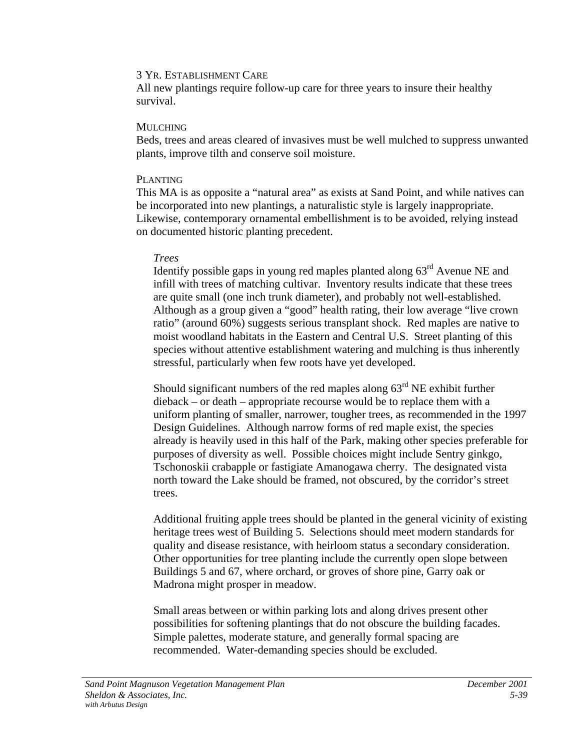All new plantings require follow-up care for three years to insure their healthy survival.

#### **MULCHING**

Beds, trees and areas cleared of invasives must be well mulched to suppress unwanted plants, improve tilth and conserve soil moisture.

#### PLANTING

This MA is as opposite a "natural area" as exists at Sand Point, and while natives can be incorporated into new plantings, a naturalistic style is largely inappropriate. Likewise, contemporary ornamental embellishment is to be avoided, relying instead on documented historic planting precedent.

#### *Trees*

Identify possible gaps in young red maples planted along 63rd Avenue NE and infill with trees of matching cultivar. Inventory results indicate that these trees are quite small (one inch trunk diameter), and probably not well-established. Although as a group given a "good" health rating, their low average "live crown ratio" (around 60%) suggests serious transplant shock. Red maples are native to moist woodland habitats in the Eastern and Central U.S. Street planting of this species without attentive establishment watering and mulching is thus inherently stressful, particularly when few roots have yet developed.

Should significant numbers of the red maples along  $63<sup>rd</sup>$  NE exhibit further dieback – or death – appropriate recourse would be to replace them with a uniform planting of smaller, narrower, tougher trees, as recommended in the 1997 Design Guidelines. Although narrow forms of red maple exist, the species already is heavily used in this half of the Park, making other species preferable for purposes of diversity as well. Possible choices might include Sentry ginkgo, Tschonoskii crabapple or fastigiate Amanogawa cherry. The designated vista north toward the Lake should be framed, not obscured, by the corridor's street trees.

Additional fruiting apple trees should be planted in the general vicinity of existing heritage trees west of Building 5. Selections should meet modern standards for quality and disease resistance, with heirloom status a secondary consideration. Other opportunities for tree planting include the currently open slope between Buildings 5 and 67, where orchard, or groves of shore pine, Garry oak or Madrona might prosper in meadow.

Small areas between or within parking lots and along drives present other possibilities for softening plantings that do not obscure the building facades. Simple palettes, moderate stature, and generally formal spacing are recommended. Water-demanding species should be excluded.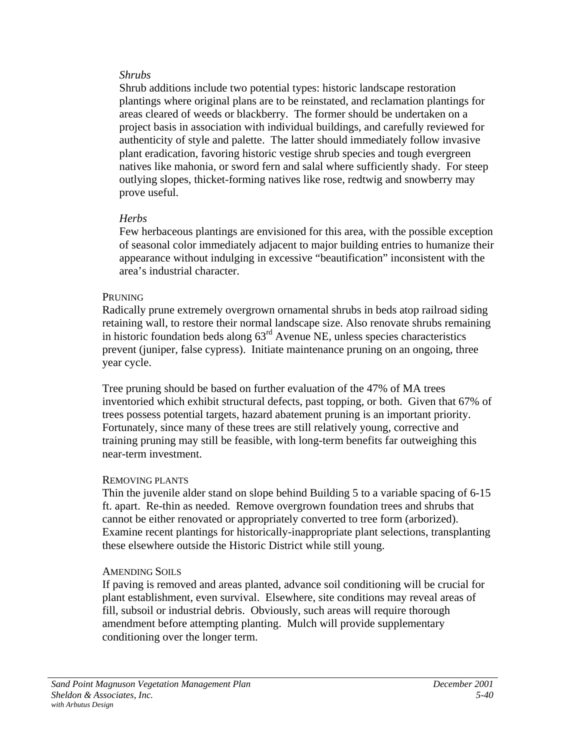## *Shrubs*

Shrub additions include two potential types: historic landscape restoration plantings where original plans are to be reinstated, and reclamation plantings for areas cleared of weeds or blackberry. The former should be undertaken on a project basis in association with individual buildings, and carefully reviewed for authenticity of style and palette. The latter should immediately follow invasive plant eradication, favoring historic vestige shrub species and tough evergreen natives like mahonia, or sword fern and salal where sufficiently shady. For steep outlying slopes, thicket-forming natives like rose, redtwig and snowberry may prove useful.

# *Herbs*

Few herbaceous plantings are envisioned for this area, with the possible exception of seasonal color immediately adjacent to major building entries to humanize their appearance without indulging in excessive "beautification" inconsistent with the area's industrial character.

# **PRUNING**

Radically prune extremely overgrown ornamental shrubs in beds atop railroad siding retaining wall, to restore their normal landscape size. Also renovate shrubs remaining in historic foundation beds along  $63<sup>rd</sup>$  Avenue NE, unless species characteristics prevent (juniper, false cypress). Initiate maintenance pruning on an ongoing, three year cycle.

Tree pruning should be based on further evaluation of the 47% of MA trees inventoried which exhibit structural defects, past topping, or both. Given that 67% of trees possess potential targets, hazard abatement pruning is an important priority. Fortunately, since many of these trees are still relatively young, corrective and training pruning may still be feasible, with long-term benefits far outweighing this near-term investment.

# REMOVING PLANTS

Thin the juvenile alder stand on slope behind Building 5 to a variable spacing of 6-15 ft. apart. Re-thin as needed. Remove overgrown foundation trees and shrubs that cannot be either renovated or appropriately converted to tree form (arborized). Examine recent plantings for historically-inappropriate plant selections, transplanting these elsewhere outside the Historic District while still young.

# AMENDING SOILS

If paving is removed and areas planted, advance soil conditioning will be crucial for plant establishment, even survival. Elsewhere, site conditions may reveal areas of fill, subsoil or industrial debris. Obviously, such areas will require thorough amendment before attempting planting. Mulch will provide supplementary conditioning over the longer term.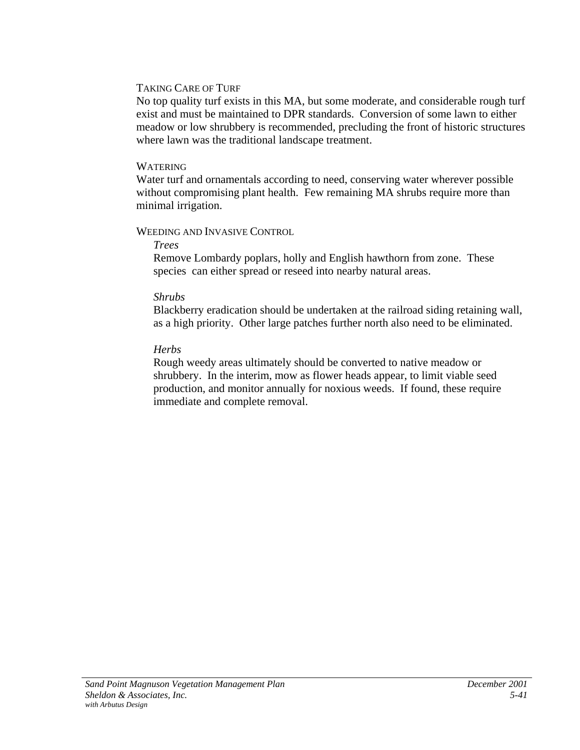#### TAKING CARE OF TURF

No top quality turf exists in this MA, but some moderate, and considerable rough turf exist and must be maintained to DPR standards. Conversion of some lawn to either meadow or low shrubbery is recommended, precluding the front of historic structures where lawn was the traditional landscape treatment.

#### WATERING

Water turf and ornamentals according to need, conserving water wherever possible without compromising plant health. Few remaining MA shrubs require more than minimal irrigation.

## WEEDING AND INVASIVE CONTROL

*Trees*

Remove Lombardy poplars, holly and English hawthorn from zone. These species can either spread or reseed into nearby natural areas.

## *Shrubs*

Blackberry eradication should be undertaken at the railroad siding retaining wall, as a high priority. Other large patches further north also need to be eliminated.

# *Herbs*

Rough weedy areas ultimately should be converted to native meadow or shrubbery. In the interim, mow as flower heads appear, to limit viable seed production, and monitor annually for noxious weeds. If found, these require immediate and complete removal.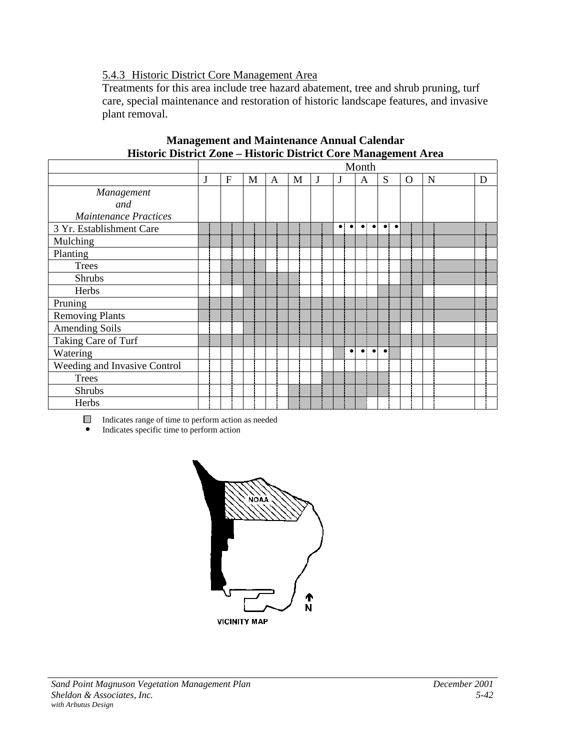# 5.4.3 Historic District Core Management Area

Treatments for this area include tree hazard abatement, tree and shrub pruning, turf care, special maintenance and restoration of historic landscape features, and invasive plant removal.

|                              |   |              |   |              |   |   |                        | Month                    |                  |   |   |   |
|------------------------------|---|--------------|---|--------------|---|---|------------------------|--------------------------|------------------|---|---|---|
|                              | J | $\mathbf{F}$ | M | $\mathbf{A}$ | M | J | J                      | A                        | S                | O | N | D |
| Management                   |   |              |   |              |   |   |                        |                          |                  |   |   |   |
| and                          |   |              |   |              |   |   |                        |                          |                  |   |   |   |
| <b>Maintenance Practices</b> |   |              |   |              |   |   |                        |                          |                  |   |   |   |
| 3 Yr. Establishment Care     |   |              |   |              |   |   | $\bullet\vdash\bullet$ | $\bullet\vdash\bullet$   | $\bullet\bullet$ |   |   |   |
| Mulching                     |   |              |   |              |   |   |                        |                          |                  |   |   |   |
| Planting                     |   |              |   |              |   |   |                        |                          |                  |   |   |   |
| <b>Trees</b>                 |   |              |   |              |   |   |                        |                          |                  |   |   |   |
| <b>Shrubs</b>                |   |              |   |              |   |   |                        |                          |                  |   |   |   |
| Herbs                        |   |              |   |              |   |   |                        |                          |                  |   |   |   |
| Pruning                      |   |              |   |              |   |   |                        |                          |                  |   |   |   |
| <b>Removing Plants</b>       |   |              |   |              |   |   |                        |                          |                  |   |   |   |
| Amending Soils               |   |              |   |              |   |   |                        |                          |                  |   |   |   |
| Taking Care of Turf          |   |              |   |              |   |   |                        |                          |                  |   |   |   |
| Watering                     |   |              |   |              |   |   | $\bullet$              | $\bullet$ :<br>$\bullet$ | $\bullet$        |   |   |   |
| Weeding and Invasive Control |   |              |   |              |   |   |                        |                          |                  |   |   |   |
| <b>Trees</b>                 |   |              |   |              |   |   |                        |                          |                  |   |   |   |
| <b>Shrubs</b>                |   |              |   |              |   |   |                        |                          |                  |   |   |   |
| Herbs                        |   |              |   |              |   |   |                        |                          |                  |   |   |   |

#### **Management and Maintenance Annual Calendar Historic District Zone – Historic District Core Management Area**

Indicates range of time to perform action as needed

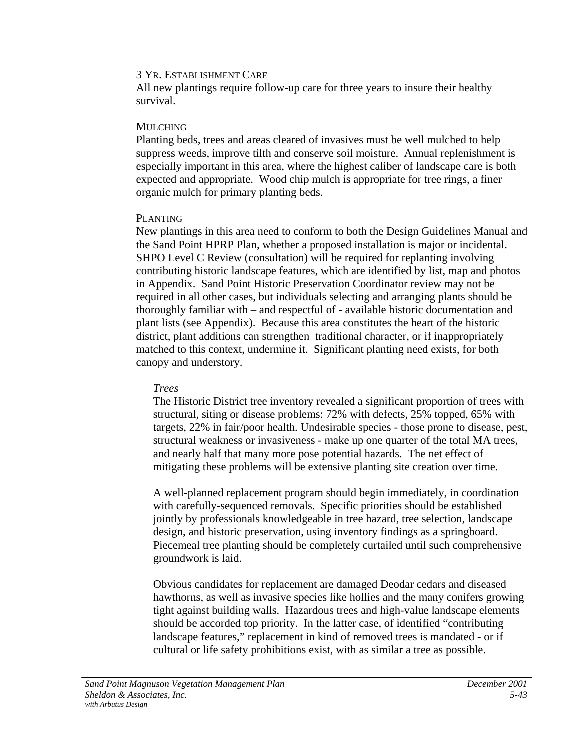All new plantings require follow-up care for three years to insure their healthy survival.

## MULCHING

Planting beds, trees and areas cleared of invasives must be well mulched to help suppress weeds, improve tilth and conserve soil moisture. Annual replenishment is especially important in this area, where the highest caliber of landscape care is both expected and appropriate. Wood chip mulch is appropriate for tree rings, a finer organic mulch for primary planting beds.

# PLANTING

New plantings in this area need to conform to both the Design Guidelines Manual and the Sand Point HPRP Plan, whether a proposed installation is major or incidental. SHPO Level C Review (consultation) will be required for replanting involving contributing historic landscape features, which are identified by list, map and photos in Appendix. Sand Point Historic Preservation Coordinator review may not be required in all other cases, but individuals selecting and arranging plants should be thoroughly familiar with – and respectful of - available historic documentation and plant lists (see Appendix). Because this area constitutes the heart of the historic district, plant additions can strengthen traditional character, or if inappropriately matched to this context, undermine it. Significant planting need exists, for both canopy and understory.

# *Trees*

The Historic District tree inventory revealed a significant proportion of trees with structural, siting or disease problems: 72% with defects, 25% topped, 65% with targets, 22% in fair/poor health. Undesirable species - those prone to disease, pest, structural weakness or invasiveness - make up one quarter of the total MA trees, and nearly half that many more pose potential hazards. The net effect of mitigating these problems will be extensive planting site creation over time.

A well-planned replacement program should begin immediately, in coordination with carefully-sequenced removals. Specific priorities should be established jointly by professionals knowledgeable in tree hazard, tree selection, landscape design, and historic preservation, using inventory findings as a springboard. Piecemeal tree planting should be completely curtailed until such comprehensive groundwork is laid.

Obvious candidates for replacement are damaged Deodar cedars and diseased hawthorns, as well as invasive species like hollies and the many conifers growing tight against building walls. Hazardous trees and high-value landscape elements should be accorded top priority. In the latter case, of identified "contributing landscape features," replacement in kind of removed trees is mandated - or if cultural or life safety prohibitions exist, with as similar a tree as possible.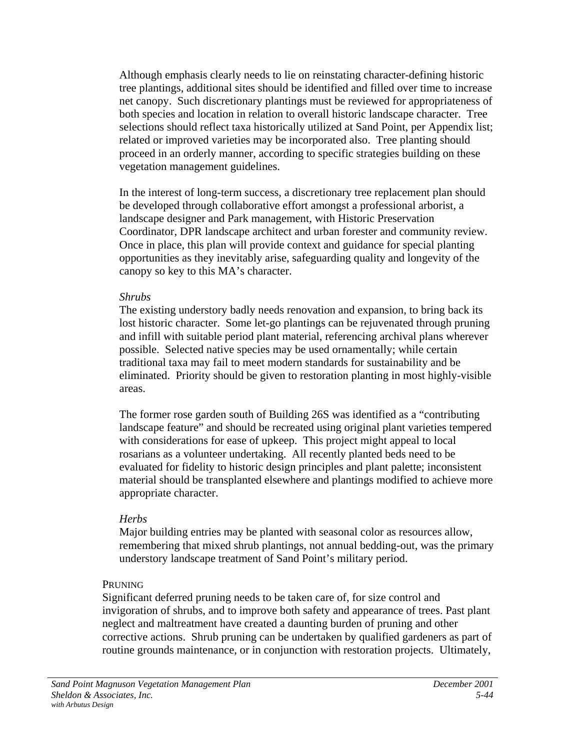Although emphasis clearly needs to lie on reinstating character-defining historic tree plantings, additional sites should be identified and filled over time to increase net canopy. Such discretionary plantings must be reviewed for appropriateness of both species and location in relation to overall historic landscape character. Tree selections should reflect taxa historically utilized at Sand Point, per Appendix list; related or improved varieties may be incorporated also. Tree planting should proceed in an orderly manner, according to specific strategies building on these vegetation management guidelines.

In the interest of long-term success, a discretionary tree replacement plan should be developed through collaborative effort amongst a professional arborist, a landscape designer and Park management, with Historic Preservation Coordinator, DPR landscape architect and urban forester and community review. Once in place, this plan will provide context and guidance for special planting opportunities as they inevitably arise, safeguarding quality and longevity of the canopy so key to this MA's character.

#### *Shrubs*

The existing understory badly needs renovation and expansion, to bring back its lost historic character. Some let-go plantings can be rejuvenated through pruning and infill with suitable period plant material, referencing archival plans wherever possible. Selected native species may be used ornamentally; while certain traditional taxa may fail to meet modern standards for sustainability and be eliminated. Priority should be given to restoration planting in most highly-visible areas.

The former rose garden south of Building 26S was identified as a "contributing landscape feature" and should be recreated using original plant varieties tempered with considerations for ease of upkeep. This project might appeal to local rosarians as a volunteer undertaking. All recently planted beds need to be evaluated for fidelity to historic design principles and plant palette; inconsistent material should be transplanted elsewhere and plantings modified to achieve more appropriate character.

## *Herbs*

Major building entries may be planted with seasonal color as resources allow, remembering that mixed shrub plantings, not annual bedding-out, was the primary understory landscape treatment of Sand Point's military period.

## PRUNING

Significant deferred pruning needs to be taken care of, for size control and invigoration of shrubs, and to improve both safety and appearance of trees. Past plant neglect and maltreatment have created a daunting burden of pruning and other corrective actions. Shrub pruning can be undertaken by qualified gardeners as part of routine grounds maintenance, or in conjunction with restoration projects. Ultimately,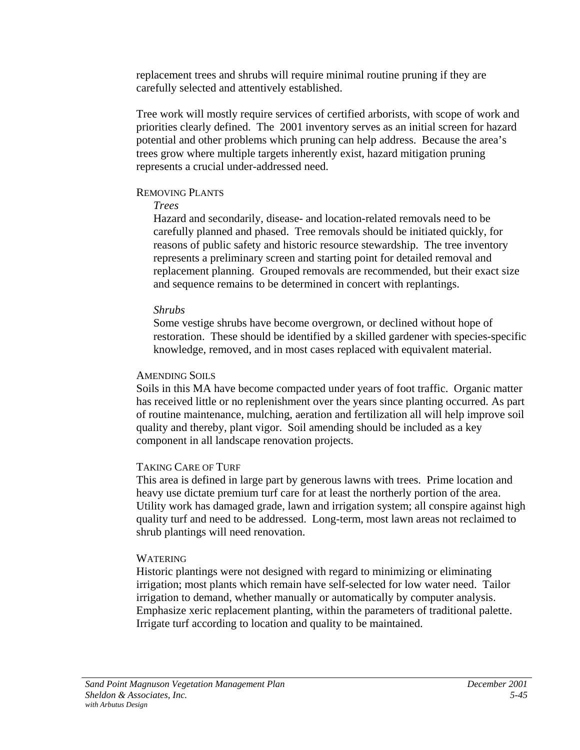replacement trees and shrubs will require minimal routine pruning if they are carefully selected and attentively established.

Tree work will mostly require services of certified arborists, with scope of work and priorities clearly defined. The 2001 inventory serves as an initial screen for hazard potential and other problems which pruning can help address. Because the area's trees grow where multiple targets inherently exist, hazard mitigation pruning represents a crucial under-addressed need.

#### REMOVING PLANTS

## *Trees*

Hazard and secondarily, disease- and location-related removals need to be carefully planned and phased. Tree removals should be initiated quickly, for reasons of public safety and historic resource stewardship. The tree inventory represents a preliminary screen and starting point for detailed removal and replacement planning. Grouped removals are recommended, but their exact size and sequence remains to be determined in concert with replantings.

## *Shrubs*

Some vestige shrubs have become overgrown, or declined without hope of restoration. These should be identified by a skilled gardener with species-specific knowledge, removed, and in most cases replaced with equivalent material.

## AMENDING SOILS

Soils in this MA have become compacted under years of foot traffic. Organic matter has received little or no replenishment over the years since planting occurred. As part of routine maintenance, mulching, aeration and fertilization all will help improve soil quality and thereby, plant vigor. Soil amending should be included as a key component in all landscape renovation projects.

## TAKING CARE OF TURF

This area is defined in large part by generous lawns with trees. Prime location and heavy use dictate premium turf care for at least the northerly portion of the area. Utility work has damaged grade, lawn and irrigation system; all conspire against high quality turf and need to be addressed. Long-term, most lawn areas not reclaimed to shrub plantings will need renovation.

## **WATERING**

Historic plantings were not designed with regard to minimizing or eliminating irrigation; most plants which remain have self-selected for low water need. Tailor irrigation to demand, whether manually or automatically by computer analysis. Emphasize xeric replacement planting, within the parameters of traditional palette. Irrigate turf according to location and quality to be maintained.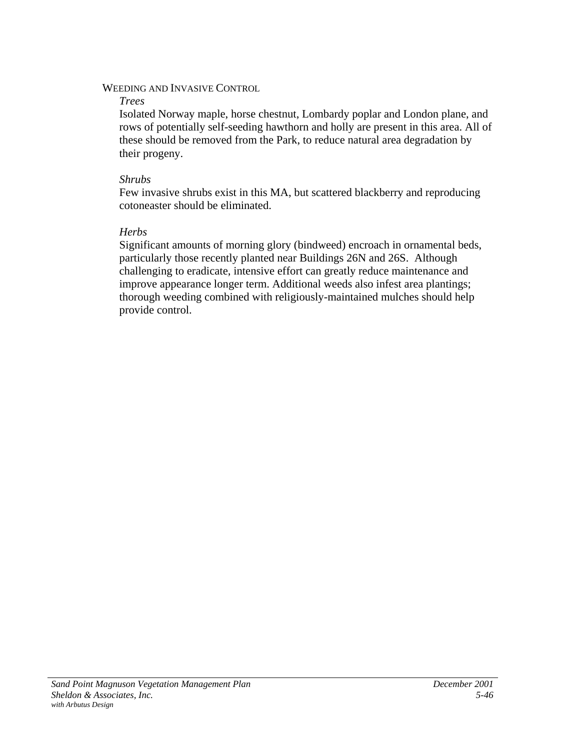## WEEDING AND INVASIVE CONTROL

## *Trees*

Isolated Norway maple, horse chestnut, Lombardy poplar and London plane, and rows of potentially self-seeding hawthorn and holly are present in this area. All of these should be removed from the Park, to reduce natural area degradation by their progeny.

## *Shrubs*

Few invasive shrubs exist in this MA, but scattered blackberry and reproducing cotoneaster should be eliminated.

# *Herbs*

Significant amounts of morning glory (bindweed) encroach in ornamental beds, particularly those recently planted near Buildings 26N and 26S. Although challenging to eradicate, intensive effort can greatly reduce maintenance and improve appearance longer term. Additional weeds also infest area plantings; thorough weeding combined with religiously-maintained mulches should help provide control.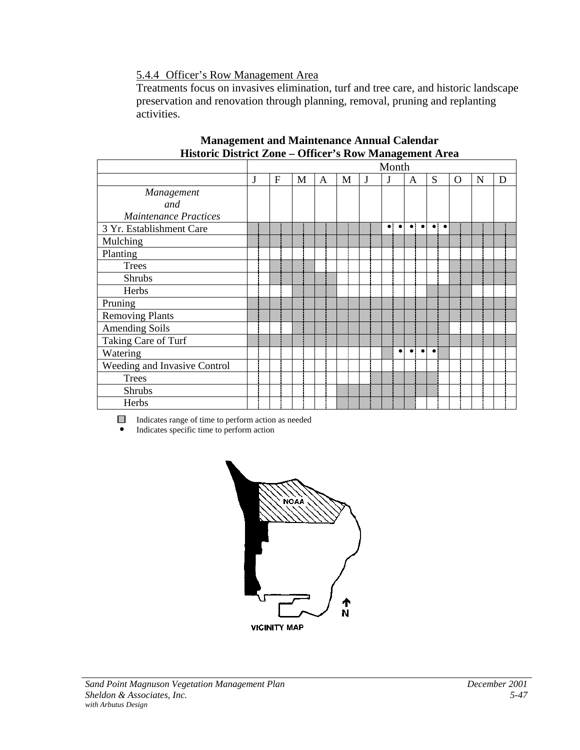5.4.4 Officer's Row Management Area

Treatments focus on invasives elimination, turf and tree care, and historic landscape preservation and renovation through planning, removal, pruning and replanting activities.

|                              |   |   |              |   |   |   | Month                    |                          |                        |             |   |   |
|------------------------------|---|---|--------------|---|---|---|--------------------------|--------------------------|------------------------|-------------|---|---|
|                              | J | F | $\mathbf{M}$ | A | M | J | J                        | A                        | S                      | $\mathbf O$ | N | D |
| Management                   |   |   |              |   |   |   |                          |                          |                        |             |   |   |
| and                          |   |   |              |   |   |   |                          |                          |                        |             |   |   |
| <b>Maintenance Practices</b> |   |   |              |   |   |   |                          |                          |                        |             |   |   |
| 3 Yr. Establishment Care     |   |   |              |   |   |   | $\bullet$ :<br>$\bullet$ | $\bullet$ $\bullet$      | $\bullet\vdash\bullet$ |             |   |   |
| Mulching                     |   |   |              |   |   |   |                          |                          |                        |             |   |   |
| Planting                     |   |   |              |   |   |   |                          |                          |                        |             |   |   |
| <b>Trees</b>                 |   |   |              |   |   |   |                          |                          |                        |             |   |   |
| <b>Shrubs</b>                |   |   |              |   |   |   |                          |                          |                        |             |   |   |
| Herbs                        |   |   |              |   |   |   |                          |                          |                        |             |   |   |
| Pruning                      |   |   |              |   |   |   |                          |                          |                        |             |   |   |
| <b>Removing Plants</b>       |   |   |              |   |   |   |                          |                          |                        |             |   |   |
| <b>Amending Soils</b>        |   |   |              |   |   |   |                          |                          |                        |             |   |   |
| Taking Care of Turf          |   |   |              |   |   |   |                          |                          |                        |             |   |   |
| Watering                     |   |   |              |   |   |   | $\bullet$                | $\bullet$ :<br>$\bullet$ | $\bullet$              |             |   |   |
| Weeding and Invasive Control |   |   |              |   |   |   |                          |                          |                        |             |   |   |
| <b>Trees</b>                 |   |   |              |   |   |   |                          |                          |                        |             |   |   |
| Shrubs                       |   |   |              |   |   |   |                          |                          |                        |             |   |   |
| Herbs                        |   |   |              |   |   |   |                          |                          |                        |             |   |   |

#### **Management and Maintenance Annual Calendar Historic District Zone – Officer's Row Management Area**

Indicates range of time to perform action as needed

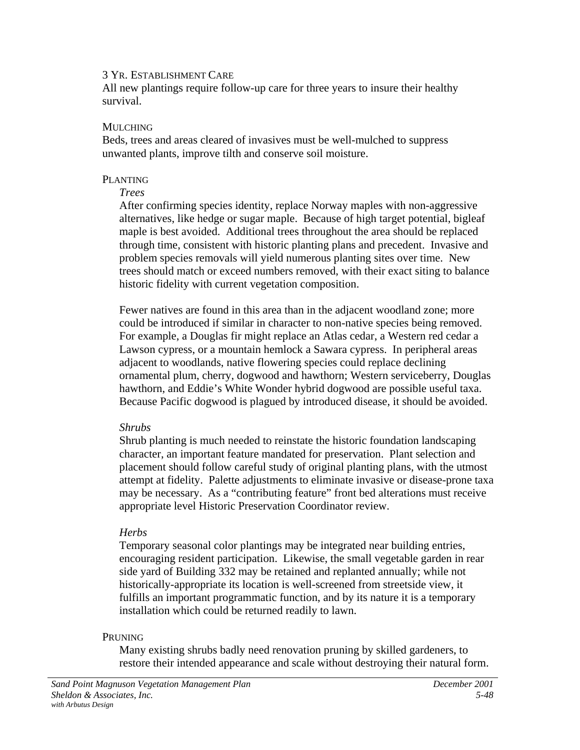All new plantings require follow-up care for three years to insure their healthy survival.

#### MULCHING

Beds, trees and areas cleared of invasives must be well-mulched to suppress unwanted plants, improve tilth and conserve soil moisture.

#### PLANTING

#### *Trees*

After confirming species identity, replace Norway maples with non-aggressive alternatives, like hedge or sugar maple. Because of high target potential, bigleaf maple is best avoided. Additional trees throughout the area should be replaced through time, consistent with historic planting plans and precedent. Invasive and problem species removals will yield numerous planting sites over time. New trees should match or exceed numbers removed, with their exact siting to balance historic fidelity with current vegetation composition.

Fewer natives are found in this area than in the adjacent woodland zone; more could be introduced if similar in character to non-native species being removed. For example, a Douglas fir might replace an Atlas cedar, a Western red cedar a Lawson cypress, or a mountain hemlock a Sawara cypress. In peripheral areas adjacent to woodlands, native flowering species could replace declining ornamental plum, cherry, dogwood and hawthorn; Western serviceberry, Douglas hawthorn, and Eddie's White Wonder hybrid dogwood are possible useful taxa. Because Pacific dogwood is plagued by introduced disease, it should be avoided.

## *Shrubs*

Shrub planting is much needed to reinstate the historic foundation landscaping character, an important feature mandated for preservation. Plant selection and placement should follow careful study of original planting plans, with the utmost attempt at fidelity. Palette adjustments to eliminate invasive or disease-prone taxa may be necessary. As a "contributing feature" front bed alterations must receive appropriate level Historic Preservation Coordinator review.

## *Herbs*

Temporary seasonal color plantings may be integrated near building entries, encouraging resident participation. Likewise, the small vegetable garden in rear side yard of Building 332 may be retained and replanted annually; while not historically-appropriate its location is well-screened from streetside view, it fulfills an important programmatic function, and by its nature it is a temporary installation which could be returned readily to lawn.

## PRUNING

Many existing shrubs badly need renovation pruning by skilled gardeners, to restore their intended appearance and scale without destroying their natural form.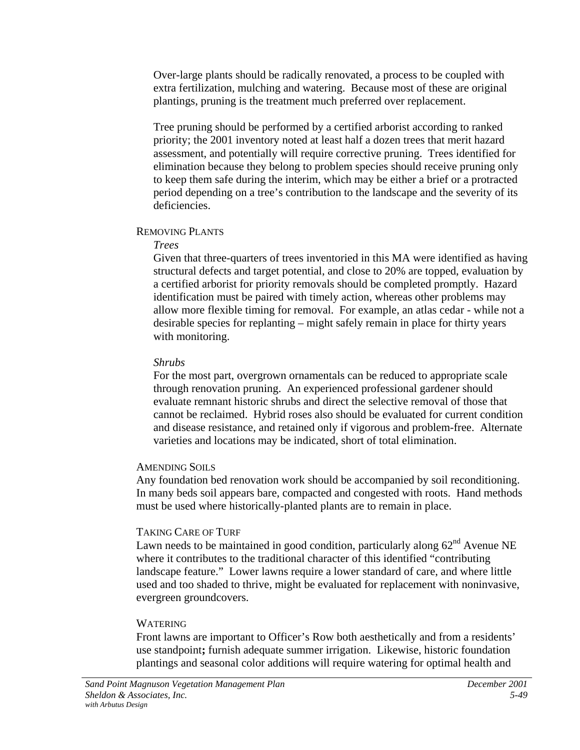Over-large plants should be radically renovated, a process to be coupled with extra fertilization, mulching and watering. Because most of these are original plantings, pruning is the treatment much preferred over replacement.

Tree pruning should be performed by a certified arborist according to ranked priority; the 2001 inventory noted at least half a dozen trees that merit hazard assessment, and potentially will require corrective pruning. Trees identified for elimination because they belong to problem species should receive pruning only to keep them safe during the interim, which may be either a brief or a protracted period depending on a tree's contribution to the landscape and the severity of its deficiencies.

## REMOVING PLANTS

#### *Trees*

Given that three-quarters of trees inventoried in this MA were identified as having structural defects and target potential, and close to 20% are topped, evaluation by a certified arborist for priority removals should be completed promptly. Hazard identification must be paired with timely action, whereas other problems may allow more flexible timing for removal. For example, an atlas cedar - while not a desirable species for replanting – might safely remain in place for thirty years with monitoring.

## *Shrubs*

For the most part, overgrown ornamentals can be reduced to appropriate scale through renovation pruning. An experienced professional gardener should evaluate remnant historic shrubs and direct the selective removal of those that cannot be reclaimed. Hybrid roses also should be evaluated for current condition and disease resistance, and retained only if vigorous and problem-free. Alternate varieties and locations may be indicated, short of total elimination.

## AMENDING SOILS

Any foundation bed renovation work should be accompanied by soil reconditioning. In many beds soil appears bare, compacted and congested with roots. Hand methods must be used where historically-planted plants are to remain in place.

## TAKING CARE OF TURF

Lawn needs to be maintained in good condition, particularly along  $62<sup>nd</sup>$  Avenue NE where it contributes to the traditional character of this identified "contributing landscape feature." Lower lawns require a lower standard of care, and where little used and too shaded to thrive, might be evaluated for replacement with noninvasive, evergreen groundcovers.

# **WATERING**

Front lawns are important to Officer's Row both aesthetically and from a residents' use standpoint**;** furnish adequate summer irrigation. Likewise, historic foundation plantings and seasonal color additions will require watering for optimal health and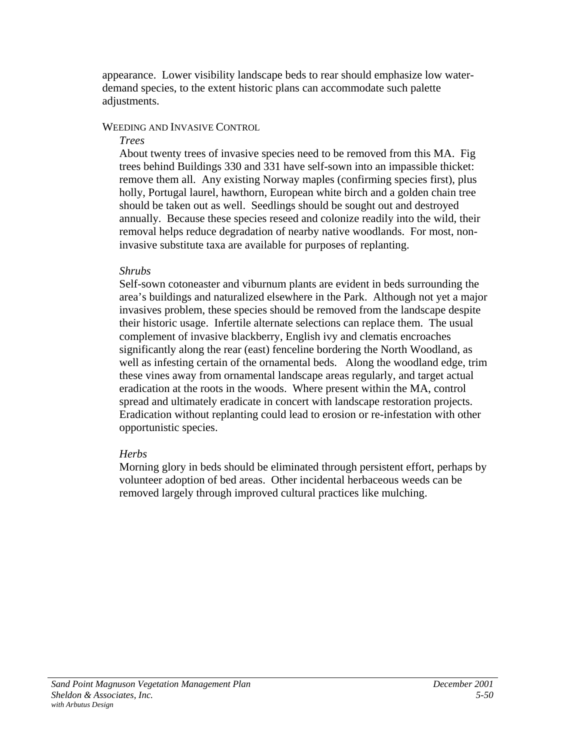appearance. Lower visibility landscape beds to rear should emphasize low waterdemand species, to the extent historic plans can accommodate such palette adjustments.

## WEEDING AND INVASIVE CONTROL

#### *Trees*

About twenty trees of invasive species need to be removed from this MA. Fig trees behind Buildings 330 and 331 have self-sown into an impassible thicket: remove them all. Any existing Norway maples (confirming species first), plus holly, Portugal laurel, hawthorn, European white birch and a golden chain tree should be taken out as well. Seedlings should be sought out and destroyed annually. Because these species reseed and colonize readily into the wild, their removal helps reduce degradation of nearby native woodlands. For most, noninvasive substitute taxa are available for purposes of replanting.

## *Shrubs*

Self-sown cotoneaster and viburnum plants are evident in beds surrounding the area's buildings and naturalized elsewhere in the Park. Although not yet a major invasives problem, these species should be removed from the landscape despite their historic usage. Infertile alternate selections can replace them. The usual complement of invasive blackberry, English ivy and clematis encroaches significantly along the rear (east) fenceline bordering the North Woodland, as well as infesting certain of the ornamental beds. Along the woodland edge, trim these vines away from ornamental landscape areas regularly, and target actual eradication at the roots in the woods. Where present within the MA, control spread and ultimately eradicate in concert with landscape restoration projects. Eradication without replanting could lead to erosion or re-infestation with other opportunistic species.

# *Herbs*

Morning glory in beds should be eliminated through persistent effort, perhaps by volunteer adoption of bed areas. Other incidental herbaceous weeds can be removed largely through improved cultural practices like mulching.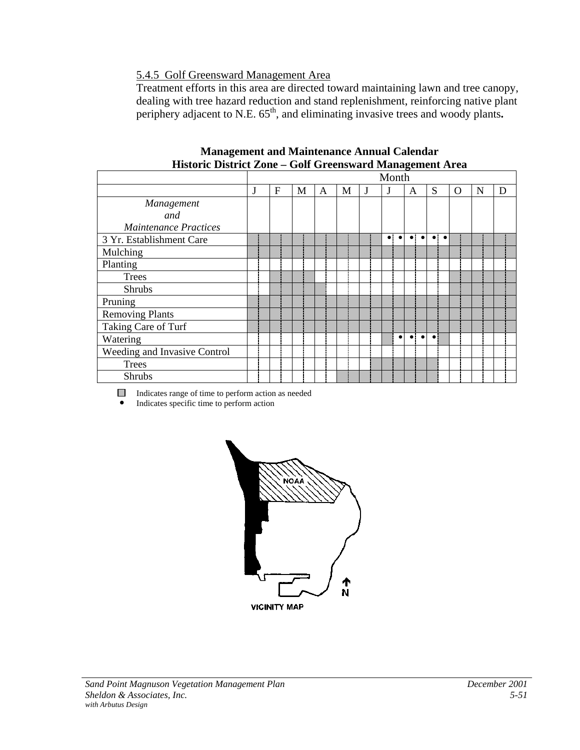# 5.4.5 Golf Greensward Management Area

Treatment efforts in this area are directed toward maintaining lawn and tree canopy, dealing with tree hazard reduction and stand replenishment, reinforcing native plant periphery adjacent to N.E. 65<sup>th</sup>, and eliminating invasive trees and woody plants.

|                              |   |   |   |   |   | Month                    |                     |                        |   |   |   |
|------------------------------|---|---|---|---|---|--------------------------|---------------------|------------------------|---|---|---|
|                              | F | М | A | М | J | J                        | A                   | S                      | O | N | D |
| Management                   |   |   |   |   |   |                          |                     |                        |   |   |   |
| and                          |   |   |   |   |   |                          |                     |                        |   |   |   |
| <b>Maintenance Practices</b> |   |   |   |   |   |                          |                     |                        |   |   |   |
| 3 Yr. Establishment Care     |   |   |   |   |   | $\bullet$ :<br>$\bullet$ | $\bullet$ $\bullet$ | $\bullet\vdash\bullet$ |   |   |   |
| Mulching                     |   |   |   |   |   |                          |                     |                        |   |   |   |
| Planting                     |   |   |   |   |   |                          |                     |                        |   |   |   |
| <b>Trees</b>                 |   |   |   |   |   |                          |                     |                        |   |   |   |
| <b>Shrubs</b>                |   |   |   |   |   |                          |                     |                        |   |   |   |
| Pruning                      |   |   |   |   |   |                          |                     |                        |   |   |   |
| <b>Removing Plants</b>       |   |   |   |   |   |                          |                     |                        |   |   |   |
| Taking Care of Turf          |   |   |   |   |   |                          |                     |                        |   |   |   |
| Watering                     |   |   |   |   |   | $\bullet$                |                     | $\bullet$              |   |   |   |
| Weeding and Invasive Control |   |   |   |   |   |                          |                     |                        |   |   |   |
| <b>Trees</b>                 |   |   |   |   |   |                          |                     |                        |   |   |   |
| <b>Shrubs</b>                |   |   |   |   |   |                          |                     |                        |   |   |   |

#### **Management and Maintenance Annual Calendar Historic District Zone – Golf Greensward Management Area**

Indicates range of time to perform action as needed

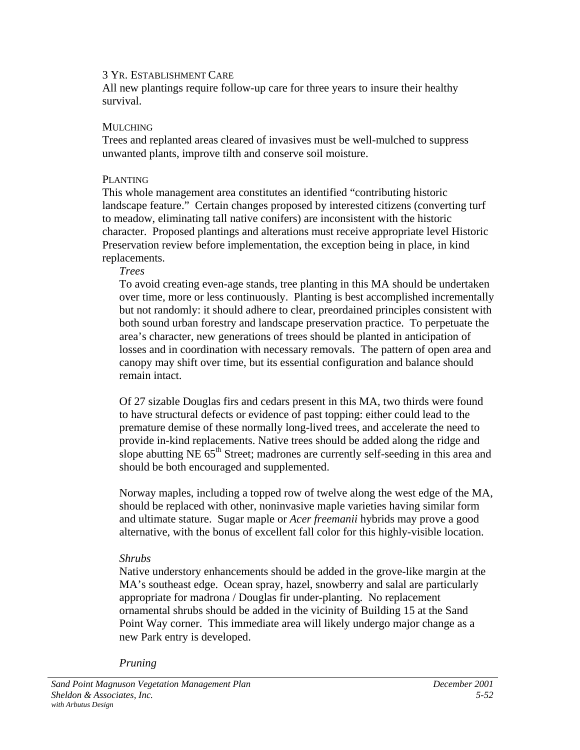All new plantings require follow-up care for three years to insure their healthy survival.

#### MULCHING

Trees and replanted areas cleared of invasives must be well-mulched to suppress unwanted plants, improve tilth and conserve soil moisture.

#### PLANTING

This whole management area constitutes an identified "contributing historic landscape feature." Certain changes proposed by interested citizens (converting turf to meadow, eliminating tall native conifers) are inconsistent with the historic character. Proposed plantings and alterations must receive appropriate level Historic Preservation review before implementation, the exception being in place, in kind replacements.

#### *Trees*

To avoid creating even-age stands, tree planting in this MA should be undertaken over time, more or less continuously. Planting is best accomplished incrementally but not randomly: it should adhere to clear, preordained principles consistent with both sound urban forestry and landscape preservation practice. To perpetuate the area's character, new generations of trees should be planted in anticipation of losses and in coordination with necessary removals. The pattern of open area and canopy may shift over time, but its essential configuration and balance should remain intact.

Of 27 sizable Douglas firs and cedars present in this MA, two thirds were found to have structural defects or evidence of past topping: either could lead to the premature demise of these normally long-lived trees, and accelerate the need to provide in-kind replacements. Native trees should be added along the ridge and slope abutting NE  $65<sup>th</sup>$  Street; madrones are currently self-seeding in this area and should be both encouraged and supplemented.

Norway maples, including a topped row of twelve along the west edge of the MA, should be replaced with other, noninvasive maple varieties having similar form and ultimate stature. Sugar maple or *Acer freemanii* hybrids may prove a good alternative, with the bonus of excellent fall color for this highly-visible location.

## *Shrubs*

Native understory enhancements should be added in the grove-like margin at the MA's southeast edge. Ocean spray, hazel, snowberry and salal are particularly appropriate for madrona / Douglas fir under-planting. No replacement ornamental shrubs should be added in the vicinity of Building 15 at the Sand Point Way corner. This immediate area will likely undergo major change as a new Park entry is developed.

*Pruning*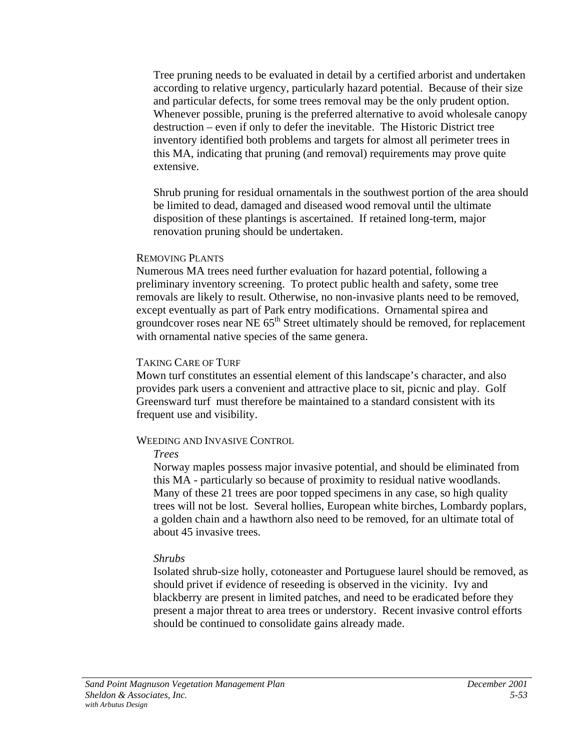Tree pruning needs to be evaluated in detail by a certified arborist and undertaken according to relative urgency, particularly hazard potential. Because of their size and particular defects, for some trees removal may be the only prudent option. Whenever possible, pruning is the preferred alternative to avoid wholesale canopy destruction – even if only to defer the inevitable. The Historic District tree inventory identified both problems and targets for almost all perimeter trees in this MA, indicating that pruning (and removal) requirements may prove quite extensive.

Shrub pruning for residual ornamentals in the southwest portion of the area should be limited to dead, damaged and diseased wood removal until the ultimate disposition of these plantings is ascertained. If retained long-term, major renovation pruning should be undertaken.

#### REMOVING PLANTS

Numerous MA trees need further evaluation for hazard potential, following a preliminary inventory screening. To protect public health and safety, some tree removals are likely to result. Otherwise, no non-invasive plants need to be removed, except eventually as part of Park entry modifications. Ornamental spirea and groundcover roses near NE 65<sup>th</sup> Street ultimately should be removed, for replacement with ornamental native species of the same genera.

#### TAKING CARE OF TURF

Mown turf constitutes an essential element of this landscape's character, and also provides park users a convenient and attractive place to sit, picnic and play. Golf Greensward turf must therefore be maintained to a standard consistent with its frequent use and visibility.

## WEEDING AND INVASIVE CONTROL

#### *Trees*

Norway maples possess major invasive potential, and should be eliminated from this MA - particularly so because of proximity to residual native woodlands. Many of these 21 trees are poor topped specimens in any case, so high quality trees will not be lost. Several hollies, European white birches, Lombardy poplars, a golden chain and a hawthorn also need to be removed, for an ultimate total of about 45 invasive trees.

## *Shrubs*

Isolated shrub-size holly, cotoneaster and Portuguese laurel should be removed, as should privet if evidence of reseeding is observed in the vicinity. Ivy and blackberry are present in limited patches, and need to be eradicated before they present a major threat to area trees or understory. Recent invasive control efforts should be continued to consolidate gains already made.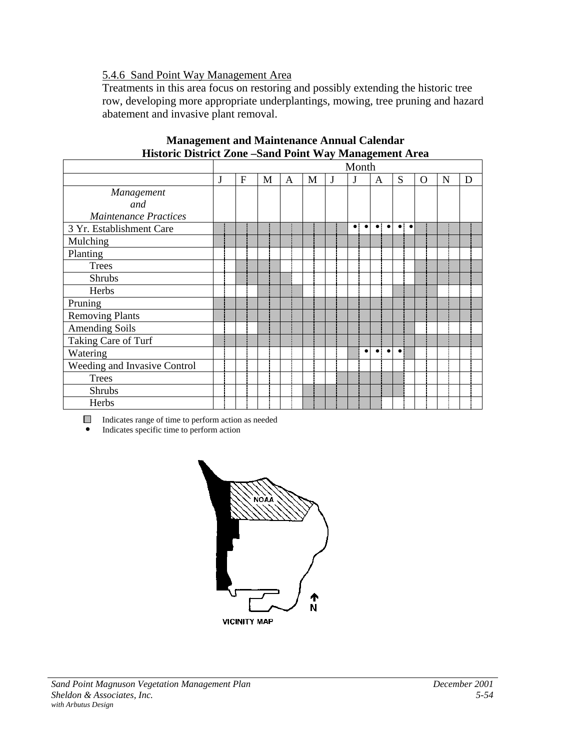# 5.4.6 Sand Point Way Management Area

Treatments in this area focus on restoring and possibly extending the historic tree row, developing more appropriate underplantings, mowing, tree pruning and hazard abatement and invasive plant removal.

|                              |   |                |   |   |   |   | Month                    |                          |                     |          |   |   |
|------------------------------|---|----------------|---|---|---|---|--------------------------|--------------------------|---------------------|----------|---|---|
|                              | J | $\overline{F}$ | M | A | M | J | J                        | A                        | S                   | $\Omega$ | N | D |
| Management                   |   |                |   |   |   |   |                          |                          |                     |          |   |   |
| and                          |   |                |   |   |   |   |                          |                          |                     |          |   |   |
| <b>Maintenance Practices</b> |   |                |   |   |   |   |                          |                          |                     |          |   |   |
| 3 Yr. Establishment Care     |   |                |   |   |   |   | $\bullet$ :<br>$\bullet$ | $\bullet$ $\bullet$      | $\bullet$ $\bullet$ |          |   |   |
| Mulching                     |   |                |   |   |   |   |                          |                          |                     |          |   |   |
| Planting                     |   |                |   |   |   |   |                          |                          |                     |          |   |   |
| <b>Trees</b>                 |   |                |   |   |   |   |                          |                          |                     |          |   |   |
| <b>Shrubs</b>                |   |                |   |   |   |   |                          |                          |                     |          |   |   |
| Herbs                        |   |                |   |   |   |   |                          |                          |                     |          |   |   |
| Pruning                      |   |                |   |   |   |   |                          |                          |                     |          |   |   |
| <b>Removing Plants</b>       |   |                |   |   |   |   |                          |                          |                     |          |   |   |
| <b>Amending Soils</b>        |   |                |   |   |   |   |                          |                          |                     |          |   |   |
| Taking Care of Turf          |   |                |   |   |   |   |                          |                          |                     |          |   |   |
| Watering                     |   |                |   |   |   |   | $\bullet$                | $\bullet$ :<br>$\bullet$ | $\bullet$           |          |   |   |
| Weeding and Invasive Control |   |                |   |   |   |   |                          |                          |                     |          |   |   |
| <b>Trees</b>                 |   |                |   |   |   |   |                          |                          |                     |          |   |   |
| Shrubs                       |   |                |   |   |   |   |                          |                          |                     |          |   |   |
| Herbs                        |   |                |   |   |   |   |                          |                          |                     |          |   |   |

#### **Management and Maintenance Annual Calendar Historic District Zone –Sand Point Way Management Area**

Indicates range of time to perform action as needed

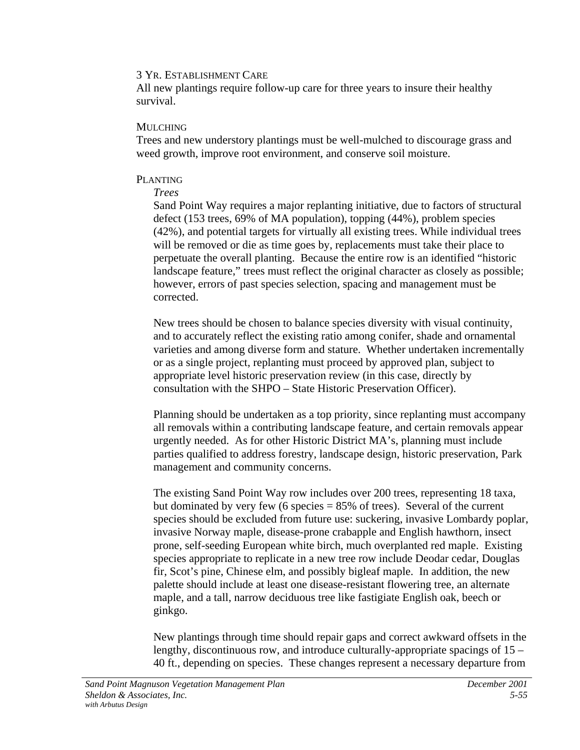All new plantings require follow-up care for three years to insure their healthy survival.

#### MULCHING

Trees and new understory plantings must be well-mulched to discourage grass and weed growth, improve root environment, and conserve soil moisture.

#### PLANTING

#### *Trees*

Sand Point Way requires a major replanting initiative, due to factors of structural defect (153 trees, 69% of MA population), topping (44%), problem species (42%), and potential targets for virtually all existing trees. While individual trees will be removed or die as time goes by, replacements must take their place to perpetuate the overall planting. Because the entire row is an identified "historic landscape feature," trees must reflect the original character as closely as possible; however, errors of past species selection, spacing and management must be corrected.

New trees should be chosen to balance species diversity with visual continuity, and to accurately reflect the existing ratio among conifer, shade and ornamental varieties and among diverse form and stature. Whether undertaken incrementally or as a single project, replanting must proceed by approved plan, subject to appropriate level historic preservation review (in this case, directly by consultation with the SHPO – State Historic Preservation Officer).

Planning should be undertaken as a top priority, since replanting must accompany all removals within a contributing landscape feature, and certain removals appear urgently needed. As for other Historic District MA's, planning must include parties qualified to address forestry, landscape design, historic preservation, Park management and community concerns.

The existing Sand Point Way row includes over 200 trees, representing 18 taxa, but dominated by very few (6 species  $= 85\%$  of trees). Several of the current species should be excluded from future use: suckering, invasive Lombardy poplar, invasive Norway maple, disease-prone crabapple and English hawthorn, insect prone, self-seeding European white birch, much overplanted red maple. Existing species appropriate to replicate in a new tree row include Deodar cedar, Douglas fir, Scot's pine, Chinese elm, and possibly bigleaf maple. In addition, the new palette should include at least one disease-resistant flowering tree, an alternate maple, and a tall, narrow deciduous tree like fastigiate English oak, beech or ginkgo.

New plantings through time should repair gaps and correct awkward offsets in the lengthy, discontinuous row, and introduce culturally-appropriate spacings of 15 – 40 ft., depending on species. These changes represent a necessary departure from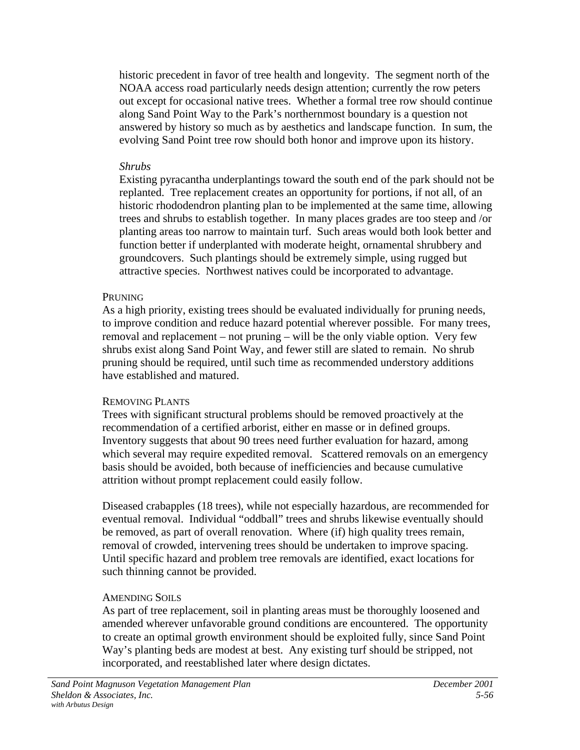historic precedent in favor of tree health and longevity. The segment north of the NOAA access road particularly needs design attention; currently the row peters out except for occasional native trees. Whether a formal tree row should continue along Sand Point Way to the Park's northernmost boundary is a question not answered by history so much as by aesthetics and landscape function. In sum, the evolving Sand Point tree row should both honor and improve upon its history.

## *Shrubs*

Existing pyracantha underplantings toward the south end of the park should not be replanted. Tree replacement creates an opportunity for portions, if not all, of an historic rhododendron planting plan to be implemented at the same time, allowing trees and shrubs to establish together. In many places grades are too steep and /or planting areas too narrow to maintain turf. Such areas would both look better and function better if underplanted with moderate height, ornamental shrubbery and groundcovers.Such plantings should be extremely simple, using rugged but attractive species. Northwest natives could be incorporated to advantage.

## **PRUNING**

As a high priority, existing trees should be evaluated individually for pruning needs, to improve condition and reduce hazard potential wherever possible. For many trees, removal and replacement – not pruning – will be the only viable option. Very few shrubs exist along Sand Point Way, and fewer still are slated to remain. No shrub pruning should be required, until such time as recommended understory additions have established and matured.

# REMOVING PLANTS

Trees with significant structural problems should be removed proactively at the recommendation of a certified arborist, either en masse or in defined groups. Inventory suggests that about 90 trees need further evaluation for hazard, among which several may require expedited removal. Scattered removals on an emergency basis should be avoided, both because of inefficiencies and because cumulative attrition without prompt replacement could easily follow.

Diseased crabapples (18 trees), while not especially hazardous, are recommended for eventual removal. Individual "oddball" trees and shrubs likewise eventually should be removed, as part of overall renovation. Where (if) high quality trees remain, removal of crowded, intervening trees should be undertaken to improve spacing. Until specific hazard and problem tree removals are identified, exact locations for such thinning cannot be provided.

# AMENDING SOILS

As part of tree replacement, soil in planting areas must be thoroughly loosened and amended wherever unfavorable ground conditions are encountered. The opportunity to create an optimal growth environment should be exploited fully, since Sand Point Way's planting beds are modest at best. Any existing turf should be stripped, not incorporated, and reestablished later where design dictates.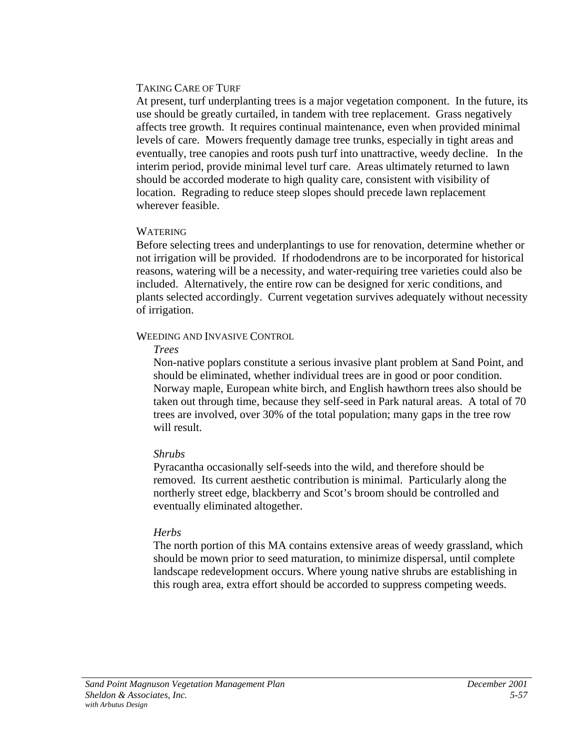## TAKING CARE OF TURF

At present, turf underplanting trees is a major vegetation component. In the future, its use should be greatly curtailed, in tandem with tree replacement. Grass negatively affects tree growth. It requires continual maintenance, even when provided minimal levels of care. Mowers frequently damage tree trunks, especially in tight areas and eventually, tree canopies and roots push turf into unattractive, weedy decline. In the interim period, provide minimal level turf care. Areas ultimately returned to lawn should be accorded moderate to high quality care, consistent with visibility of location. Regrading to reduce steep slopes should precede lawn replacement wherever feasible.

## WATERING

Before selecting trees and underplantings to use for renovation, determine whether or not irrigation will be provided. If rhododendrons are to be incorporated for historical reasons, watering will be a necessity, and water-requiring tree varieties could also be included. Alternatively, the entire row can be designed for xeric conditions, and plants selected accordingly. Current vegetation survives adequately without necessity of irrigation.

## WEEDING AND INVASIVE CONTROL

## *Trees*

Non-native poplars constitute a serious invasive plant problem at Sand Point, and should be eliminated, whether individual trees are in good or poor condition. Norway maple, European white birch, and English hawthorn trees also should be taken out through time, because they self-seed in Park natural areas. A total of 70 trees are involved, over 30% of the total population; many gaps in the tree row will result.

# *Shrubs*

Pyracantha occasionally self-seeds into the wild, and therefore should be removed. Its current aesthetic contribution is minimal. Particularly along the northerly street edge, blackberry and Scot's broom should be controlled and eventually eliminated altogether.

# *Herbs*

The north portion of this MA contains extensive areas of weedy grassland, which should be mown prior to seed maturation, to minimize dispersal, until complete landscape redevelopment occurs. Where young native shrubs are establishing in this rough area, extra effort should be accorded to suppress competing weeds.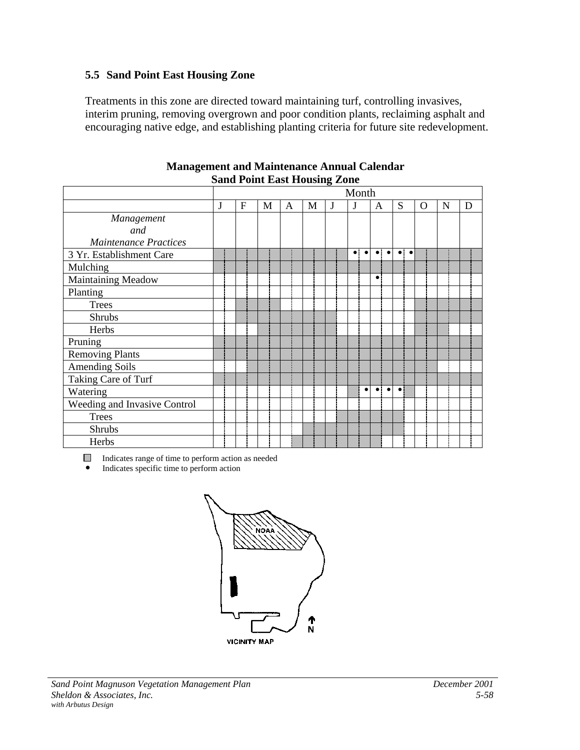## **5.5 Sand Point East Housing Zone**

Treatments in this zone are directed toward maintaining turf, controlling invasives, interim pruning, removing overgrown and poor condition plants, reclaiming asphalt and encouraging native edge, and establishing planting criteria for future site redevelopment.

|                              |   |   |   |   |   | 0 | Month     |                          |                    |   |   |   |
|------------------------------|---|---|---|---|---|---|-----------|--------------------------|--------------------|---|---|---|
|                              | J | F | M | A | M | J | J         | A                        | S                  | O | N | D |
| Management                   |   |   |   |   |   |   |           |                          |                    |   |   |   |
| and                          |   |   |   |   |   |   |           |                          |                    |   |   |   |
| <b>Maintenance Practices</b> |   |   |   |   |   |   |           |                          |                    |   |   |   |
| 3 Yr. Establishment Care     |   |   |   |   |   |   | $\bullet$ | $\bullet$                | $\overline{\cdot}$ |   |   |   |
| Mulching                     |   |   |   |   |   |   |           |                          |                    |   |   |   |
| <b>Maintaining Meadow</b>    |   |   |   |   |   |   |           | $\bullet$                |                    |   |   |   |
| Planting                     |   |   |   |   |   |   |           |                          |                    |   |   |   |
| <b>Trees</b>                 |   |   |   |   |   |   |           |                          |                    |   |   |   |
| Shrubs                       |   |   |   |   |   |   |           |                          |                    |   |   |   |
| Herbs                        |   |   |   |   |   |   |           |                          |                    |   |   |   |
| Pruning                      |   |   |   |   |   |   |           |                          |                    |   |   |   |
| <b>Removing Plants</b>       |   |   |   |   |   |   |           |                          |                    |   |   |   |
| <b>Amending Soils</b>        |   |   |   |   |   |   |           |                          |                    |   |   |   |
| Taking Care of Turf          |   |   |   |   |   |   |           |                          |                    |   |   |   |
| Watering                     |   |   |   |   |   |   |           | $\bullet$ :<br>$\bullet$ | $\bullet$          |   |   |   |
| Weeding and Invasive Control |   |   |   |   |   |   |           |                          |                    |   |   |   |
| <b>Trees</b>                 |   |   |   |   |   |   |           |                          |                    |   |   |   |
| Shrubs                       |   |   |   |   |   |   |           |                          |                    |   |   |   |
| Herbs                        |   |   |   |   |   |   |           |                          |                    |   |   |   |

#### **Management and Maintenance Annual Calendar Sand Point East Housing Zone**

Indicates range of time to perform action as needed

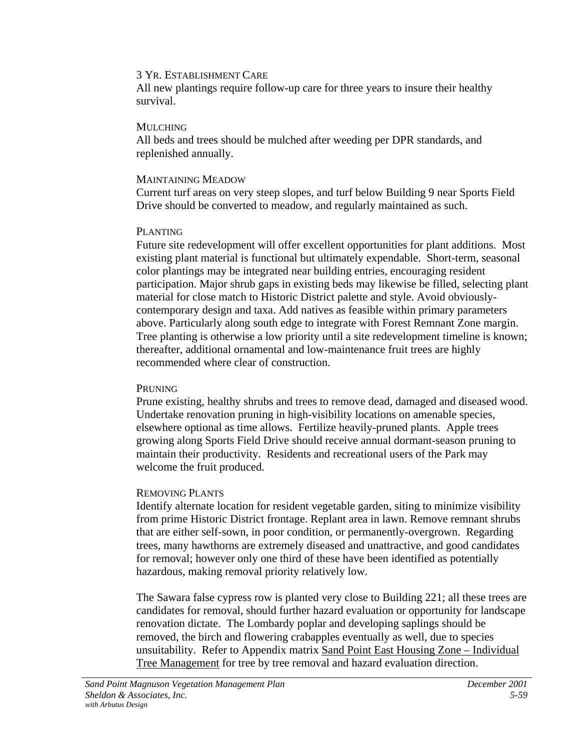All new plantings require follow-up care for three years to insure their healthy survival.

#### MULCHING

All beds and trees should be mulched after weeding per DPR standards, and replenished annually.

## MAINTAINING MEADOW

Current turf areas on very steep slopes, and turf below Building 9 near Sports Field Drive should be converted to meadow, and regularly maintained as such.

## PLANTING

Future site redevelopment will offer excellent opportunities for plant additions. Most existing plant material is functional but ultimately expendable. Short-term, seasonal color plantings may be integrated near building entries, encouraging resident participation. Major shrub gaps in existing beds may likewise be filled, selecting plant material for close match to Historic District palette and style. Avoid obviouslycontemporary design and taxa. Add natives as feasible within primary parameters above. Particularly along south edge to integrate with Forest Remnant Zone margin. Tree planting is otherwise a low priority until a site redevelopment timeline is known; thereafter, additional ornamental and low-maintenance fruit trees are highly recommended where clear of construction.

## **PRUNING**

Prune existing, healthy shrubs and trees to remove dead, damaged and diseased wood. Undertake renovation pruning in high-visibility locations on amenable species, elsewhere optional as time allows. Fertilize heavily-pruned plants. Apple trees growing along Sports Field Drive should receive annual dormant-season pruning to maintain their productivity. Residents and recreational users of the Park may welcome the fruit produced.

## REMOVING PLANTS

Identify alternate location for resident vegetable garden, siting to minimize visibility from prime Historic District frontage. Replant area in lawn. Remove remnant shrubs that are either self-sown, in poor condition, or permanently-overgrown. Regarding trees, many hawthorns are extremely diseased and unattractive, and good candidates for removal; however only one third of these have been identified as potentially hazardous, making removal priority relatively low.

The Sawara false cypress row is planted very close to Building 221; all these trees are candidates for removal, should further hazard evaluation or opportunity for landscape renovation dictate. The Lombardy poplar and developing saplings should be removed, the birch and flowering crabapples eventually as well, due to species unsuitability. Refer to Appendix matrix Sand Point East Housing Zone – Individual Tree Management for tree by tree removal and hazard evaluation direction.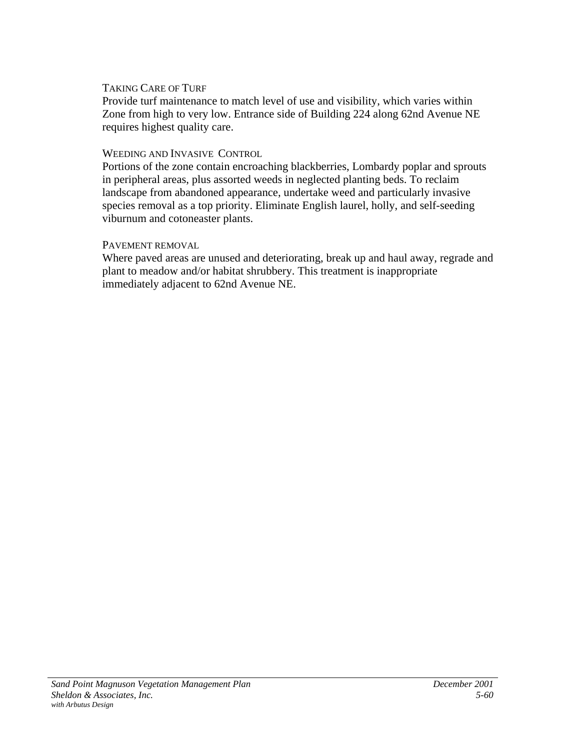## TAKING CARE OF TURF

Provide turf maintenance to match level of use and visibility, which varies within Zone from high to very low. Entrance side of Building 224 along 62nd Avenue NE requires highest quality care.

## WEEDING AND INVASIVE CONTROL

Portions of the zone contain encroaching blackberries, Lombardy poplar and sprouts in peripheral areas, plus assorted weeds in neglected planting beds. To reclaim landscape from abandoned appearance, undertake weed and particularly invasive species removal as a top priority. Eliminate English laurel, holly, and self-seeding viburnum and cotoneaster plants.

## PAVEMENT REMOVAL

Where paved areas are unused and deteriorating, break up and haul away, regrade and plant to meadow and/or habitat shrubbery. This treatment is inappropriate immediately adjacent to 62nd Avenue NE.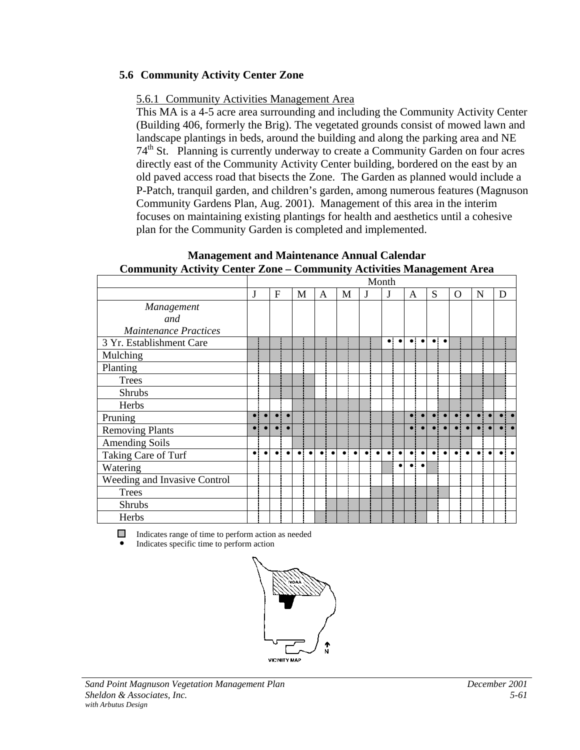# **5.6 Community Activity Center Zone**

# 5.6.1 Community Activities Management Area

This MA is a 4-5 acre area surrounding and including the Community Activity Center (Building 406, formerly the Brig). The vegetated grounds consist of mowed lawn and landscape plantings in beds, around the building and along the parking area and NE  $74<sup>th</sup>$  St. Planning is currently underway to create a Community Garden on four acres directly east of the Community Activity Center building, bordered on the east by an old paved access road that bisects the Zone. The Garden as planned would include a P-Patch, tranquil garden, and children's garden, among numerous features (Magnuson Community Gardens Plan, Aug. 2001). Management of this area in the interim focuses on maintaining existing plantings for health and aesthetics until a cohesive plan for the Community Garden is completed and implemented.

| $\frac{1}{2}$                |           |           |           |           |           |           |             |           | Community recurrices reunigeneire in cu |           |   |                               | Month       |           |             |           |             |                     |                |           |           |           |   |                      |
|------------------------------|-----------|-----------|-----------|-----------|-----------|-----------|-------------|-----------|-----------------------------------------|-----------|---|-------------------------------|-------------|-----------|-------------|-----------|-------------|---------------------|----------------|-----------|-----------|-----------|---|----------------------|
|                              | J         |           | F         |           | M         |           | A           |           | M                                       |           | J |                               | J           |           | A           |           | S           |                     | $\overline{O}$ |           | N         |           | D |                      |
| Management                   |           |           |           |           |           |           |             |           |                                         |           |   |                               |             |           |             |           |             |                     |                |           |           |           |   |                      |
| and                          |           |           |           |           |           |           |             |           |                                         |           |   |                               |             |           |             |           |             |                     |                |           |           |           |   |                      |
| <b>Maintenance Practices</b> |           |           |           |           |           |           |             |           |                                         |           |   |                               |             |           |             |           |             |                     |                |           |           |           |   |                      |
| 3 Yr. Establishment Care     |           |           |           |           |           |           |             |           |                                         |           |   |                               | $\bullet$ : | $\bullet$ | $\bullet$ : | $\bullet$ |             | $\bullet$ $\bullet$ |                |           |           |           |   |                      |
| Mulching                     |           |           |           |           |           |           |             |           |                                         |           |   |                               |             |           |             |           |             |                     |                |           |           |           |   |                      |
| Planting                     |           |           |           |           |           |           |             |           |                                         |           |   |                               |             |           |             |           |             |                     |                |           |           |           |   |                      |
| <b>Trees</b>                 |           |           |           |           |           |           |             |           |                                         |           |   |                               |             |           |             |           |             |                     |                |           |           |           |   |                      |
| <b>Shrubs</b>                |           |           |           |           |           |           |             |           |                                         |           |   |                               |             |           |             |           |             |                     |                |           |           |           |   |                      |
| Herbs                        |           |           |           |           |           |           |             |           |                                         |           |   |                               |             |           |             |           |             |                     |                |           |           |           |   |                      |
| Pruning                      |           |           |           | $\bullet$ |           |           |             |           |                                         |           |   |                               |             |           |             |           |             |                     |                |           |           |           |   | . .                  |
| <b>Removing Plants</b>       |           |           |           |           |           |           |             |           |                                         |           |   |                               |             |           |             |           |             |                     |                |           |           |           |   |                      |
| <b>Amending Soils</b>        |           |           |           |           |           |           |             |           |                                         |           |   |                               |             |           |             |           |             |                     |                |           |           |           |   |                      |
| Taking Care of Turf          | $\bullet$ | $\bullet$ | $\bullet$ | $\bullet$ | $\bullet$ | $\bullet$ | $\bullet$ : | $\bullet$ | $\bullet$ .                             | $\bullet$ |   | $\bullet$ $\bullet$ $\bullet$ | $\bullet$   | $\bullet$ | $\bullet$ : | $\bullet$ | $\bullet$ . | $\bullet$           |                | $\bullet$ | $\bullet$ | $\bullet$ |   | $\overline{\bullet}$ |
| Watering                     |           |           |           |           |           |           |             |           |                                         |           |   |                               |             |           | $\bullet$ : | $\bullet$ |             |                     |                |           |           |           |   |                      |
| Weeding and Invasive Control |           |           |           |           |           |           |             |           |                                         |           |   |                               |             |           |             |           |             |                     |                |           |           |           |   |                      |
| <b>Trees</b>                 |           |           |           |           |           |           |             |           |                                         |           |   |                               |             |           |             |           |             |                     |                |           |           |           |   |                      |
| <b>Shrubs</b>                |           |           |           |           |           |           |             |           |                                         |           |   |                               |             |           |             |           |             |                     |                |           |           |           |   |                      |
| Herbs                        |           |           |           |           |           |           |             |           |                                         |           |   |                               |             |           |             |           |             |                     |                |           |           |           |   |                      |

#### **Management and Maintenance Annual Calendar Community Activity Center Zone – Community Activities Management Area**

Indicates range of time to perform action as needed

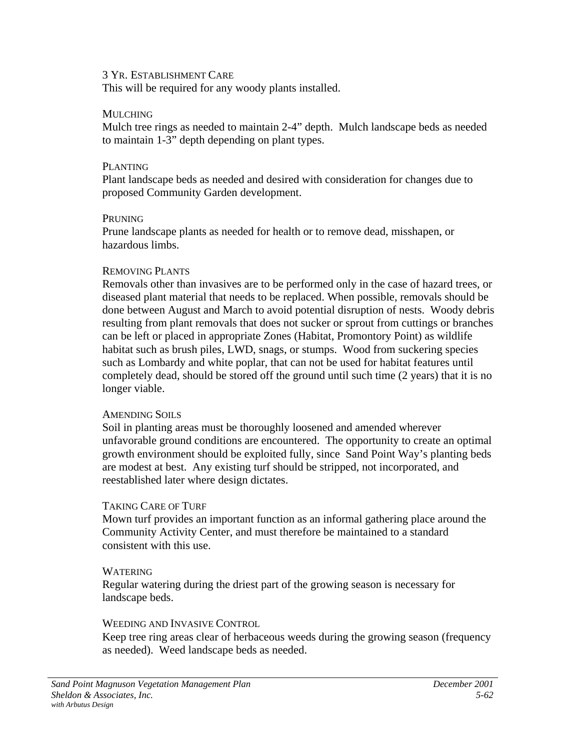#### 3 YR. ESTABLISHMENT CARE

This will be required for any woody plants installed.

#### **MULCHING**

Mulch tree rings as needed to maintain 2-4" depth. Mulch landscape beds as needed to maintain 1-3" depth depending on plant types.

### PLANTING

Plant landscape beds as needed and desired with consideration for changes due to proposed Community Garden development.

# **PRUNING**

Prune landscape plants as needed for health or to remove dead, misshapen, or hazardous limbs.

### REMOVING PLANTS

Removals other than invasives are to be performed only in the case of hazard trees, or diseased plant material that needs to be replaced. When possible, removals should be done between August and March to avoid potential disruption of nests. Woody debris resulting from plant removals that does not sucker or sprout from cuttings or branches can be left or placed in appropriate Zones (Habitat, Promontory Point) as wildlife habitat such as brush piles, LWD, snags, or stumps. Wood from suckering species such as Lombardy and white poplar, that can not be used for habitat features until completely dead, should be stored off the ground until such time (2 years) that it is no longer viable.

### AMENDING SOILS

Soil in planting areas must be thoroughly loosened and amended wherever unfavorable ground conditions are encountered. The opportunity to create an optimal growth environment should be exploited fully, since Sand Point Way's planting beds are modest at best. Any existing turf should be stripped, not incorporated, and reestablished later where design dictates.

# TAKING CARE OF TURF

Mown turf provides an important function as an informal gathering place around the Community Activity Center, and must therefore be maintained to a standard consistent with this use.

# WATERING

Regular watering during the driest part of the growing season is necessary for landscape beds.

# WEEDING AND INVASIVE CONTROL.

Keep tree ring areas clear of herbaceous weeds during the growing season (frequency as needed). Weed landscape beds as needed.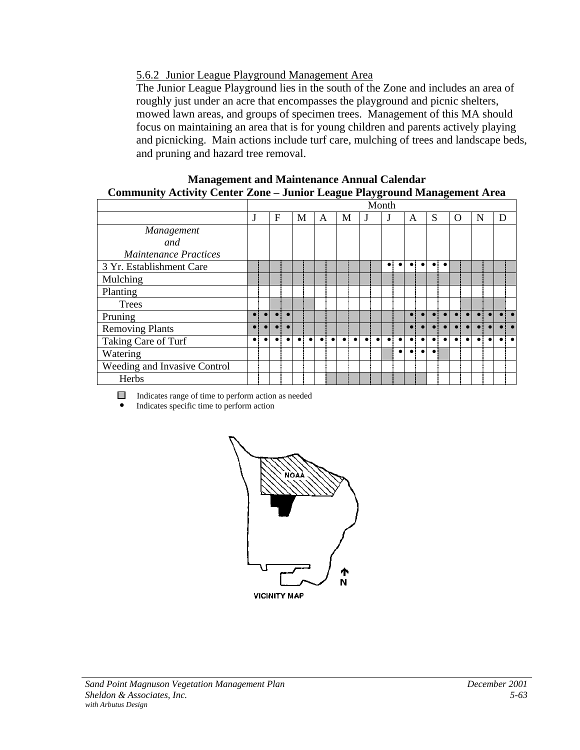# 5.6.2 Junior League Playground Management Area

The Junior League Playground lies in the south of the Zone and includes an area of roughly just under an acre that encompasses the playground and picnic shelters, mowed lawn areas, and groups of specimen trees. Management of this MA should focus on maintaining an area that is for young children and parents actively playing and picnicking. Main actions include turf care, mulching of trees and landscape beds, and pruning and hazard tree removal.

#### **Management and Maintenance Annual Calendar Community Activity Center Zone – Junior League Playground Management Area**

|                              |   |   |   |           |    |           |             |           |             | . .       | Month       |           |           |           |             |           |   |   |   |  |
|------------------------------|---|---|---|-----------|----|-----------|-------------|-----------|-------------|-----------|-------------|-----------|-----------|-----------|-------------|-----------|---|---|---|--|
|                              | J | F | М |           | A  |           | М           |           |             |           | J           |           | A         |           | S           |           | O | N | D |  |
| Management                   |   |   |   |           |    |           |             |           |             |           |             |           |           |           |             |           |   |   |   |  |
| and                          |   |   |   |           |    |           |             |           |             |           |             |           |           |           |             |           |   |   |   |  |
| <b>Maintenance Practices</b> |   |   |   |           |    |           |             |           |             |           |             |           |           |           |             |           |   |   |   |  |
| 3 Yr. Establishment Care     |   |   |   |           |    |           |             |           |             |           | $\bullet$   | $\bullet$ | $\bullet$ | $\bullet$ | $\bullet$ : | $\bullet$ |   |   |   |  |
| Mulching                     |   |   |   |           |    |           |             |           |             |           |             |           |           |           |             |           |   |   |   |  |
| Planting                     |   |   |   |           |    |           |             |           |             |           |             |           |           |           |             |           |   |   |   |  |
| <b>Trees</b>                 |   |   |   |           |    |           |             |           |             |           |             |           |           |           |             |           |   |   |   |  |
| Pruning                      |   |   |   |           |    |           |             |           |             |           |             |           |           |           |             |           |   |   |   |  |
| <b>Removing Plants</b>       |   |   |   |           |    |           |             |           |             |           |             |           |           |           |             |           |   |   |   |  |
| Taking Care of Turf          |   |   |   | $\bullet$ | ٠i | $\bullet$ | $\bullet$ : | $\bullet$ | $\bullet$ : | $\bullet$ | $\bullet$ : |           |           |           |             |           |   |   |   |  |
| Watering                     |   |   |   |           |    |           |             |           |             |           |             |           |           |           |             |           |   |   |   |  |
| Weeding and Invasive Control |   |   |   |           |    |           |             |           |             |           |             |           |           |           |             |           |   |   |   |  |
| Herbs                        |   |   |   |           |    |           |             |           |             |           |             |           |           |           |             |           |   |   |   |  |

Indicates range of time to perform action as needed

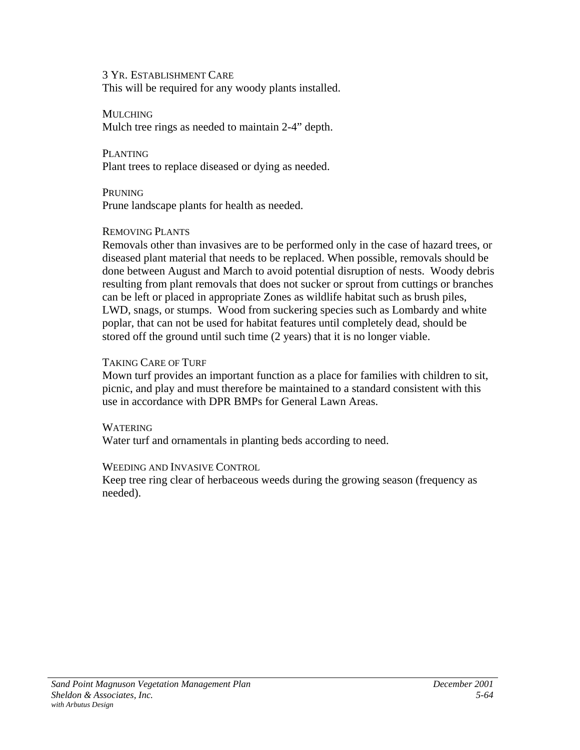3 YR. ESTABLISHMENT CARE This will be required for any woody plants installed.

**MULCHING** Mulch tree rings as needed to maintain 2-4" depth.

PLANTING Plant trees to replace diseased or dying as needed.

PRUNING Prune landscape plants for health as needed.

### REMOVING PLANTS

Removals other than invasives are to be performed only in the case of hazard trees, or diseased plant material that needs to be replaced. When possible, removals should be done between August and March to avoid potential disruption of nests. Woody debris resulting from plant removals that does not sucker or sprout from cuttings or branches can be left or placed in appropriate Zones as wildlife habitat such as brush piles, LWD, snags, or stumps. Wood from suckering species such as Lombardy and white poplar, that can not be used for habitat features until completely dead, should be stored off the ground until such time (2 years) that it is no longer viable.

# TAKING CARE OF TURF

Mown turf provides an important function as a place for families with children to sit, picnic, and play and must therefore be maintained to a standard consistent with this use in accordance with DPR BMPs for General Lawn Areas.

### WATERING

Water turf and ornamentals in planting beds according to need.

### WEEDING AND INVASIVE CONTROL

Keep tree ring clear of herbaceous weeds during the growing season (frequency as needed).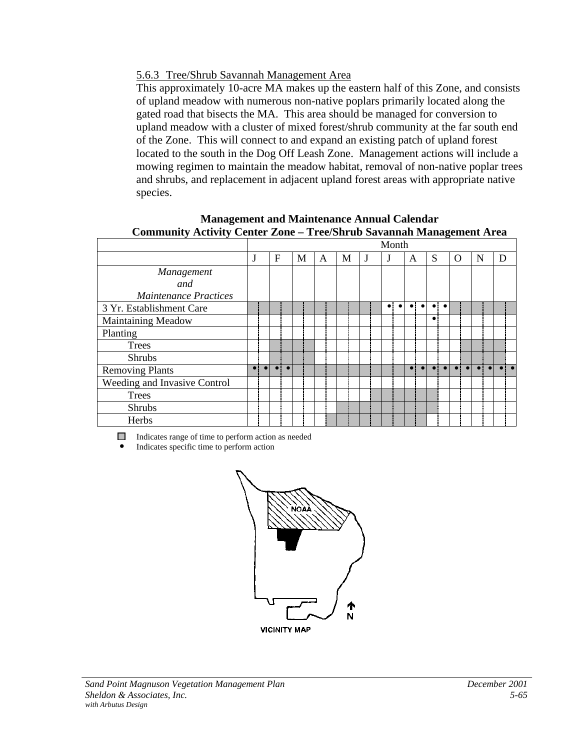# 5.6.3 Tree/Shrub Savannah Management Area

This approximately 10-acre MA makes up the eastern half of this Zone, and consists of upland meadow with numerous non-native poplars primarily located along the gated road that bisects the MA. This area should be managed for conversion to upland meadow with a cluster of mixed forest/shrub community at the far south end of the Zone. This will connect to and expand an existing patch of upland forest located to the south in the Dog Off Leash Zone. Management actions will include a mowing regimen to maintain the meadow habitat, removal of non-native poplar trees and shrubs, and replacement in adjacent upland forest areas with appropriate native species.

**Management and Maintenance Annual Calendar Community Activity Center Zone – Tree/Shrub Savannah Management Area**

|                              |  |                     |   |   |   | Month     |             |           |             |           |           |   |   |
|------------------------------|--|---------------------|---|---|---|-----------|-------------|-----------|-------------|-----------|-----------|---|---|
|                              |  | F                   | M | A | М |           | A           |           | S           |           | O         | N | D |
| Management                   |  |                     |   |   |   |           |             |           |             |           |           |   |   |
| and                          |  |                     |   |   |   |           |             |           |             |           |           |   |   |
| <b>Maintenance Practices</b> |  |                     |   |   |   |           |             |           |             |           |           |   |   |
| 3 Yr. Establishment Care     |  |                     |   |   |   | $\bullet$ | $\bullet$   | $\bullet$ | $\bullet$ : | $\bullet$ |           |   |   |
| <b>Maintaining Meadow</b>    |  |                     |   |   |   |           |             |           | $\bullet$   |           |           |   |   |
| Planting                     |  |                     |   |   |   |           |             |           |             |           |           |   |   |
| <b>Trees</b>                 |  |                     |   |   |   |           |             |           |             |           |           |   |   |
| <b>Shrubs</b>                |  |                     |   |   |   |           |             |           |             |           |           |   |   |
| <b>Removing Plants</b>       |  | $\bullet$ $\bullet$ |   |   |   |           | $\bullet$ i |           |             |           | $\bullet$ |   |   |
| Weeding and Invasive Control |  |                     |   |   |   |           |             |           |             |           |           |   |   |
| <b>Trees</b>                 |  |                     |   |   |   |           |             |           |             |           |           |   |   |
| <b>Shrubs</b>                |  |                     |   |   |   |           |             |           |             |           |           |   |   |
| Herbs                        |  |                     |   |   |   |           |             |           |             |           |           |   |   |

Indicates range of time to perform action as needed

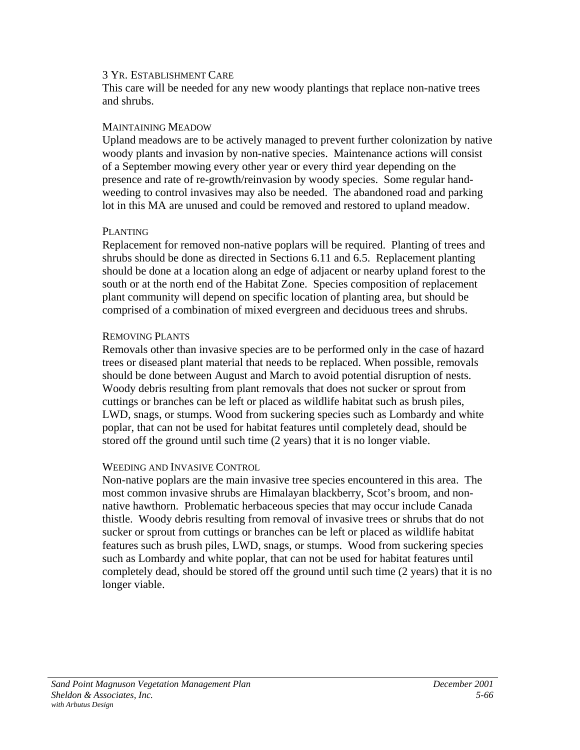#### 3 YR. ESTABLISHMENT CARE

This care will be needed for any new woody plantings that replace non-native trees and shrubs.

#### MAINTAINING MEADOW

Upland meadows are to be actively managed to prevent further colonization by native woody plants and invasion by non-native species. Maintenance actions will consist of a September mowing every other year or every third year depending on the presence and rate of re-growth/reinvasion by woody species. Some regular handweeding to control invasives may also be needed. The abandoned road and parking lot in this MA are unused and could be removed and restored to upland meadow.

#### PLANTING

Replacement for removed non-native poplars will be required. Planting of trees and shrubs should be done as directed in Sections 6.11 and 6.5. Replacement planting should be done at a location along an edge of adjacent or nearby upland forest to the south or at the north end of the Habitat Zone. Species composition of replacement plant community will depend on specific location of planting area, but should be comprised of a combination of mixed evergreen and deciduous trees and shrubs.

### REMOVING PLANTS

Removals other than invasive species are to be performed only in the case of hazard trees or diseased plant material that needs to be replaced. When possible, removals should be done between August and March to avoid potential disruption of nests. Woody debris resulting from plant removals that does not sucker or sprout from cuttings or branches can be left or placed as wildlife habitat such as brush piles, LWD, snags, or stumps. Wood from suckering species such as Lombardy and white poplar, that can not be used for habitat features until completely dead, should be stored off the ground until such time (2 years) that it is no longer viable.

### WEEDING AND INVASIVE CONTROL

Non-native poplars are the main invasive tree species encountered in this area. The most common invasive shrubs are Himalayan blackberry, Scot's broom, and nonnative hawthorn. Problematic herbaceous species that may occur include Canada thistle. Woody debris resulting from removal of invasive trees or shrubs that do not sucker or sprout from cuttings or branches can be left or placed as wildlife habitat features such as brush piles, LWD, snags, or stumps. Wood from suckering species such as Lombardy and white poplar, that can not be used for habitat features until completely dead, should be stored off the ground until such time (2 years) that it is no longer viable.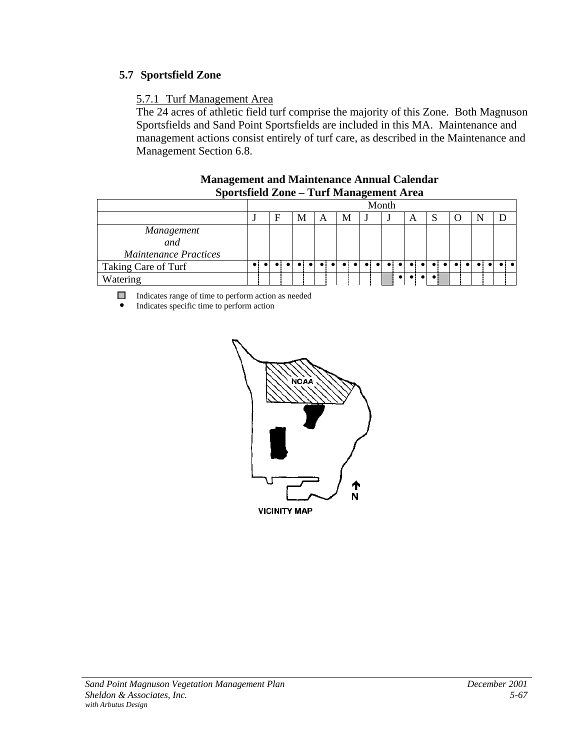# **5.7 Sportsfield Zone**

# 5.7.1 Turf Management Area

The 24 acres of athletic field turf comprise the majority of this Zone. Both Magnuson Sportsfields and Sand Point Sportsfields are included in this MA. Maintenance and management actions consist entirely of turf care, as described in the Maintenance and Management Section 6.8.

| $\mathcal{L}$                |             |  |   |           |             |             |   |           |                         |       |   |  |  |  |  |  |
|------------------------------|-------------|--|---|-----------|-------------|-------------|---|-----------|-------------------------|-------|---|--|--|--|--|--|
|                              |             |  |   |           |             |             |   |           |                         | Month |   |  |  |  |  |  |
|                              |             |  | F |           | М           | А           | М |           |                         |       | A |  |  |  |  |  |
| Management                   |             |  |   |           |             |             |   |           |                         |       |   |  |  |  |  |  |
| and                          |             |  |   |           |             |             |   |           |                         |       |   |  |  |  |  |  |
| <b>Maintenance Practices</b> |             |  |   |           |             |             |   |           |                         |       |   |  |  |  |  |  |
| Taking Care of Turf          | $\bullet$ : |  |   | $\bullet$ | $\bullet$ : | $\bullet$ : |   | $\bullet$ | $\bullet$ : $\bullet$ : | .     |   |  |  |  |  |  |
| Watering                     |             |  |   |           |             |             |   |           |                         |       |   |  |  |  |  |  |

#### **Management and Maintenance Annual Calendar Sportsfield Zone – Turf Management Area**

Indicates range of time to perform action as needed

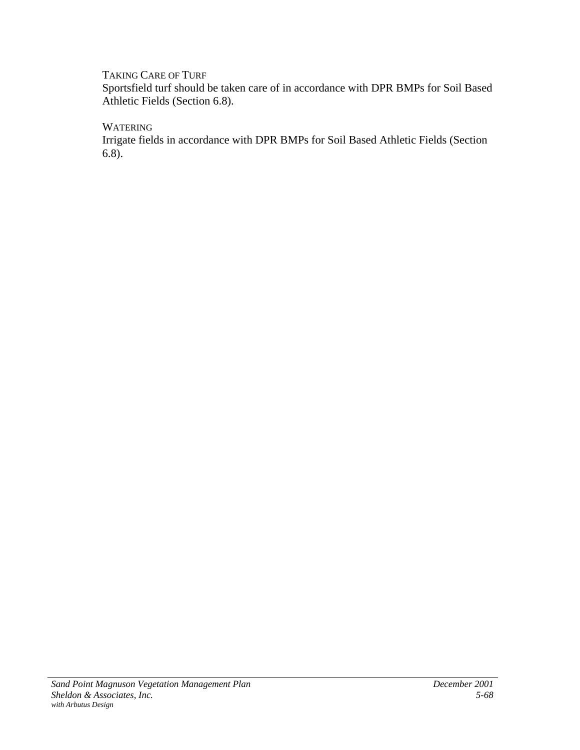# TAKING CARE OF TURF

Sportsfield turf should be taken care of in accordance with DPR BMPs for Soil Based Athletic Fields (Section 6.8).

**WATERING** 

Irrigate fields in accordance with DPR BMPs for Soil Based Athletic Fields (Section 6.8).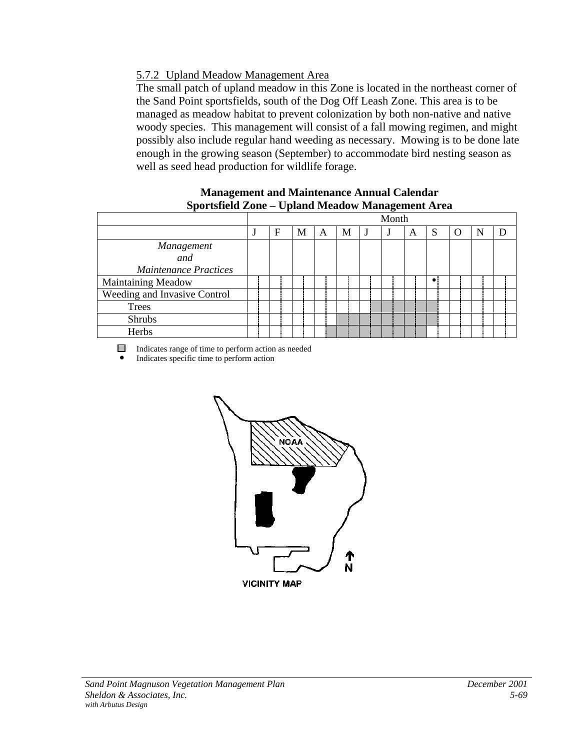# 5.7.2 Upland Meadow Management Area

The small patch of upland meadow in this Zone is located in the northeast corner of the Sand Point sportsfields, south of the Dog Off Leash Zone. This area is to be managed as meadow habitat to prevent colonization by both non-native and native woody species. This management will consist of a fall mowing regimen, and might possibly also include regular hand weeding as necessary. Mowing is to be done late enough in the growing season (September) to accommodate bird nesting season as well as seed head production for wildlife forage.

#### **Management and Maintenance Annual Calendar Sportsfield Zone – Upland Meadow Management Area**

|                                                   |   |   |   |   | . .<br>Month |   |             |                  |   |  |
|---------------------------------------------------|---|---|---|---|--------------|---|-------------|------------------|---|--|
|                                                   | F | М | A | М |              | A | S           | $\left( \right)$ | N |  |
| Management<br>and<br><b>Maintenance Practices</b> |   |   |   |   |              |   |             |                  |   |  |
| <b>Maintaining Meadow</b>                         |   |   |   |   |              |   | $\bullet$ ! |                  |   |  |
| Weeding and Invasive Control                      |   |   |   |   |              |   |             |                  |   |  |
| Trees                                             |   |   |   |   |              |   |             |                  |   |  |
| <b>Shrubs</b>                                     |   |   |   |   |              |   |             |                  |   |  |
| Herbs                                             |   |   |   |   |              |   |             |                  |   |  |

Indicates range of time to perform action as needed

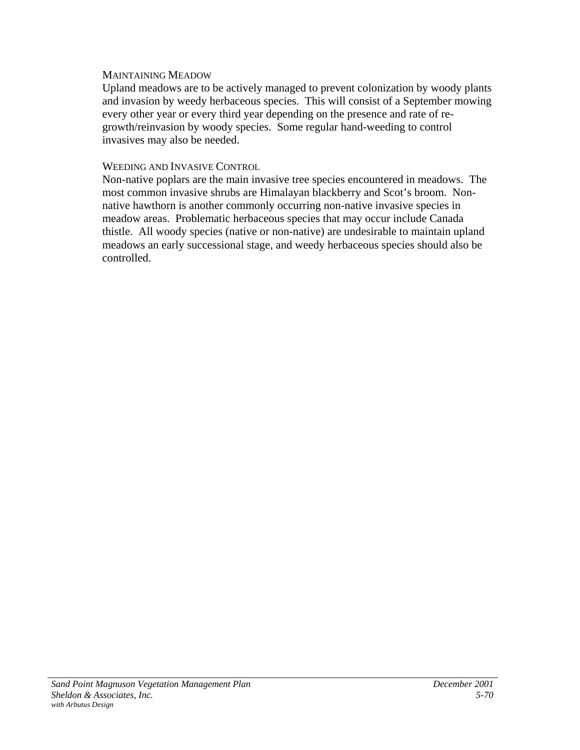#### MAINTAINING MEADOW

Upland meadows are to be actively managed to prevent colonization by woody plants and invasion by weedy herbaceous species. This will consist of a September mowing every other year or every third year depending on the presence and rate of regrowth/reinvasion by woody species. Some regular hand-weeding to control invasives may also be needed.

#### WEEDING AND INVASIVE CONTROL

Non-native poplars are the main invasive tree species encountered in meadows. The most common invasive shrubs are Himalayan blackberry and Scot's broom. Nonnative hawthorn is another commonly occurring non-native invasive species in meadow areas. Problematic herbaceous species that may occur include Canada thistle. All woody species (native or non-native) are undesirable to maintain upland meadows an early successional stage, and weedy herbaceous species should also be controlled.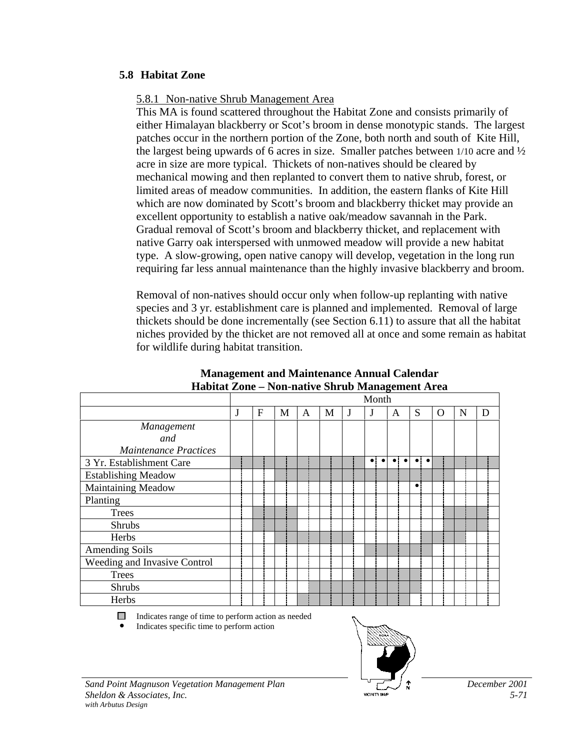# **5.8 Habitat Zone**

### 5.8.1 Non-native Shrub Management Area

This MA is found scattered throughout the Habitat Zone and consists primarily of either Himalayan blackberry or Scot's broom in dense monotypic stands. The largest patches occur in the northern portion of the Zone, both north and south of Kite Hill, the largest being upwards of 6 acres in size. Smaller patches between 1/10 acre and ½ acre in size are more typical. Thickets of non-natives should be cleared by mechanical mowing and then replanted to convert them to native shrub, forest, or limited areas of meadow communities. In addition, the eastern flanks of Kite Hill which are now dominated by Scott's broom and blackberry thicket may provide an excellent opportunity to establish a native oak/meadow savannah in the Park. Gradual removal of Scott's broom and blackberry thicket, and replacement with native Garry oak interspersed with unmowed meadow will provide a new habitat type. A slow-growing, open native canopy will develop, vegetation in the long run requiring far less annual maintenance than the highly invasive blackberry and broom.

Removal of non-natives should occur only when follow-up replanting with native species and 3 yr. establishment care is planned and implemented. Removal of large thickets should be done incrementally (see Section 6.11) to assure that all the habitat niches provided by the thicket are not removed all at once and some remain as habitat for wildlife during habitat transition.

|                              |   |           |   |   |   | Month     | 0 |                        |   |   |   |
|------------------------------|---|-----------|---|---|---|-----------|---|------------------------|---|---|---|
|                              | J | ${\rm F}$ | M | A | М |           | A | S                      | O | N | D |
| Management                   |   |           |   |   |   |           |   |                        |   |   |   |
| and                          |   |           |   |   |   |           |   |                        |   |   |   |
| <b>Maintenance Practices</b> |   |           |   |   |   |           |   |                        |   |   |   |
| 3 Yr. Establishment Care     |   |           |   |   |   | $\bullet$ |   | $\bullet$<br>$\bullet$ |   |   |   |
| <b>Establishing Meadow</b>   |   |           |   |   |   |           |   |                        |   |   |   |
| Maintaining Meadow           |   |           |   |   |   |           |   | $\bullet$              |   |   |   |
| Planting                     |   |           |   |   |   |           |   |                        |   |   |   |
| <b>Trees</b>                 |   |           |   |   |   |           |   |                        |   |   |   |
| <b>Shrubs</b>                |   |           |   |   |   |           |   |                        |   |   |   |
| Herbs                        |   |           |   |   |   |           |   |                        |   |   |   |
| <b>Amending Soils</b>        |   |           |   |   |   |           |   |                        |   |   |   |
| Weeding and Invasive Control |   |           |   |   |   |           |   |                        |   |   |   |
| <b>Trees</b>                 |   |           |   |   |   |           |   |                        |   |   |   |
| Shrubs                       |   |           |   |   |   |           |   |                        |   |   |   |
| Herbs                        |   |           |   |   |   |           |   |                        |   |   |   |

#### **Management and Maintenance Annual Calendar Habitat Zone – Non-native Shrub Management Area**

 $\Box$  Indicates range of time to perform action as needed

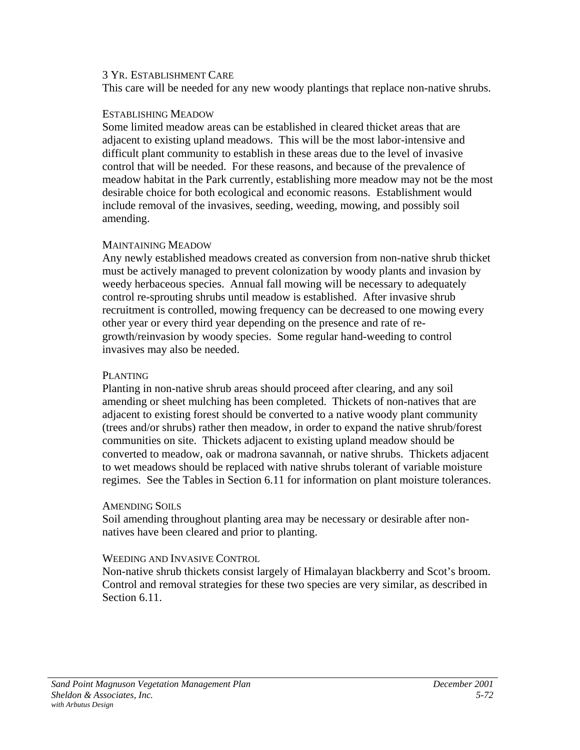#### 3 YR. ESTABLISHMENT CARE

This care will be needed for any new woody plantings that replace non-native shrubs.

#### ESTABLISHING MEADOW

Some limited meadow areas can be established in cleared thicket areas that are adjacent to existing upland meadows. This will be the most labor-intensive and difficult plant community to establish in these areas due to the level of invasive control that will be needed. For these reasons, and because of the prevalence of meadow habitat in the Park currently, establishing more meadow may not be the most desirable choice for both ecological and economic reasons. Establishment would include removal of the invasives, seeding, weeding, mowing, and possibly soil amending.

### MAINTAINING MEADOW

Any newly established meadows created as conversion from non-native shrub thicket must be actively managed to prevent colonization by woody plants and invasion by weedy herbaceous species. Annual fall mowing will be necessary to adequately control re-sprouting shrubs until meadow is established. After invasive shrub recruitment is controlled, mowing frequency can be decreased to one mowing every other year or every third year depending on the presence and rate of regrowth/reinvasion by woody species. Some regular hand-weeding to control invasives may also be needed.

### PLANTING

Planting in non-native shrub areas should proceed after clearing, and any soil amending or sheet mulching has been completed. Thickets of non-natives that are adjacent to existing forest should be converted to a native woody plant community (trees and/or shrubs) rather then meadow, in order to expand the native shrub/forest communities on site. Thickets adjacent to existing upland meadow should be converted to meadow, oak or madrona savannah, or native shrubs. Thickets adjacent to wet meadows should be replaced with native shrubs tolerant of variable moisture regimes. See the Tables in Section 6.11 for information on plant moisture tolerances.

### AMENDING SOILS

Soil amending throughout planting area may be necessary or desirable after nonnatives have been cleared and prior to planting.

### WEEDING AND INVASIVE CONTROL.

Non-native shrub thickets consist largely of Himalayan blackberry and Scot's broom. Control and removal strategies for these two species are very similar, as described in Section 6.11.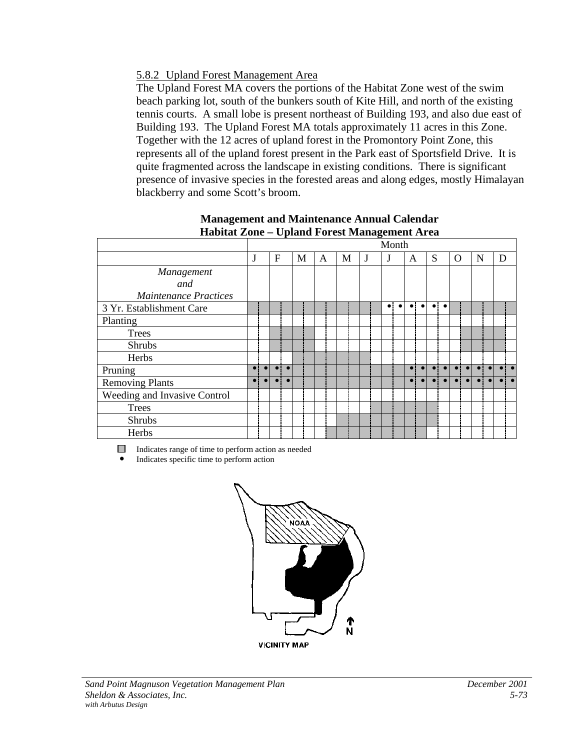# 5.8.2 Upland Forest Management Area

The Upland Forest MA covers the portions of the Habitat Zone west of the swim beach parking lot, south of the bunkers south of Kite Hill, and north of the existing tennis courts. A small lobe is present northeast of Building 193, and also due east of Building 193. The Upland Forest MA totals approximately 11 acres in this Zone. Together with the 12 acres of upland forest in the Promontory Point Zone, this represents all of the upland forest present in the Park east of Sportsfield Drive. It is quite fragmented across the landscape in existing conditions. There is significant presence of invasive species in the forested areas and along edges, mostly Himalayan blackberry and some Scott's broom.

|                              |           |              |   |   |   |   | Month |           |                        |             |           |          |   |   |  |
|------------------------------|-----------|--------------|---|---|---|---|-------|-----------|------------------------|-------------|-----------|----------|---|---|--|
|                              | J         | $\mathbf{F}$ | M | A | М | J | J     |           | A                      | S           |           | $\Omega$ | N | D |  |
| Management                   |           |              |   |   |   |   |       |           |                        |             |           |          |   |   |  |
| and                          |           |              |   |   |   |   |       |           |                        |             |           |          |   |   |  |
| <b>Maintenance Practices</b> |           |              |   |   |   |   |       |           |                        |             |           |          |   |   |  |
| 3 Yr. Establishment Care     |           |              |   |   |   |   |       | $\bullet$ | $\bullet$<br>$\bullet$ | $\bullet$ : | $\bullet$ |          |   |   |  |
| Planting                     |           |              |   |   |   |   |       |           |                        |             |           |          |   |   |  |
| Trees                        |           |              |   |   |   |   |       |           |                        |             |           |          |   |   |  |
| <b>Shrubs</b>                |           |              |   |   |   |   |       |           |                        |             |           |          |   |   |  |
| Herbs                        |           |              |   |   |   |   |       |           |                        |             |           |          |   |   |  |
| Pruning                      |           |              |   |   |   |   |       |           |                        |             |           |          |   |   |  |
| Removing Plants              | $\bullet$ | $\bullet$    |   |   |   |   |       |           |                        |             |           |          |   |   |  |
| Weeding and Invasive Control |           |              |   |   |   |   |       |           |                        |             |           |          |   |   |  |
| <b>Trees</b>                 |           |              |   |   |   |   |       |           |                        |             |           |          |   |   |  |
| Shrubs                       |           |              |   |   |   |   |       |           |                        |             |           |          |   |   |  |
| Herbs                        |           |              |   |   |   |   |       |           |                        |             |           |          |   |   |  |

# **Management and Maintenance Annual Calendar Habitat Zone – Upland Forest Management Area**

 $\Box$  Indicates range of time to perform action as needed

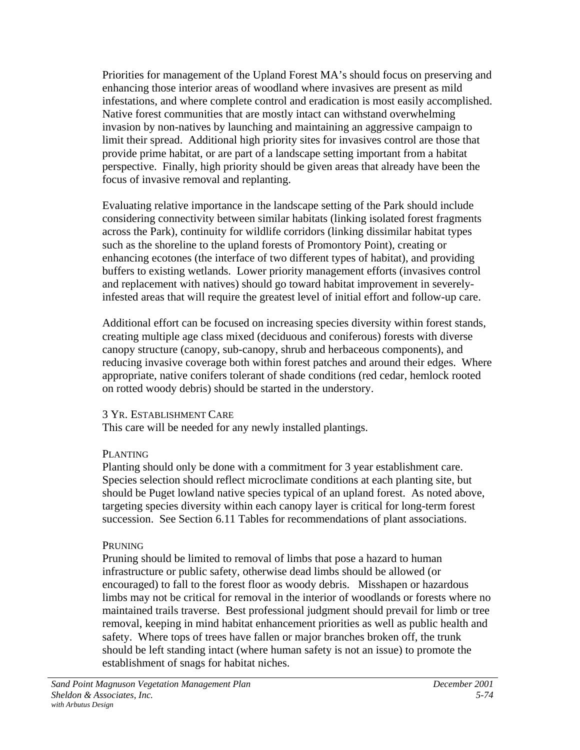Priorities for management of the Upland Forest MA's should focus on preserving and enhancing those interior areas of woodland where invasives are present as mild infestations, and where complete control and eradication is most easily accomplished. Native forest communities that are mostly intact can withstand overwhelming invasion by non-natives by launching and maintaining an aggressive campaign to limit their spread. Additional high priority sites for invasives control are those that provide prime habitat, or are part of a landscape setting important from a habitat perspective. Finally, high priority should be given areas that already have been the focus of invasive removal and replanting.

Evaluating relative importance in the landscape setting of the Park should include considering connectivity between similar habitats (linking isolated forest fragments across the Park), continuity for wildlife corridors (linking dissimilar habitat types such as the shoreline to the upland forests of Promontory Point), creating or enhancing ecotones (the interface of two different types of habitat), and providing buffers to existing wetlands. Lower priority management efforts (invasives control and replacement with natives) should go toward habitat improvement in severelyinfested areas that will require the greatest level of initial effort and follow-up care.

Additional effort can be focused on increasing species diversity within forest stands, creating multiple age class mixed (deciduous and coniferous) forests with diverse canopy structure (canopy, sub-canopy, shrub and herbaceous components), and reducing invasive coverage both within forest patches and around their edges. Where appropriate, native conifers tolerant of shade conditions (red cedar, hemlock rooted on rotted woody debris) should be started in the understory.

### 3 YR. ESTABLISHMENT CARE

This care will be needed for any newly installed plantings.

# PLANTING

Planting should only be done with a commitment for 3 year establishment care. Species selection should reflect microclimate conditions at each planting site, but should be Puget lowland native species typical of an upland forest. As noted above, targeting species diversity within each canopy layer is critical for long-term forest succession. See Section 6.11 Tables for recommendations of plant associations.

# **PRUNING**

Pruning should be limited to removal of limbs that pose a hazard to human infrastructure or public safety, otherwise dead limbs should be allowed (or encouraged) to fall to the forest floor as woody debris. Misshapen or hazardous limbs may not be critical for removal in the interior of woodlands or forests where no maintained trails traverse. Best professional judgment should prevail for limb or tree removal, keeping in mind habitat enhancement priorities as well as public health and safety. Where tops of trees have fallen or major branches broken off, the trunk should be left standing intact (where human safety is not an issue) to promote the establishment of snags for habitat niches.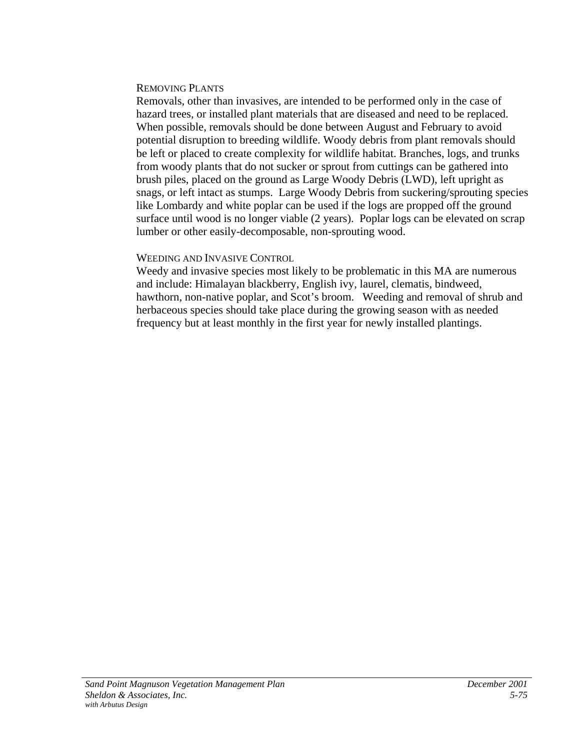#### REMOVING PLANTS

Removals, other than invasives, are intended to be performed only in the case of hazard trees, or installed plant materials that are diseased and need to be replaced. When possible, removals should be done between August and February to avoid potential disruption to breeding wildlife. Woody debris from plant removals should be left or placed to create complexity for wildlife habitat. Branches, logs, and trunks from woody plants that do not sucker or sprout from cuttings can be gathered into brush piles, placed on the ground as Large Woody Debris (LWD), left upright as snags, or left intact as stumps. Large Woody Debris from suckering/sprouting species like Lombardy and white poplar can be used if the logs are propped off the ground surface until wood is no longer viable (2 years). Poplar logs can be elevated on scrap lumber or other easily-decomposable, non-sprouting wood.

# WEEDING AND INVASIVE CONTROL

Weedy and invasive species most likely to be problematic in this MA are numerous and include: Himalayan blackberry, English ivy, laurel, clematis, bindweed, hawthorn, non-native poplar, and Scot's broom. Weeding and removal of shrub and herbaceous species should take place during the growing season with as needed frequency but at least monthly in the first year for newly installed plantings.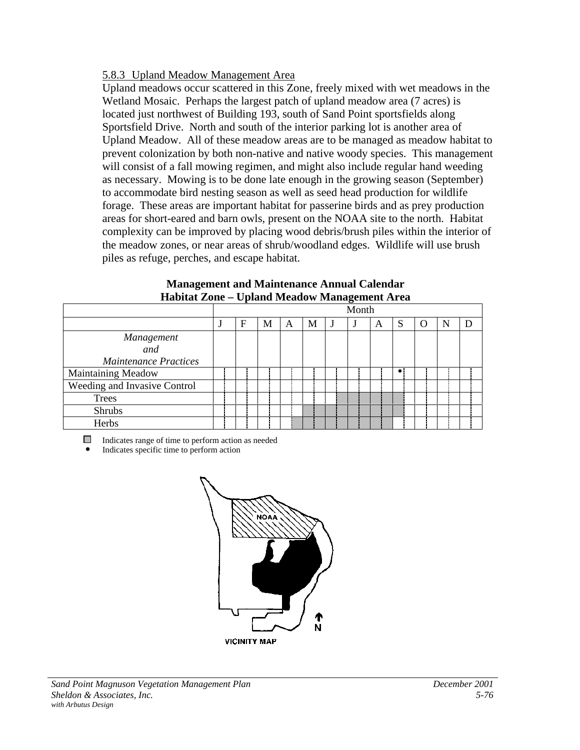# 5.8.3 Upland Meadow Management Area

Upland meadows occur scattered in this Zone, freely mixed with wet meadows in the Wetland Mosaic. Perhaps the largest patch of upland meadow area (7 acres) is located just northwest of Building 193, south of Sand Point sportsfields along Sportsfield Drive. North and south of the interior parking lot is another area of Upland Meadow. All of these meadow areas are to be managed as meadow habitat to prevent colonization by both non-native and native woody species. This management will consist of a fall mowing regimen, and might also include regular hand weeding as necessary. Mowing is to be done late enough in the growing season (September) to accommodate bird nesting season as well as seed head production for wildlife forage. These areas are important habitat for passerine birds and as prey production areas for short-eared and barn owls, present on the NOAA site to the north. Habitat complexity can be improved by placing wood debris/brush piles within the interior of the meadow zones, or near areas of shrub/woodland edges. Wildlife will use brush piles as refuge, perches, and escape habitat.

|                              |   |   |   |   | - 0   |   |           |        |  |
|------------------------------|---|---|---|---|-------|---|-----------|--------|--|
|                              |   |   |   |   | Month |   |           |        |  |
|                              | F | M | A | М |       | A | S         | $\cup$ |  |
| Management                   |   |   |   |   |       |   |           |        |  |
| and                          |   |   |   |   |       |   |           |        |  |
| Maintenance Practices        |   |   |   |   |       |   |           |        |  |
| <b>Maintaining Meadow</b>    |   |   |   |   |       |   | $\bullet$ |        |  |
| Weeding and Invasive Control |   |   |   |   |       |   |           |        |  |
| <b>Trees</b>                 |   |   |   |   |       |   |           |        |  |
| Shrubs                       |   |   |   |   |       |   |           |        |  |
| Herbs                        |   |   |   |   |       |   |           |        |  |

#### **Management and Maintenance Annual Calendar Habitat Zone – Upland Meadow Management Area**

 $\Box$  Indicates range of time to perform action as needed

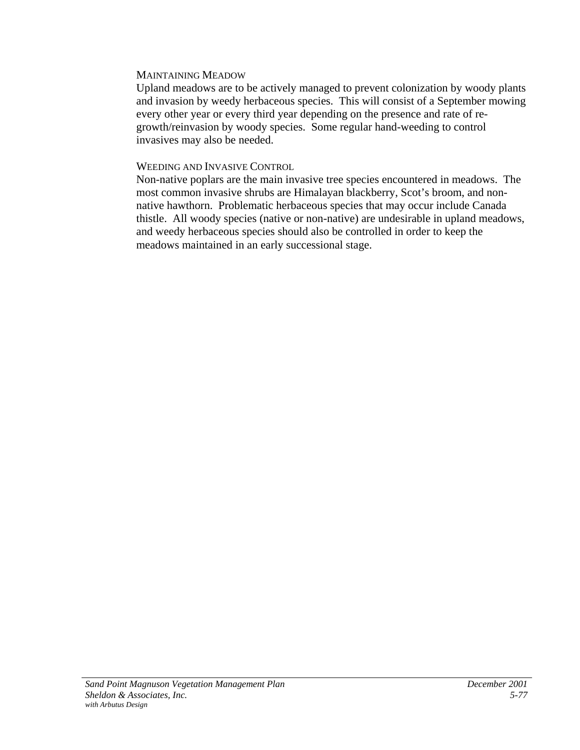#### MAINTAINING MEADOW

Upland meadows are to be actively managed to prevent colonization by woody plants and invasion by weedy herbaceous species. This will consist of a September mowing every other year or every third year depending on the presence and rate of regrowth/reinvasion by woody species. Some regular hand-weeding to control invasives may also be needed.

#### WEEDING AND INVASIVE CONTROL

Non-native poplars are the main invasive tree species encountered in meadows. The most common invasive shrubs are Himalayan blackberry, Scot's broom, and nonnative hawthorn. Problematic herbaceous species that may occur include Canada thistle. All woody species (native or non-native) are undesirable in upland meadows, and weedy herbaceous species should also be controlled in order to keep the meadows maintained in an early successional stage.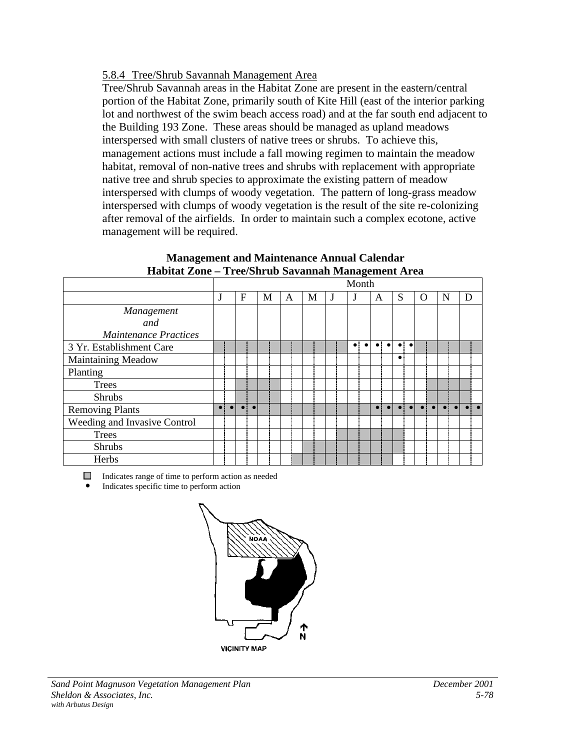### 5.8.4 Tree/Shrub Savannah Management Area

Tree/Shrub Savannah areas in the Habitat Zone are present in the eastern/central portion of the Habitat Zone, primarily south of Kite Hill (east of the interior parking lot and northwest of the swim beach access road) and at the far south end adjacent to the Building 193 Zone. These areas should be managed as upland meadows interspersed with small clusters of native trees or shrubs. To achieve this, management actions must include a fall mowing regimen to maintain the meadow habitat, removal of non-native trees and shrubs with replacement with appropriate native tree and shrub species to approximate the existing pattern of meadow interspersed with clumps of woody vegetation. The pattern of long-grass meadow interspersed with clumps of woody vegetation is the result of the site re-colonizing after removal of the airfields. In order to maintain such a complex ecotone, active management will be required.

|                              |           |           |           |           |   |   |   |   |             | o         |           |                         |             |                     |          |           |   |   |  |
|------------------------------|-----------|-----------|-----------|-----------|---|---|---|---|-------------|-----------|-----------|-------------------------|-------------|---------------------|----------|-----------|---|---|--|
|                              |           |           |           |           |   |   |   |   | Month       |           |           |                         |             |                     |          |           |   |   |  |
|                              |           |           | F         |           | M | A | М | J |             |           | A         |                         | S           |                     | $\Omega$ |           | N | D |  |
| Management                   |           |           |           |           |   |   |   |   |             |           |           |                         |             |                     |          |           |   |   |  |
| and                          |           |           |           |           |   |   |   |   |             |           |           |                         |             |                     |          |           |   |   |  |
| <b>Maintenance Practices</b> |           |           |           |           |   |   |   |   |             |           |           |                         |             |                     |          |           |   |   |  |
| 3 Yr. Establishment Care     |           |           |           |           |   |   |   |   | $\bullet$ : | $\bullet$ |           | $\bullet$ : $\bullet$ : |             | $\bullet$ $\bullet$ |          |           |   |   |  |
| Maintaining Meadow           |           |           |           |           |   |   |   |   |             |           |           |                         | $\bullet$ : |                     |          |           |   |   |  |
| Planting                     |           |           |           |           |   |   |   |   |             |           |           |                         |             |                     |          |           |   |   |  |
| <b>Trees</b>                 |           |           |           |           |   |   |   |   |             |           |           |                         |             |                     |          |           |   |   |  |
| <b>Shrubs</b>                |           |           |           |           |   |   |   |   |             |           |           |                         |             |                     |          |           |   |   |  |
| <b>Removing Plants</b>       | $\bullet$ | $\bullet$ | $\bullet$ | $\bullet$ |   |   |   |   |             |           | $\bullet$ |                         |             |                     |          | $\bullet$ |   |   |  |
| Weeding and Invasive Control |           |           |           |           |   |   |   |   |             |           |           |                         |             |                     |          |           |   |   |  |
| <b>Trees</b>                 |           |           |           |           |   |   |   |   |             |           |           |                         |             |                     |          |           |   |   |  |
| <b>Shrubs</b>                |           |           |           |           |   |   |   |   |             |           |           |                         |             |                     |          |           |   |   |  |
| Herbs                        |           |           |           |           |   |   |   |   |             |           |           |                         |             |                     |          |           |   |   |  |

#### **Management and Maintenance Annual Calendar Habitat Zone – Tree/Shrub Savannah Management Area**

Indicates range of time to perform action as needed

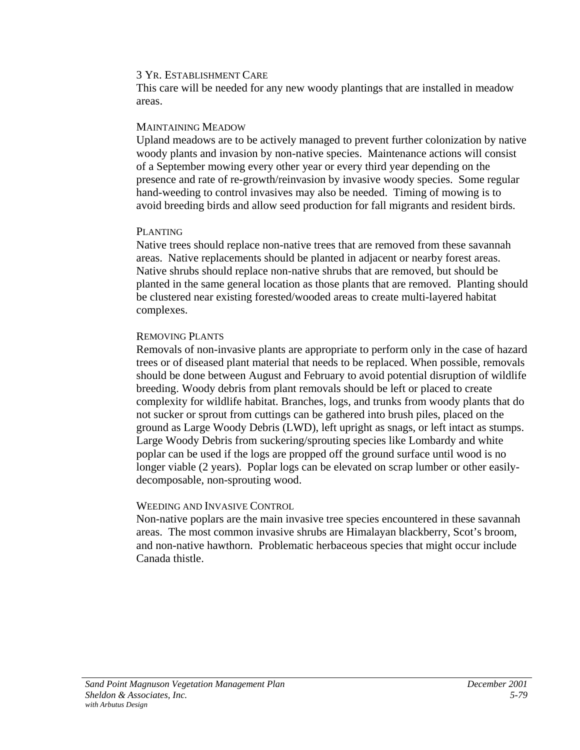#### 3 YR. ESTABLISHMENT CARE

This care will be needed for any new woody plantings that are installed in meadow areas.

#### MAINTAINING MEADOW

Upland meadows are to be actively managed to prevent further colonization by native woody plants and invasion by non-native species. Maintenance actions will consist of a September mowing every other year or every third year depending on the presence and rate of re-growth/reinvasion by invasive woody species. Some regular hand-weeding to control invasives may also be needed. Timing of mowing is to avoid breeding birds and allow seed production for fall migrants and resident birds.

### PLANTING

Native trees should replace non-native trees that are removed from these savannah areas. Native replacements should be planted in adjacent or nearby forest areas. Native shrubs should replace non-native shrubs that are removed, but should be planted in the same general location as those plants that are removed. Planting should be clustered near existing forested/wooded areas to create multi-layered habitat complexes.

#### REMOVING PLANTS

Removals of non-invasive plants are appropriate to perform only in the case of hazard trees or of diseased plant material that needs to be replaced. When possible, removals should be done between August and February to avoid potential disruption of wildlife breeding. Woody debris from plant removals should be left or placed to create complexity for wildlife habitat. Branches, logs, and trunks from woody plants that do not sucker or sprout from cuttings can be gathered into brush piles, placed on the ground as Large Woody Debris (LWD), left upright as snags, or left intact as stumps. Large Woody Debris from suckering/sprouting species like Lombardy and white poplar can be used if the logs are propped off the ground surface until wood is no longer viable (2 years). Poplar logs can be elevated on scrap lumber or other easilydecomposable, non-sprouting wood.

### WEEDING AND INVASIVE CONTROL

Non-native poplars are the main invasive tree species encountered in these savannah areas. The most common invasive shrubs are Himalayan blackberry, Scot's broom, and non-native hawthorn. Problematic herbaceous species that might occur include Canada thistle.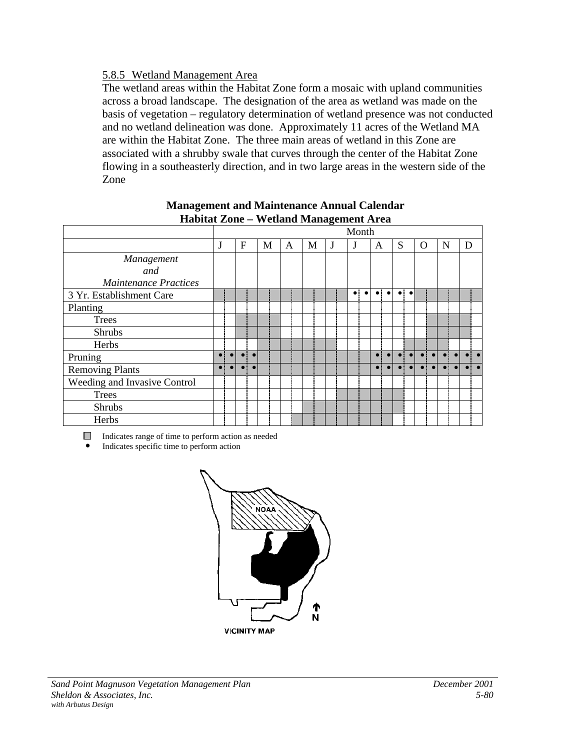# 5.8.5 Wetland Management Area

The wetland areas within the Habitat Zone form a mosaic with upland communities across a broad landscape. The designation of the area as wetland was made on the basis of vegetation – regulatory determination of wetland presence was not conducted and no wetland delineation was done. Approximately 11 acres of the Wetland MA are within the Habitat Zone. The three main areas of wetland in this Zone are associated with a shrubby swale that curves through the center of the Habitat Zone flowing in a southeasterly direction, and in two large areas in the western side of the Zone

|                              |           |           |           |   |   | -------- <del></del> |   |           |           |           |           |           |       |   |   |   |  |
|------------------------------|-----------|-----------|-----------|---|---|----------------------|---|-----------|-----------|-----------|-----------|-----------|-------|---|---|---|--|
|                              |           |           |           |   |   |                      |   | Month     |           |           |           |           |       |   |   |   |  |
|                              | J         | F         |           | M | A | М                    | J | J         |           | A         |           | S         |       | O | N | D |  |
| Management                   |           |           |           |   |   |                      |   |           |           |           |           |           |       |   |   |   |  |
| and                          |           |           |           |   |   |                      |   |           |           |           |           |           |       |   |   |   |  |
| <b>Maintenance Practices</b> |           |           |           |   |   |                      |   |           |           |           |           |           |       |   |   |   |  |
| 3 Yr. Establishment Care     |           |           |           |   |   |                      |   | $\bullet$ | $\bullet$ | $\bullet$ | $\bullet$ |           | ol ol |   |   |   |  |
| Planting                     |           |           |           |   |   |                      |   |           |           |           |           |           |       |   |   |   |  |
| <b>Trees</b>                 |           |           |           |   |   |                      |   |           |           |           |           |           |       |   |   |   |  |
| Shrubs                       |           |           |           |   |   |                      |   |           |           |           |           |           |       |   |   |   |  |
| Herbs                        |           |           |           |   |   |                      |   |           |           |           |           |           |       |   |   |   |  |
| Pruning                      | $\bullet$ | $\bullet$ | $\bullet$ |   |   |                      |   |           |           | $\bullet$ | $\bullet$ | $\bullet$ |       |   |   |   |  |
| <b>Removing Plants</b>       | $\bullet$ |           | $\bullet$ |   |   |                      |   |           |           |           |           |           |       |   |   |   |  |
| Weeding and Invasive Control |           |           |           |   |   |                      |   |           |           |           |           |           |       |   |   |   |  |
| <b>Trees</b>                 |           |           |           |   |   |                      |   |           |           |           |           |           |       |   |   |   |  |
| Shrubs                       |           |           |           |   |   |                      |   |           |           |           |           |           |       |   |   |   |  |
| Herbs                        |           |           |           |   |   |                      |   |           |           |           |           |           |       |   |   |   |  |

### **Management and Maintenance Annual Calendar Habitat Zone – Wetland Management Area**

Indicates range of time to perform action as needed

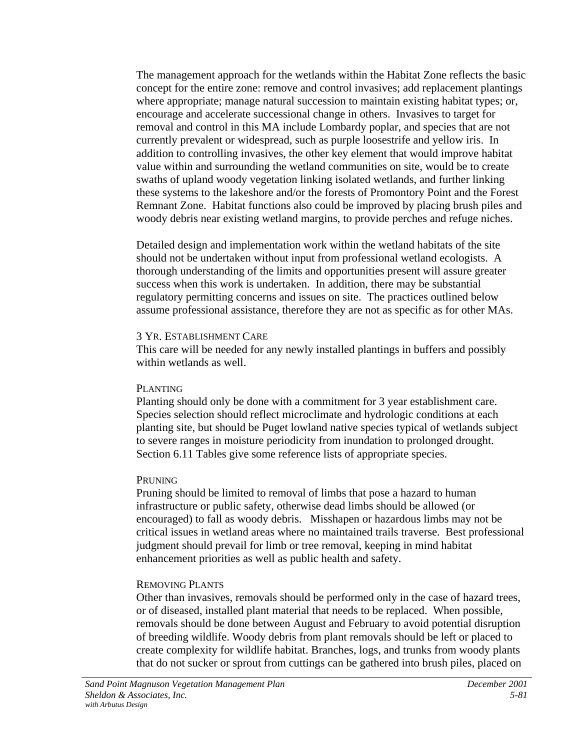The management approach for the wetlands within the Habitat Zone reflects the basic concept for the entire zone: remove and control invasives; add replacement plantings where appropriate; manage natural succession to maintain existing habitat types; or, encourage and accelerate successional change in others. Invasives to target for removal and control in this MA include Lombardy poplar, and species that are not currently prevalent or widespread, such as purple loosestrife and yellow iris. In addition to controlling invasives, the other key element that would improve habitat value within and surrounding the wetland communities on site, would be to create swaths of upland woody vegetation linking isolated wetlands, and further linking these systems to the lakeshore and/or the forests of Promontory Point and the Forest Remnant Zone. Habitat functions also could be improved by placing brush piles and woody debris near existing wetland margins, to provide perches and refuge niches.

Detailed design and implementation work within the wetland habitats of the site should not be undertaken without input from professional wetland ecologists. A thorough understanding of the limits and opportunities present will assure greater success when this work is undertaken. In addition, there may be substantial regulatory permitting concerns and issues on site. The practices outlined below assume professional assistance, therefore they are not as specific as for other MAs.

#### 3 YR. ESTABLISHMENT CARE

This care will be needed for any newly installed plantings in buffers and possibly within wetlands as well.

### PLANTING

Planting should only be done with a commitment for 3 year establishment care. Species selection should reflect microclimate and hydrologic conditions at each planting site, but should be Puget lowland native species typical of wetlands subject to severe ranges in moisture periodicity from inundation to prolonged drought. Section 6.11 Tables give some reference lists of appropriate species.

### PRUNING

Pruning should be limited to removal of limbs that pose a hazard to human infrastructure or public safety, otherwise dead limbs should be allowed (or encouraged) to fall as woody debris. Misshapen or hazardous limbs may not be critical issues in wetland areas where no maintained trails traverse. Best professional judgment should prevail for limb or tree removal, keeping in mind habitat enhancement priorities as well as public health and safety.

# REMOVING PLANTS

Other than invasives, removals should be performed only in the case of hazard trees, or of diseased, installed plant material that needs to be replaced. When possible, removals should be done between August and February to avoid potential disruption of breeding wildlife. Woody debris from plant removals should be left or placed to create complexity for wildlife habitat. Branches, logs, and trunks from woody plants that do not sucker or sprout from cuttings can be gathered into brush piles, placed on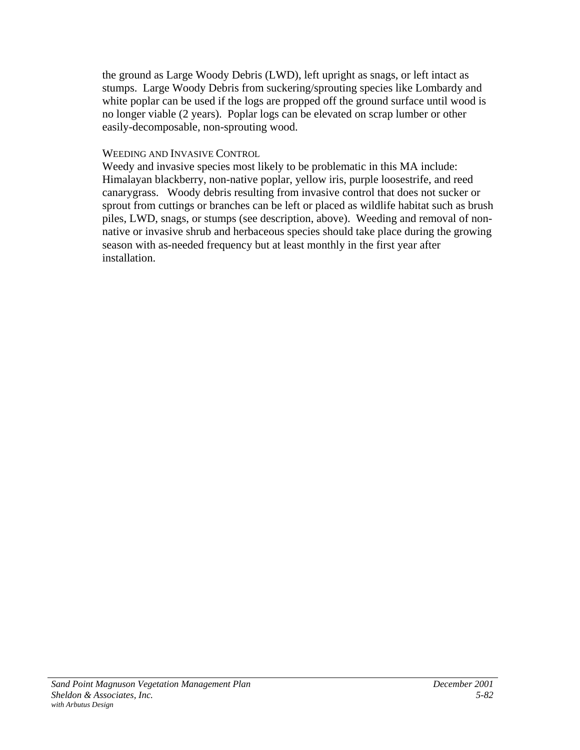the ground as Large Woody Debris (LWD), left upright as snags, or left intact as stumps. Large Woody Debris from suckering/sprouting species like Lombardy and white poplar can be used if the logs are propped off the ground surface until wood is no longer viable (2 years). Poplar logs can be elevated on scrap lumber or other easily-decomposable, non-sprouting wood.

### WEEDING AND INVASIVE CONTROL

Weedy and invasive species most likely to be problematic in this MA include: Himalayan blackberry, non-native poplar, yellow iris, purple loosestrife, and reed canarygrass. Woody debris resulting from invasive control that does not sucker or sprout from cuttings or branches can be left or placed as wildlife habitat such as brush piles, LWD, snags, or stumps (see description, above). Weeding and removal of nonnative or invasive shrub and herbaceous species should take place during the growing season with as-needed frequency but at least monthly in the first year after installation.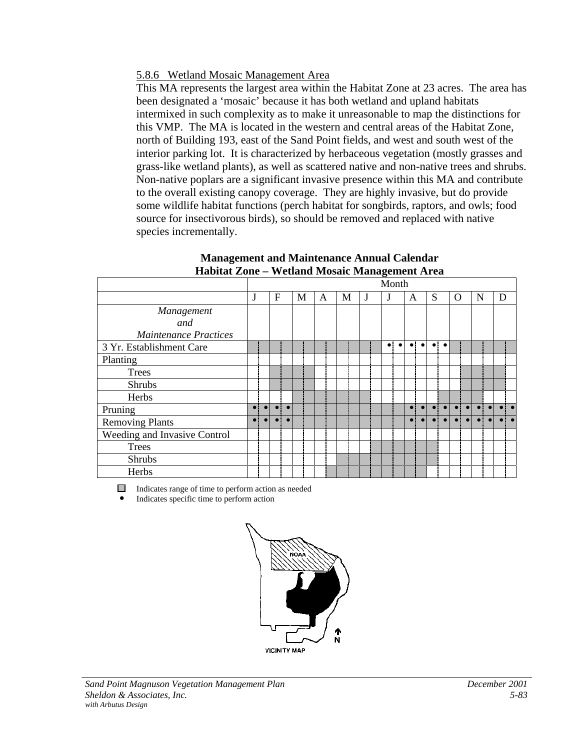# 5.8.6 Wetland Mosaic Management Area

This MA represents the largest area within the Habitat Zone at 23 acres. The area has been designated a 'mosaic' because it has both wetland and upland habitats intermixed in such complexity as to make it unreasonable to map the distinctions for this VMP. The MA is located in the western and central areas of the Habitat Zone, north of Building 193, east of the Sand Point fields, and west and south west of the interior parking lot. It is characterized by herbaceous vegetation (mostly grasses and grass-like wetland plants), as well as scattered native and non-native trees and shrubs. Non-native poplars are a significant invasive presence within this MA and contribute to the overall existing canopy coverage. They are highly invasive, but do provide some wildlife habitat functions (perch habitat for songbirds, raptors, and owls; food source for insectivorous birds), so should be removed and replaced with native species incrementally.

|                              |             |           |   |   |   |   |   | Month     |           |           |           |   |       |             |   |   |     |
|------------------------------|-------------|-----------|---|---|---|---|---|-----------|-----------|-----------|-----------|---|-------|-------------|---|---|-----|
|                              | J           |           | F | M | A | M | J |           |           | A         |           | S |       | $\rm{O}$    | N | D |     |
| Management                   |             |           |   |   |   |   |   |           |           |           |           |   |       |             |   |   |     |
| and                          |             |           |   |   |   |   |   |           |           |           |           |   |       |             |   |   |     |
| <b>Maintenance Practices</b> |             |           |   |   |   |   |   |           |           |           |           |   |       |             |   |   |     |
| 3 Yr. Establishment Care     |             |           |   |   |   |   |   | $\bullet$ | $\bullet$ | $\bullet$ | $\bullet$ |   | ol ol |             |   |   |     |
| Planting                     |             |           |   |   |   |   |   |           |           |           |           |   |       |             |   |   |     |
| Trees                        |             |           |   |   |   |   |   |           |           |           |           |   |       |             |   |   |     |
| <b>Shrubs</b>                |             |           |   |   |   |   |   |           |           |           |           |   |       |             |   |   |     |
| Herbs                        |             |           |   |   |   |   |   |           |           |           |           |   |       |             |   |   |     |
| Pruning                      | $\bullet$ ! | $\bullet$ |   |   |   |   |   |           |           |           |           |   |       | $\bullet$ : |   |   |     |
| <b>Removing Plants</b>       |             |           |   |   |   |   |   |           |           |           |           |   |       |             |   |   | . . |
| Weeding and Invasive Control |             |           |   |   |   |   |   |           |           |           |           |   |       |             |   |   |     |
| <b>Trees</b>                 |             |           |   |   |   |   |   |           |           |           |           |   |       |             |   |   |     |
| <b>Shrubs</b>                |             |           |   |   |   |   |   |           |           |           |           |   |       |             |   |   |     |
| Herbs                        |             |           |   |   |   |   |   |           |           |           |           |   |       |             |   |   |     |

#### **Management and Maintenance Annual Calendar Habitat Zone – Wetland Mosaic Management Area**

Indicates range of time to perform action as needed ! Indicates specific time to perform action

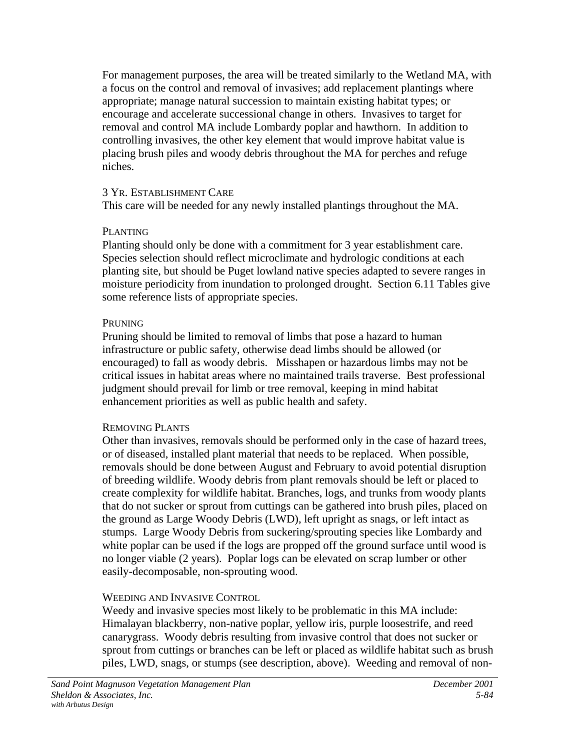For management purposes, the area will be treated similarly to the Wetland MA, with a focus on the control and removal of invasives; add replacement plantings where appropriate; manage natural succession to maintain existing habitat types; or encourage and accelerate successional change in others. Invasives to target for removal and control MA include Lombardy poplar and hawthorn. In addition to controlling invasives, the other key element that would improve habitat value is placing brush piles and woody debris throughout the MA for perches and refuge niches.

### 3 YR. ESTABLISHMENT CARE

This care will be needed for any newly installed plantings throughout the MA.

# PLANTING

Planting should only be done with a commitment for 3 year establishment care. Species selection should reflect microclimate and hydrologic conditions at each planting site, but should be Puget lowland native species adapted to severe ranges in moisture periodicity from inundation to prolonged drought. Section 6.11 Tables give some reference lists of appropriate species.

# **PRUNING**

Pruning should be limited to removal of limbs that pose a hazard to human infrastructure or public safety, otherwise dead limbs should be allowed (or encouraged) to fall as woody debris. Misshapen or hazardous limbs may not be critical issues in habitat areas where no maintained trails traverse. Best professional judgment should prevail for limb or tree removal, keeping in mind habitat enhancement priorities as well as public health and safety.

# REMOVING PLANTS

Other than invasives, removals should be performed only in the case of hazard trees, or of diseased, installed plant material that needs to be replaced. When possible, removals should be done between August and February to avoid potential disruption of breeding wildlife. Woody debris from plant removals should be left or placed to create complexity for wildlife habitat. Branches, logs, and trunks from woody plants that do not sucker or sprout from cuttings can be gathered into brush piles, placed on the ground as Large Woody Debris (LWD), left upright as snags, or left intact as stumps. Large Woody Debris from suckering/sprouting species like Lombardy and white poplar can be used if the logs are propped off the ground surface until wood is no longer viable (2 years). Poplar logs can be elevated on scrap lumber or other easily-decomposable, non-sprouting wood.

# WEEDING AND INVASIVE CONTROL

Weedy and invasive species most likely to be problematic in this MA include: Himalayan blackberry, non-native poplar, yellow iris, purple loosestrife, and reed canarygrass. Woody debris resulting from invasive control that does not sucker or sprout from cuttings or branches can be left or placed as wildlife habitat such as brush piles, LWD, snags, or stumps (see description, above). Weeding and removal of non-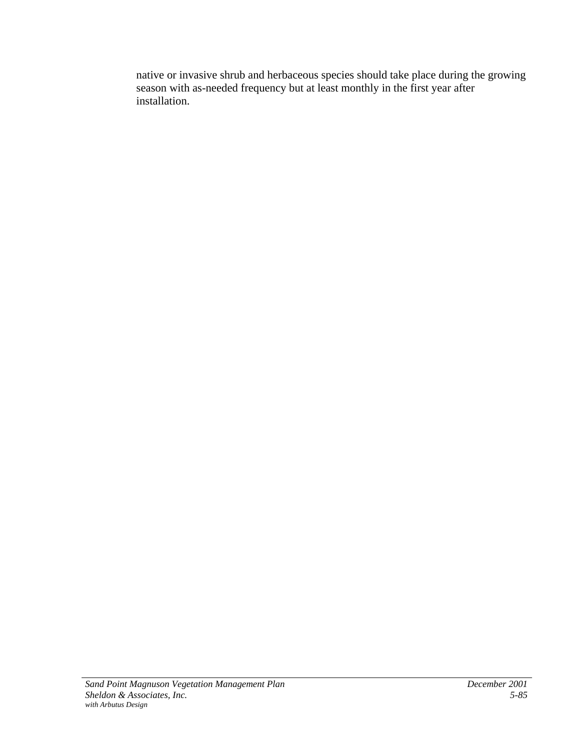native or invasive shrub and herbaceous species should take place during the growing season with as-needed frequency but at least monthly in the first year after installation.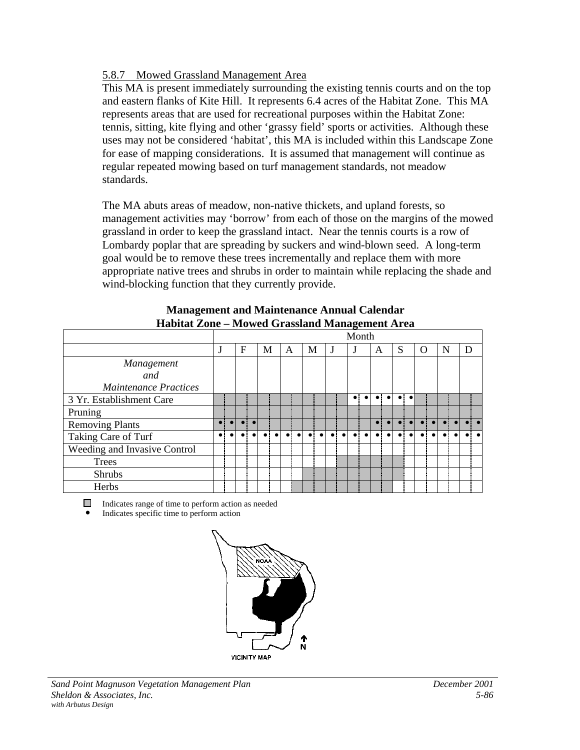# 5.8.7 Mowed Grassland Management Area

This MA is present immediately surrounding the existing tennis courts and on the top and eastern flanks of Kite Hill. It represents 6.4 acres of the Habitat Zone. This MA represents areas that are used for recreational purposes within the Habitat Zone: tennis, sitting, kite flying and other 'grassy field' sports or activities. Although these uses may not be considered 'habitat', this MA is included within this Landscape Zone for ease of mapping considerations. It is assumed that management will continue as regular repeated mowing based on turf management standards, not meadow standards.

The MA abuts areas of meadow, non-native thickets, and upland forests, so management activities may 'borrow' from each of those on the margins of the mowed grassland in order to keep the grassland intact. Near the tennis courts is a row of Lombardy poplar that are spreading by suckers and wind-blown seed. A long-term goal would be to remove these trees incrementally and replace them with more appropriate native trees and shrubs in order to maintain while replacing the shade and wind-blocking function that they currently provide.

|                              |  |   |   |   |   |  | Month       |   |   |   |          |   |   |  |
|------------------------------|--|---|---|---|---|--|-------------|---|---|---|----------|---|---|--|
|                              |  | F | М | A | M |  |             | A | S |   | $\Omega$ | N | D |  |
| <b>Management</b>            |  |   |   |   |   |  |             |   |   |   |          |   |   |  |
| and                          |  |   |   |   |   |  |             |   |   |   |          |   |   |  |
| <b>Maintenance Practices</b> |  |   |   |   |   |  |             |   |   |   |          |   |   |  |
| 3 Yr. Establishment Care     |  |   |   |   |   |  | $\bullet$ : |   |   | ٠ |          |   |   |  |
| Pruning                      |  |   |   |   |   |  |             |   |   |   |          |   |   |  |
| <b>Removing Plants</b>       |  |   |   |   |   |  |             |   |   |   |          |   |   |  |
| Taking Care of Turf          |  |   |   |   |   |  |             |   |   |   |          |   |   |  |
| Weeding and Invasive Control |  |   |   |   |   |  |             |   |   |   |          |   |   |  |
| Trees                        |  |   |   |   |   |  |             |   |   |   |          |   |   |  |
| <b>Shrubs</b>                |  |   |   |   |   |  |             |   |   |   |          |   |   |  |
| Herbs                        |  |   |   |   |   |  |             |   |   |   |          |   |   |  |

#### **Management and Maintenance Annual Calendar Habitat Zone – Mowed Grassland Management Area**

Indicates range of time to perform action as needed

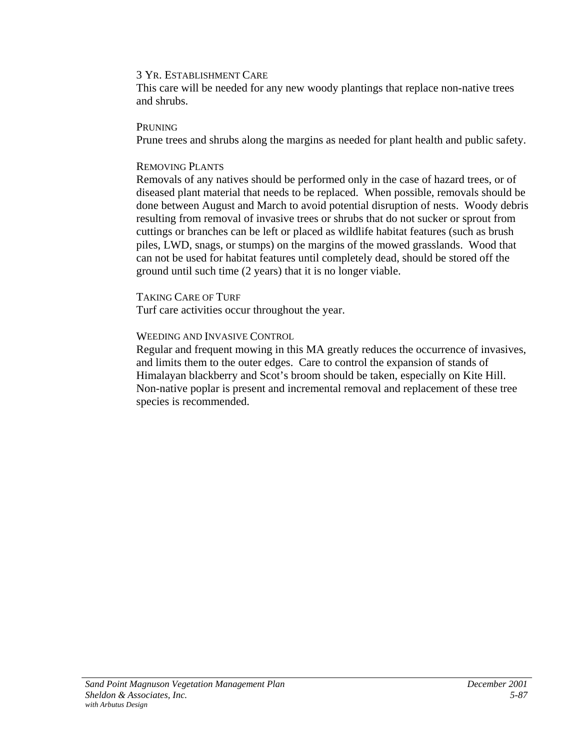#### 3 YR. ESTABLISHMENT CARE

This care will be needed for any new woody plantings that replace non-native trees and shrubs.

#### **PRUNING**

Prune trees and shrubs along the margins as needed for plant health and public safety.

### REMOVING PLANTS

Removals of any natives should be performed only in the case of hazard trees, or of diseased plant material that needs to be replaced. When possible, removals should be done between August and March to avoid potential disruption of nests. Woody debris resulting from removal of invasive trees or shrubs that do not sucker or sprout from cuttings or branches can be left or placed as wildlife habitat features (such as brush piles, LWD, snags, or stumps) on the margins of the mowed grasslands. Wood that can not be used for habitat features until completely dead, should be stored off the ground until such time (2 years) that it is no longer viable.

# TAKING CARE OF TURF

Turf care activities occur throughout the year.

# WEEDING AND INVASIVE CONTROL

Regular and frequent mowing in this MA greatly reduces the occurrence of invasives, and limits them to the outer edges. Care to control the expansion of stands of Himalayan blackberry and Scot's broom should be taken, especially on Kite Hill. Non-native poplar is present and incremental removal and replacement of these tree species is recommended.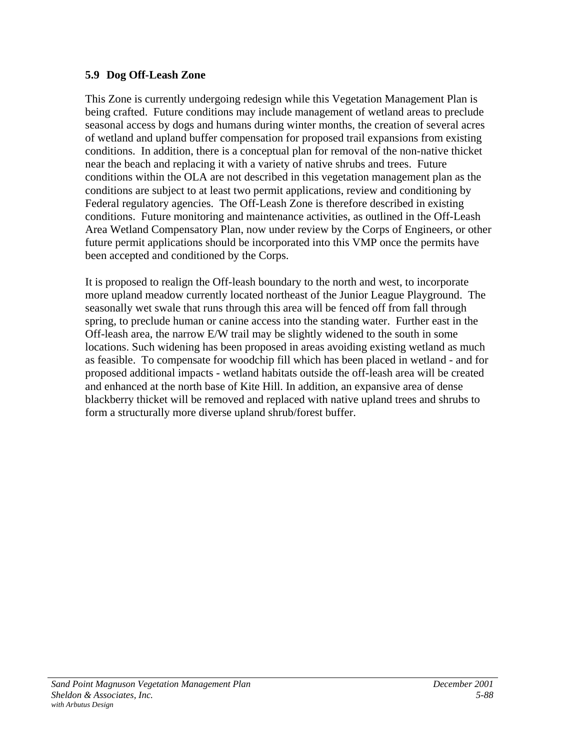# **5.9 Dog Off-Leash Zone**

This Zone is currently undergoing redesign while this Vegetation Management Plan is being crafted. Future conditions may include management of wetland areas to preclude seasonal access by dogs and humans during winter months, the creation of several acres of wetland and upland buffer compensation for proposed trail expansions from existing conditions. In addition, there is a conceptual plan for removal of the non-native thicket near the beach and replacing it with a variety of native shrubs and trees. Future conditions within the OLA are not described in this vegetation management plan as the conditions are subject to at least two permit applications, review and conditioning by Federal regulatory agencies. The Off-Leash Zone is therefore described in existing conditions. Future monitoring and maintenance activities, as outlined in the Off-Leash Area Wetland Compensatory Plan, now under review by the Corps of Engineers, or other future permit applications should be incorporated into this VMP once the permits have been accepted and conditioned by the Corps.

It is proposed to realign the Off-leash boundary to the north and west, to incorporate more upland meadow currently located northeast of the Junior League Playground. The seasonally wet swale that runs through this area will be fenced off from fall through spring, to preclude human or canine access into the standing water. Further east in the Off-leash area, the narrow E/W trail may be slightly widened to the south in some locations. Such widening has been proposed in areas avoiding existing wetland as much as feasible. To compensate for woodchip fill which has been placed in wetland - and for proposed additional impacts - wetland habitats outside the off-leash area will be created and enhanced at the north base of Kite Hill. In addition, an expansive area of dense blackberry thicket will be removed and replaced with native upland trees and shrubs to form a structurally more diverse upland shrub/forest buffer.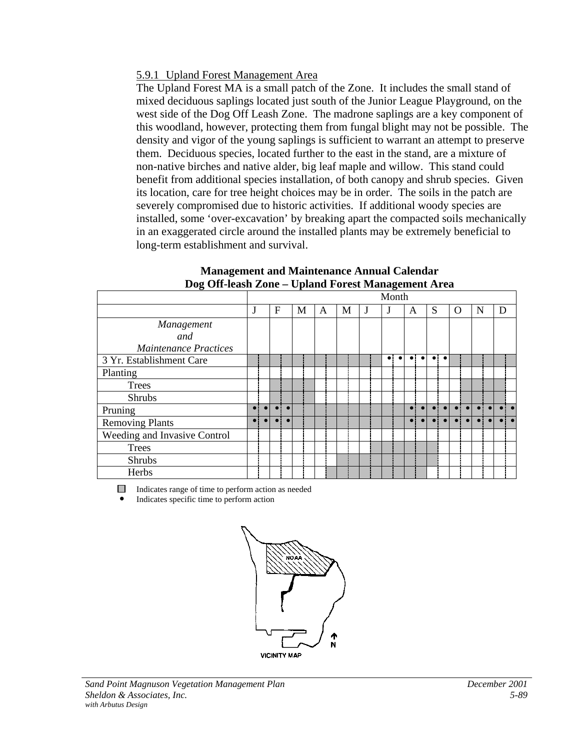### 5.9.1 Upland Forest Management Area

The Upland Forest MA is a small patch of the Zone. It includes the small stand of mixed deciduous saplings located just south of the Junior League Playground, on the west side of the Dog Off Leash Zone. The madrone saplings are a key component of this woodland, however, protecting them from fungal blight may not be possible. The density and vigor of the young saplings is sufficient to warrant an attempt to preserve them. Deciduous species, located further to the east in the stand, are a mixture of non-native birches and native alder, big leaf maple and willow. This stand could benefit from additional species installation, of both canopy and shrub species. Given its location, care for tree height choices may be in order. The soils in the patch are severely compromised due to historic activities. If additional woody species are installed, some 'over-excavation' by breaking apart the compacted soils mechanically in an exaggerated circle around the installed plants may be extremely beneficial to long-term establishment and survival.

|                              | Month |  |   |           |   |   |   |  |  |  |   |   |            |             |           |   |   |  |
|------------------------------|-------|--|---|-----------|---|---|---|--|--|--|---|---|------------|-------------|-----------|---|---|--|
|                              |       |  | F |           | M | A | М |  |  |  | A | S |            | $\Omega$    |           | N | D |  |
| Management                   |       |  |   |           |   |   |   |  |  |  |   |   |            |             |           |   |   |  |
| and                          |       |  |   |           |   |   |   |  |  |  |   |   |            |             |           |   |   |  |
| <b>Maintenance Practices</b> |       |  |   |           |   |   |   |  |  |  |   |   |            |             |           |   |   |  |
| 3 Yr. Establishment Care     |       |  |   |           |   |   |   |  |  |  |   |   |            |             |           |   |   |  |
| Planting                     |       |  |   |           |   |   |   |  |  |  |   |   |            |             |           |   |   |  |
| <b>Trees</b>                 |       |  |   |           |   |   |   |  |  |  |   |   |            |             |           |   |   |  |
| <b>Shrubs</b>                |       |  |   |           |   |   |   |  |  |  |   |   |            |             |           |   |   |  |
| Pruning                      |       |  |   |           |   |   |   |  |  |  |   |   |            |             |           |   |   |  |
| <b>Removing Plants</b>       |       |  |   | $\bullet$ |   |   |   |  |  |  |   |   | <b>O</b> L | $\bullet$ : | $\bullet$ |   |   |  |
| Weeding and Invasive Control |       |  |   |           |   |   |   |  |  |  |   |   |            |             |           |   |   |  |
| <b>Trees</b>                 |       |  |   |           |   |   |   |  |  |  |   |   |            |             |           |   |   |  |
| <b>Shrubs</b>                |       |  |   |           |   |   |   |  |  |  |   |   |            |             |           |   |   |  |
| Herbs                        |       |  |   |           |   |   |   |  |  |  |   |   |            |             |           |   |   |  |

#### **Management and Maintenance Annual Calendar Dog Off-leash Zone – Upland Forest Management Area**

Indicates range of time to perform action as needed

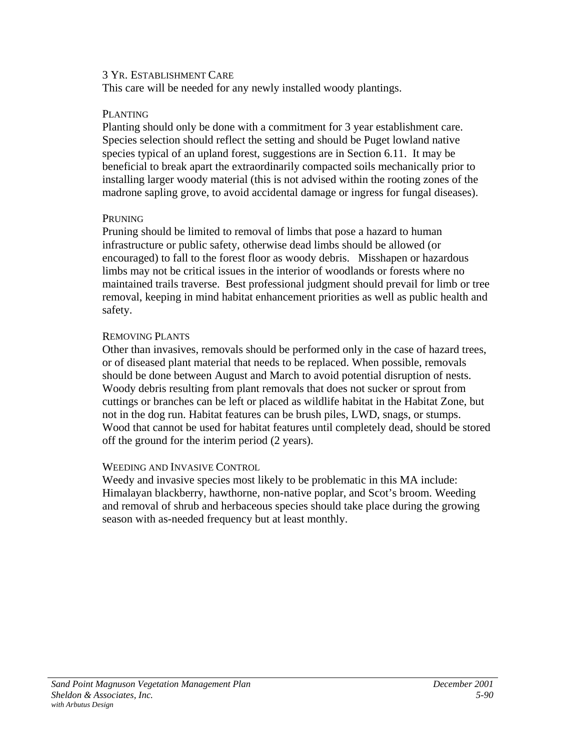#### 3 YR. ESTABLISHMENT CARE

This care will be needed for any newly installed woody plantings.

### PLANTING

Planting should only be done with a commitment for 3 year establishment care. Species selection should reflect the setting and should be Puget lowland native species typical of an upland forest, suggestions are in Section 6.11. It may be beneficial to break apart the extraordinarily compacted soils mechanically prior to installing larger woody material (this is not advised within the rooting zones of the madrone sapling grove, to avoid accidental damage or ingress for fungal diseases).

# PRUNING

Pruning should be limited to removal of limbs that pose a hazard to human infrastructure or public safety, otherwise dead limbs should be allowed (or encouraged) to fall to the forest floor as woody debris. Misshapen or hazardous limbs may not be critical issues in the interior of woodlands or forests where no maintained trails traverse. Best professional judgment should prevail for limb or tree removal, keeping in mind habitat enhancement priorities as well as public health and safety.

# REMOVING PLANTS

Other than invasives, removals should be performed only in the case of hazard trees, or of diseased plant material that needs to be replaced. When possible, removals should be done between August and March to avoid potential disruption of nests. Woody debris resulting from plant removals that does not sucker or sprout from cuttings or branches can be left or placed as wildlife habitat in the Habitat Zone, but not in the dog run. Habitat features can be brush piles, LWD, snags, or stumps. Wood that cannot be used for habitat features until completely dead, should be stored off the ground for the interim period (2 years).

# WEEDING AND INVASIVE CONTROL

Weedy and invasive species most likely to be problematic in this MA include: Himalayan blackberry, hawthorne, non-native poplar, and Scot's broom. Weeding and removal of shrub and herbaceous species should take place during the growing season with as-needed frequency but at least monthly.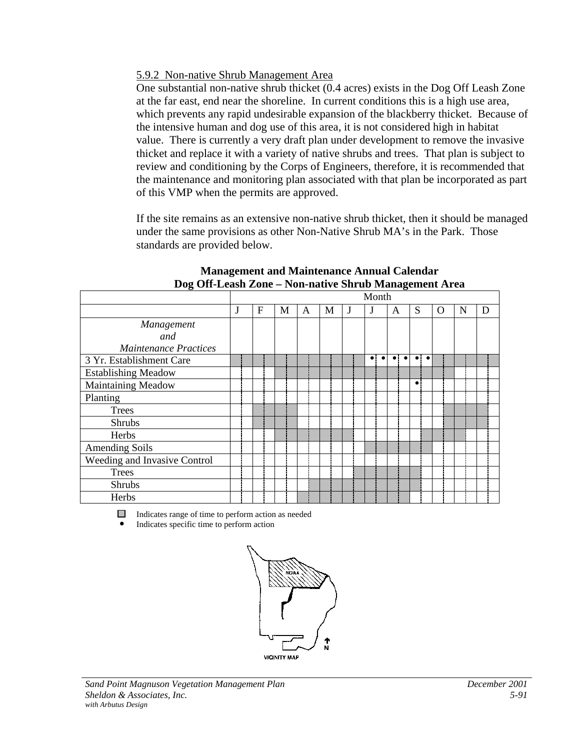# 5.9.2 Non-native Shrub Management Area

One substantial non-native shrub thicket (0.4 acres) exists in the Dog Off Leash Zone at the far east, end near the shoreline. In current conditions this is a high use area, which prevents any rapid undesirable expansion of the blackberry thicket. Because of the intensive human and dog use of this area, it is not considered high in habitat value. There is currently a very draft plan under development to remove the invasive thicket and replace it with a variety of native shrubs and trees. That plan is subject to review and conditioning by the Corps of Engineers, therefore, it is recommended that the maintenance and monitoring plan associated with that plan be incorporated as part of this VMP when the permits are approved.

If the site remains as an extensive non-native shrub thicket, then it should be managed under the same provisions as other Non-Native Shrub MA's in the Park. Those standards are provided below.

|                              | Month |   |   |   |   |  |                          |                  |                          |   |   |   |
|------------------------------|-------|---|---|---|---|--|--------------------------|------------------|--------------------------|---|---|---|
|                              | J     | F | М | A | М |  | J                        | A                | S                        | O | N | D |
| Management                   |       |   |   |   |   |  |                          |                  |                          |   |   |   |
| and                          |       |   |   |   |   |  |                          |                  |                          |   |   |   |
| <b>Maintenance Practices</b> |       |   |   |   |   |  |                          |                  |                          |   |   |   |
| 3 Yr. Establishment Care     |       |   |   |   |   |  | $\bullet$<br>$\bullet$ : | $\bullet$<br>. . | $\bullet$ .<br>$\bullet$ |   |   |   |
| <b>Establishing Meadow</b>   |       |   |   |   |   |  |                          |                  |                          |   |   |   |
| Maintaining Meadow           |       |   |   |   |   |  |                          |                  | $\bullet$                |   |   |   |
| Planting                     |       |   |   |   |   |  |                          |                  |                          |   |   |   |
| <b>Trees</b>                 |       |   |   |   |   |  |                          |                  |                          |   |   |   |
| Shrubs                       |       |   |   |   |   |  |                          |                  |                          |   |   |   |
| Herbs                        |       |   |   |   |   |  |                          |                  |                          |   |   |   |
| <b>Amending Soils</b>        |       |   |   |   |   |  |                          |                  |                          |   |   |   |
| Weeding and Invasive Control |       |   |   |   |   |  |                          |                  |                          |   |   |   |
| <b>Trees</b>                 |       |   |   |   |   |  |                          |                  |                          |   |   |   |
| <b>Shrubs</b>                |       |   |   |   |   |  |                          |                  |                          |   |   |   |
| Herbs                        |       |   |   |   |   |  |                          |                  |                          |   |   |   |

#### **Management and Maintenance Annual Calendar Dog Off-Leash Zone – Non-native Shrub Management Area**

Indicates range of time to perform action as needed

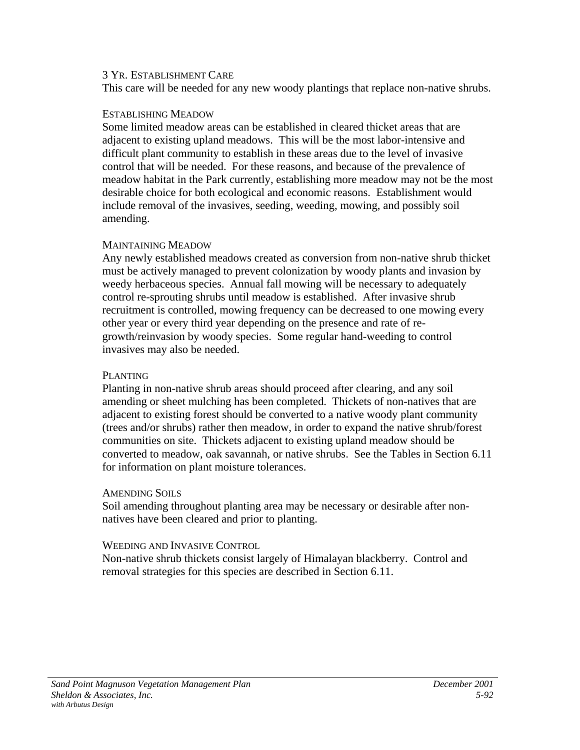#### 3 YR. ESTABLISHMENT CARE

This care will be needed for any new woody plantings that replace non-native shrubs.

#### ESTABLISHING MEADOW

Some limited meadow areas can be established in cleared thicket areas that are adjacent to existing upland meadows. This will be the most labor-intensive and difficult plant community to establish in these areas due to the level of invasive control that will be needed. For these reasons, and because of the prevalence of meadow habitat in the Park currently, establishing more meadow may not be the most desirable choice for both ecological and economic reasons. Establishment would include removal of the invasives, seeding, weeding, mowing, and possibly soil amending.

### MAINTAINING MEADOW

Any newly established meadows created as conversion from non-native shrub thicket must be actively managed to prevent colonization by woody plants and invasion by weedy herbaceous species. Annual fall mowing will be necessary to adequately control re-sprouting shrubs until meadow is established. After invasive shrub recruitment is controlled, mowing frequency can be decreased to one mowing every other year or every third year depending on the presence and rate of regrowth/reinvasion by woody species. Some regular hand-weeding to control invasives may also be needed.

### PLANTING

Planting in non-native shrub areas should proceed after clearing, and any soil amending or sheet mulching has been completed. Thickets of non-natives that are adjacent to existing forest should be converted to a native woody plant community (trees and/or shrubs) rather then meadow, in order to expand the native shrub/forest communities on site. Thickets adjacent to existing upland meadow should be converted to meadow, oak savannah, or native shrubs. See the Tables in Section 6.11 for information on plant moisture tolerances.

### AMENDING SOILS

Soil amending throughout planting area may be necessary or desirable after nonnatives have been cleared and prior to planting.

### WEEDING AND INVASIVE CONTROL

Non-native shrub thickets consist largely of Himalayan blackberry. Control and removal strategies for this species are described in Section 6.11.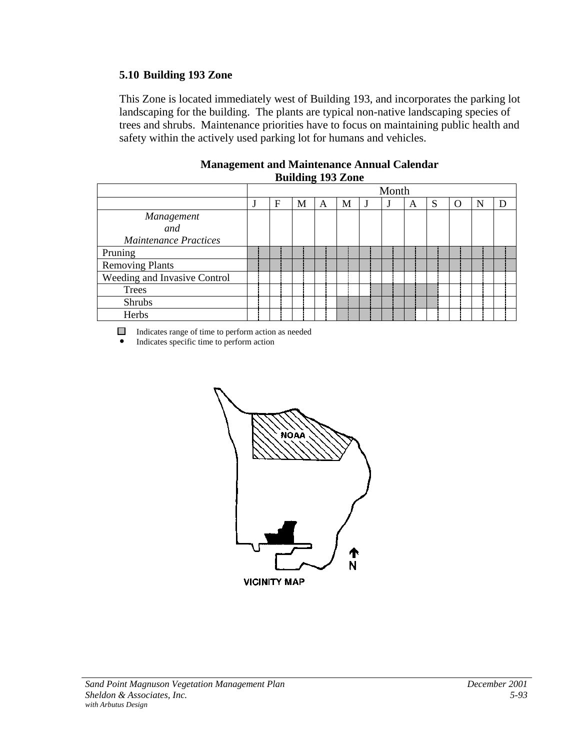# **5.10 Building 193 Zone**

This Zone is located immediately west of Building 193, and incorporates the parking lot landscaping for the building. The plants are typical non-native landscaping species of trees and shrubs. Maintenance priorities have to focus on maintaining public health and safety within the actively used parking lot for humans and vehicles.

| Dunuing 193 Lone             |       |   |   |   |   |  |  |   |   |   |   |  |
|------------------------------|-------|---|---|---|---|--|--|---|---|---|---|--|
|                              | Month |   |   |   |   |  |  |   |   |   |   |  |
|                              | ٠l    | F | М | A | М |  |  | Α | S | O | N |  |
| Management                   |       |   |   |   |   |  |  |   |   |   |   |  |
| and                          |       |   |   |   |   |  |  |   |   |   |   |  |
| <b>Maintenance Practices</b> |       |   |   |   |   |  |  |   |   |   |   |  |
| Pruning                      |       |   |   |   |   |  |  |   |   |   |   |  |
| <b>Removing Plants</b>       |       |   |   |   |   |  |  |   |   |   |   |  |
| Weeding and Invasive Control |       |   |   |   |   |  |  |   |   |   |   |  |
| <b>Trees</b>                 |       |   |   |   |   |  |  |   |   |   |   |  |
| <b>Shrubs</b>                |       |   |   |   |   |  |  |   |   |   |   |  |
| Herbs                        |       |   |   |   |   |  |  |   |   |   |   |  |

#### **Management and Maintenance Annual Calendar Building 193 Zone**

Indicates range of time to perform action as needed

• Indicates specific time to perform action



**VICINITY MAP**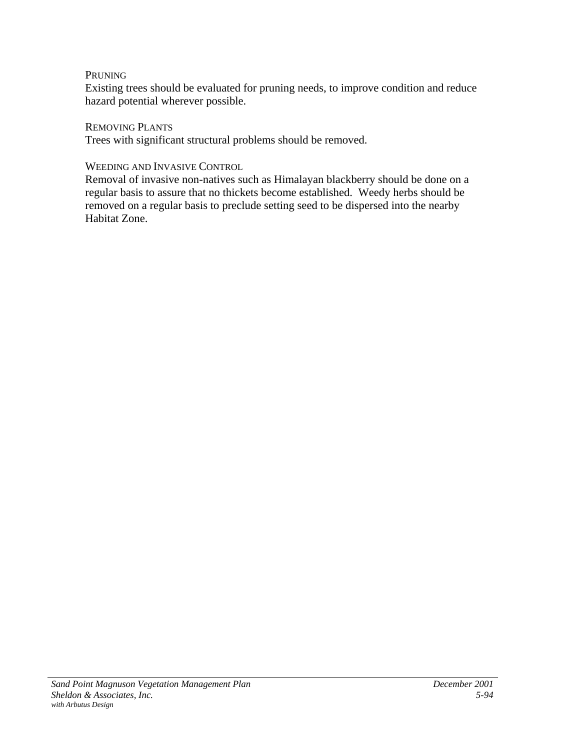# PRUNING

Existing trees should be evaluated for pruning needs, to improve condition and reduce hazard potential wherever possible.

REMOVING PLANTS

Trees with significant structural problems should be removed.

### WEEDING AND INVASIVE CONTROL

Removal of invasive non-natives such as Himalayan blackberry should be done on a regular basis to assure that no thickets become established. Weedy herbs should be removed on a regular basis to preclude setting seed to be dispersed into the nearby Habitat Zone.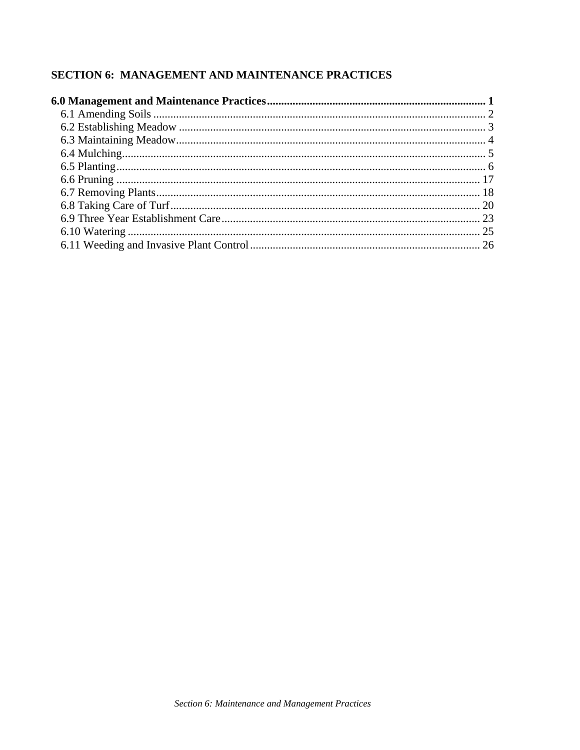# **SECTION 6: MANAGEMENT AND MAINTENANCE PRACTICES**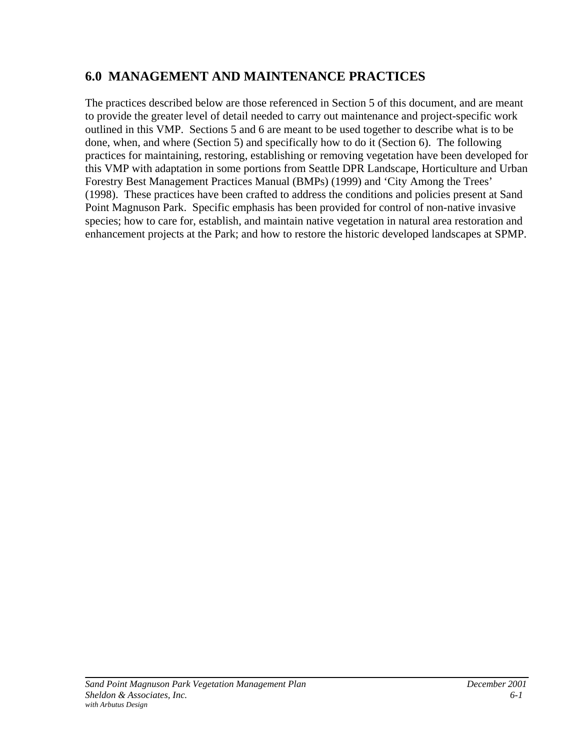# <span id="page-143-0"></span>**6.0 MANAGEMENT AND MAINTENANCE PRACTICES**

The practices described below are those referenced in Section 5 of this document, and are meant to provide the greater level of detail needed to carry out maintenance and project-specific work outlined in this VMP. Sections 5 and 6 are meant to be used together to describe what is to be done, when, and where (Section 5) and specifically how to do it (Section 6). The following practices for maintaining, restoring, establishing or removing vegetation have been developed for this VMP with adaptation in some portions from Seattle DPR Landscape, Horticulture and Urban Forestry Best Management Practices Manual (BMPs) (1999) and 'City Among the Trees' (1998). These practices have been crafted to address the conditions and policies present at Sand Point Magnuson Park. Specific emphasis has been provided for control of non-native invasive species; how to care for, establish, and maintain native vegetation in natural area restoration and enhancement projects at the Park; and how to restore the historic developed landscapes at SPMP.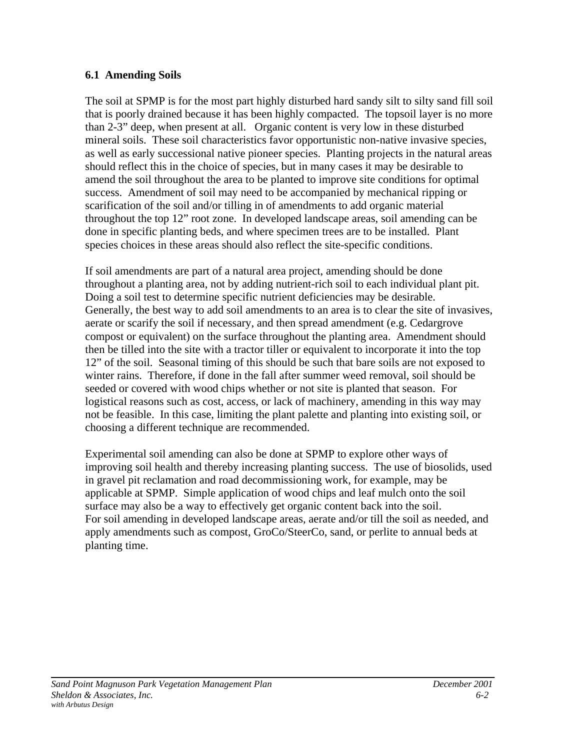# **6.1 Amending Soils**

The soil at SPMP is for the most part highly disturbed hard sandy silt to silty sand fill soil that is poorly drained because it has been highly compacted. The topsoil layer is no more than 2-3" deep, when present at all. Organic content is very low in these disturbed mineral soils. These soil characteristics favor opportunistic non-native invasive species, as well as early successional native pioneer species. Planting projects in the natural areas should reflect this in the choice of species, but in many cases it may be desirable to amend the soil throughout the area to be planted to improve site conditions for optimal success. Amendment of soil may need to be accompanied by mechanical ripping or scarification of the soil and/or tilling in of amendments to add organic material throughout the top 12" root zone. In developed landscape areas, soil amending can be done in specific planting beds, and where specimen trees are to be installed. Plant species choices in these areas should also reflect the site-specific conditions.

If soil amendments are part of a natural area project, amending should be done throughout a planting area, not by adding nutrient-rich soil to each individual plant pit. Doing a soil test to determine specific nutrient deficiencies may be desirable. Generally, the best way to add soil amendments to an area is to clear the site of invasives, aerate or scarify the soil if necessary, and then spread amendment (e.g. Cedargrove compost or equivalent) on the surface throughout the planting area. Amendment should then be tilled into the site with a tractor tiller or equivalent to incorporate it into the top 12" of the soil. Seasonal timing of this should be such that bare soils are not exposed to winter rains. Therefore, if done in the fall after summer weed removal, soil should be seeded or covered with wood chips whether or not site is planted that season. For logistical reasons such as cost, access, or lack of machinery, amending in this way may not be feasible. In this case, limiting the plant palette and planting into existing soil, or choosing a different technique are recommended.

Experimental soil amending can also be done at SPMP to explore other ways of improving soil health and thereby increasing planting success. The use of biosolids, used in gravel pit reclamation and road decommissioning work, for example, may be applicable at SPMP. Simple application of wood chips and leaf mulch onto the soil surface may also be a way to effectively get organic content back into the soil. For soil amending in developed landscape areas, aerate and/or till the soil as needed, and apply amendments such as compost, GroCo/SteerCo, sand, or perlite to annual beds at planting time.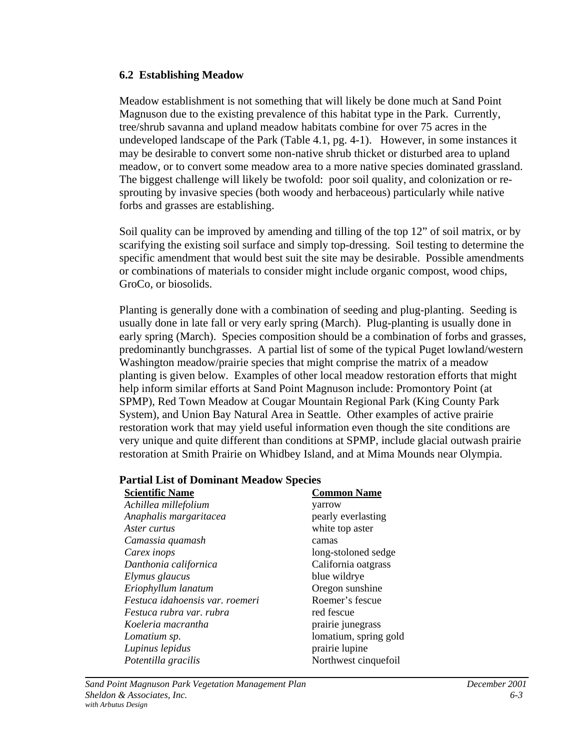#### **6.2 Establishing Meadow**

Meadow establishment is not something that will likely be done much at Sand Point Magnuson due to the existing prevalence of this habitat type in the Park. Currently, tree/shrub savanna and upland meadow habitats combine for over 75 acres in the undeveloped landscape of the Park (Table 4.1, pg. 4-1). However, in some instances it may be desirable to convert some non-native shrub thicket or disturbed area to upland meadow, or to convert some meadow area to a more native species dominated grassland. The biggest challenge will likely be twofold: poor soil quality, and colonization or resprouting by invasive species (both woody and herbaceous) particularly while native forbs and grasses are establishing.

Soil quality can be improved by amending and tilling of the top 12" of soil matrix, or by scarifying the existing soil surface and simply top-dressing. Soil testing to determine the specific amendment that would best suit the site may be desirable. Possible amendments or combinations of materials to consider might include organic compost, wood chips, GroCo, or biosolids.

Planting is generally done with a combination of seeding and plug-planting. Seeding is usually done in late fall or very early spring (March). Plug-planting is usually done in early spring (March). Species composition should be a combination of forbs and grasses, predominantly bunchgrasses. A partial list of some of the typical Puget lowland/western Washington meadow/prairie species that might comprise the matrix of a meadow planting is given below. Examples of other local meadow restoration efforts that might help inform similar efforts at Sand Point Magnuson include: Promontory Point (at SPMP), Red Town Meadow at Cougar Mountain Regional Park (King County Park System), and Union Bay Natural Area in Seattle. Other examples of active prairie restoration work that may yield useful information even though the site conditions are very unique and quite different than conditions at SPMP, include glacial outwash prairie restoration at Smith Prairie on Whidbey Island, and at Mima Mounds near Olympia.

# **Partial List of Dominant Meadow Species**

| <b>Scientific Name</b>          | <b>Common Name</b>    |
|---------------------------------|-----------------------|
| Achillea millefolium            | yarrow                |
| Anaphalis margaritacea          | pearly everlasting    |
| Aster curtus                    | white top aster       |
| Camassia quamash                | camas                 |
| Carex inops                     | long-stoloned sedge   |
| Danthonia californica           | California oatgrass   |
| Elymus glaucus                  | blue wildrye          |
| Eriophyllum lanatum             | Oregon sunshine       |
| Festuca idahoensis var. roemeri | Roemer's fescue       |
| Festuca rubra var. rubra        | red fescue            |
| Koeleria macrantha              | prairie junegrass     |
| Lomatium sp.                    | lomatium, spring gold |
| Lupinus lepidus                 | prairie lupine        |
| Potentilla gracilis             | Northwest cinquefoil  |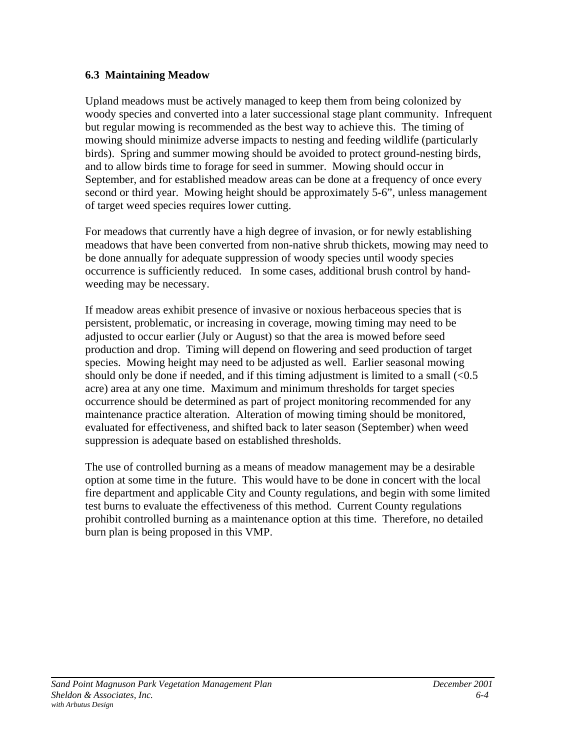# **6.3 Maintaining Meadow**

Upland meadows must be actively managed to keep them from being colonized by woody species and converted into a later successional stage plant community. Infrequent but regular mowing is recommended as the best way to achieve this. The timing of mowing should minimize adverse impacts to nesting and feeding wildlife (particularly birds). Spring and summer mowing should be avoided to protect ground-nesting birds, and to allow birds time to forage for seed in summer. Mowing should occur in September, and for established meadow areas can be done at a frequency of once every second or third year. Mowing height should be approximately 5-6", unless management of target weed species requires lower cutting.

For meadows that currently have a high degree of invasion, or for newly establishing meadows that have been converted from non-native shrub thickets, mowing may need to be done annually for adequate suppression of woody species until woody species occurrence is sufficiently reduced. In some cases, additional brush control by handweeding may be necessary.

If meadow areas exhibit presence of invasive or noxious herbaceous species that is persistent, problematic, or increasing in coverage, mowing timing may need to be adjusted to occur earlier (July or August) so that the area is mowed before seed production and drop. Timing will depend on flowering and seed production of target species. Mowing height may need to be adjusted as well. Earlier seasonal mowing should only be done if needed, and if this timing adjustment is limited to a small  $\ll 0.5$ acre) area at any one time. Maximum and minimum thresholds for target species occurrence should be determined as part of project monitoring recommended for any maintenance practice alteration. Alteration of mowing timing should be monitored, evaluated for effectiveness, and shifted back to later season (September) when weed suppression is adequate based on established thresholds.

The use of controlled burning as a means of meadow management may be a desirable option at some time in the future. This would have to be done in concert with the local fire department and applicable City and County regulations, and begin with some limited test burns to evaluate the effectiveness of this method. Current County regulations prohibit controlled burning as a maintenance option at this time. Therefore, no detailed burn plan is being proposed in this VMP.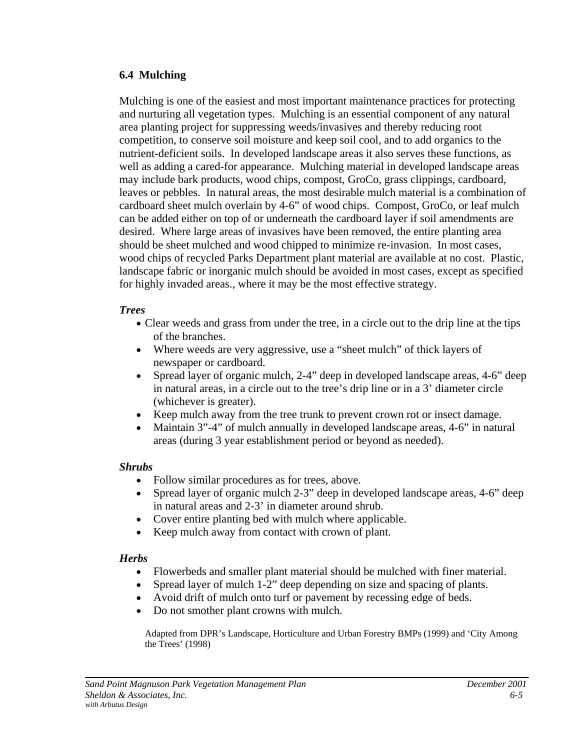#### **6.4 Mulching**

Mulching is one of the easiest and most important maintenance practices for protecting and nurturing all vegetation types. Mulching is an essential component of any natural area planting project for suppressing weeds/invasives and thereby reducing root competition, to conserve soil moisture and keep soil cool, and to add organics to the nutrient-deficient soils. In developed landscape areas it also serves these functions, as well as adding a cared-for appearance. Mulching material in developed landscape areas may include bark products, wood chips, compost, GroCo, grass clippings, cardboard, leaves or pebbles. In natural areas, the most desirable mulch material is a combination of cardboard sheet mulch overlain by 4-6" of wood chips. Compost, GroCo, or leaf mulch can be added either on top of or underneath the cardboard layer if soil amendments are desired. Where large areas of invasives have been removed, the entire planting area should be sheet mulched and wood chipped to minimize re-invasion. In most cases, wood chips of recycled Parks Department plant material are available at no cost. Plastic, landscape fabric or inorganic mulch should be avoided in most cases, except as specified for highly invaded areas., where it may be the most effective strategy.

# *Trees*

- Clear weeds and grass from under the tree, in a circle out to the drip line at the tips of the branches.
- Where weeds are very aggressive, use a "sheet mulch" of thick layers of newspaper or cardboard.
- Spread layer of organic mulch, 2-4" deep in developed landscape areas, 4-6" deep in natural areas, in a circle out to the tree's drip line or in a 3' diameter circle (whichever is greater).
- Keep mulch away from the tree trunk to prevent crown rot or insect damage.
- Maintain 3"-4" of mulch annually in developed landscape areas, 4-6" in natural areas (during 3 year establishment period or beyond as needed).

# *Shrubs*

- Follow similar procedures as for trees, above.
- Spread layer of organic mulch 2-3" deep in developed landscape areas, 4-6" deep in natural areas and 2-3' in diameter around shrub.
- Cover entire planting bed with mulch where applicable.
- Keep mulch away from contact with crown of plant.

# *Herbs*

- Flowerbeds and smaller plant material should be mulched with finer material.
- Spread layer of mulch 1-2" deep depending on size and spacing of plants.
- Avoid drift of mulch onto turf or pavement by recessing edge of beds.
- Do not smother plant crowns with mulch.

Adapted from DPR's Landscape, Horticulture and Urban Forestry BMPs (1999) and 'City Among the Trees' (1998)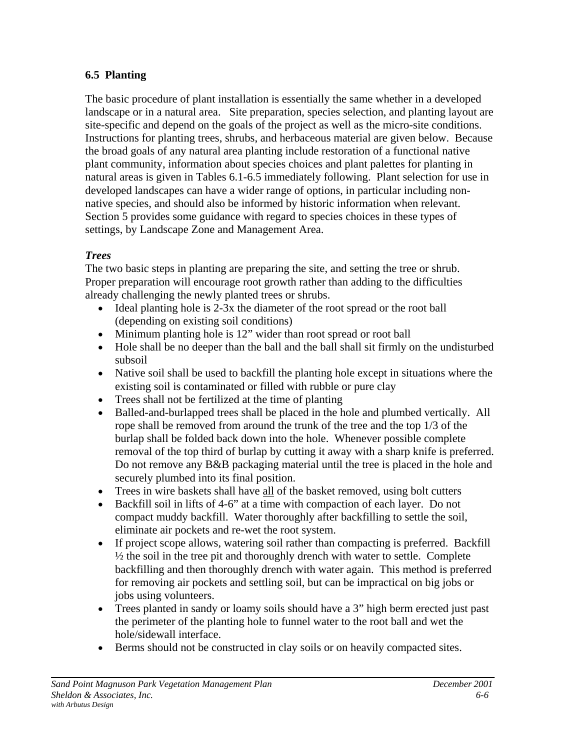# **6.5 Planting**

The basic procedure of plant installation is essentially the same whether in a developed landscape or in a natural area. Site preparation, species selection, and planting layout are site-specific and depend on the goals of the project as well as the micro-site conditions. Instructions for planting trees, shrubs, and herbaceous material are given below. Because the broad goals of any natural area planting include restoration of a functional native plant community, information about species choices and plant palettes for planting in natural areas is given in Tables 6.1-6.5 immediately following. Plant selection for use in developed landscapes can have a wider range of options, in particular including nonnative species, and should also be informed by historic information when relevant. Section 5 provides some guidance with regard to species choices in these types of settings, by Landscape Zone and Management Area.

# *Trees*

The two basic steps in planting are preparing the site, and setting the tree or shrub. Proper preparation will encourage root growth rather than adding to the difficulties already challenging the newly planted trees or shrubs.

- Ideal planting hole is 2-3x the diameter of the root spread or the root ball (depending on existing soil conditions)
- Minimum planting hole is 12" wider than root spread or root ball
- Hole shall be no deeper than the ball and the ball shall sit firmly on the undisturbed subsoil
- Native soil shall be used to backfill the planting hole except in situations where the existing soil is contaminated or filled with rubble or pure clay
- Trees shall not be fertilized at the time of planting
- Balled-and-burlapped trees shall be placed in the hole and plumbed vertically. All rope shall be removed from around the trunk of the tree and the top 1/3 of the burlap shall be folded back down into the hole. Whenever possible complete removal of the top third of burlap by cutting it away with a sharp knife is preferred. Do not remove any B&B packaging material until the tree is placed in the hole and securely plumbed into its final position.
- Trees in wire baskets shall have all of the basket removed, using bolt cutters
- Backfill soil in lifts of 4-6" at a time with compaction of each layer. Do not compact muddy backfill. Water thoroughly after backfilling to settle the soil, eliminate air pockets and re-wet the root system.
- If project scope allows, watering soil rather than compacting is preferred. Backfill ½ the soil in the tree pit and thoroughly drench with water to settle. Complete backfilling and then thoroughly drench with water again. This method is preferred for removing air pockets and settling soil, but can be impractical on big jobs or jobs using volunteers.
- Trees planted in sandy or loamy soils should have a 3" high berm erected just past the perimeter of the planting hole to funnel water to the root ball and wet the hole/sidewall interface.
- Berms should not be constructed in clay soils or on heavily compacted sites.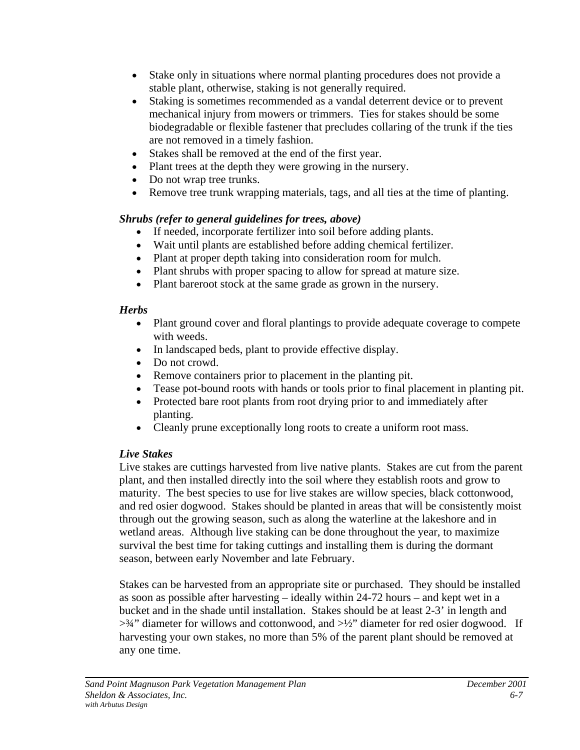- Stake only in situations where normal planting procedures does not provide a stable plant, otherwise, staking is not generally required.
- Staking is sometimes recommended as a vandal deterrent device or to prevent mechanical injury from mowers or trimmers. Ties for stakes should be some biodegradable or flexible fastener that precludes collaring of the trunk if the ties are not removed in a timely fashion.
- Stakes shall be removed at the end of the first year.
- Plant trees at the depth they were growing in the nursery.
- Do not wrap tree trunks.
- Remove tree trunk wrapping materials, tags, and all ties at the time of planting.

# *Shrubs (refer to general guidelines for trees, above)*

- If needed, incorporate fertilizer into soil before adding plants.
- Wait until plants are established before adding chemical fertilizer.
- Plant at proper depth taking into consideration room for mulch.
- Plant shrubs with proper spacing to allow for spread at mature size.
- Plant bareroot stock at the same grade as grown in the nursery.

# *Herbs*

- Plant ground cover and floral plantings to provide adequate coverage to compete with weeds.
- In landscaped beds, plant to provide effective display.
- Do not crowd.
- Remove containers prior to placement in the planting pit.
- Tease pot-bound roots with hands or tools prior to final placement in planting pit.
- Protected bare root plants from root drying prior to and immediately after planting.
- Cleanly prune exceptionally long roots to create a uniform root mass.

# *Live Stakes*

Live stakes are cuttings harvested from live native plants. Stakes are cut from the parent plant, and then installed directly into the soil where they establish roots and grow to maturity. The best species to use for live stakes are willow species, black cottonwood, and red osier dogwood. Stakes should be planted in areas that will be consistently moist through out the growing season, such as along the waterline at the lakeshore and in wetland areas. Although live staking can be done throughout the year, to maximize survival the best time for taking cuttings and installing them is during the dormant season, between early November and late February.

Stakes can be harvested from an appropriate site or purchased. They should be installed as soon as possible after harvesting – ideally within 24-72 hours – and kept wet in a bucket and in the shade until installation. Stakes should be at least 2-3' in length and  $>34$ " diameter for willows and cottonwood, and  $>1/2$ " diameter for red osier dogwood. If harvesting your own stakes, no more than 5% of the parent plant should be removed at any one time.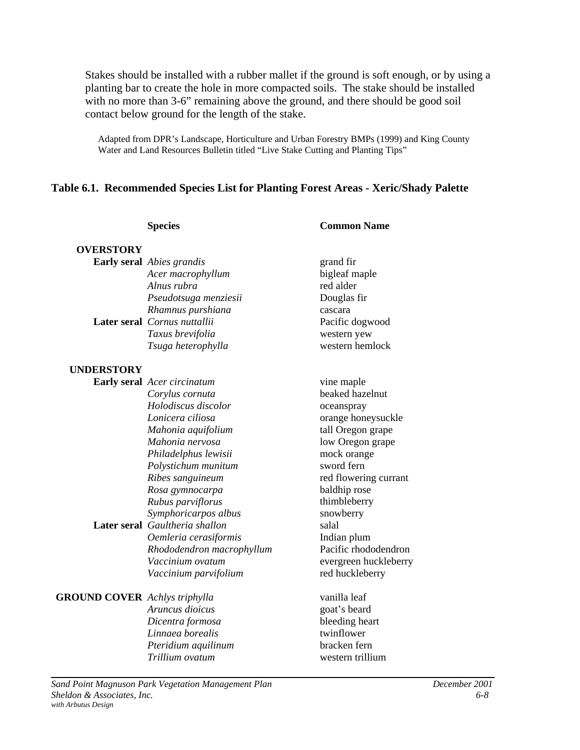Stakes should be installed with a rubber mallet if the ground is soft enough, or by using a planting bar to create the hole in more compacted soils. The stake should be installed with no more than 3-6" remaining above the ground, and there should be good soil contact below ground for the length of the stake.

Adapted from DPR's Landscape, Horticulture and Urban Forestry BMPs (1999) and King County Water and Land Resources Bulletin titled "Live Stake Cutting and Planting Tips"

#### **Table 6.1. Recommended Species List for Planting Forest Areas - Xeric/Shady Palette**

|                                      | <b>Species</b>                     | <b>Common Name</b>    |
|--------------------------------------|------------------------------------|-----------------------|
| <b>OVERSTORY</b>                     |                                    |                       |
|                                      | Early seral Abies grandis          | grand fir             |
|                                      | Acer macrophyllum                  | bigleaf maple         |
|                                      | Alnus rubra                        | red alder             |
|                                      | Pseudotsuga menziesii              | Douglas fir           |
|                                      | Rhamnus purshiana                  | cascara               |
|                                      | Later seral Cornus nuttallii       | Pacific dogwood       |
|                                      | Taxus brevifolia                   | western yew           |
|                                      | Tsuga heterophylla                 | western hemlock       |
| <b>UNDERSTORY</b>                    |                                    |                       |
|                                      | <b>Early seral</b> Acer circinatum | vine maple            |
|                                      | Corylus cornuta                    | beaked hazelnut       |
|                                      | Holodiscus discolor                | oceanspray            |
|                                      | Lonicera ciliosa                   | orange honeysuckle    |
|                                      | Mahonia aquifolium                 | tall Oregon grape     |
|                                      | Mahonia nervosa                    | low Oregon grape      |
|                                      | Philadelphus lewisii               | mock orange           |
|                                      | Polystichum munitum                | sword fern            |
|                                      | Ribes sanguineum                   | red flowering currant |
|                                      | Rosa gymnocarpa                    | baldhip rose          |
|                                      | Rubus parviflorus                  | thimbleberry          |
|                                      | Symphoricarpos albus               | snowberry             |
|                                      | Later seral Gaultheria shallon     | salal                 |
|                                      | Oemleria cerasiformis              | Indian plum           |
|                                      | Rhododendron macrophyllum          | Pacific rhododendron  |
|                                      | Vaccinium ovatum                   | evergreen huckleberry |
|                                      | Vaccinium parvifolium              | red huckleberry       |
| <b>GROUND COVER</b> Achlys triphylla |                                    | vanilla leaf          |
|                                      | Aruncus dioicus                    | goat's beard          |
|                                      | Dicentra formosa                   | bleeding heart        |
|                                      | Linnaea borealis                   | twinflower            |
|                                      | Pteridium aquilinum                | bracken fern          |
|                                      | Trillium ovatum                    | western trillium      |
|                                      |                                    |                       |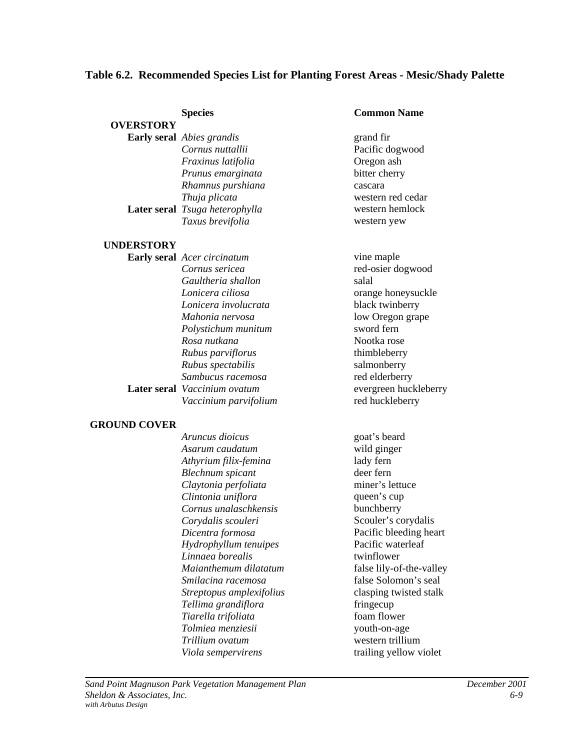# **Table 6.2. Recommended Species List for Planting Forest Areas - Mesic/Shady Palette**

|                     | <b>Species</b>                                      | <b>Common Name</b>       |               |
|---------------------|-----------------------------------------------------|--------------------------|---------------|
| <b>OVERSTORY</b>    |                                                     |                          |               |
|                     | Early seral Abies grandis                           | grand fir                |               |
|                     | Cornus nuttallii                                    | Pacific dogwood          |               |
|                     | Fraxinus latifolia                                  | Oregon ash               |               |
|                     | Prunus emarginata                                   | bitter cherry            |               |
|                     | Rhamnus purshiana                                   | cascara                  |               |
|                     | Thuja plicata                                       | western red cedar        |               |
|                     | Later seral Tsuga heterophylla                      | western hemlock          |               |
|                     | Taxus brevifolia                                    | western yew              |               |
| <b>UNDERSTORY</b>   |                                                     |                          |               |
|                     | <b>Early seral</b> Acer circinatum                  | vine maple               |               |
|                     | Cornus sericea                                      | red-osier dogwood        |               |
|                     | Gaultheria shallon                                  | salal                    |               |
|                     | Lonicera ciliosa                                    | orange honeysuckle       |               |
|                     | Lonicera involucrata                                | black twinberry          |               |
|                     | Mahonia nervosa                                     | low Oregon grape         |               |
|                     | Polystichum munitum                                 | sword fern               |               |
|                     | Rosa nutkana                                        | Nootka rose              |               |
|                     | Rubus parviflorus                                   | thimbleberry             |               |
|                     | Rubus spectabilis                                   | salmonberry              |               |
|                     | Sambucus racemosa                                   | red elderberry           |               |
|                     | Later seral Vaccinium ovatum                        | evergreen huckleberry    |               |
|                     | Vaccinium parvifolium                               | red huckleberry          |               |
|                     |                                                     |                          |               |
| <b>GROUND COVER</b> |                                                     |                          |               |
|                     | Aruncus dioicus                                     | goat's beard             |               |
|                     | Asarum caudatum                                     | wild ginger              |               |
|                     | Athyrium filix-femina                               | lady fern                |               |
|                     | <b>Blechnum</b> spicant                             | deer fern                |               |
|                     | Claytonia perfoliata                                | miner's lettuce          |               |
|                     | Clintonia uniflora                                  | queen's cup              |               |
|                     | Cornus unalaschkensis                               | bunchberry               |               |
|                     | Corydalis scouleri                                  | Scouler's corydalis      |               |
|                     | Dicentra formosa                                    | Pacific bleeding heart   |               |
|                     | Hydrophyllum tenuipes                               | Pacific waterleaf        |               |
|                     | Linnaea borealis                                    | twinflower               |               |
|                     | Maianthemum dilatatum                               | false lily-of-the-valley |               |
|                     | Smilacina racemosa                                  | false Solomon's seal     |               |
|                     | Streptopus amplexifolius                            | clasping twisted stalk   |               |
|                     | Tellima grandiflora                                 | fringecup                |               |
|                     | Tiarella trifoliata                                 | foam flower              |               |
|                     | Tolmiea menziesii                                   | youth-on-age             |               |
|                     | Trillium ovatum                                     | western trillium         |               |
|                     | Viola sempervirens                                  | trailing yellow violet   |               |
|                     |                                                     |                          |               |
|                     | Sand Point Magnuson Park Vegetation Management Plan |                          | December 2001 |
|                     |                                                     |                          |               |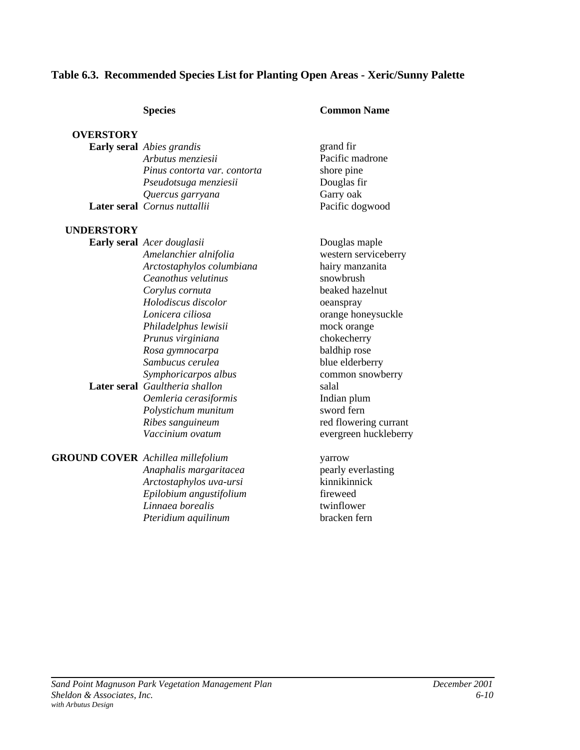# **Table 6.3. Recommended Species List for Planting Open Areas - Xeric/Sunny Palette**

#### **Species Common Name**

# **OVERSTORY**

| <b>Early seral</b> Abies grandis | grand fir       |
|----------------------------------|-----------------|
| Arbutus menziesii                | Pacific madrone |
| Pinus contorta var. contorta     | shore pine      |
| Pseudotsuga menziesii            | Douglas fir     |
| Quercus garryana                 | Garry oak       |
| Later seral Cornus nuttallii     | Pacific dogwood |

#### **UNDERSTORY**

| <b>Early seral</b> Acer douglasii        | Douglas maple         |
|------------------------------------------|-----------------------|
| Amelanchier alnifolia                    | western serviceberry  |
| Arctostaphylos columbiana                | hairy manzanita       |
| Ceanothus velutinus                      | snowbrush             |
| Corylus cornuta                          | beaked hazelnut       |
| Holodiscus discolor                      | oeanspray             |
| Lonicera ciliosa                         | orange honeysuckle    |
| Philadelphus lewisii                     | mock orange           |
| Prunus virginiana                        | chokecherry           |
| Rosa gymnocarpa                          | baldhip rose          |
| Sambucus cerulea                         | blue elderberry       |
| Symphoricarpos albus                     | common snowberry      |
| Later seral Gaultheria shallon           | salal                 |
| Oemleria cerasiformis                    | Indian plum           |
| Polystichum munitum                      | sword fern            |
| Ribes sanguineum                         | red flowering currant |
| Vaccinium ovatum                         | evergreen huckleberry |
| <b>GROUND COVER</b> Achillea millefolium | yarrow                |
| Anaphalis margaritacea                   | pearly everlasting    |

*Arctostaphylos uva-ursi* kinnikinnick *Epilobium angustifolium* fireweed<br> *Linnaea borealis* twinflower *Linnaea borealis* twinflower<br> *Pteridium aquilinum*bracken fern Pteridium aquilinum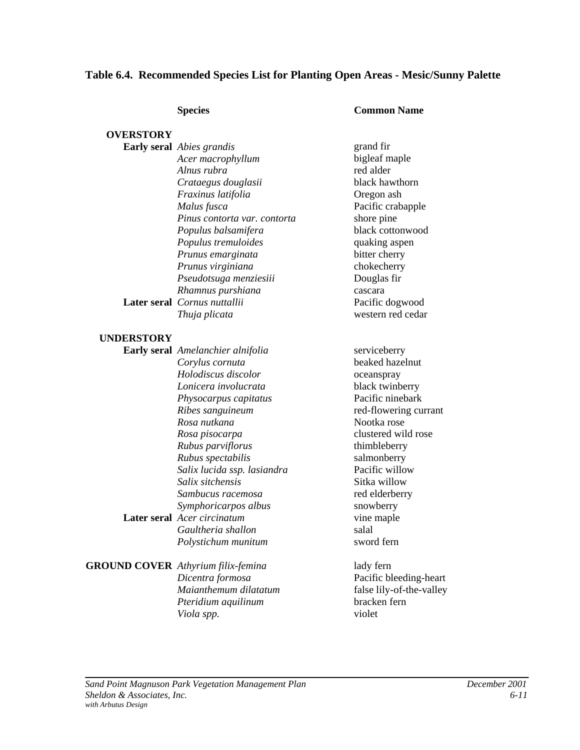# **Table 6.4. Recommended Species List for Planting Open Areas - Mesic/Sunny Palette**

#### **Species Common Name**

| <b>OVERSTORY</b>  |                                           |                          |
|-------------------|-------------------------------------------|--------------------------|
|                   | Early seral Abies grandis                 | grand fir                |
|                   | Acer macrophyllum                         | bigleaf maple            |
|                   | Alnus rubra                               | red alder                |
|                   | Crataegus douglasii                       | black hawthorn           |
|                   | Fraxinus latifolia                        | Oregon ash               |
|                   | Malus fusca                               | Pacific crabapple        |
|                   | Pinus contorta var. contorta              | shore pine               |
|                   | Populus balsamifera                       | black cottonwood         |
|                   | Populus tremuloides                       | quaking aspen            |
|                   | Prunus emarginata                         | bitter cherry            |
|                   | Prunus virginiana                         | chokecherry              |
|                   | Pseudotsuga menziesiii                    | Douglas fir              |
|                   | Rhamnus purshiana                         | cascara                  |
|                   | Later seral Cornus nuttallii              | Pacific dogwood          |
|                   | Thuja plicata                             | western red cedar        |
| <b>UNDERSTORY</b> |                                           |                          |
|                   | Early seral Amelanchier alnifolia         | serviceberry             |
|                   | Corylus cornuta                           | beaked hazelnut          |
|                   | Holodiscus discolor                       | oceanspray               |
|                   | Lonicera involucrata                      | black twinberry          |
|                   | Physocarpus capitatus                     | Pacific ninebark         |
|                   | Ribes sanguineum                          | red-flowering currant    |
|                   | Rosa nutkana                              | Nootka rose              |
|                   | Rosa pisocarpa                            | clustered wild rose      |
|                   | Rubus parviflorus                         | thimbleberry             |
|                   | Rubus spectabilis                         | salmonberry              |
|                   | Salix lucida ssp. lasiandra               | Pacific willow           |
|                   | Salix sitchensis                          | Sitka willow             |
|                   | Sambucus racemosa                         | red elderberry           |
|                   | Symphoricarpos albus                      | snowberry                |
|                   | Later seral Acer circinatum               | vine maple               |
|                   | Gaultheria shallon                        | salal                    |
|                   | Polystichum munitum                       | sword fern               |
|                   | <b>GROUND COVER</b> Athyrium filix-femina | lady fern                |
|                   | Dicentra formosa                          | Pacific bleeding-heart   |
|                   | Maianthemum dilatatum                     | false lily-of-the-valley |
|                   | Pteridium aquilinum                       | bracken fern             |
|                   | Viola spp.                                | violet                   |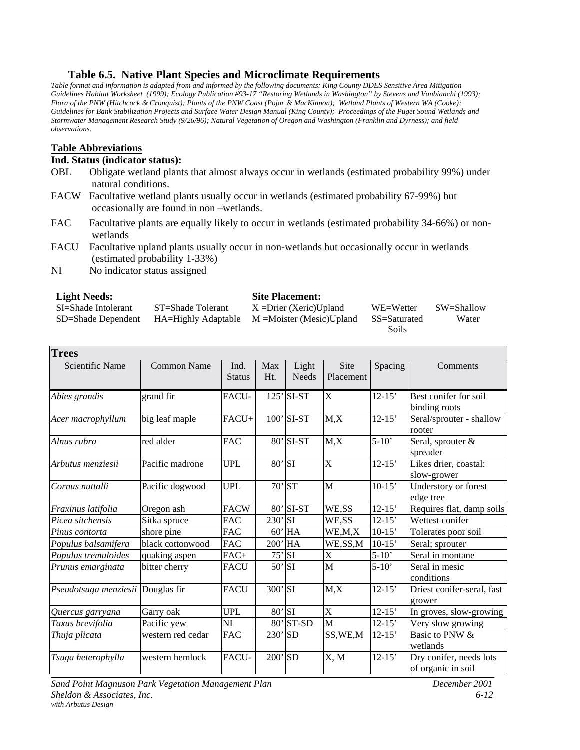#### **Table 6.5. Native Plant Species and Microclimate Requirements**

*Table format and information is adapted from and informed by the following documents: King County DDES Sensitive Area Mitigation Guidelines Habitat Worksheet (1999); Ecology Publication #93-17 "Restoring Wetlands in Washington" by Stevens and Vanbianchi (1993); Flora of the PNW (Hitchcock & Cronquist); Plants of the PNW Coast (Pojar & MacKinnon); Wetland Plants of Western WA (Cooke); Guidelines for Bank Stabilization Projects and Surface Water Design Manual (King County); Proceedings of the Puget Sound Wetlands and Stormwater Management Research Study (9/26/96); Natural Vegetation of Oregon and Washington (Franklin and Dyrness); and field observations.*

#### **Table Abbreviations**

#### **Ind. Status (indicator status):**

- OBL Obligate wetland plants that almost always occur in wetlands (estimated probability 99%) under natural conditions.
- FACW Facultative wetland plants usually occur in wetlands (estimated probability 67-99%) but occasionally are found in non –wetlands.
- FAC Facultative plants are equally likely to occur in wetlands (estimated probability 34-66%) or nonwetlands
- FACU Facultative upland plants usually occur in non-wetlands but occasionally occur in wetlands (estimated probability 1-33%)
- NI No indicator status assigned

#### **Light Needs: Site Placement:**

| Light reeus.        |                   | one i facement.                                     |              |            |
|---------------------|-------------------|-----------------------------------------------------|--------------|------------|
| SI=Shade Intolerant | ST=Shade Tolerant | $X = Drier (Xeric)Upland$                           | WE=Wetter    | SW=Shallow |
| SD=Shade Dependent  |                   | $HA = Highly Adaptable$ $M = Moister (Mesic)Upland$ | SS=Saturated | Water      |
|                     |                   |                                                     | Soils        |            |

| <b>Trees</b>                      |                    |                       |            |                       |                       |            |                                               |
|-----------------------------------|--------------------|-----------------------|------------|-----------------------|-----------------------|------------|-----------------------------------------------|
| <b>Scientific Name</b>            | <b>Common Name</b> | Ind.<br><b>Status</b> | Max<br>Ht. | Light<br><b>Needs</b> | Site<br>Placement     | Spacing    | Comments                                      |
| Abies grandis                     | grand fir          | FACU-                 |            | $125'$ SI-ST          | X                     | $12 - 15'$ | Best conifer for soil<br>binding roots        |
| Acer macrophyllum                 | big leaf maple     | FACU+                 |            | $100'$ SI-ST          | M, X                  | $12 - 15'$ | Seral/sprouter - shallow<br>rooter            |
| Alnus rubra                       | red alder          | <b>FAC</b>            |            | 80' SI-ST             | M, X                  | $5-10'$    | Seral, sprouter &<br>spreader                 |
| Arbutus menziesii                 | Pacific madrone    | <b>UPL</b>            | $80'$ SI   |                       | X                     | $12 - 15'$ | Likes drier, coastal:<br>slow-grower          |
| Cornus nuttalli                   | Pacific dogwood    | <b>UPL</b>            |            | 70' ST                | M                     | $10-15'$   | Understory or forest<br>edge tree             |
| Fraxinus latifolia                | Oregon ash         | <b>FACW</b>           |            | 80' SI-ST             | WE,SS                 | $12 - 15'$ | Requires flat, damp soils                     |
| Picea sitchensis                  | Sitka spruce       | <b>FAC</b>            | $230'$ SI  |                       | WE,SS                 | $12 - 15'$ | Wettest conifer                               |
| Pinus contorta                    | shore pine         | <b>FAC</b>            |            | $60'$ HA              | WE,M,X                | $10-15'$   | Tolerates poor soil                           |
| Populus balsamifera               | black cottonwood   | <b>FAC</b>            |            | 200' HA               | WE,SS,M               | $10-15'$   | Seral; sprouter                               |
| Populus tremuloides               | quaking aspen      | FAC+                  | 75'        | <b>SI</b>             | X                     | $5 - 10'$  | Seral in montane                              |
| Prunus emarginata                 | bitter cherry      | <b>FACU</b>           | $50'$ SI   |                       | M                     | $5-10'$    | Seral in mesic<br>conditions                  |
| Pseudotsuga menziesii Douglas fir |                    | <b>FACU</b>           | $300'$ SI  |                       | M, X                  | $12 - 15'$ | Driest conifer-seral, fast<br>grower          |
| Quercus garryana                  | Garry oak          | <b>UPL</b>            | $80'$ SI   |                       | $\overline{\text{X}}$ | $12 - 15'$ | In groves, slow-growing                       |
| Taxus brevifolia                  | Pacific yew        | NI                    |            | $80'$ ST-SD           | M                     | $12 - 15'$ | Very slow growing                             |
| Thuja plicata                     | western red cedar  | <b>FAC</b>            | $230'$ SD  |                       | SS, WE, M             | $12 - 15'$ | Basic to PNW &<br>wetlands                    |
| Tsuga heterophylla                | western hemlock    | FACU-                 | $200'$ SD  |                       | X, M                  | $12 - 15'$ | Dry conifer, needs lots<br>of organic in soil |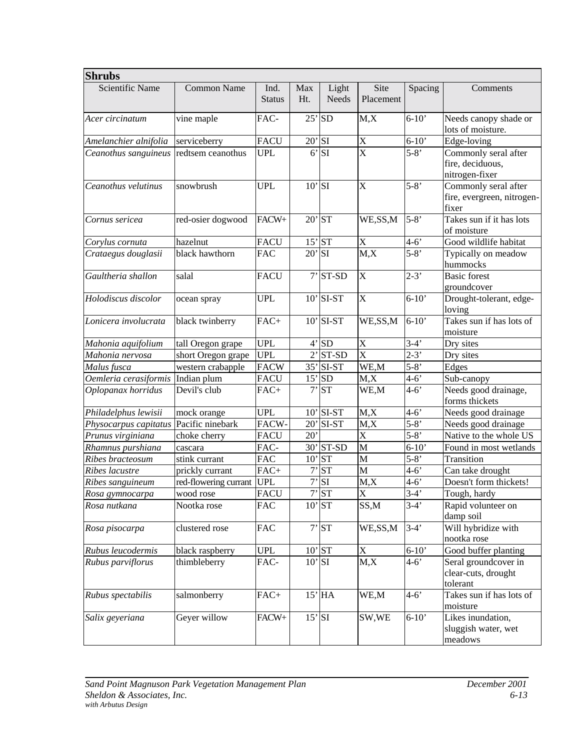| <b>Shrubs</b>         |                       |                       |             |                       |                       |           |                                                             |
|-----------------------|-----------------------|-----------------------|-------------|-----------------------|-----------------------|-----------|-------------------------------------------------------------|
| Scientific Name       | Common Name           | Ind.<br><b>Status</b> | Max<br>Ht.  | Light<br><b>Needs</b> | Site<br>Placement     | Spacing   | Comments                                                    |
| Acer circinatum       | vine maple            | FAC-                  | 25'         | <b>SD</b>             | M, X                  | $6-10'$   | Needs canopy shade or<br>lots of moisture.                  |
| Amelanchier alnifolia | serviceberry          | <b>FACU</b>           | $20'$ SI    |                       | X                     | $6 - 10'$ | Edge-loving                                                 |
| Ceanothus sanguineus  | redtsem ceanothus     | <b>UPL</b>            | $6^{\circ}$ | SI                    | $\overline{\text{X}}$ | $5 - 8'$  | Commonly seral after<br>fire, deciduous,<br>nitrogen-fixer  |
| Ceanothus velutinus   | snowbrush             | <b>UPL</b>            | $10'$ SI    |                       | X                     | $5 - 8'$  | Commonly seral after<br>fire, evergreen, nitrogen-<br>fixer |
| Cornus sericea        | red-osier dogwood     | FACW+                 |             | $20'$ ST              | WE, SS, M             | $5 - 8'$  | Takes sun if it has lots<br>of moisture                     |
| Corylus cornuta       | hazelnut              | <b>FACU</b>           |             | $15'$ ST              | X                     | $4 - 6'$  | Good wildlife habitat                                       |
| Crataegus douglasii   | black hawthorn        | <b>FAC</b>            | $20'$ SI    |                       | M, X                  | $5 - 8'$  | Typically on meadow<br>hummocks                             |
| Gaultheria shallon    | salal                 | <b>FACU</b>           |             | $7'$ ST-SD            | X                     | $2-3'$    | <b>Basic forest</b><br>groundcover                          |
| Holodiscus discolor   | ocean spray           | <b>UPL</b>            |             | $10'$ SI-ST           | X                     | $6 - 10'$ | Drought-tolerant, edge-<br>loving                           |
| Lonicera involucrata  | black twinberry       | $FAC+$                |             | $10'$ SI-ST           | WE, SS, M             | $6-10'$   | Takes sun if has lots of<br>moisture                        |
| Mahonia aquifolium    | tall Oregon grape     | <b>UPL</b>            |             | 4'SD                  | X                     | $3-4'$    | Dry sites                                                   |
| Mahonia nervosa       | short Oregon grape    | <b>UPL</b>            |             | $2'$ ST-SD            | $\overline{\text{X}}$ | $2 - 3'$  | Dry sites                                                   |
| Malus fusca           | western crabapple     | <b>FACW</b>           |             | $35'$ SI-ST           | WE,M                  | $5 - 8'$  | Edges                                                       |
| Oemleria cerasiformis | Indian plum           | <b>FACU</b>           |             | $15'$ SD              | M, X                  | $4 - 6'$  | Sub-canopy                                                  |
| Oplopanax horridus    | Devil's club          | FAC+                  | $7^{\circ}$ | <b>ST</b>             | WE,M                  | $4 - 6'$  | Needs good drainage,<br>forms thickets                      |
| Philadelphus lewisii  | mock orange           | <b>UPL</b>            |             | $10'$ SI-ST           | M, X                  | $4 - 6'$  | Needs good drainage                                         |
| Physocarpus capitatus | Pacific ninebark      | FACW-                 |             | $20'$ SI-ST           | M, X                  | $5 - 8'$  | Needs good drainage                                         |
| Prunus virginiana     | choke cherry          | <b>FACU</b>           | 20'         |                       | X                     | $5 - 8'$  | Native to the whole US                                      |
| Rhamnus purshiana     | cascara               | FAC-                  |             | 30' ST-SD             | M                     | $6 - 10'$ | Found in most wetlands                                      |
| Ribes bracteosum      | stink currant         | <b>FAC</b>            |             | $10'$ ST              | M                     | $5 - 8'$  | Transition                                                  |
| Ribes lacustre        | prickly currant       | $FAC+$                | 7'          | <b>ST</b>             | M                     | $4 - 6'$  | Can take drought                                            |
| Ribes sanguineum      | red-flowering currant | <b>UPL</b>            | 7'          | SI                    | M, X                  | $4 - 6'$  | Doesn't form thickets!                                      |
| Rosa gymnocarpa       | wood rose             | <b>FACU</b>           |             | 7'ST                  | $\overline{\text{X}}$ | $3-4'$    | Tough, hardy                                                |
| Rosa nutkana          | Nootka rose           | <b>FAC</b>            |             | $10'$ ST              | SS,M                  | $3-4'$    | Rapid volunteer on<br>damp soil                             |
| Rosa pisocarpa        | clustered rose        | <b>FAC</b>            |             | 7'ST                  | WE, SS, M             | $3-4'$    | Will hybridize with<br>nootka rose                          |
| Rubus leucodermis     | black raspberry       | UPL                   |             | $10'$ ST              | $\mathbf X$           | $6 - 10'$ | Good buffer planting                                        |
| Rubus parviflorus     | thimbleberry          | FAC-                  |             | $10'$ SI              | M, X                  | $4 - 6'$  | Seral groundcover in<br>clear-cuts, drought<br>tolerant     |
| Rubus spectabilis     | salmonberry           | $FAC+$                |             | $15'$ HA              | WE,M                  | $4 - 6'$  | Takes sun if has lots of<br>moisture                        |
| Salix geyeriana       | Geyer willow          | FACW+                 |             | $15'$ SI              | SW,WE                 | $6 - 10'$ | Likes inundation,<br>sluggish water, wet<br>meadows         |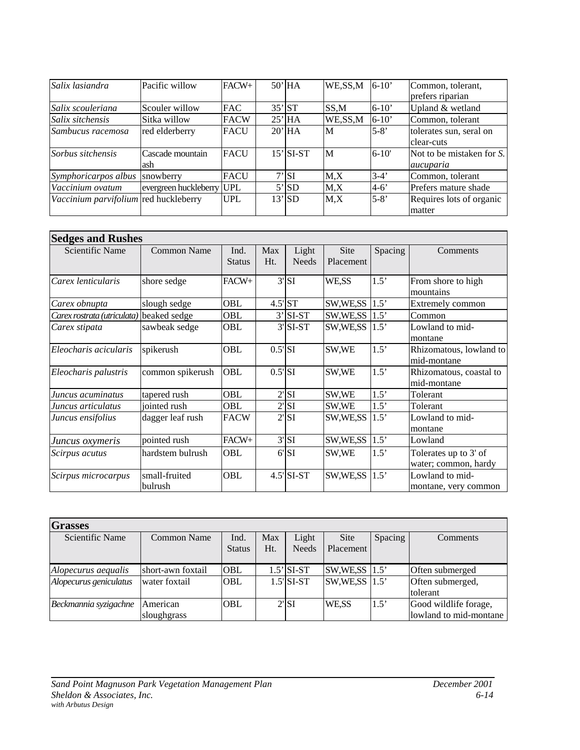| Salix lasiandra                       | Pacific willow            | $FACW+$     | $50'$ HA    | WE,SS,M   | $6-10'$   | Common, tolerant,         |
|---------------------------------------|---------------------------|-------------|-------------|-----------|-----------|---------------------------|
|                                       |                           |             |             |           |           | prefers riparian          |
| Salix scouleriana                     | Scouler willow            | <b>FAC</b>  | $35'$ ST    | SS,M      | $6-10'$   | Upland & wetland          |
| Salix sitchensis                      | Sitka willow              | <b>FACW</b> | $25'$ HA    | WE, SS, M | $6-10'$   | Common, tolerant          |
| Sambucus racemosa                     | red elderberry            | <b>FACU</b> | $20'$ HA    | M         | $5 - 8'$  | tolerates sun, seral on   |
|                                       |                           |             |             |           |           | clear-cuts                |
| Sorbus sitchensis                     | Cascade mountain          | <b>FACU</b> | $15'$ SI-ST | M         | $6 - 10'$ | Not to be mistaken for S. |
|                                       | ash                       |             |             |           |           | aucuparia                 |
| Symphoricarpos albus                  | snowberry                 | <b>FACU</b> | $7'$ SI     | $M_X$     | $3-4'$    | Common, tolerant          |
| Vaccinium ovatum                      | evergreen huckleberry UPL |             | 5'SD        | $M_X$     | $4-6'$    | Prefers mature shade      |
| Vaccinium parvifolium red huckleberry |                           | <b>UPL</b>  | $13'$ SD    | M.X       | $5 - 8'$  | Requires lots of organic  |
|                                       |                           |             |             |           |           | matter                    |

| <b>Sedges and Rushes</b>                 |                          |                       |                       |                          |                          |         |                                               |  |
|------------------------------------------|--------------------------|-----------------------|-----------------------|--------------------------|--------------------------|---------|-----------------------------------------------|--|
| Scientific Name                          | <b>Common Name</b>       | Ind.<br><b>Status</b> | Max<br>Ht.            | Light<br><b>Needs</b>    | <b>Site</b><br>Placement | Spacing | Comments                                      |  |
| Carex lenticularis                       | shore sedge              | FACW+                 |                       | $3'$ SI                  | WE,SS                    | 1.5'    | From shore to high<br>mountains               |  |
| Carex obnupta                            | slough sedge             | OBL                   |                       | $4.5$ <sup>'</sup> ST    | SW,WE,SS                 | 1.5'    | Extremely common                              |  |
| Carex rostrata (utriculata) beaked sedge |                          | OBL                   |                       | $3'$ SI-ST               | SW,WE,SS                 | 1.5'    | Common                                        |  |
| Carex stipata                            | sawbeak sedge            | OBL                   |                       | $3'$ SI-ST               | SW, WE, SS               | 1.5'    | Lowland to mid-<br>montane                    |  |
| Eleocharis acicularis                    | spikerush                | OBL                   | $0.5$ <sup>'</sup> SI |                          | SW,WE                    | 1.5'    | Rhizomatous, lowland to<br>mid-montane        |  |
| Eleocharis palustris                     | common spikerush         | OBL                   | $0.5$ 'SI             |                          | SW,WE                    | 1.5'    | Rhizomatous, coastal to<br>mid-montane        |  |
| Juncus acuminatus                        | tapered rush             | OBL                   |                       | $2'$ SI                  | SW,WE                    | 1.5'    | Tolerant                                      |  |
| Juncus articulatus                       | jointed rush             | OBL                   |                       | $2'$ SI                  | SW,WE                    | 1.5'    | Tolerant                                      |  |
| Juncus ensifolius                        | dagger leaf rush         | <b>FACW</b>           |                       | $2'$ SI                  | SW,WE,SS                 | 1.5'    | Lowland to mid-<br>montane                    |  |
| Juncus oxymeris                          | pointed rush             | FACW+                 |                       | $3'$ SI                  | SW,WE,SS                 | 1.5'    | Lowland                                       |  |
| Scirpus acutus                           | hardstem bulrush         | OBL                   |                       | $6'$ SI                  | SW,WE                    | 1.5'    | Tolerates up to 3' of<br>water; common, hardy |  |
| Scirpus microcarpus                      | small-fruited<br>bulrush | OBL                   |                       | $4.5$ <sup>'</sup> SI-ST | SW,WE,SS                 | 1.5'    | Lowland to mid-<br>montane, very common       |  |

| <b>Grasses</b>         |                   |               |     |               |            |         |                        |
|------------------------|-------------------|---------------|-----|---------------|------------|---------|------------------------|
| Scientific Name        | Common Name       | Ind.          | Max | Light         | Site       | Spacing | Comments               |
|                        |                   | <b>Status</b> | Ht. | <b>Needs</b>  | Placement  |         |                        |
| Alopecurus aequalis    | short-awn foxtail | OBL           |     | $1.5$ ' SI-ST | SW, WE, SS | 1.5'    | Often submerged        |
| Alopecurus geniculatus | water foxtail     | <b>OBL</b>    |     | 1.5' SI-ST    | SW,WE,SS   | 1.5'    | Often submerged,       |
|                        |                   |               |     |               |            |         | tolerant               |
| Beckmannia syzigachne  | American          | OBL           |     | $2'$ SI       | WE.SS      | 1.5'    | Good wildlife forage,  |
|                        | sloughgrass       |               |     |               |            |         | lowland to mid-montane |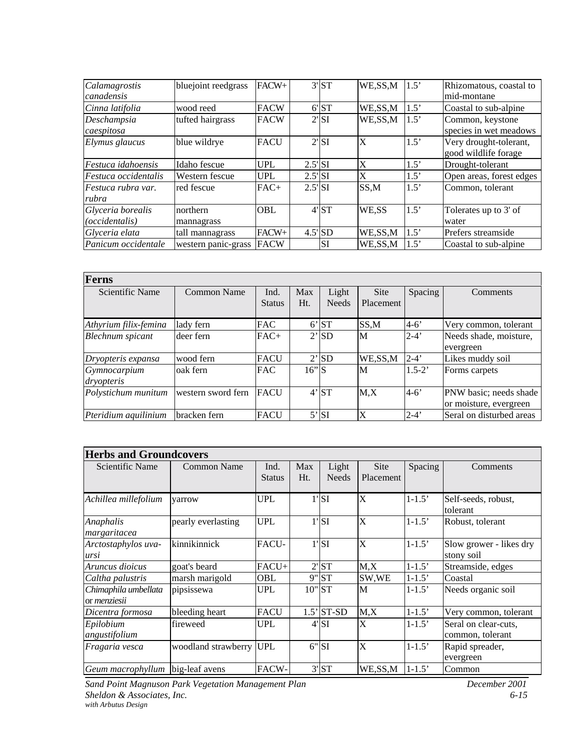| Calamagrostis<br>canadensis                | bluejoint reedgrass    | FACW+       |                                        | 3'ST                  | WE,SS,M   | 1.5' | Rhizomatous, coastal to<br>mid-montane         |
|--------------------------------------------|------------------------|-------------|----------------------------------------|-----------------------|-----------|------|------------------------------------------------|
| Cinna latifolia                            | wood reed              | <b>FACW</b> |                                        | 6'ST                  | WE,SS,M   | 1.5' | Coastal to sub-alpine                          |
| Deschampsia<br>caespitosa                  | tufted hairgrass       | <b>FACW</b> |                                        | $2'$ SI               | WE,SS,M   | 1.5' | Common, keystone<br>species in wet meadows     |
| Elymus glaucus                             | blue wildrye           | <b>FACU</b> |                                        | $2'$ SI               | X         | 1.5' | Very drought-tolerant,<br>good wildlife forage |
| <i>Festuca idahoensis</i>                  | Idaho fescue           | UPL         | $2.5$ <sup>'</sup> SI                  |                       | X         | 1.5' | Drought-tolerant                               |
| Festuca occidentalis                       | Western fescue         | <b>UPL</b>  | $2.5$ <sup><math>\vert</math></sup> SI |                       | X         | 1.5' | Open areas, forest edges                       |
| Festuca rubra var.<br>rubra                | red fescue             | $FAC+$      | $2.5$ <sup>'</sup> SI                  |                       | SS,M      | 1.5' | Common, tolerant                               |
| Glyceria borealis<br><i>(occidentalis)</i> | northern<br>mannagrass | <b>OBL</b>  |                                        | 4'ST                  | WE,SS     | 1.5' | Tolerates up to 3' of<br>water                 |
| Glyceria elata                             | tall mannagrass        | FACW+       |                                        | $4.5$ <sup>'</sup> SD | WE, SS, M | 1.5' | Prefers streamside                             |
| Panicum occidentale                        | western panic-grass    | <b>FACW</b> |                                        | SI                    | WE,SS,M   | 1.5' | Coastal to sub-alpine                          |

| <b>Ferns</b>            |                            |               |         |              |           |            |                          |  |  |  |  |
|-------------------------|----------------------------|---------------|---------|--------------|-----------|------------|--------------------------|--|--|--|--|
| Scientific Name         | Common Name<br>Max<br>Ind. |               | Light   | Site         | Spacing   | Comments   |                          |  |  |  |  |
|                         |                            | <b>Status</b> | Ht.     | <b>Needs</b> | Placement |            |                          |  |  |  |  |
| Athyrium filix-femina   | lady fern                  | <b>FAC</b>    |         | 6'ST         | SS,M      | $4-6'$     | Very common, tolerant    |  |  |  |  |
| <b>Blechnum</b> spicant | deer fern                  | $FAC+$        |         | $2'$ SD      | M         | $2 - 4'$   | Needs shade, moisture,   |  |  |  |  |
|                         |                            |               |         |              |           |            | evergreen                |  |  |  |  |
| Dryopteris expansa      | wood fern                  | <b>FACU</b>   |         | 2'SD         | WE, SS, M | $2 - 4'$   | Likes muddy soil         |  |  |  |  |
| Gymnocarpium            | oak fern                   | <b>FAC</b>    | $16"$ S |              | M         | $1.5 - 2'$ | Forms carpets            |  |  |  |  |
| dryopteris              |                            |               |         |              |           |            |                          |  |  |  |  |
| Polystichum munitum     | western sword fern         | <b>FACU</b>   |         | 4'ST         | M, X      | $4 - 6'$   | PNW basic; needs shade   |  |  |  |  |
|                         |                            |               |         |              |           |            | or moisture, evergreen   |  |  |  |  |
| Pteridium aquilinium    | bracken fern               | <b>FACU</b>   |         | $5'$ SI      | X         | $2 - 4'$   | Seral on disturbed areas |  |  |  |  |

# **Herbs and Groundcovers**

| <b>Scientific Name</b>                      | <b>Common Name</b>  | Ind.<br><b>Status</b> | Max<br>Ht. | Light<br><b>Needs</b>      | <b>Site</b><br>Placement | Spacing                               | Comments                                 |
|---------------------------------------------|---------------------|-----------------------|------------|----------------------------|--------------------------|---------------------------------------|------------------------------------------|
|                                             |                     |                       |            |                            |                          |                                       |                                          |
| Achillea millefolium                        | varrow              | <b>UPL</b>            |            | $1'$ SI                    | X                        | $1 - 1.5'$                            | Self-seeds, robust,<br>tolerant          |
| Anaphalis<br>margaritacea                   | pearly everlasting  | <b>UPL</b>            | $1'$ SI    |                            | X                        | $1 - 1.5$                             | Robust, tolerant                         |
| Arctostaphylos uva-<br>ursi                 | kinnikinnick        | $1'$ SI<br>FACU-      |            | X                          | $1 - 1.5'$               | Slow grower - likes dry<br>stony soil |                                          |
| Aruncus dioicus                             | goat's beard        | FACU+                 |            | 2'ST                       | M, X                     | $1 - 1.5'$                            | Streamside, edges                        |
| Caltha palustris                            | marsh marigold      | OBL                   |            | 9" ST                      | SW,WE                    | $1 - 1.5'$                            | Coastal                                  |
| Chimaphila umbellata<br>or <i>menziesii</i> | pipsissewa          | <b>UPL</b>            |            | $10"$ ST                   | M                        | $1 - 1.5'$                            | Needs organic soil                       |
| Dicentra formosa                            | bleeding heart      | <b>FACU</b>           |            | $1.5$ <sup>'</sup> $ST-SD$ | M, X                     | $1 - 1.5'$                            | Very common, tolerant                    |
| Epilobium<br>angustifolium                  | fireweed            | <b>UPL</b>            |            | $4'$ SI                    | X                        | $1 - 1.5$                             | Seral on clear-cuts,<br>common, tolerant |
| Fragaria vesca                              | woodland strawberry | <b>UPL</b>            | 6"         | <b>SI</b>                  | X                        | $1 - 1.5$                             | Rapid spreader,<br>evergreen             |
| Geum macrophyllum                           | big-leaf avens      | FACW-                 |            | 3'ST                       | WE,SS,M                  | $1 - 1.5'$                            | Common                                   |

*Sand Point Magnuson Park Vegetation Management Plan December 2001 Sheldon & Associates, Inc. 6-15 with Arbutus Design*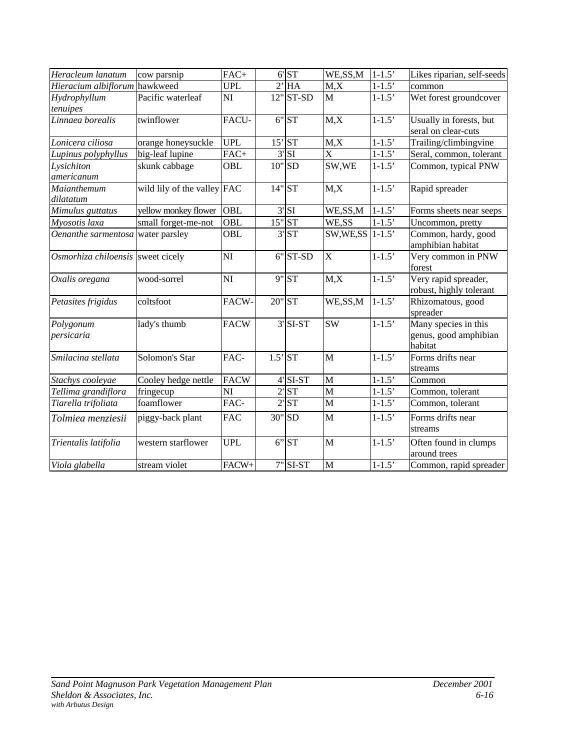| Heracleum lanatum                 | cow parsnip                 | FAC+                   |                       | 6'ST                   | WE, SS, M             | $1 - 1.5'$ | Likes riparian, self-seeds |
|-----------------------------------|-----------------------------|------------------------|-----------------------|------------------------|-----------------------|------------|----------------------------|
| Hieracium albiflorum              | hawkweed                    | <b>UPL</b>             |                       | $2'$ HA                | $\overline{M,X}$      | $1 - 1.5'$ | common                     |
| Hydrophyllum                      | Pacific waterleaf           | NI                     |                       | $12"$ ST-SD            | M                     | $1 - 1.5'$ | Wet forest groundcover     |
| tenuipes                          |                             |                        |                       |                        |                       |            |                            |
| Linnaea borealis                  | twinflower                  | FACU-                  |                       | $6"$ ST                | M, X                  | $1-1.5'$   | Usually in forests, but    |
|                                   |                             |                        |                       |                        |                       |            | seral on clear-cuts        |
| Lonicera ciliosa                  | orange honeysuckle          | <b>UPL</b>             |                       | $15'$ ST               | M, X                  | $1 - 1.5'$ | Trailing/climbingvine      |
| Lupinus polyphyllus               | big-leaf lupine             | $FAC+$                 |                       | $3'$ SI                | $\overline{\text{X}}$ | $1 - 1.5'$ | Seral, common, tolerant    |
| Lysichiton                        | skunk cabbage               | OBL                    |                       | $10"$ SD               | SW,WE                 | $1 - 1.5'$ | Common, typical PNW        |
| americanum                        |                             |                        |                       |                        |                       |            |                            |
| Maianthemum                       | wild lily of the valley FAC |                        | $14"$ ST              |                        | M, X                  | $1 - 1.5'$ | Rapid spreader             |
| dilatatum                         |                             |                        |                       |                        |                       |            |                            |
| Mimulus guttatus                  | yellow monkey flower        | <b>OBL</b>             |                       | $3'$ SI                | WE,SS,M               | $1 - 1.5'$ | Forms sheets near seeps    |
| Myosotis laxa                     | small forget-me-not         | $\overline{OBL}$       |                       | $15"$ ST               | WE,SS                 | $1-1.5'$   | Uncommon, pretty           |
| Oenanthe sarmentosa               | water parsley               | <b>OBL</b>             |                       | 3'ST                   | SW, WE, SS            | $1 - 1.5'$ | Common, hardy, good        |
|                                   |                             |                        |                       |                        |                       |            | amphibian habitat          |
| Osmorhiza chiloensis sweet cicely |                             | $\overline{\rm NI}$    |                       | $6"$ ST-SD             | $\overline{\text{X}}$ | $1 - 1.5'$ | Very common in PNW         |
|                                   |                             |                        |                       |                        |                       |            | forest                     |
| Oxalis oregana                    | wood-sorrel                 | $\overline{\rm NI}$    |                       | 9" ST                  | M, X                  | $1 - 1.5'$ | Very rapid spreader,       |
|                                   |                             |                        |                       |                        |                       |            | robust, highly tolerant    |
| Petasites frigidus                | coltsfoot                   | FACW-                  | 20" ST                |                        | WE,SS,M               | $1 - 1.5'$ | Rhizomatous, good          |
|                                   |                             |                        |                       |                        |                       |            | spreader                   |
| Polygonum                         | lady's thumb                | <b>FACW</b>            |                       | $3'$ SI-ST             | <b>SW</b>             | $1-1.5'$   | Many species in this       |
| persicaria                        |                             |                        |                       |                        |                       |            | genus, good amphibian      |
|                                   |                             |                        |                       |                        |                       |            | habitat                    |
| Smilacina stellata                | Solomon's Star              | FAC-                   | $1.5$ <sup>'</sup> ST |                        | M                     | $1-1.5'$   | Forms drifts near          |
|                                   |                             |                        |                       |                        |                       |            | streams                    |
| Stachys cooleyae                  | Cooley hedge nettle         | <b>FACW</b>            |                       | $4$ <sup>'</sup> SI-ST | M<br>$\overline{M}$   | $1 - 1.5$  | Common                     |
| Tellima grandiflora               | fringecup                   | $\overline{\text{NI}}$ |                       | 2'ST                   |                       | $1 - 1.5'$ | Common, tolerant           |
| Tiarella trifoliata               | foamflower                  | FAC-                   |                       | 2'ST                   | $\mathbf{M}$          | $1 - 1.5'$ | Common, tolerant           |
| Tolmiea menziesii                 | piggy-back plant            | <b>FAC</b>             |                       | 30" SD                 | M                     | $1 - 1.5'$ | Forms drifts near          |
|                                   |                             |                        |                       |                        |                       |            | streams                    |
| Trientalis latifolia              | western starflower          | <b>UPL</b>             |                       | 6"ST                   | $\overline{M}$        | $1 - 1.5'$ | Often found in clumps      |
|                                   |                             |                        |                       |                        |                       |            | around trees               |
| Viola glabella                    | stream violet               | FACW+                  |                       | $7"$ SI-ST             | M                     | $1-1.5'$   | Common, rapid spreader     |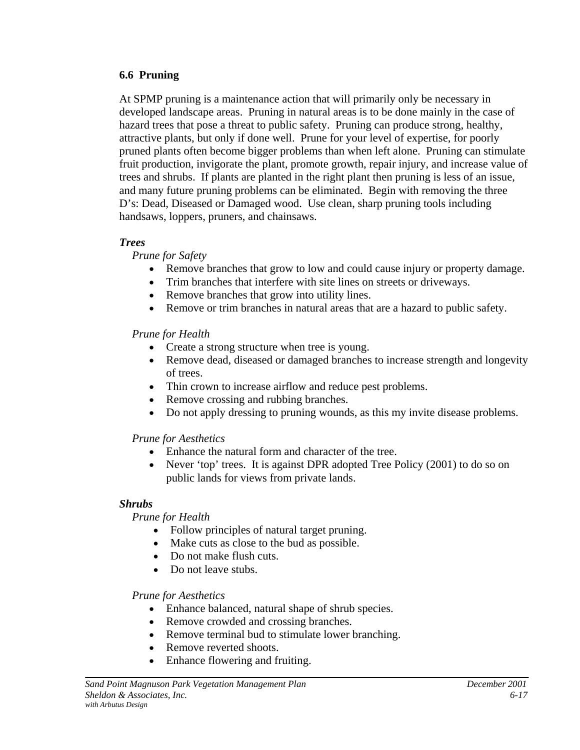#### **6.6 Pruning**

At SPMP pruning is a maintenance action that will primarily only be necessary in developed landscape areas. Pruning in natural areas is to be done mainly in the case of hazard trees that pose a threat to public safety. Pruning can produce strong, healthy, attractive plants, but only if done well. Prune for your level of expertise, for poorly pruned plants often become bigger problems than when left alone. Pruning can stimulate fruit production, invigorate the plant, promote growth, repair injury, and increase value of trees and shrubs. If plants are planted in the right plant then pruning is less of an issue, and many future pruning problems can be eliminated. Begin with removing the three D's: Dead, Diseased or Damaged wood. Use clean, sharp pruning tools including handsaws, loppers, pruners, and chainsaws.

# *Trees*

*Prune for Safety*

- Remove branches that grow to low and could cause injury or property damage.
- Trim branches that interfere with site lines on streets or driveways.
- Remove branches that grow into utility lines.
- Remove or trim branches in natural areas that are a hazard to public safety.

*Prune for Health*

- Create a strong structure when tree is young.
- Remove dead, diseased or damaged branches to increase strength and longevity of trees.
- Thin crown to increase airflow and reduce pest problems.
- Remove crossing and rubbing branches.
- Do not apply dressing to pruning wounds, as this my invite disease problems.

*Prune for Aesthetics*

- Enhance the natural form and character of the tree.
- Never 'top' trees. It is against DPR adopted Tree Policy (2001) to do so on public lands for views from private lands.

# *Shrubs*

*Prune for Health*

- Follow principles of natural target pruning.
- Make cuts as close to the bud as possible.
- Do not make flush cuts.
- Do not leave stubs.

*Prune for Aesthetics*

- Enhance balanced, natural shape of shrub species.
- Remove crowded and crossing branches.
- Remove terminal bud to stimulate lower branching.
- Remove reverted shoots.
- Enhance flowering and fruiting.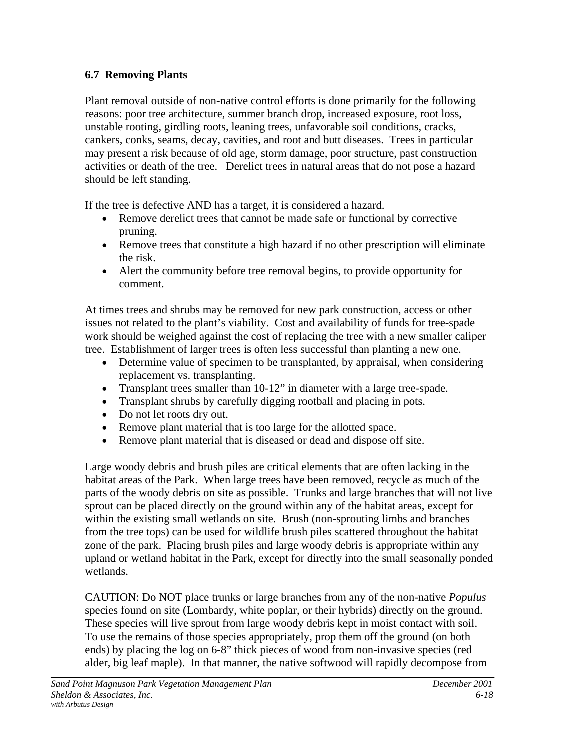# **6.7 Removing Plants**

Plant removal outside of non-native control efforts is done primarily for the following reasons: poor tree architecture, summer branch drop, increased exposure, root loss, unstable rooting, girdling roots, leaning trees, unfavorable soil conditions, cracks, cankers, conks, seams, decay, cavities, and root and butt diseases. Trees in particular may present a risk because of old age, storm damage, poor structure, past construction activities or death of the tree. Derelict trees in natural areas that do not pose a hazard should be left standing.

If the tree is defective AND has a target, it is considered a hazard.

- Remove derelict trees that cannot be made safe or functional by corrective pruning.
- Remove trees that constitute a high hazard if no other prescription will eliminate the risk.
- Alert the community before tree removal begins, to provide opportunity for comment.

At times trees and shrubs may be removed for new park construction, access or other issues not related to the plant's viability. Cost and availability of funds for tree-spade work should be weighed against the cost of replacing the tree with a new smaller caliper tree. Establishment of larger trees is often less successful than planting a new one.

- Determine value of specimen to be transplanted, by appraisal, when considering replacement vs. transplanting.
- Transplant trees smaller than 10-12" in diameter with a large tree-spade.
- Transplant shrubs by carefully digging rootball and placing in pots.
- Do not let roots dry out.
- Remove plant material that is too large for the allotted space.
- Remove plant material that is diseased or dead and dispose off site.

Large woody debris and brush piles are critical elements that are often lacking in the habitat areas of the Park. When large trees have been removed, recycle as much of the parts of the woody debris on site as possible. Trunks and large branches that will not live sprout can be placed directly on the ground within any of the habitat areas, except for within the existing small wetlands on site. Brush (non-sprouting limbs and branches from the tree tops) can be used for wildlife brush piles scattered throughout the habitat zone of the park. Placing brush piles and large woody debris is appropriate within any upland or wetland habitat in the Park, except for directly into the small seasonally ponded wetlands.

CAUTION: Do NOT place trunks or large branches from any of the non-native *Populus* species found on site (Lombardy, white poplar, or their hybrids) directly on the ground. These species will live sprout from large woody debris kept in moist contact with soil. To use the remains of those species appropriately, prop them off the ground (on both ends) by placing the log on 6-8" thick pieces of wood from non-invasive species (red alder, big leaf maple). In that manner, the native softwood will rapidly decompose from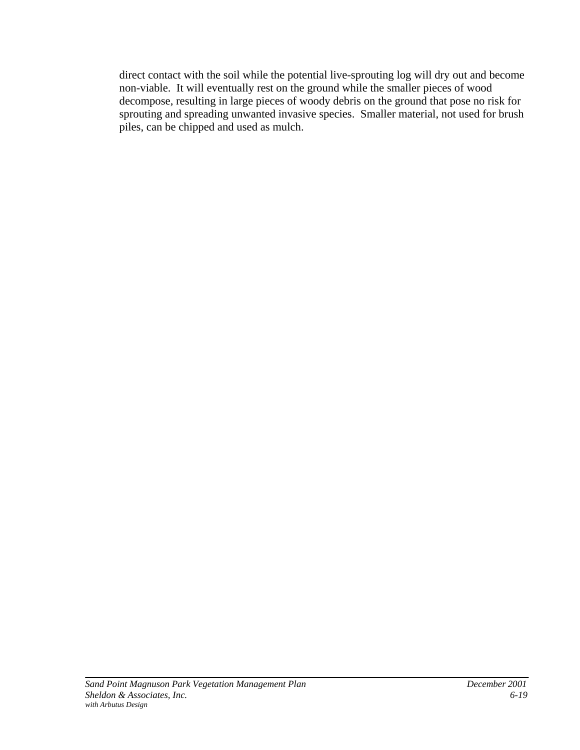direct contact with the soil while the potential live-sprouting log will dry out and become non-viable. It will eventually rest on the ground while the smaller pieces of wood decompose, resulting in large pieces of woody debris on the ground that pose no risk for sprouting and spreading unwanted invasive species. Smaller material, not used for brush piles, can be chipped and used as mulch.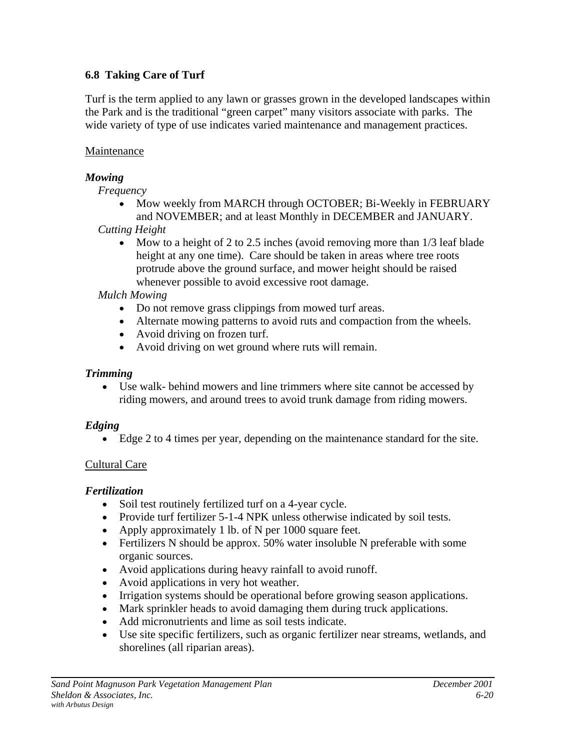# **6.8 Taking Care of Turf**

Turf is the term applied to any lawn or grasses grown in the developed landscapes within the Park and is the traditional "green carpet" many visitors associate with parks. The wide variety of type of use indicates varied maintenance and management practices.

# **Maintenance**

# *Mowing*

*Frequency*

- Mow weekly from MARCH through OCTOBER; Bi-Weekly in FEBRUARY and NOVEMBER; and at least Monthly in DECEMBER and JANUARY.
- *Cutting Height*
	- Mow to a height of 2 to 2.5 inches (avoid removing more than  $1/3$  leaf blade height at any one time). Care should be taken in areas where tree roots protrude above the ground surface, and mower height should be raised whenever possible to avoid excessive root damage.

*Mulch Mowing*

- Do not remove grass clippings from mowed turf areas.
- Alternate mowing patterns to avoid ruts and compaction from the wheels.
- Avoid driving on frozen turf.
- Avoid driving on wet ground where ruts will remain.

# *Trimming*

• Use walk- behind mowers and line trimmers where site cannot be accessed by riding mowers, and around trees to avoid trunk damage from riding mowers.

# *Edging*

• Edge 2 to 4 times per year, depending on the maintenance standard for the site.

# Cultural Care

# *Fertilization*

- Soil test routinely fertilized turf on a 4-year cycle.
- Provide turf fertilizer 5-1-4 NPK unless otherwise indicated by soil tests.
- Apply approximately 1 lb. of N per 1000 square feet.
- Fertilizers N should be approx. 50% water insoluble N preferable with some organic sources.
- Avoid applications during heavy rainfall to avoid runoff.
- Avoid applications in very hot weather.
- Irrigation systems should be operational before growing season applications.
- Mark sprinkler heads to avoid damaging them during truck applications.
- Add micronutrients and lime as soil tests indicate.
- Use site specific fertilizers, such as organic fertilizer near streams, wetlands, and shorelines (all riparian areas).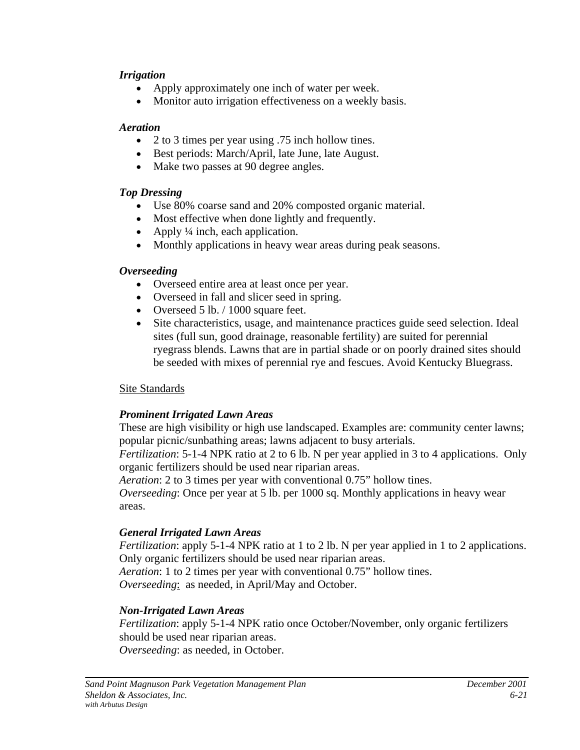#### *Irrigation*

- Apply approximately one inch of water per week.
- Monitor auto irrigation effectiveness on a weekly basis.

#### *Aeration*

- 2 to 3 times per year using .75 inch hollow tines.
- Best periods: March/April, late June, late August.
- Make two passes at 90 degree angles.

#### *Top Dressing*

- Use 80% coarse sand and 20% composted organic material.
- Most effective when done lightly and frequently.
- Apply  $\frac{1}{4}$  inch, each application.
- Monthly applications in heavy wear areas during peak seasons.

#### *Overseeding*

- Overseed entire area at least once per year.
- Overseed in fall and slicer seed in spring.
- Overseed 5 lb. / 1000 square feet.
- Site characteristics, usage, and maintenance practices guide seed selection. Ideal sites (full sun, good drainage, reasonable fertility) are suited for perennial ryegrass blends. Lawns that are in partial shade or on poorly drained sites should be seeded with mixes of perennial rye and fescues. Avoid Kentucky Bluegrass.

# Site Standards

# *Prominent Irrigated Lawn Areas*

These are high visibility or high use landscaped. Examples are: community center lawns; popular picnic/sunbathing areas; lawns adjacent to busy arterials.

*Fertilization*: 5-1-4 NPK ratio at 2 to 6 lb. N per year applied in 3 to 4 applications. Only organic fertilizers should be used near riparian areas.

*Aeration*: 2 to 3 times per year with conventional 0.75" hollow tines.

*Overseeding*: Once per year at 5 lb. per 1000 sq. Monthly applications in heavy wear areas.

# *General Irrigated Lawn Areas*

*Fertilization*: apply 5-1-4 NPK ratio at 1 to 2 lb. N per year applied in 1 to 2 applications. Only organic fertilizers should be used near riparian areas.

*Aeration*: 1 to 2 times per year with conventional 0.75" hollow tines. *Overseeding*: as needed, in April/May and October.

# *Non-Irrigated Lawn Areas*

*Fertilization*: apply 5-1-4 NPK ratio once October/November, only organic fertilizers should be used near riparian areas. *Overseeding*: as needed, in October.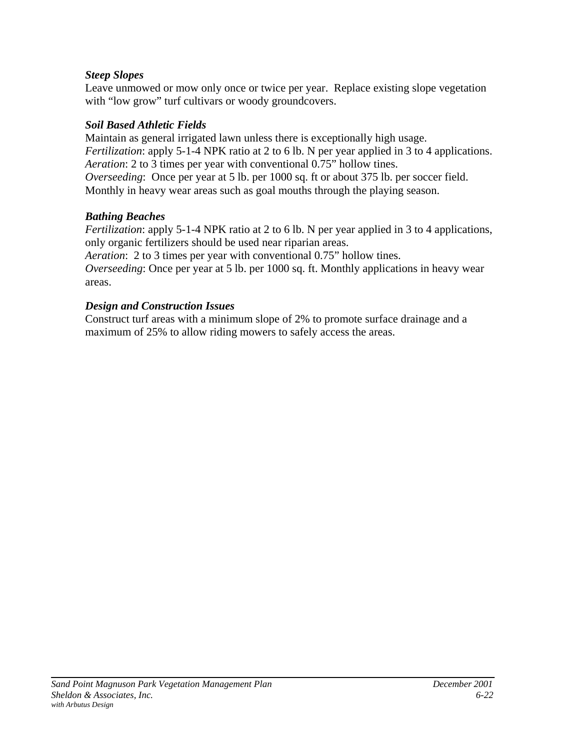# *Steep Slopes*

Leave unmowed or mow only once or twice per year. Replace existing slope vegetation with "low grow" turf cultivars or woody groundcovers.

# *Soil Based Athletic Fields*

Maintain as general irrigated lawn unless there is exceptionally high usage. *Fertilization*: apply 5-1-4 NPK ratio at 2 to 6 lb. N per year applied in 3 to 4 applications. *Aeration*: 2 to 3 times per year with conventional 0.75" hollow tines. *Overseeding*: Once per year at 5 lb. per 1000 sq. ft or about 375 lb. per soccer field. Monthly in heavy wear areas such as goal mouths through the playing season.

# *Bathing Beaches*

*Fertilization*: apply 5-1-4 NPK ratio at 2 to 6 lb. N per year applied in 3 to 4 applications, only organic fertilizers should be used near riparian areas.

*Aeration*: 2 to 3 times per year with conventional 0.75" hollow tines.

*Overseeding*: Once per year at 5 lb. per 1000 sq. ft. Monthly applications in heavy wear areas.

# *Design and Construction Issues*

Construct turf areas with a minimum slope of 2% to promote surface drainage and a maximum of 25% to allow riding mowers to safely access the areas.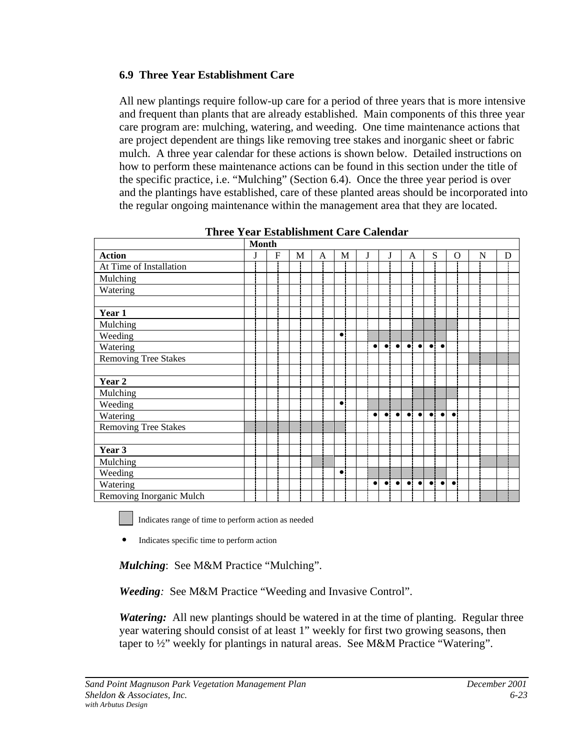# **6.9 Three Year Establishment Care**

All new plantings require follow-up care for a period of three years that is more intensive and frequent than plants that are already established. Main components of this three year care program are: mulching, watering, and weeding. One time maintenance actions that are project dependent are things like removing tree stakes and inorganic sheet or fabric mulch. A three year calendar for these actions is shown below. Detailed instructions on how to perform these maintenance actions can be found in this section under the title of the specific practice, i.e. "Mulching" (Section 6.4). Once the three year period is over and the plantings have established, care of these planted areas should be incorporated into the regular ongoing maintenance within the management area that they are located.

|                             | <b>Month</b> |  |   |   |  |   |  |           |  |           |             |           |             |           |           |           |           |   |   |   |
|-----------------------------|--------------|--|---|---|--|---|--|-----------|--|-----------|-------------|-----------|-------------|-----------|-----------|-----------|-----------|---|---|---|
| <b>Action</b>               | J            |  | F | M |  | A |  | M         |  |           | J           |           | A           |           | S         |           |           | O | N | D |
| At Time of Installation     |              |  |   |   |  |   |  |           |  |           |             |           |             |           |           |           |           |   |   |   |
| Mulching                    |              |  |   |   |  |   |  |           |  |           |             |           |             |           |           |           |           |   |   |   |
| Watering                    |              |  |   |   |  |   |  |           |  |           |             |           |             |           |           |           |           |   |   |   |
|                             |              |  |   |   |  |   |  |           |  |           |             |           |             |           |           |           |           |   |   |   |
| Year 1                      |              |  |   |   |  |   |  |           |  |           |             |           |             |           |           |           |           |   |   |   |
| Mulching                    |              |  |   |   |  |   |  |           |  |           |             |           |             |           |           |           |           |   |   |   |
| Weeding                     |              |  |   |   |  |   |  | $\bullet$ |  |           |             |           |             |           |           |           |           |   |   |   |
| Watering                    |              |  |   |   |  |   |  |           |  | $\bullet$ | $\bullet$   | $\bullet$ | $\bullet$   | $\bullet$ | $\bullet$ | $\bullet$ |           |   |   |   |
| <b>Removing Tree Stakes</b> |              |  |   |   |  |   |  |           |  |           |             |           |             |           |           |           |           |   |   |   |
|                             |              |  |   |   |  |   |  |           |  |           |             |           |             |           |           |           |           |   |   |   |
| Year <sub>2</sub>           |              |  |   |   |  |   |  |           |  |           |             |           |             |           |           |           |           |   |   |   |
| Mulching                    |              |  |   |   |  |   |  |           |  |           |             |           |             |           |           |           |           |   |   |   |
| Weeding                     |              |  |   |   |  |   |  | $\bullet$ |  |           |             |           |             |           |           |           |           |   |   |   |
| Watering                    |              |  |   |   |  |   |  |           |  | $\bullet$ | $\bullet$ : | $\bullet$ | $\bullet$   | $\bullet$ | $\bullet$ | $\bullet$ | $\bullet$ |   |   |   |
| <b>Removing Tree Stakes</b> |              |  |   |   |  |   |  |           |  |           |             |           |             |           |           |           |           |   |   |   |
|                             |              |  |   |   |  |   |  |           |  |           |             |           |             |           |           |           |           |   |   |   |
| Year 3                      |              |  |   |   |  |   |  |           |  |           |             |           |             |           |           |           |           |   |   |   |
| Mulching                    |              |  |   |   |  |   |  |           |  |           |             |           |             |           |           |           |           |   |   |   |
| Weeding                     |              |  |   |   |  |   |  | $\bullet$ |  |           |             |           |             |           |           |           |           |   |   |   |
| Watering                    |              |  |   |   |  |   |  |           |  | $\bullet$ | $\bullet$   | $\bullet$ | $\bullet$ : | $\bullet$ | $\bullet$ | $\bullet$ | $\bullet$ |   |   |   |
| Removing Inorganic Mulch    |              |  |   |   |  |   |  |           |  |           |             |           |             |           |           |           |           |   |   |   |

**Three Year Establishment Care Calendar**

Indicates range of time to perform action as needed

! Indicates specific time to perform action

*Mulching*: See M&M Practice "Mulching".

*Weeding:* See M&M Practice "Weeding and Invasive Control".

*Watering:* All new plantings should be watered in at the time of planting. Regular three year watering should consist of at least 1" weekly for first two growing seasons, then taper to ½" weekly for plantings in natural areas. See M&M Practice "Watering".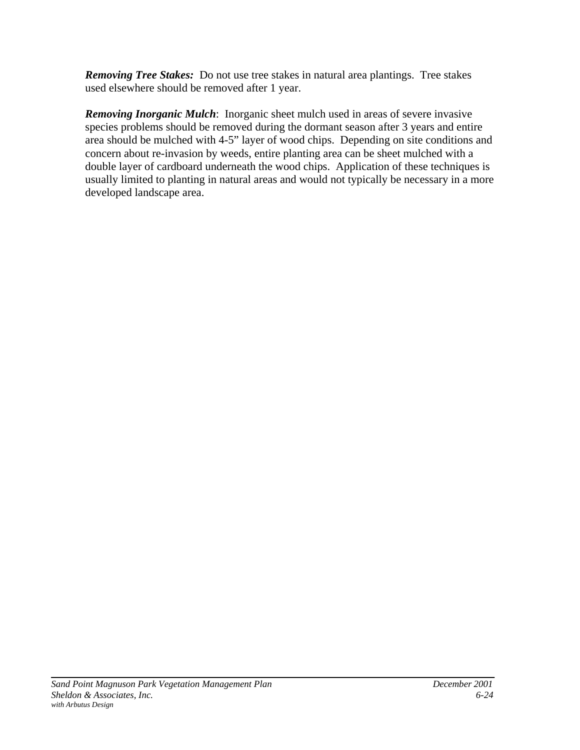*Removing Tree Stakes:* Do not use tree stakes in natural area plantings. Tree stakes used elsewhere should be removed after 1 year.

*Removing Inorganic Mulch*: Inorganic sheet mulch used in areas of severe invasive species problems should be removed during the dormant season after 3 years and entire area should be mulched with 4-5" layer of wood chips. Depending on site conditions and concern about re-invasion by weeds, entire planting area can be sheet mulched with a double layer of cardboard underneath the wood chips. Application of these techniques is usually limited to planting in natural areas and would not typically be necessary in a more developed landscape area.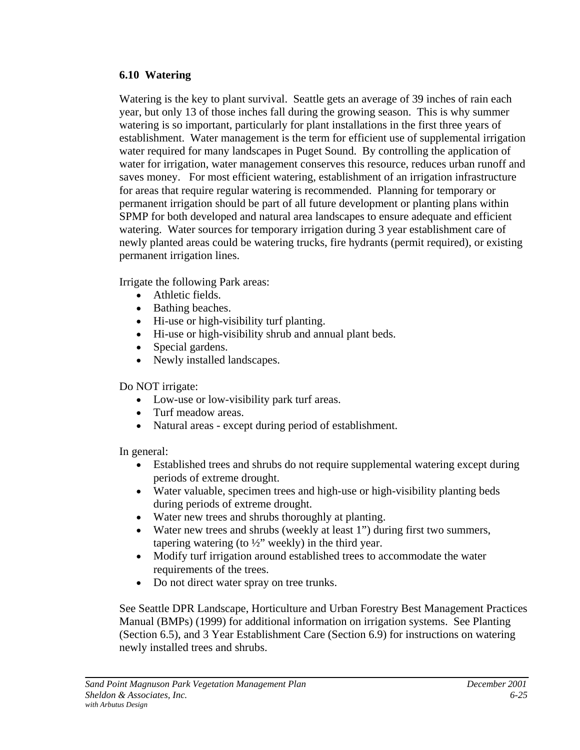#### **6.10 Watering**

Watering is the key to plant survival. Seattle gets an average of 39 inches of rain each year, but only 13 of those inches fall during the growing season. This is why summer watering is so important, particularly for plant installations in the first three years of establishment. Water management is the term for efficient use of supplemental irrigation water required for many landscapes in Puget Sound. By controlling the application of water for irrigation, water management conserves this resource, reduces urban runoff and saves money. For most efficient watering, establishment of an irrigation infrastructure for areas that require regular watering is recommended. Planning for temporary or permanent irrigation should be part of all future development or planting plans within SPMP for both developed and natural area landscapes to ensure adequate and efficient watering. Water sources for temporary irrigation during 3 year establishment care of newly planted areas could be watering trucks, fire hydrants (permit required), or existing permanent irrigation lines.

Irrigate the following Park areas:

- Athletic fields.
- Bathing beaches.
- Hi-use or high-visibility turf planting.
- Hi-use or high-visibility shrub and annual plant beds.
- Special gardens.
- Newly installed landscapes.

# Do NOT irrigate:

- Low-use or low-visibility park turf areas.
- Turf meadow areas.
- Natural areas except during period of establishment.

In general:

- Established trees and shrubs do not require supplemental watering except during periods of extreme drought.
- Water valuable, specimen trees and high-use or high-visibility planting beds during periods of extreme drought.
- Water new trees and shrubs thoroughly at planting.
- Water new trees and shrubs (weekly at least 1") during first two summers, tapering watering (to  $\frac{1}{2}$ " weekly) in the third year.
- Modify turf irrigation around established trees to accommodate the water requirements of the trees.
- Do not direct water spray on tree trunks.

See Seattle DPR Landscape, Horticulture and Urban Forestry Best Management Practices Manual (BMPs) (1999) for additional information on irrigation systems. See Planting (Section 6.5), and 3 Year Establishment Care (Section 6.9) for instructions on watering newly installed trees and shrubs.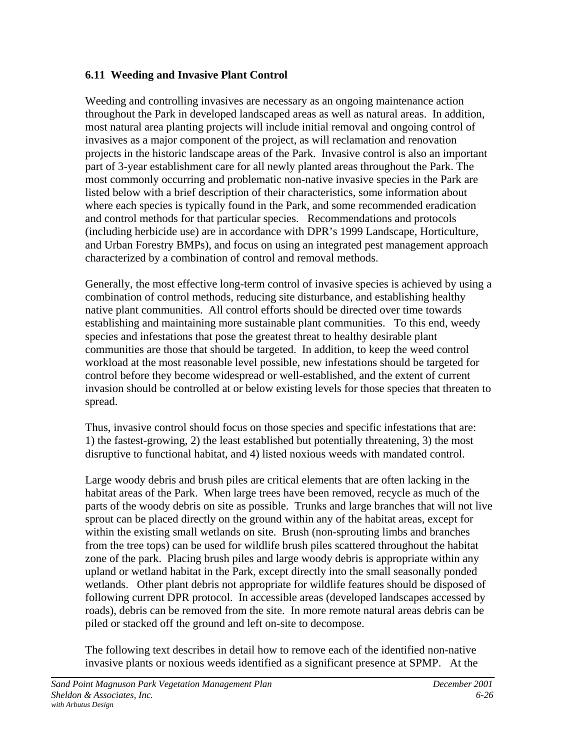# **6.11 Weeding and Invasive Plant Control**

Weeding and controlling invasives are necessary as an ongoing maintenance action throughout the Park in developed landscaped areas as well as natural areas. In addition, most natural area planting projects will include initial removal and ongoing control of invasives as a major component of the project, as will reclamation and renovation projects in the historic landscape areas of the Park. Invasive control is also an important part of 3-year establishment care for all newly planted areas throughout the Park. The most commonly occurring and problematic non-native invasive species in the Park are listed below with a brief description of their characteristics, some information about where each species is typically found in the Park, and some recommended eradication and control methods for that particular species. Recommendations and protocols (including herbicide use) are in accordance with DPR's 1999 Landscape, Horticulture, and Urban Forestry BMPs), and focus on using an integrated pest management approach characterized by a combination of control and removal methods.

Generally, the most effective long-term control of invasive species is achieved by using a combination of control methods, reducing site disturbance, and establishing healthy native plant communities. All control efforts should be directed over time towards establishing and maintaining more sustainable plant communities. To this end, weedy species and infestations that pose the greatest threat to healthy desirable plant communities are those that should be targeted. In addition, to keep the weed control workload at the most reasonable level possible, new infestations should be targeted for control before they become widespread or well-established, and the extent of current invasion should be controlled at or below existing levels for those species that threaten to spread.

Thus, invasive control should focus on those species and specific infestations that are: 1) the fastest-growing, 2) the least established but potentially threatening, 3) the most disruptive to functional habitat, and 4) listed noxious weeds with mandated control.

Large woody debris and brush piles are critical elements that are often lacking in the habitat areas of the Park. When large trees have been removed, recycle as much of the parts of the woody debris on site as possible. Trunks and large branches that will not live sprout can be placed directly on the ground within any of the habitat areas, except for within the existing small wetlands on site. Brush (non-sprouting limbs and branches from the tree tops) can be used for wildlife brush piles scattered throughout the habitat zone of the park. Placing brush piles and large woody debris is appropriate within any upland or wetland habitat in the Park, except directly into the small seasonally ponded wetlands. Other plant debris not appropriate for wildlife features should be disposed of following current DPR protocol. In accessible areas (developed landscapes accessed by roads), debris can be removed from the site. In more remote natural areas debris can be piled or stacked off the ground and left on-site to decompose.

The following text describes in detail how to remove each of the identified non-native invasive plants or noxious weeds identified as a significant presence at SPMP. At the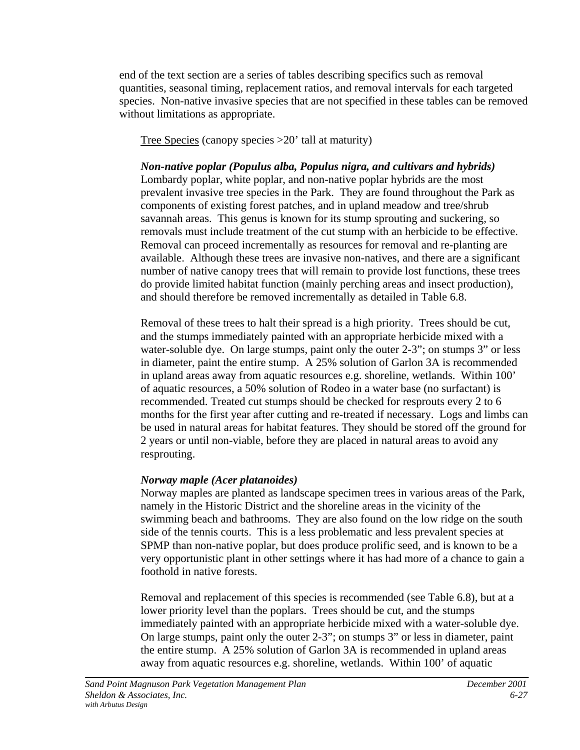end of the text section are a series of tables describing specifics such as removal quantities, seasonal timing, replacement ratios, and removal intervals for each targeted species. Non-native invasive species that are not specified in these tables can be removed without limitations as appropriate.

Tree Species (canopy species >20' tall at maturity)

*Non-native poplar (Populus alba, Populus nigra, and cultivars and hybrids)* Lombardy poplar, white poplar, and non-native poplar hybrids are the most prevalent invasive tree species in the Park. They are found throughout the Park as components of existing forest patches, and in upland meadow and tree/shrub savannah areas. This genus is known for its stump sprouting and suckering, so removals must include treatment of the cut stump with an herbicide to be effective. Removal can proceed incrementally as resources for removal and re-planting are available. Although these trees are invasive non-natives, and there are a significant number of native canopy trees that will remain to provide lost functions, these trees do provide limited habitat function (mainly perching areas and insect production), and should therefore be removed incrementally as detailed in Table 6.8.

Removal of these trees to halt their spread is a high priority. Trees should be cut, and the stumps immediately painted with an appropriate herbicide mixed with a water-soluble dye. On large stumps, paint only the outer 2-3"; on stumps 3" or less in diameter, paint the entire stump. A 25% solution of Garlon 3A is recommended in upland areas away from aquatic resources e.g. shoreline, wetlands. Within 100' of aquatic resources, a 50% solution of Rodeo in a water base (no surfactant) is recommended. Treated cut stumps should be checked for resprouts every 2 to 6 months for the first year after cutting and re-treated if necessary. Logs and limbs can be used in natural areas for habitat features. They should be stored off the ground for 2 years or until non-viable, before they are placed in natural areas to avoid any resprouting.

# *Norway maple (Acer platanoides)*

Norway maples are planted as landscape specimen trees in various areas of the Park, namely in the Historic District and the shoreline areas in the vicinity of the swimming beach and bathrooms. They are also found on the low ridge on the south side of the tennis courts. This is a less problematic and less prevalent species at SPMP than non-native poplar, but does produce prolific seed, and is known to be a very opportunistic plant in other settings where it has had more of a chance to gain a foothold in native forests.

Removal and replacement of this species is recommended (see Table 6.8), but at a lower priority level than the poplars. Trees should be cut, and the stumps immediately painted with an appropriate herbicide mixed with a water-soluble dye. On large stumps, paint only the outer 2-3"; on stumps 3" or less in diameter, paint the entire stump. A 25% solution of Garlon 3A is recommended in upland areas away from aquatic resources e.g. shoreline, wetlands. Within 100' of aquatic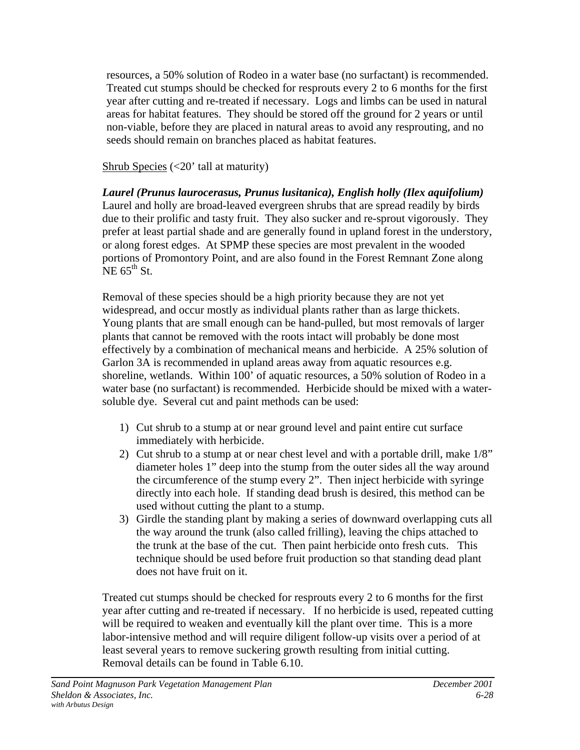resources, a 50% solution of Rodeo in a water base (no surfactant) is recommended. Treated cut stumps should be checked for resprouts every 2 to 6 months for the first year after cutting and re-treated if necessary. Logs and limbs can be used in natural areas for habitat features. They should be stored off the ground for 2 years or until non-viable, before they are placed in natural areas to avoid any resprouting, and no seeds should remain on branches placed as habitat features.

Shrub Species  $\left($  < 20' tall at maturity)

*Laurel (Prunus laurocerasus, Prunus lusitanica), English holly (Ilex aquifolium)* Laurel and holly are broad-leaved evergreen shrubs that are spread readily by birds due to their prolific and tasty fruit. They also sucker and re-sprout vigorously. They prefer at least partial shade and are generally found in upland forest in the understory, or along forest edges. At SPMP these species are most prevalent in the wooded portions of Promontory Point, and are also found in the Forest Remnant Zone along  $NE 65<sup>th</sup>$  St.

Removal of these species should be a high priority because they are not yet widespread, and occur mostly as individual plants rather than as large thickets. Young plants that are small enough can be hand-pulled, but most removals of larger plants that cannot be removed with the roots intact will probably be done most effectively by a combination of mechanical means and herbicide. A 25% solution of Garlon 3A is recommended in upland areas away from aquatic resources e.g. shoreline, wetlands. Within 100' of aquatic resources, a 50% solution of Rodeo in a water base (no surfactant) is recommended. Herbicide should be mixed with a watersoluble dye. Several cut and paint methods can be used:

- 1) Cut shrub to a stump at or near ground level and paint entire cut surface immediately with herbicide.
- 2) Cut shrub to a stump at or near chest level and with a portable drill, make 1/8" diameter holes 1" deep into the stump from the outer sides all the way around the circumference of the stump every 2". Then inject herbicide with syringe directly into each hole. If standing dead brush is desired, this method can be used without cutting the plant to a stump.
- 3) Girdle the standing plant by making a series of downward overlapping cuts all the way around the trunk (also called frilling), leaving the chips attached to the trunk at the base of the cut. Then paint herbicide onto fresh cuts. This technique should be used before fruit production so that standing dead plant does not have fruit on it.

Treated cut stumps should be checked for resprouts every 2 to 6 months for the first year after cutting and re-treated if necessary. If no herbicide is used, repeated cutting will be required to weaken and eventually kill the plant over time. This is a more labor-intensive method and will require diligent follow-up visits over a period of at least several years to remove suckering growth resulting from initial cutting. Removal details can be found in Table 6.10.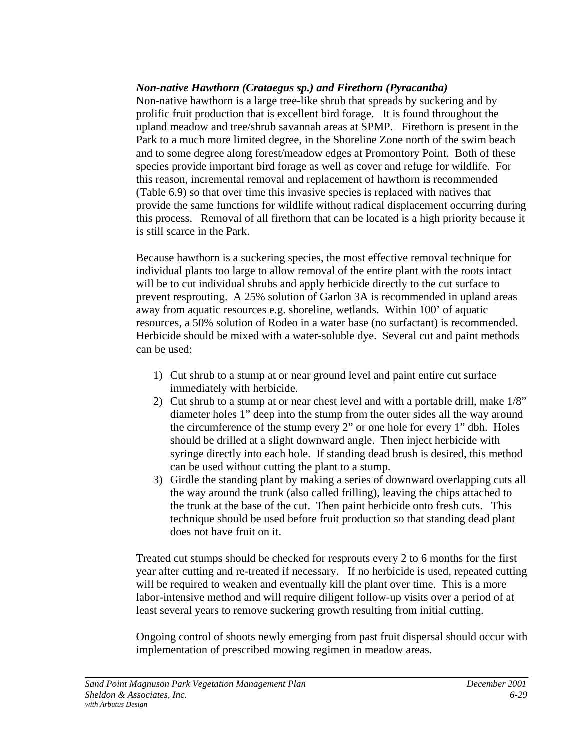#### *Non-native Hawthorn (Crataegus sp.) and Firethorn (Pyracantha)*

Non-native hawthorn is a large tree-like shrub that spreads by suckering and by prolific fruit production that is excellent bird forage. It is found throughout the upland meadow and tree/shrub savannah areas at SPMP. Firethorn is present in the Park to a much more limited degree, in the Shoreline Zone north of the swim beach and to some degree along forest/meadow edges at Promontory Point. Both of these species provide important bird forage as well as cover and refuge for wildlife. For this reason, incremental removal and replacement of hawthorn is recommended (Table 6.9) so that over time this invasive species is replaced with natives that provide the same functions for wildlife without radical displacement occurring during this process. Removal of all firethorn that can be located is a high priority because it is still scarce in the Park.

Because hawthorn is a suckering species, the most effective removal technique for individual plants too large to allow removal of the entire plant with the roots intact will be to cut individual shrubs and apply herbicide directly to the cut surface to prevent resprouting. A 25% solution of Garlon 3A is recommended in upland areas away from aquatic resources e.g. shoreline, wetlands. Within 100' of aquatic resources, a 50% solution of Rodeo in a water base (no surfactant) is recommended. Herbicide should be mixed with a water-soluble dye. Several cut and paint methods can be used:

- 1) Cut shrub to a stump at or near ground level and paint entire cut surface immediately with herbicide.
- 2) Cut shrub to a stump at or near chest level and with a portable drill, make 1/8" diameter holes 1" deep into the stump from the outer sides all the way around the circumference of the stump every 2" or one hole for every 1" dbh. Holes should be drilled at a slight downward angle. Then inject herbicide with syringe directly into each hole. If standing dead brush is desired, this method can be used without cutting the plant to a stump.
- 3) Girdle the standing plant by making a series of downward overlapping cuts all the way around the trunk (also called frilling), leaving the chips attached to the trunk at the base of the cut. Then paint herbicide onto fresh cuts. This technique should be used before fruit production so that standing dead plant does not have fruit on it.

Treated cut stumps should be checked for resprouts every 2 to 6 months for the first year after cutting and re-treated if necessary. If no herbicide is used, repeated cutting will be required to weaken and eventually kill the plant over time. This is a more labor-intensive method and will require diligent follow-up visits over a period of at least several years to remove suckering growth resulting from initial cutting.

Ongoing control of shoots newly emerging from past fruit dispersal should occur with implementation of prescribed mowing regimen in meadow areas.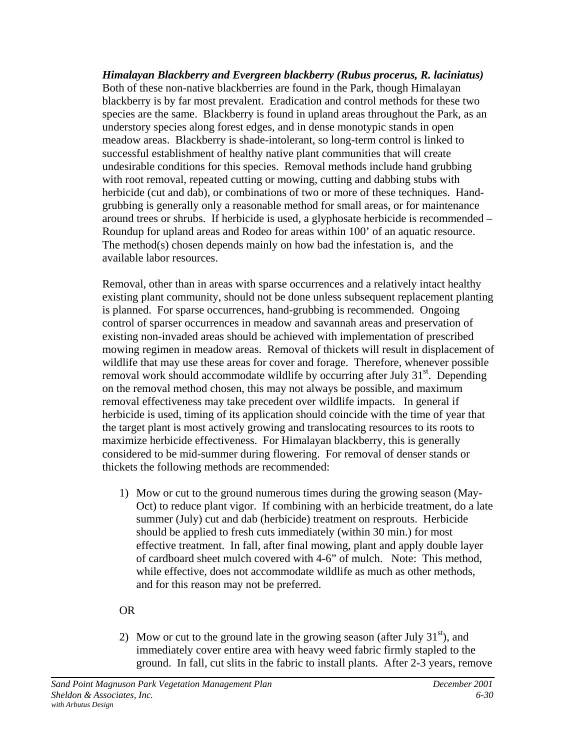*Himalayan Blackberry and Evergreen blackberry (Rubus procerus, R. laciniatus)* Both of these non-native blackberries are found in the Park, though Himalayan blackberry is by far most prevalent. Eradication and control methods for these two species are the same. Blackberry is found in upland areas throughout the Park, as an understory species along forest edges, and in dense monotypic stands in open meadow areas. Blackberry is shade-intolerant, so long-term control is linked to successful establishment of healthy native plant communities that will create undesirable conditions for this species. Removal methods include hand grubbing with root removal, repeated cutting or mowing, cutting and dabbing stubs with herbicide (cut and dab), or combinations of two or more of these techniques. Handgrubbing is generally only a reasonable method for small areas, or for maintenance around trees or shrubs. If herbicide is used, a glyphosate herbicide is recommended – Roundup for upland areas and Rodeo for areas within 100' of an aquatic resource. The method(s) chosen depends mainly on how bad the infestation is, and the available labor resources.

Removal, other than in areas with sparse occurrences and a relatively intact healthy existing plant community, should not be done unless subsequent replacement planting is planned. For sparse occurrences, hand-grubbing is recommended. Ongoing control of sparser occurrences in meadow and savannah areas and preservation of existing non-invaded areas should be achieved with implementation of prescribed mowing regimen in meadow areas. Removal of thickets will result in displacement of wildlife that may use these areas for cover and forage. Therefore, whenever possible removal work should accommodate wildlife by occurring after July  $31<sup>st</sup>$ . Depending on the removal method chosen, this may not always be possible, and maximum removal effectiveness may take precedent over wildlife impacts. In general if herbicide is used, timing of its application should coincide with the time of year that the target plant is most actively growing and translocating resources to its roots to maximize herbicide effectiveness. For Himalayan blackberry, this is generally considered to be mid-summer during flowering. For removal of denser stands or thickets the following methods are recommended:

1) Mow or cut to the ground numerous times during the growing season (May-Oct) to reduce plant vigor. If combining with an herbicide treatment, do a late summer (July) cut and dab (herbicide) treatment on resprouts. Herbicide should be applied to fresh cuts immediately (within 30 min.) for most effective treatment. In fall, after final mowing, plant and apply double layer of cardboard sheet mulch covered with 4-6" of mulch. Note: This method, while effective, does not accommodate wildlife as much as other methods, and for this reason may not be preferred.

OR

2) Mow or cut to the ground late in the growing season (after July  $31<sup>st</sup>$ ), and immediately cover entire area with heavy weed fabric firmly stapled to the ground. In fall, cut slits in the fabric to install plants. After 2-3 years, remove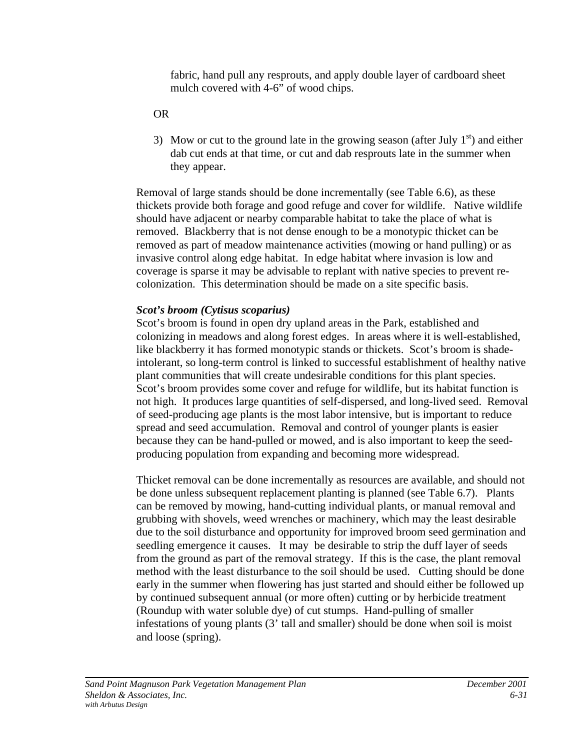fabric, hand pull any resprouts, and apply double layer of cardboard sheet mulch covered with 4-6" of wood chips.

#### OR

3) Mow or cut to the ground late in the growing season (after July  $1<sup>st</sup>$ ) and either dab cut ends at that time, or cut and dab resprouts late in the summer when they appear.

Removal of large stands should be done incrementally (see Table 6.6), as these thickets provide both forage and good refuge and cover for wildlife. Native wildlife should have adjacent or nearby comparable habitat to take the place of what is removed. Blackberry that is not dense enough to be a monotypic thicket can be removed as part of meadow maintenance activities (mowing or hand pulling) or as invasive control along edge habitat. In edge habitat where invasion is low and coverage is sparse it may be advisable to replant with native species to prevent recolonization. This determination should be made on a site specific basis.

#### *Scot's broom (Cytisus scoparius)*

Scot's broom is found in open dry upland areas in the Park, established and colonizing in meadows and along forest edges. In areas where it is well-established, like blackberry it has formed monotypic stands or thickets. Scot's broom is shadeintolerant, so long-term control is linked to successful establishment of healthy native plant communities that will create undesirable conditions for this plant species. Scot's broom provides some cover and refuge for wildlife, but its habitat function is not high. It produces large quantities of self-dispersed, and long-lived seed. Removal of seed-producing age plants is the most labor intensive, but is important to reduce spread and seed accumulation. Removal and control of younger plants is easier because they can be hand-pulled or mowed, and is also important to keep the seedproducing population from expanding and becoming more widespread.

Thicket removal can be done incrementally as resources are available, and should not be done unless subsequent replacement planting is planned (see Table 6.7). Plants can be removed by mowing, hand-cutting individual plants, or manual removal and grubbing with shovels, weed wrenches or machinery, which may the least desirable due to the soil disturbance and opportunity for improved broom seed germination and seedling emergence it causes. It may be desirable to strip the duff layer of seeds from the ground as part of the removal strategy. If this is the case, the plant removal method with the least disturbance to the soil should be used. Cutting should be done early in the summer when flowering has just started and should either be followed up by continued subsequent annual (or more often) cutting or by herbicide treatment (Roundup with water soluble dye) of cut stumps. Hand-pulling of smaller infestations of young plants (3' tall and smaller) should be done when soil is moist and loose (spring).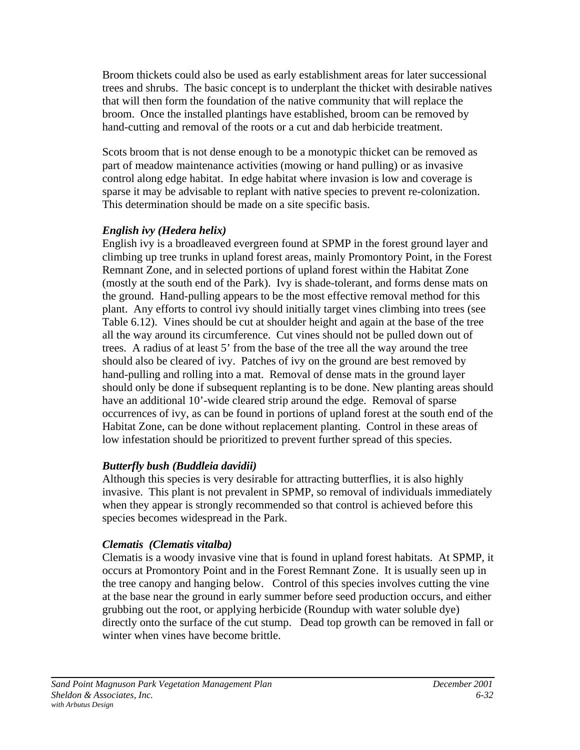Broom thickets could also be used as early establishment areas for later successional trees and shrubs. The basic concept is to underplant the thicket with desirable natives that will then form the foundation of the native community that will replace the broom. Once the installed plantings have established, broom can be removed by hand-cutting and removal of the roots or a cut and dab herbicide treatment.

Scots broom that is not dense enough to be a monotypic thicket can be removed as part of meadow maintenance activities (mowing or hand pulling) or as invasive control along edge habitat. In edge habitat where invasion is low and coverage is sparse it may be advisable to replant with native species to prevent re-colonization. This determination should be made on a site specific basis.

# *English ivy (Hedera helix)*

English ivy is a broadleaved evergreen found at SPMP in the forest ground layer and climbing up tree trunks in upland forest areas, mainly Promontory Point, in the Forest Remnant Zone, and in selected portions of upland forest within the Habitat Zone (mostly at the south end of the Park). Ivy is shade-tolerant, and forms dense mats on the ground. Hand-pulling appears to be the most effective removal method for this plant. Any efforts to control ivy should initially target vines climbing into trees (see Table 6.12). Vines should be cut at shoulder height and again at the base of the tree all the way around its circumference. Cut vines should not be pulled down out of trees. A radius of at least 5' from the base of the tree all the way around the tree should also be cleared of ivy. Patches of ivy on the ground are best removed by hand-pulling and rolling into a mat. Removal of dense mats in the ground layer should only be done if subsequent replanting is to be done. New planting areas should have an additional 10'-wide cleared strip around the edge. Removal of sparse occurrences of ivy, as can be found in portions of upland forest at the south end of the Habitat Zone, can be done without replacement planting. Control in these areas of low infestation should be prioritized to prevent further spread of this species.

# *Butterfly bush (Buddleia davidii)*

Although this species is very desirable for attracting butterflies, it is also highly invasive. This plant is not prevalent in SPMP, so removal of individuals immediately when they appear is strongly recommended so that control is achieved before this species becomes widespread in the Park.

# *Clematis (Clematis vitalba)*

Clematis is a woody invasive vine that is found in upland forest habitats. At SPMP, it occurs at Promontory Point and in the Forest Remnant Zone. It is usually seen up in the tree canopy and hanging below. Control of this species involves cutting the vine at the base near the ground in early summer before seed production occurs, and either grubbing out the root, or applying herbicide (Roundup with water soluble dye) directly onto the surface of the cut stump. Dead top growth can be removed in fall or winter when vines have become brittle.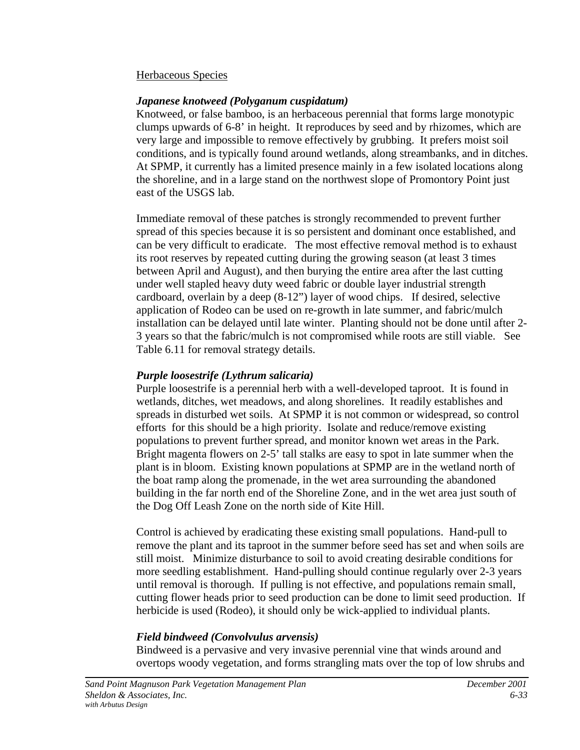#### Herbaceous Species

#### *Japanese knotweed (Polyganum cuspidatum)*

Knotweed, or false bamboo, is an herbaceous perennial that forms large monotypic clumps upwards of 6-8' in height. It reproduces by seed and by rhizomes, which are very large and impossible to remove effectively by grubbing. It prefers moist soil conditions, and is typically found around wetlands, along streambanks, and in ditches. At SPMP, it currently has a limited presence mainly in a few isolated locations along the shoreline, and in a large stand on the northwest slope of Promontory Point just east of the USGS lab.

Immediate removal of these patches is strongly recommended to prevent further spread of this species because it is so persistent and dominant once established, and can be very difficult to eradicate. The most effective removal method is to exhaust its root reserves by repeated cutting during the growing season (at least 3 times between April and August), and then burying the entire area after the last cutting under well stapled heavy duty weed fabric or double layer industrial strength cardboard, overlain by a deep (8-12") layer of wood chips. If desired, selective application of Rodeo can be used on re-growth in late summer, and fabric/mulch installation can be delayed until late winter. Planting should not be done until after 2- 3 years so that the fabric/mulch is not compromised while roots are still viable. See Table 6.11 for removal strategy details.

#### *Purple loosestrife (Lythrum salicaria)*

Purple loosestrife is a perennial herb with a well-developed taproot. It is found in wetlands, ditches, wet meadows, and along shorelines. It readily establishes and spreads in disturbed wet soils. At SPMP it is not common or widespread, so control efforts for this should be a high priority. Isolate and reduce/remove existing populations to prevent further spread, and monitor known wet areas in the Park. Bright magenta flowers on 2-5' tall stalks are easy to spot in late summer when the plant is in bloom. Existing known populations at SPMP are in the wetland north of the boat ramp along the promenade, in the wet area surrounding the abandoned building in the far north end of the Shoreline Zone, and in the wet area just south of the Dog Off Leash Zone on the north side of Kite Hill.

Control is achieved by eradicating these existing small populations. Hand-pull to remove the plant and its taproot in the summer before seed has set and when soils are still moist. Minimize disturbance to soil to avoid creating desirable conditions for more seedling establishment. Hand-pulling should continue regularly over 2-3 years until removal is thorough. If pulling is not effective, and populations remain small, cutting flower heads prior to seed production can be done to limit seed production. If herbicide is used (Rodeo), it should only be wick-applied to individual plants.

# *Field bindweed (Convolvulus arvensis)*

Bindweed is a pervasive and very invasive perennial vine that winds around and overtops woody vegetation, and forms strangling mats over the top of low shrubs and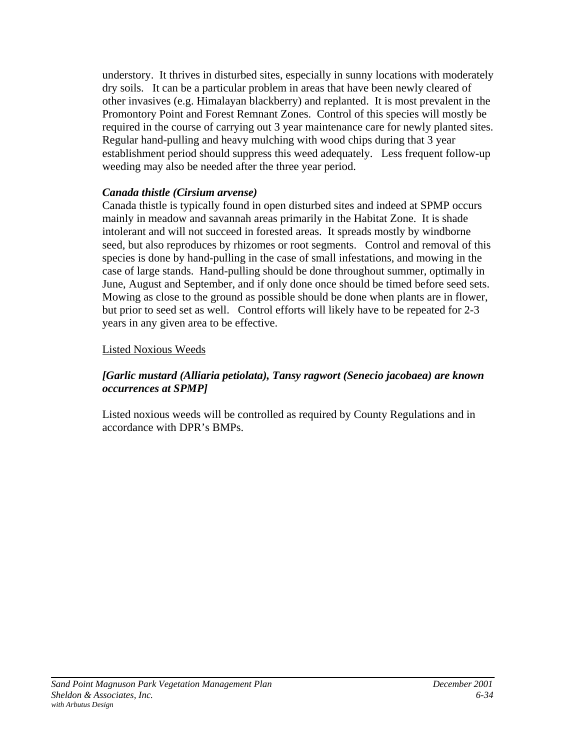understory. It thrives in disturbed sites, especially in sunny locations with moderately dry soils. It can be a particular problem in areas that have been newly cleared of other invasives (e.g. Himalayan blackberry) and replanted. It is most prevalent in the Promontory Point and Forest Remnant Zones. Control of this species will mostly be required in the course of carrying out 3 year maintenance care for newly planted sites. Regular hand-pulling and heavy mulching with wood chips during that 3 year establishment period should suppress this weed adequately. Less frequent follow-up weeding may also be needed after the three year period.

# *Canada thistle (Cirsium arvense)*

Canada thistle is typically found in open disturbed sites and indeed at SPMP occurs mainly in meadow and savannah areas primarily in the Habitat Zone. It is shade intolerant and will not succeed in forested areas. It spreads mostly by windborne seed, but also reproduces by rhizomes or root segments. Control and removal of this species is done by hand-pulling in the case of small infestations, and mowing in the case of large stands. Hand-pulling should be done throughout summer, optimally in June, August and September, and if only done once should be timed before seed sets. Mowing as close to the ground as possible should be done when plants are in flower, but prior to seed set as well. Control efforts will likely have to be repeated for 2-3 years in any given area to be effective.

# Listed Noxious Weeds

# *[Garlic mustard (Alliaria petiolata), Tansy ragwort (Senecio jacobaea) are known occurrences at SPMP]*

Listed noxious weeds will be controlled as required by County Regulations and in accordance with DPR's BMPs.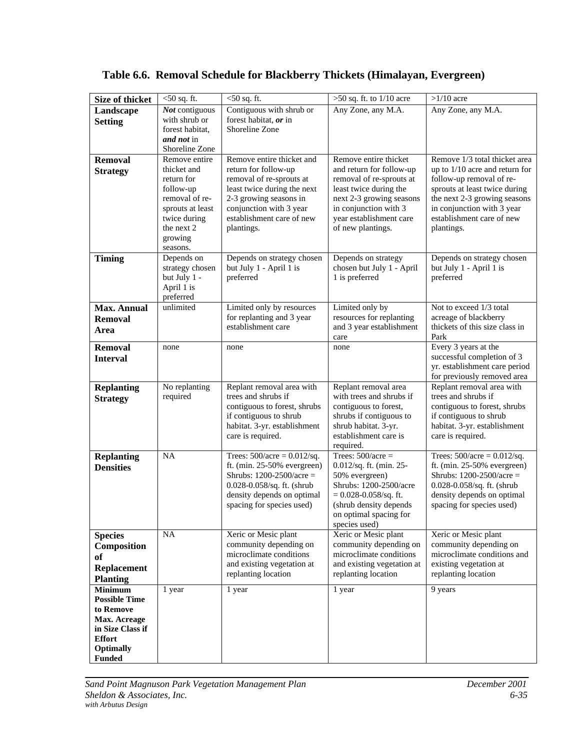| Size of thicket                   | $<$ 50 sq. ft.                | $<$ 50 sq. ft.                                              | $\overline{>50}$ sq. ft. to 1/10 acre                | $>1/10$ acre                                                 |
|-----------------------------------|-------------------------------|-------------------------------------------------------------|------------------------------------------------------|--------------------------------------------------------------|
| Landscape                         | Not contiguous                | Contiguous with shrub or                                    | Any Zone, any M.A.                                   | Any Zone, any M.A.                                           |
| <b>Setting</b>                    | with shrub or                 | forest habitat, or in                                       |                                                      |                                                              |
|                                   | forest habitat,               | Shoreline Zone                                              |                                                      |                                                              |
|                                   | and not in                    |                                                             |                                                      |                                                              |
|                                   | Shoreline Zone                |                                                             |                                                      |                                                              |
| <b>Removal</b>                    | Remove entire                 | Remove entire thicket and                                   | Remove entire thicket                                | Remove 1/3 total thicket area                                |
| <b>Strategy</b>                   | thicket and<br>return for     | return for follow-up                                        | and return for follow-up<br>removal of re-sprouts at | up to $1/10$ acre and return for<br>follow-up removal of re- |
|                                   | follow-up                     | removal of re-sprouts at<br>least twice during the next     | least twice during the                               | sprouts at least twice during                                |
|                                   | removal of re-                | 2-3 growing seasons in                                      | next 2-3 growing seasons                             | the next 2-3 growing seasons                                 |
|                                   | sprouts at least              | conjunction with 3 year                                     | in conjunction with 3                                | in conjunction with 3 year                                   |
|                                   | twice during                  | establishment care of new                                   | year establishment care                              | establishment care of new                                    |
|                                   | the next 2                    | plantings.                                                  | of new plantings.                                    | plantings.                                                   |
|                                   | growing                       |                                                             |                                                      |                                                              |
|                                   | seasons.                      |                                                             |                                                      |                                                              |
| <b>Timing</b>                     | Depends on<br>strategy chosen | Depends on strategy chosen<br>but July 1 - April 1 is       | Depends on strategy<br>chosen but July 1 - April     | Depends on strategy chosen<br>but July 1 - April 1 is        |
|                                   | but July 1 -                  | preferred                                                   | 1 is preferred                                       | preferred                                                    |
|                                   | April 1 is                    |                                                             |                                                      |                                                              |
|                                   | preferred                     |                                                             |                                                      |                                                              |
| <b>Max. Annual</b>                | unlimited                     | Limited only by resources                                   | Limited only by                                      | Not to exceed 1/3 total                                      |
| <b>Removal</b>                    |                               | for replanting and 3 year                                   | resources for replanting                             | acreage of blackberry                                        |
| Area                              |                               | establishment care                                          | and 3 year establishment<br>care                     | thickets of this size class in<br>Park                       |
| <b>Removal</b>                    | none                          | none                                                        | none                                                 | Every 3 years at the                                         |
| <b>Interval</b>                   |                               |                                                             |                                                      | successful completion of 3                                   |
|                                   |                               |                                                             |                                                      | yr. establishment care period                                |
|                                   |                               |                                                             |                                                      | for previously removed area                                  |
| <b>Replanting</b>                 | No replanting                 | Replant removal area with                                   | Replant removal area                                 | Replant removal area with                                    |
| <b>Strategy</b>                   | required                      | trees and shrubs if<br>contiguous to forest, shrubs         | with trees and shrubs if<br>contiguous to forest,    | trees and shrubs if<br>contiguous to forest, shrubs          |
|                                   |                               | if contiguous to shrub                                      | shrubs if contiguous to                              | if contiguous to shrub                                       |
|                                   |                               | habitat. 3-yr. establishment                                | shrub habitat. 3-yr.                                 | habitat. 3-yr. establishment                                 |
|                                   |                               | care is required.                                           | establishment care is                                | care is required.                                            |
|                                   |                               |                                                             | required.                                            |                                                              |
| <b>Replanting</b>                 | NA                            | Trees: $500/acre = 0.012/sq$ .                              | Trees: $500/$ acre =                                 | Trees: $500/acre = 0.012/sq$ .                               |
| <b>Densities</b>                  |                               | ft. (min. $25-50%$ evergreen)<br>Shrubs: $1200-2500/acre =$ | 0.012/sq. ft. (min. 25-<br>50% evergreen)            | ft. (min. $25-50\%$ evergreen)<br>Shrubs: $1200-2500/acre =$ |
|                                   |                               | 0.028-0.058/sq. ft. (shrub                                  | Shrubs: 1200-2500/acre                               | 0.028-0.058/sq. ft. (shrub                                   |
|                                   |                               | density depends on optimal                                  | $= 0.028 - 0.058$ /sq. ft.                           | density depends on optimal                                   |
|                                   |                               | spacing for species used)                                   | (shrub density depends                               | spacing for species used)                                    |
|                                   |                               |                                                             | on optimal spacing for                               |                                                              |
|                                   |                               |                                                             | species used)                                        |                                                              |
| <b>Species</b>                    | NA                            | Xeric or Mesic plant<br>community depending on              | Xeric or Mesic plant<br>community depending on       | Xeric or Mesic plant<br>community depending on               |
| Composition                       |                               | microclimate conditions                                     | microclimate conditions                              | microclimate conditions and                                  |
| <b>of</b>                         |                               | and existing vegetation at                                  | and existing vegetation at                           | existing vegetation at                                       |
| <b>Replacement</b>                |                               | replanting location                                         | replanting location                                  | replanting location                                          |
| <b>Planting</b><br><b>Minimum</b> | 1 year                        | 1 year                                                      | 1 year                                               | 9 years                                                      |
| <b>Possible Time</b>              |                               |                                                             |                                                      |                                                              |
| to Remove                         |                               |                                                             |                                                      |                                                              |
| Max. Acreage                      |                               |                                                             |                                                      |                                                              |
| in Size Class if                  |                               |                                                             |                                                      |                                                              |
| <b>Effort</b>                     |                               |                                                             |                                                      |                                                              |
| <b>Optimally</b><br><b>Funded</b> |                               |                                                             |                                                      |                                                              |

# **Table 6.6. Removal Schedule for Blackberry Thickets (Himalayan, Evergreen)**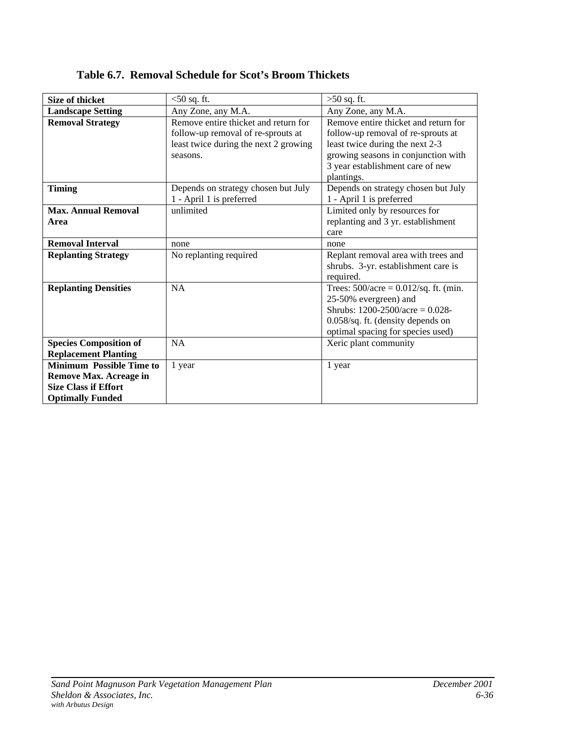| <b>Size of thicket</b>                                                                                                     | $<$ 50 sq. ft.                                                                                                                  | $>50$ sq. ft.                                                                                                                                                                                          |
|----------------------------------------------------------------------------------------------------------------------------|---------------------------------------------------------------------------------------------------------------------------------|--------------------------------------------------------------------------------------------------------------------------------------------------------------------------------------------------------|
| <b>Landscape Setting</b>                                                                                                   | Any Zone, any M.A.                                                                                                              | Any Zone, any M.A.                                                                                                                                                                                     |
| <b>Removal Strategy</b>                                                                                                    | Remove entire thicket and return for<br>follow-up removal of re-sprouts at<br>least twice during the next 2 growing<br>seasons. | Remove entire thicket and return for<br>follow-up removal of re-sprouts at<br>least twice during the next 2-3<br>growing seasons in conjunction with<br>3 year establishment care of new<br>plantings. |
| <b>Timing</b>                                                                                                              | Depends on strategy chosen but July<br>1 - April 1 is preferred                                                                 | Depends on strategy chosen but July<br>1 - April 1 is preferred                                                                                                                                        |
| <b>Max. Annual Removal</b><br>Area                                                                                         | unlimited                                                                                                                       | Limited only by resources for<br>replanting and 3 yr. establishment<br>care                                                                                                                            |
| <b>Removal Interval</b>                                                                                                    | none                                                                                                                            | none                                                                                                                                                                                                   |
| <b>Replanting Strategy</b>                                                                                                 | No replanting required                                                                                                          | Replant removal area with trees and<br>shrubs. 3-yr. establishment care is<br>required.                                                                                                                |
| <b>Replanting Densities</b>                                                                                                | <b>NA</b>                                                                                                                       | Trees: $500/ace = 0.012/sq$ . ft. (min.<br>25-50% evergreen) and<br>Shrubs: $1200-2500/ace = 0.028$ -<br>0.058/sq. ft. (density depends on<br>optimal spacing for species used)                        |
| <b>Species Composition of</b><br><b>Replacement Planting</b>                                                               | <b>NA</b>                                                                                                                       | Xeric plant community                                                                                                                                                                                  |
| <b>Minimum Possible Time to</b><br><b>Remove Max. Acreage in</b><br><b>Size Class if Effort</b><br><b>Optimally Funded</b> | 1 year                                                                                                                          | 1 year                                                                                                                                                                                                 |

**Table 6.7. Removal Schedule for Scot's Broom Thickets**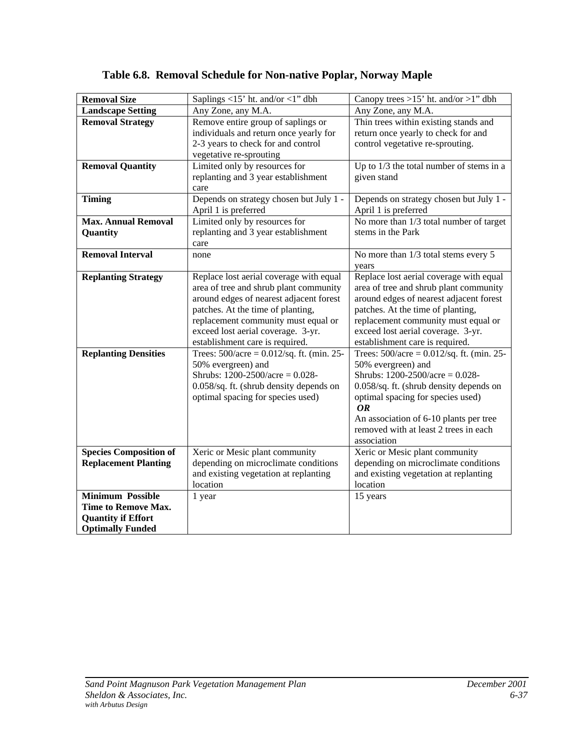| <b>Removal Size</b>           | Saplings <15' ht. and/or <1" dbh             | Canopy trees >15' ht. and/or >1" dbh                                            |
|-------------------------------|----------------------------------------------|---------------------------------------------------------------------------------|
| <b>Landscape Setting</b>      | Any Zone, any M.A.                           | Any Zone, any M.A.                                                              |
| <b>Removal Strategy</b>       | Remove entire group of saplings or           | Thin trees within existing stands and                                           |
|                               | individuals and return once yearly for       | return once yearly to check for and                                             |
|                               | 2-3 years to check for and control           | control vegetative re-sprouting.                                                |
|                               | vegetative re-sprouting                      |                                                                                 |
| <b>Removal Quantity</b>       | Limited only by resources for                | Up to 1/3 the total number of stems in a                                        |
|                               | replanting and 3 year establishment          | given stand                                                                     |
|                               | care                                         |                                                                                 |
| <b>Timing</b>                 | Depends on strategy chosen but July 1 -      | Depends on strategy chosen but July 1 -                                         |
|                               | April 1 is preferred                         | April 1 is preferred                                                            |
| <b>Max. Annual Removal</b>    | Limited only by resources for                | No more than 1/3 total number of target                                         |
| Quantity                      | replanting and 3 year establishment          | stems in the Park                                                               |
|                               | care                                         |                                                                                 |
| <b>Removal Interval</b>       | none                                         | No more than 1/3 total stems every 5                                            |
|                               |                                              | years                                                                           |
| <b>Replanting Strategy</b>    | Replace lost aerial coverage with equal      | Replace lost aerial coverage with equal                                         |
|                               | area of tree and shrub plant community       | area of tree and shrub plant community                                          |
|                               | around edges of nearest adjacent forest      | around edges of nearest adjacent forest                                         |
|                               | patches. At the time of planting,            | patches. At the time of planting,                                               |
|                               | replacement community must equal or          | replacement community must equal or                                             |
|                               | exceed lost aerial coverage. 3-yr.           | exceed lost aerial coverage. 3-yr.                                              |
|                               | establishment care is required.              | establishment care is required.                                                 |
| <b>Replanting Densities</b>   | Trees: $500/acre = 0.012/sq$ . ft. (min. 25- | Trees: $500/acre = 0.012/sq$ . ft. (min. 25-                                    |
|                               | 50% evergreen) and                           | 50% evergreen) and                                                              |
|                               | Shrubs: $1200-2500/acre = 0.028$ -           | Shrubs: $1200-2500/acre = 0.028$ -                                              |
|                               | 0.058/sq. ft. (shrub density depends on      | 0.058/sq. ft. (shrub density depends on                                         |
|                               | optimal spacing for species used)            | optimal spacing for species used)                                               |
|                               |                                              | OR                                                                              |
|                               |                                              | An association of 6-10 plants per tree<br>removed with at least 2 trees in each |
|                               |                                              | association                                                                     |
| <b>Species Composition of</b> | Xeric or Mesic plant community               | Xeric or Mesic plant community                                                  |
| <b>Replacement Planting</b>   | depending on microclimate conditions         | depending on microclimate conditions                                            |
|                               | and existing vegetation at replanting        | and existing vegetation at replanting                                           |
|                               | location                                     | location                                                                        |
| <b>Minimum Possible</b>       | 1 year                                       | 15 years                                                                        |
| Time to Remove Max.           |                                              |                                                                                 |
| <b>Quantity if Effort</b>     |                                              |                                                                                 |
| <b>Optimally Funded</b>       |                                              |                                                                                 |

# **Table 6.8. Removal Schedule for Non-native Poplar, Norway Maple**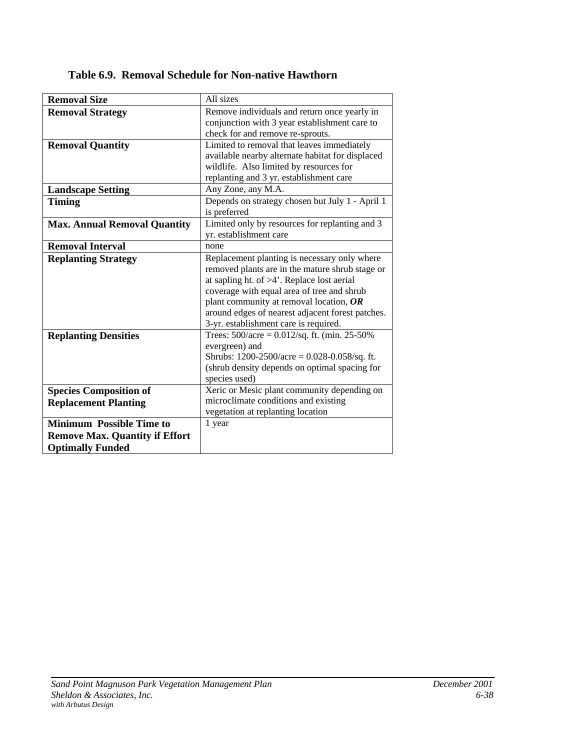| <b>Removal Size</b>                   | All sizes                                                     |
|---------------------------------------|---------------------------------------------------------------|
| <b>Removal Strategy</b>               | Remove individuals and return once yearly in                  |
|                                       | conjunction with 3 year establishment care to                 |
|                                       | check for and remove re-sprouts.                              |
| <b>Removal Quantity</b>               | Limited to removal that leaves immediately                    |
|                                       | available nearby alternate habitat for displaced              |
|                                       | wildlife. Also limited by resources for                       |
|                                       | replanting and 3 yr. establishment care                       |
| <b>Landscape Setting</b>              | Any Zone, any M.A.                                            |
| <b>Timing</b>                         | Depends on strategy chosen but July 1 - April 1               |
|                                       | is preferred                                                  |
| <b>Max. Annual Removal Quantity</b>   | Limited only by resources for replanting and 3                |
|                                       | yr. establishment care                                        |
| <b>Removal Interval</b>               | none                                                          |
| <b>Replanting Strategy</b>            | Replacement planting is necessary only where                  |
|                                       | removed plants are in the mature shrub stage or               |
|                                       | at sapling ht. of $>4$ '. Replace lost aerial                 |
|                                       | coverage with equal area of tree and shrub                    |
|                                       | plant community at removal location, $OR$                     |
|                                       | around edges of nearest adjacent forest patches.              |
|                                       | 3-yr. establishment care is required.                         |
| <b>Replanting Densities</b>           | Trees: $500/acre = 0.012/sq$ . ft. (min. 25-50%)              |
|                                       | evergreen) and                                                |
|                                       | Shrubs: $1200-2500/\text{acre} = 0.028-0.058/\text{sq}$ . ft. |
|                                       | (shrub density depends on optimal spacing for                 |
|                                       | species used)                                                 |
| <b>Species Composition of</b>         | Xeric or Mesic plant community depending on                   |
| <b>Replacement Planting</b>           | microclimate conditions and existing                          |
|                                       | vegetation at replanting location                             |
| <b>Minimum Possible Time to</b>       | 1 year                                                        |
| <b>Remove Max. Quantity if Effort</b> |                                                               |
| <b>Optimally Funded</b>               |                                                               |

**Table 6.9. Removal Schedule for Non-native Hawthorn**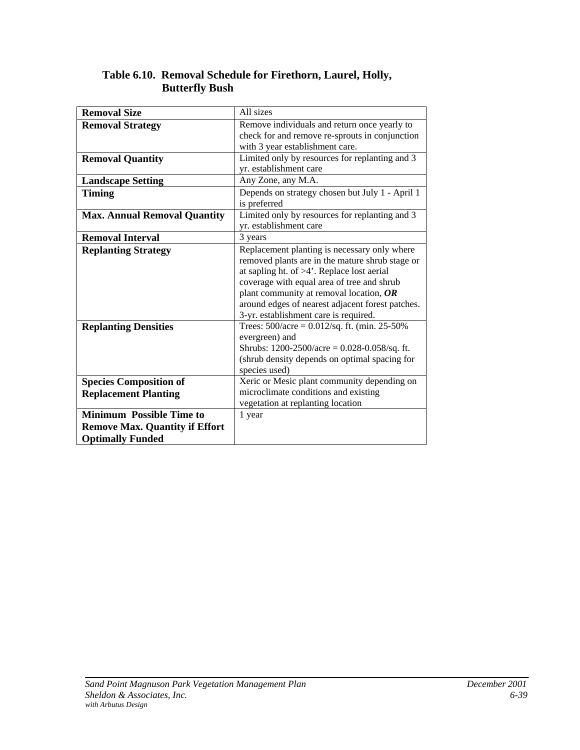| <b>Removal Size</b>                   | All sizes                                                     |
|---------------------------------------|---------------------------------------------------------------|
| <b>Removal Strategy</b>               | Remove individuals and return once yearly to                  |
|                                       | check for and remove re-sprouts in conjunction                |
|                                       | with 3 year establishment care.                               |
| <b>Removal Quantity</b>               | Limited only by resources for replanting and 3                |
|                                       | yr. establishment care                                        |
| <b>Landscape Setting</b>              | Any Zone, any M.A.                                            |
| <b>Timing</b>                         | Depends on strategy chosen but July 1 - April 1               |
|                                       | is preferred                                                  |
| <b>Max. Annual Removal Quantity</b>   | Limited only by resources for replanting and 3                |
|                                       | yr. establishment care                                        |
| <b>Removal Interval</b>               | 3 years                                                       |
| <b>Replanting Strategy</b>            | Replacement planting is necessary only where                  |
|                                       | removed plants are in the mature shrub stage or               |
|                                       | at sapling ht. of $>4$ <sup>'</sup> . Replace lost aerial     |
|                                       | coverage with equal area of tree and shrub                    |
|                                       | plant community at removal location, $OR$                     |
|                                       | around edges of nearest adjacent forest patches.              |
|                                       | 3-yr. establishment care is required.                         |
| <b>Replanting Densities</b>           | Trees: $500/ace = 0.012/sq$ . ft. (min. 25-50%)               |
|                                       | evergreen) and                                                |
|                                       | Shrubs: $1200-2500/\text{acre} = 0.028-0.058/\text{sq}$ . ft. |
|                                       | (shrub density depends on optimal spacing for                 |
|                                       | species used)                                                 |
| <b>Species Composition of</b>         | Xeric or Mesic plant community depending on                   |
| <b>Replacement Planting</b>           | microclimate conditions and existing                          |
|                                       | vegetation at replanting location                             |
| <b>Minimum Possible Time to</b>       | 1 year                                                        |
| <b>Remove Max. Quantity if Effort</b> |                                                               |
| <b>Optimally Funded</b>               |                                                               |

### **Table 6.10. Removal Schedule for Firethorn, Laurel, Holly, Butterfly Bush**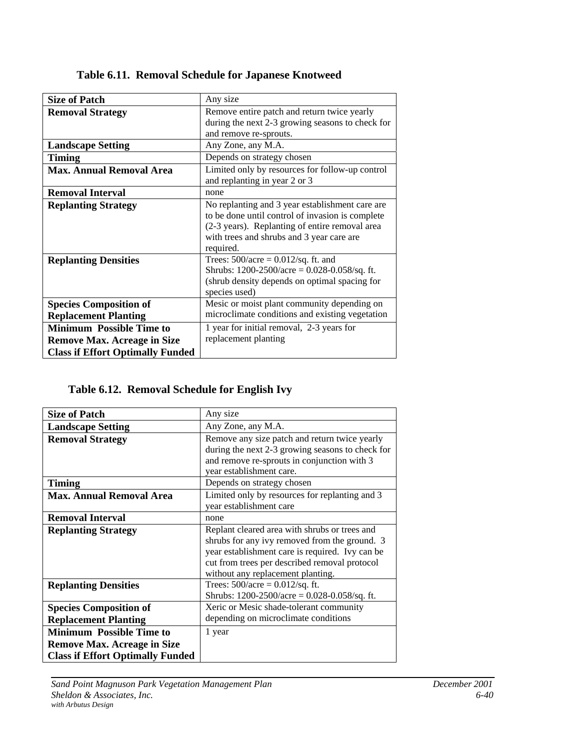| <b>Size of Patch</b>                    | Any size                                                      |
|-----------------------------------------|---------------------------------------------------------------|
| <b>Removal Strategy</b>                 | Remove entire patch and return twice yearly                   |
|                                         | during the next 2-3 growing seasons to check for              |
|                                         | and remove re-sprouts.                                        |
| <b>Landscape Setting</b>                | Any Zone, any M.A.                                            |
| <b>Timing</b>                           | Depends on strategy chosen                                    |
| <b>Max. Annual Removal Area</b>         | Limited only by resources for follow-up control               |
|                                         | and replanting in year 2 or 3                                 |
| <b>Removal Interval</b>                 | none                                                          |
| <b>Replanting Strategy</b>              | No replanting and 3 year establishment care are               |
|                                         | to be done until control of invasion is complete              |
|                                         | (2-3 years). Replanting of entire removal area                |
|                                         | with trees and shrubs and 3 year care are                     |
|                                         | required.                                                     |
| <b>Replanting Densities</b>             | Trees: $500/acre = 0.012/sq$ . ft. and                        |
|                                         | Shrubs: $1200-2500/\text{acre} = 0.028-0.058/\text{sq}$ . ft. |
|                                         | (shrub density depends on optimal spacing for                 |
|                                         | species used)                                                 |
| <b>Species Composition of</b>           | Mesic or moist plant community depending on                   |
| <b>Replacement Planting</b>             | microclimate conditions and existing vegetation               |
| <b>Minimum Possible Time to</b>         | 1 year for initial removal, 2-3 years for                     |
| <b>Remove Max. Acreage in Size</b>      | replacement planting                                          |
| <b>Class if Effort Optimally Funded</b> |                                                               |

**Table 6.11. Removal Schedule for Japanese Knotweed**

## **Table 6.12. Removal Schedule for English Ivy**

| <b>Size of Patch</b>                    | Any size                                                      |
|-----------------------------------------|---------------------------------------------------------------|
| <b>Landscape Setting</b>                | Any Zone, any M.A.                                            |
| <b>Removal Strategy</b>                 | Remove any size patch and return twice yearly                 |
|                                         | during the next 2-3 growing seasons to check for              |
|                                         | and remove re-sprouts in conjunction with 3                   |
|                                         | year establishment care.                                      |
| <b>Timing</b>                           | Depends on strategy chosen                                    |
| <b>Max. Annual Removal Area</b>         | Limited only by resources for replanting and 3                |
|                                         | year establishment care                                       |
| <b>Removal Interval</b>                 | none                                                          |
| <b>Replanting Strategy</b>              | Replant cleared area with shrubs or trees and                 |
|                                         | shrubs for any ivy removed from the ground. 3                 |
|                                         | year establishment care is required. Ivy can be               |
|                                         | cut from trees per described removal protocol                 |
|                                         | without any replacement planting.                             |
| <b>Replanting Densities</b>             | Trees: $500/acre = 0.012/sq$ . ft.                            |
|                                         | Shrubs: $1200-2500/\text{acre} = 0.028-0.058/\text{sq}$ . ft. |
| <b>Species Composition of</b>           | Xeric or Mesic shade-tolerant community                       |
| <b>Replacement Planting</b>             | depending on microclimate conditions                          |
| <b>Minimum Possible Time to</b>         | 1 year                                                        |
| <b>Remove Max. Acreage in Size</b>      |                                                               |
| <b>Class if Effort Optimally Funded</b> |                                                               |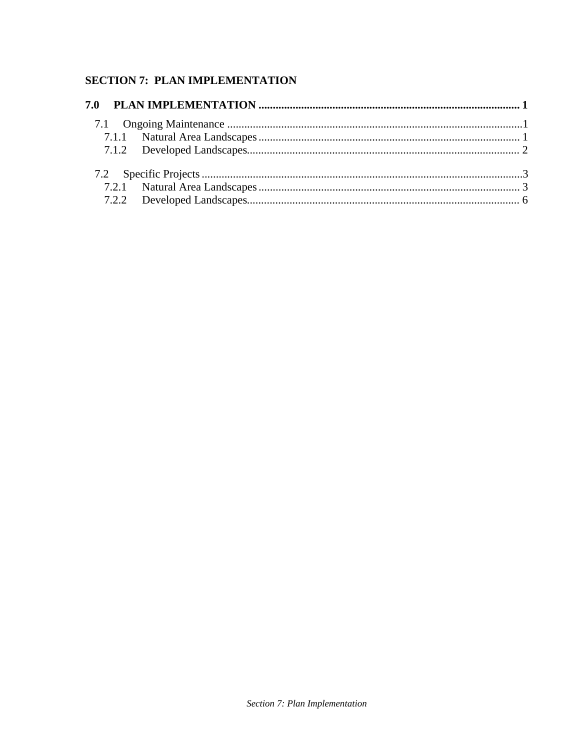## **SECTION 7: PLAN IMPLEMENTATION**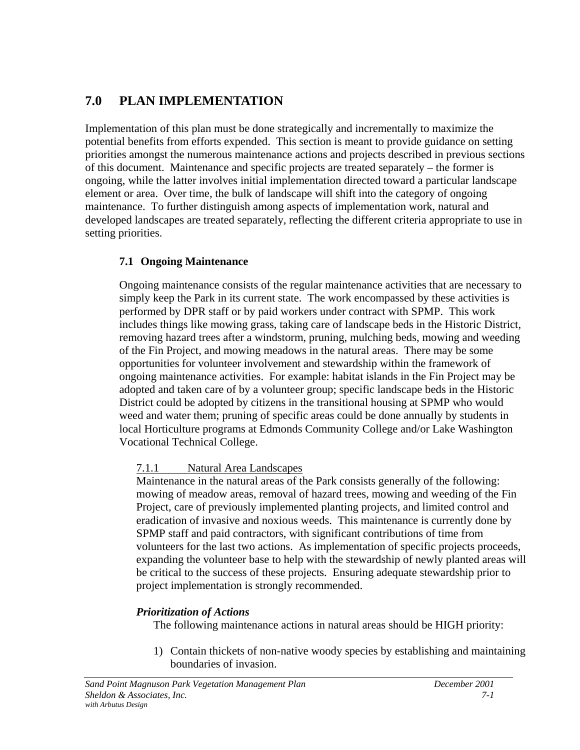## <span id="page-184-0"></span>**7.0 PLAN IMPLEMENTATION**

Implementation of this plan must be done strategically and incrementally to maximize the potential benefits from efforts expended. This section is meant to provide guidance on setting priorities amongst the numerous maintenance actions and projects described in previous sections of this document. Maintenance and specific projects are treated separately – the former is ongoing, while the latter involves initial implementation directed toward a particular landscape element or area. Over time, the bulk of landscape will shift into the category of ongoing maintenance. To further distinguish among aspects of implementation work, natural and developed landscapes are treated separately, reflecting the different criteria appropriate to use in setting priorities.

## **7.1 Ongoing Maintenance**

Ongoing maintenance consists of the regular maintenance activities that are necessary to simply keep the Park in its current state. The work encompassed by these activities is performed by DPR staff or by paid workers under contract with SPMP. This work includes things like mowing grass, taking care of landscape beds in the Historic District, removing hazard trees after a windstorm, pruning, mulching beds, mowing and weeding of the Fin Project, and mowing meadows in the natural areas. There may be some opportunities for volunteer involvement and stewardship within the framework of ongoing maintenance activities. For example: habitat islands in the Fin Project may be adopted and taken care of by a volunteer group; specific landscape beds in the Historic District could be adopted by citizens in the transitional housing at SPMP who would weed and water them; pruning of specific areas could be done annually by students in local Horticulture programs at Edmonds Community College and/or Lake Washington Vocational Technical College.

## 7.1.1 Natural Area Landscapes

Maintenance in the natural areas of the Park consists generally of the following: mowing of meadow areas, removal of hazard trees, mowing and weeding of the Fin Project, care of previously implemented planting projects, and limited control and eradication of invasive and noxious weeds. This maintenance is currently done by SPMP staff and paid contractors, with significant contributions of time from volunteers for the last two actions. As implementation of specific projects proceeds, expanding the volunteer base to help with the stewardship of newly planted areas will be critical to the success of these projects. Ensuring adequate stewardship prior to project implementation is strongly recommended.

## *Prioritization of Actions*

The following maintenance actions in natural areas should be HIGH priority:

1) Contain thickets of non-native woody species by establishing and maintaining boundaries of invasion.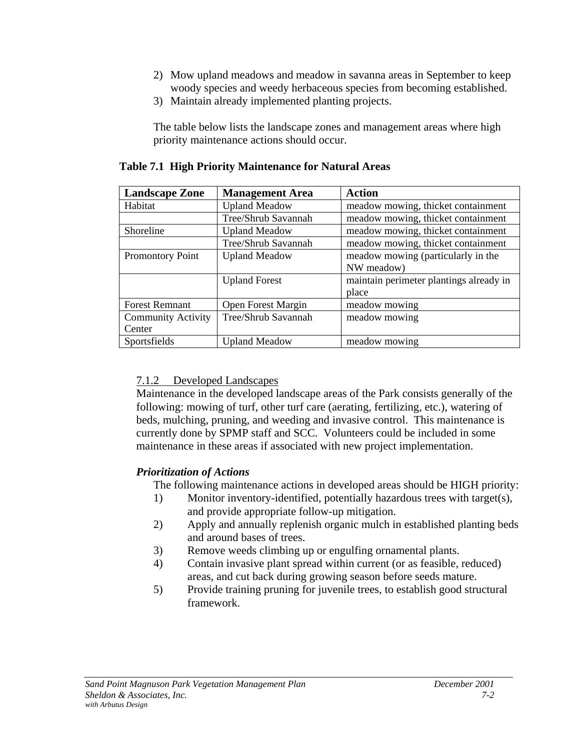- 2) Mow upland meadows and meadow in savanna areas in September to keep woody species and weedy herbaceous species from becoming established.
- 3) Maintain already implemented planting projects.

The table below lists the landscape zones and management areas where high priority maintenance actions should occur.

| <b>Landscape Zone</b>     | <b>Management Area</b> | <b>Action</b>                           |
|---------------------------|------------------------|-----------------------------------------|
| Habitat                   | <b>Upland Meadow</b>   | meadow mowing, thicket containment      |
|                           | Tree/Shrub Savannah    | meadow mowing, thicket containment      |
| Shoreline                 | <b>Upland Meadow</b>   | meadow mowing, thicket containment      |
|                           | Tree/Shrub Savannah    | meadow mowing, thicket containment      |
| Promontory Point          | <b>Upland Meadow</b>   | meadow mowing (particularly in the      |
|                           |                        | NW meadow)                              |
|                           | <b>Upland Forest</b>   | maintain perimeter plantings already in |
|                           |                        | place                                   |
| <b>Forest Remnant</b>     | Open Forest Margin     | meadow mowing                           |
| <b>Community Activity</b> | Tree/Shrub Savannah    | meadow mowing                           |
| Center                    |                        |                                         |
| Sportsfields              | <b>Upland Meadow</b>   | meadow mowing                           |

## **Table 7.1 High Priority Maintenance for Natural Areas**

## 7.1.2 Developed Landscapes

Maintenance in the developed landscape areas of the Park consists generally of the following: mowing of turf, other turf care (aerating, fertilizing, etc.), watering of beds, mulching, pruning, and weeding and invasive control. This maintenance is currently done by SPMP staff and SCC. Volunteers could be included in some maintenance in these areas if associated with new project implementation.

## *Prioritization of Actions*

The following maintenance actions in developed areas should be HIGH priority:

- 1) Monitor inventory-identified, potentially hazardous trees with target(s), and provide appropriate follow-up mitigation.
- 2) Apply and annually replenish organic mulch in established planting beds and around bases of trees.
- 3) Remove weeds climbing up or engulfing ornamental plants.
- 4) Contain invasive plant spread within current (or as feasible, reduced) areas, and cut back during growing season before seeds mature.
- 5) Provide training pruning for juvenile trees, to establish good structural framework.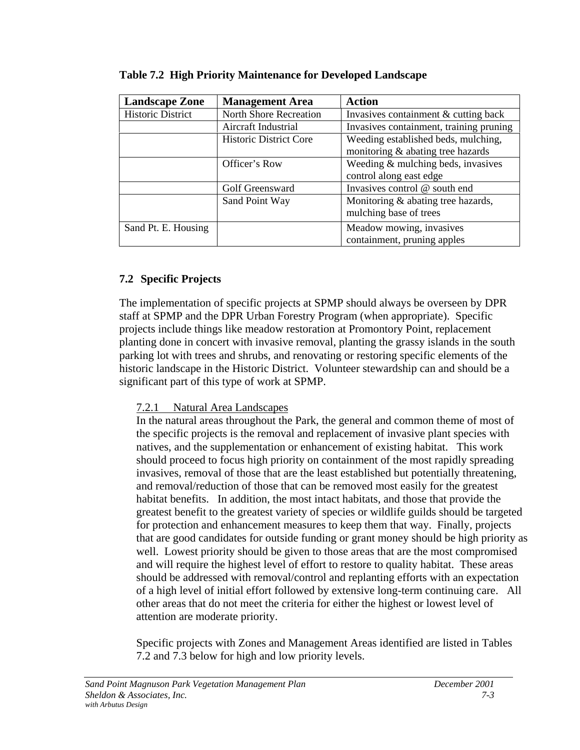| <b>Landscape Zone</b>    | <b>Management Area</b>        | <b>Action</b>                           |
|--------------------------|-------------------------------|-----------------------------------------|
| <b>Historic District</b> | <b>North Shore Recreation</b> | Invasives containment & cutting back    |
|                          | Aircraft Industrial           | Invasives containment, training pruning |
|                          | <b>Historic District Core</b> | Weeding established beds, mulching,     |
|                          |                               | monitoring & abating tree hazards       |
|                          | Officer's Row                 | Weeding & mulching beds, invasives      |
|                          |                               | control along east edge                 |
|                          | Golf Greensward               | Invasives control @ south end           |
|                          | Sand Point Way                | Monitoring & abating tree hazards,      |
|                          |                               | mulching base of trees                  |
| Sand Pt. E. Housing      |                               | Meadow mowing, invasives                |
|                          |                               | containment, pruning apples             |

<span id="page-186-0"></span>**Table 7.2 High Priority Maintenance for Developed Landscape**

## **7.2 Specific Projects**

The implementation of specific projects at SPMP should always be overseen by DPR staff at SPMP and the DPR Urban Forestry Program (when appropriate). Specific projects include things like meadow restoration at Promontory Point, replacement planting done in concert with invasive removal, planting the grassy islands in the south parking lot with trees and shrubs, and renovating or restoring specific elements of the historic landscape in the Historic District. Volunteer stewardship can and should be a significant part of this type of work at SPMP.

## 7.2.1 Natural Area Landscapes

In the natural areas throughout the Park, the general and common theme of most of the specific projects is the removal and replacement of invasive plant species with natives, and the supplementation or enhancement of existing habitat. This work should proceed to focus high priority on containment of the most rapidly spreading invasives, removal of those that are the least established but potentially threatening, and removal/reduction of those that can be removed most easily for the greatest habitat benefits. In addition, the most intact habitats, and those that provide the greatest benefit to the greatest variety of species or wildlife guilds should be targeted for protection and enhancement measures to keep them that way. Finally, projects that are good candidates for outside funding or grant money should be high priority as well. Lowest priority should be given to those areas that are the most compromised and will require the highest level of effort to restore to quality habitat. These areas should be addressed with removal/control and replanting efforts with an expectation of a high level of initial effort followed by extensive long-term continuing care. All other areas that do not meet the criteria for either the highest or lowest level of attention are moderate priority.

Specific projects with Zones and Management Areas identified are listed in Tables 7.2 and 7.3 below for high and low priority levels.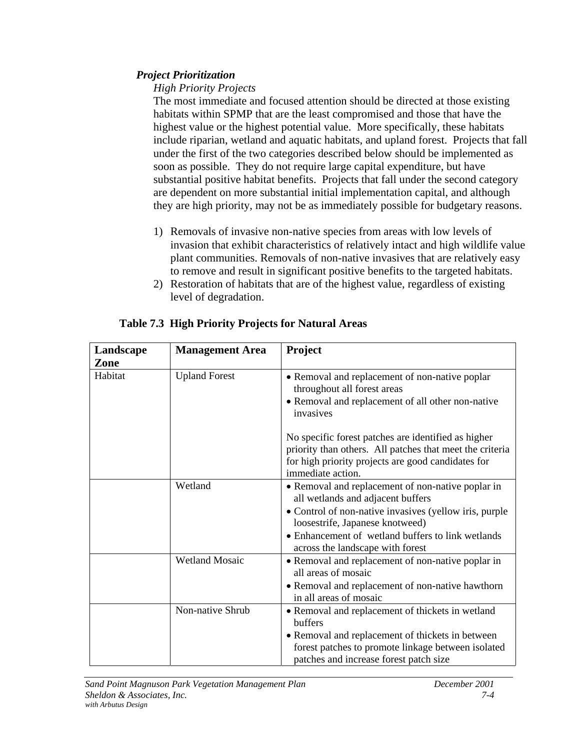## *Project Prioritization*

## *High Priority Projects*

The most immediate and focused attention should be directed at those existing habitats within SPMP that are the least compromised and those that have the highest value or the highest potential value. More specifically, these habitats include riparian, wetland and aquatic habitats, and upland forest. Projects that fall under the first of the two categories described below should be implemented as soon as possible. They do not require large capital expenditure, but have substantial positive habitat benefits. Projects that fall under the second category are dependent on more substantial initial implementation capital, and although they are high priority, may not be as immediately possible for budgetary reasons.

- 1) Removals of invasive non-native species from areas with low levels of invasion that exhibit characteristics of relatively intact and high wildlife value plant communities. Removals of non-native invasives that are relatively easy to remove and result in significant positive benefits to the targeted habitats.
- 2) Restoration of habitats that are of the highest value, regardless of existing level of degradation.

| Landscape | <b>Management Area</b> | <b>Project</b>                                                                                                                                                                                                                                                               |
|-----------|------------------------|------------------------------------------------------------------------------------------------------------------------------------------------------------------------------------------------------------------------------------------------------------------------------|
| Zone      |                        |                                                                                                                                                                                                                                                                              |
| Habitat   | <b>Upland Forest</b>   | • Removal and replacement of non-native poplar<br>throughout all forest areas<br>• Removal and replacement of all other non-native<br>invasives                                                                                                                              |
|           |                        | No specific forest patches are identified as higher<br>priority than others. All patches that meet the criteria<br>for high priority projects are good candidates for<br>immediate action.                                                                                   |
|           | Wetland                | • Removal and replacement of non-native poplar in<br>all wetlands and adjacent buffers<br>• Control of non-native invasives (yellow iris, purple<br>loosestrife, Japanese knotweed)<br>• Enhancement of wetland buffers to link wetlands<br>across the landscape with forest |
|           | <b>Wetland Mosaic</b>  | • Removal and replacement of non-native poplar in<br>all areas of mosaic<br>• Removal and replacement of non-native hawthorn<br>in all areas of mosaic                                                                                                                       |
|           | Non-native Shrub       | • Removal and replacement of thickets in wetland<br>buffers<br>• Removal and replacement of thickets in between<br>forest patches to promote linkage between isolated<br>patches and increase forest patch size                                                              |

## **Table 7.3 High Priority Projects for Natural Areas**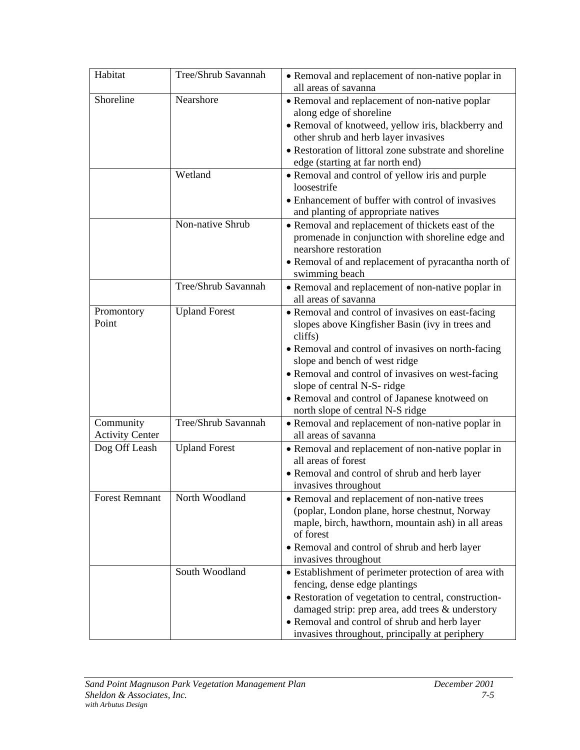| Habitat                             | Tree/Shrub Savannah  | • Removal and replacement of non-native poplar in<br>all areas of savanna                                                                                                                                                                                                                                                                   |
|-------------------------------------|----------------------|---------------------------------------------------------------------------------------------------------------------------------------------------------------------------------------------------------------------------------------------------------------------------------------------------------------------------------------------|
| Shoreline                           | Nearshore            | • Removal and replacement of non-native poplar<br>along edge of shoreline<br>• Removal of knotweed, yellow iris, blackberry and<br>other shrub and herb layer invasives<br>• Restoration of littoral zone substrate and shoreline<br>edge (starting at far north end)                                                                       |
|                                     | Wetland              | • Removal and control of yellow iris and purple<br>loosestrife<br>• Enhancement of buffer with control of invasives<br>and planting of appropriate natives                                                                                                                                                                                  |
|                                     | Non-native Shrub     | • Removal and replacement of thickets east of the<br>promenade in conjunction with shoreline edge and<br>nearshore restoration<br>• Removal of and replacement of pyracantha north of<br>swimming beach                                                                                                                                     |
|                                     | Tree/Shrub Savannah  | • Removal and replacement of non-native poplar in<br>all areas of savanna                                                                                                                                                                                                                                                                   |
| Promontory<br>Point                 | <b>Upland Forest</b> | • Removal and control of invasives on east-facing<br>slopes above Kingfisher Basin (ivy in trees and<br>cliffs)<br>• Removal and control of invasives on north-facing<br>slope and bench of west ridge<br>• Removal and control of invasives on west-facing<br>slope of central N-S- ridge<br>• Removal and control of Japanese knotweed on |
| Community<br><b>Activity Center</b> | Tree/Shrub Savannah  | north slope of central N-S ridge<br>• Removal and replacement of non-native poplar in<br>all areas of savanna                                                                                                                                                                                                                               |
| Dog Off Leash                       | <b>Upland Forest</b> | • Removal and replacement of non-native poplar in<br>all areas of forest<br>• Removal and control of shrub and herb layer<br>invasives throughout                                                                                                                                                                                           |
| <b>Forest Remnant</b>               | North Woodland       | • Removal and replacement of non-native trees<br>(poplar, London plane, horse chestnut, Norway<br>maple, birch, hawthorn, mountain ash) in all areas<br>of forest<br>• Removal and control of shrub and herb layer<br>invasives throughout                                                                                                  |
|                                     | South Woodland       | • Establishment of perimeter protection of area with<br>fencing, dense edge plantings<br>• Restoration of vegetation to central, construction-<br>damaged strip: prep area, add trees & understory<br>• Removal and control of shrub and herb layer<br>invasives throughout, principally at periphery                                       |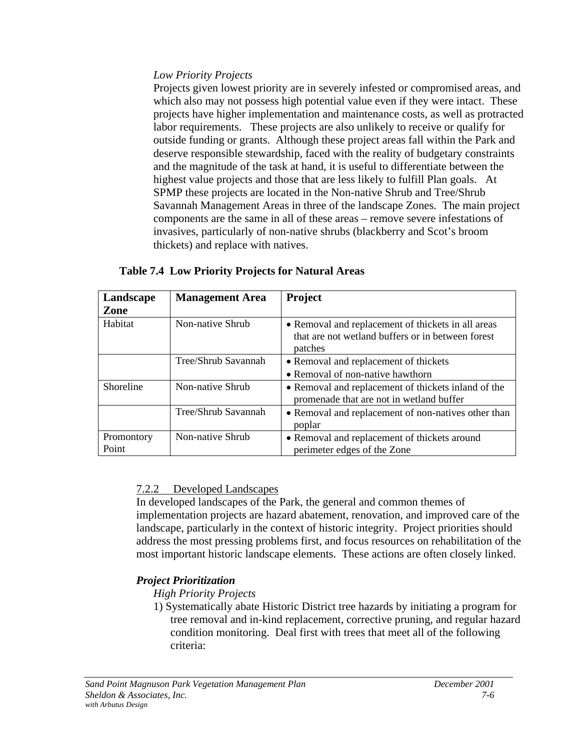## *Low Priority Projects*

Projects given lowest priority are in severely infested or compromised areas, and which also may not possess high potential value even if they were intact. These projects have higher implementation and maintenance costs, as well as protracted labor requirements. These projects are also unlikely to receive or qualify for outside funding or grants. Although these project areas fall within the Park and deserve responsible stewardship, faced with the reality of budgetary constraints and the magnitude of the task at hand, it is useful to differentiate between the highest value projects and those that are less likely to fulfill Plan goals. At SPMP these projects are located in the Non-native Shrub and Tree/Shrub Savannah Management Areas in three of the landscape Zones. The main project components are the same in all of these areas – remove severe infestations of invasives, particularly of non-native shrubs (blackberry and Scot's broom thickets) and replace with natives.

| Landscape           | <b>Management Area</b> | <b>Project</b>                                                                                                     |
|---------------------|------------------------|--------------------------------------------------------------------------------------------------------------------|
| Zone                |                        |                                                                                                                    |
| Habitat             | Non-native Shrub       | • Removal and replacement of thickets in all areas<br>that are not wetland buffers or in between forest<br>patches |
|                     | Tree/Shrub Savannah    | • Removal and replacement of thickets                                                                              |
|                     |                        | • Removal of non-native hawthorn                                                                                   |
| Shoreline           | Non-native Shrub       | • Removal and replacement of thickets inland of the<br>promenade that are not in wetland buffer                    |
|                     | Tree/Shrub Savannah    | • Removal and replacement of non-natives other than<br>poplar                                                      |
| Promontory<br>Point | Non-native Shrub       | • Removal and replacement of thickets around<br>perimeter edges of the Zone                                        |

## **Table 7.4 Low Priority Projects for Natural Areas**

## 7.2.2 Developed Landscapes

In developed landscapes of the Park, the general and common themes of implementation projects are hazard abatement, renovation, and improved care of the landscape, particularly in the context of historic integrity. Project priorities should address the most pressing problems first, and focus resources on rehabilitation of the most important historic landscape elements. These actions are often closely linked.

## *Project Prioritization*

*High Priority Projects*

1) Systematically abate Historic District tree hazards by initiating a program for tree removal and in-kind replacement, corrective pruning, and regular hazard condition monitoring. Deal first with trees that meet all of the following criteria: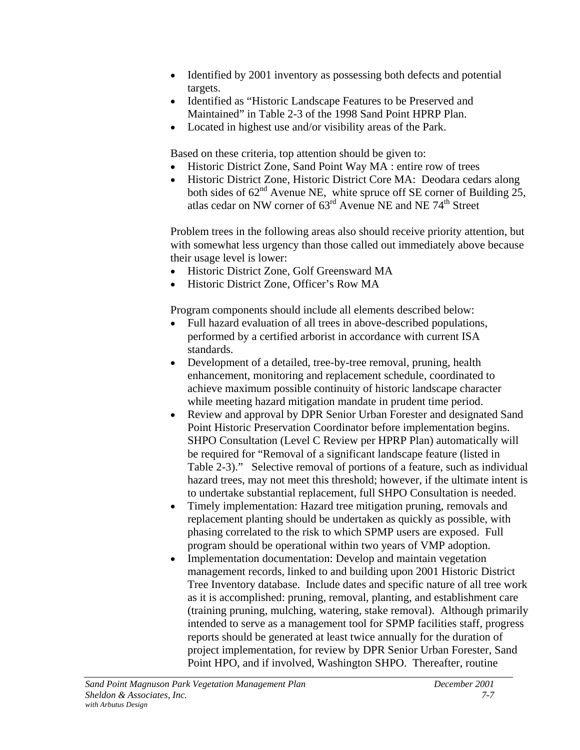- Identified by 2001 inventory as possessing both defects and potential targets.
- Identified as "Historic Landscape Features to be Preserved and Maintained" in Table 2-3 of the 1998 Sand Point HPRP Plan.
- Located in highest use and/or visibility areas of the Park.

Based on these criteria, top attention should be given to:

- Historic District Zone, Sand Point Way MA : entire row of trees
- Historic District Zone, Historic District Core MA: Deodara cedars along both sides of  $62<sup>nd</sup>$  Avenue NE, white spruce off SE corner of Building 25, atlas cedar on NW corner of  $63<sup>rd</sup>$  Avenue NE and NE 74<sup>th</sup> Street

Problem trees in the following areas also should receive priority attention, but with somewhat less urgency than those called out immediately above because their usage level is lower:

- Historic District Zone, Golf Greensward MA
- Historic District Zone, Officer's Row MA

Program components should include all elements described below:

- Full hazard evaluation of all trees in above-described populations, performed by a certified arborist in accordance with current ISA standards.
- Development of a detailed, tree-by-tree removal, pruning, health enhancement, monitoring and replacement schedule, coordinated to achieve maximum possible continuity of historic landscape character while meeting hazard mitigation mandate in prudent time period.
- Review and approval by DPR Senior Urban Forester and designated Sand Point Historic Preservation Coordinator before implementation begins. SHPO Consultation (Level C Review per HPRP Plan) automatically will be required for "Removal of a significant landscape feature (listed in Table 2-3)." Selective removal of portions of a feature, such as individual hazard trees, may not meet this threshold; however, if the ultimate intent is to undertake substantial replacement, full SHPO Consultation is needed.
- Timely implementation: Hazard tree mitigation pruning, removals and replacement planting should be undertaken as quickly as possible, with phasing correlated to the risk to which SPMP users are exposed. Full program should be operational within two years of VMP adoption.
- Implementation documentation: Develop and maintain vegetation management records, linked to and building upon 2001 Historic District Tree Inventory database. Include dates and specific nature of all tree work as it is accomplished: pruning, removal, planting, and establishment care (training pruning, mulching, watering, stake removal). Although primarily intended to serve as a management tool for SPMP facilities staff, progress reports should be generated at least twice annually for the duration of project implementation, for review by DPR Senior Urban Forester, Sand Point HPO, and if involved, Washington SHPO. Thereafter, routine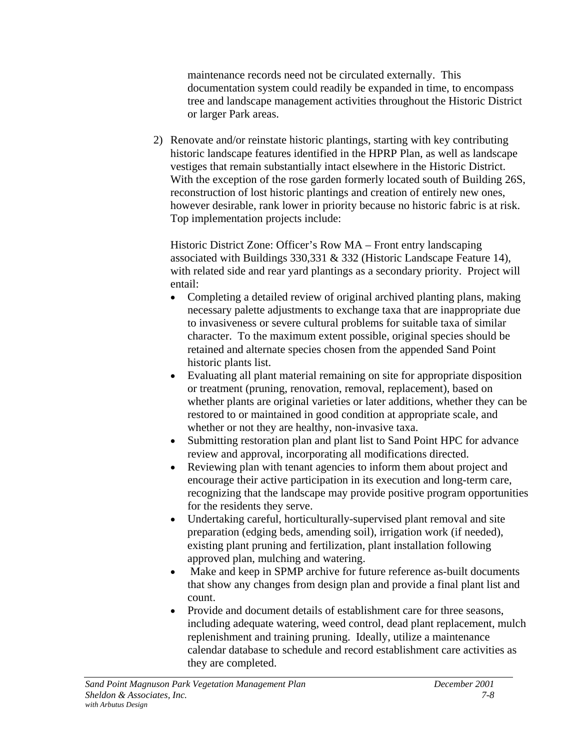maintenance records need not be circulated externally. This documentation system could readily be expanded in time, to encompass tree and landscape management activities throughout the Historic District or larger Park areas.

2) Renovate and/or reinstate historic plantings, starting with key contributing historic landscape features identified in the HPRP Plan, as well as landscape vestiges that remain substantially intact elsewhere in the Historic District. With the exception of the rose garden formerly located south of Building 26S, reconstruction of lost historic plantings and creation of entirely new ones, however desirable, rank lower in priority because no historic fabric is at risk. Top implementation projects include:

Historic District Zone: Officer's Row MA – Front entry landscaping associated with Buildings 330,331 & 332 (Historic Landscape Feature 14), with related side and rear yard plantings as a secondary priority. Project will entail:

- Completing a detailed review of original archived planting plans, making necessary palette adjustments to exchange taxa that are inappropriate due to invasiveness or severe cultural problems for suitable taxa of similar character. To the maximum extent possible, original species should be retained and alternate species chosen from the appended Sand Point historic plants list.
- Evaluating all plant material remaining on site for appropriate disposition or treatment (pruning, renovation, removal, replacement), based on whether plants are original varieties or later additions, whether they can be restored to or maintained in good condition at appropriate scale, and whether or not they are healthy, non-invasive taxa.
- Submitting restoration plan and plant list to Sand Point HPC for advance review and approval, incorporating all modifications directed.
- Reviewing plan with tenant agencies to inform them about project and encourage their active participation in its execution and long-term care, recognizing that the landscape may provide positive program opportunities for the residents they serve.
- Undertaking careful, horticulturally-supervised plant removal and site preparation (edging beds, amending soil), irrigation work (if needed), existing plant pruning and fertilization, plant installation following approved plan, mulching and watering.
- Make and keep in SPMP archive for future reference as-built documents that show any changes from design plan and provide a final plant list and count.
- Provide and document details of establishment care for three seasons, including adequate watering, weed control, dead plant replacement, mulch replenishment and training pruning. Ideally, utilize a maintenance calendar database to schedule and record establishment care activities as they are completed.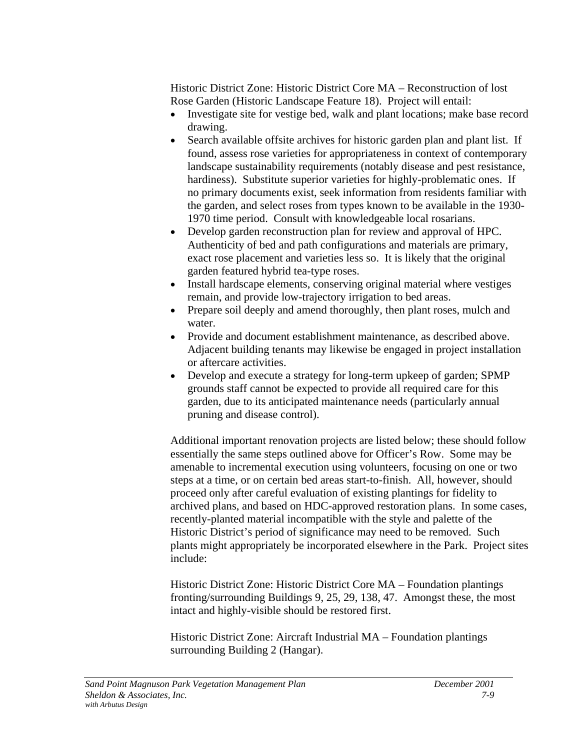Historic District Zone: Historic District Core MA – Reconstruction of lost Rose Garden (Historic Landscape Feature 18). Project will entail:

- Investigate site for vestige bed, walk and plant locations; make base record drawing.
- Search available offsite archives for historic garden plan and plant list. If found, assess rose varieties for appropriateness in context of contemporary landscape sustainability requirements (notably disease and pest resistance, hardiness). Substitute superior varieties for highly-problematic ones. If no primary documents exist, seek information from residents familiar with the garden, and select roses from types known to be available in the 1930- 1970 time period. Consult with knowledgeable local rosarians.
- Develop garden reconstruction plan for review and approval of HPC. Authenticity of bed and path configurations and materials are primary, exact rose placement and varieties less so. It is likely that the original garden featured hybrid tea-type roses.
- Install hardscape elements, conserving original material where vestiges remain, and provide low-trajectory irrigation to bed areas.
- Prepare soil deeply and amend thoroughly, then plant roses, mulch and water.
- Provide and document establishment maintenance, as described above. Adjacent building tenants may likewise be engaged in project installation or aftercare activities.
- Develop and execute a strategy for long-term upkeep of garden; SPMP grounds staff cannot be expected to provide all required care for this garden, due to its anticipated maintenance needs (particularly annual pruning and disease control).

Additional important renovation projects are listed below; these should follow essentially the same steps outlined above for Officer's Row. Some may be amenable to incremental execution using volunteers, focusing on one or two steps at a time, or on certain bed areas start-to-finish. All, however, should proceed only after careful evaluation of existing plantings for fidelity to archived plans, and based on HDC-approved restoration plans. In some cases, recently-planted material incompatible with the style and palette of the Historic District's period of significance may need to be removed. Such plants might appropriately be incorporated elsewhere in the Park. Project sites include:

Historic District Zone: Historic District Core MA – Foundation plantings fronting/surrounding Buildings 9, 25, 29, 138, 47. Amongst these, the most intact and highly-visible should be restored first.

Historic District Zone: Aircraft Industrial MA – Foundation plantings surrounding Building 2 (Hangar).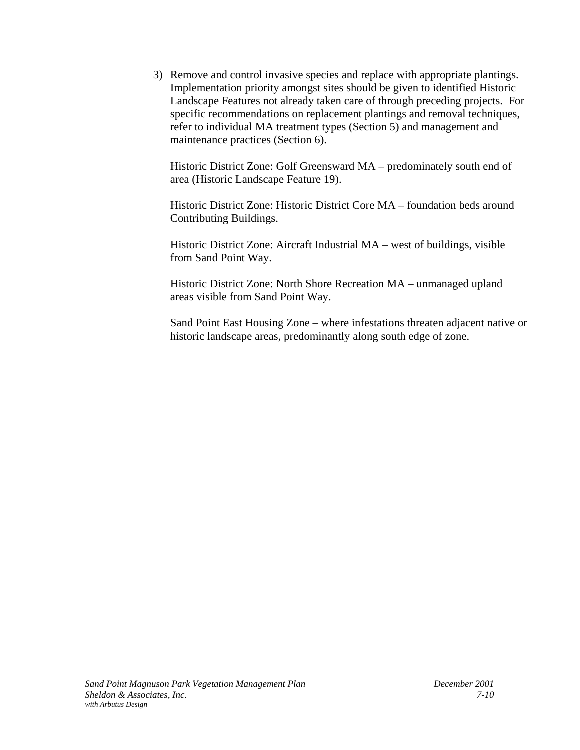3) Remove and control invasive species and replace with appropriate plantings. Implementation priority amongst sites should be given to identified Historic Landscape Features not already taken care of through preceding projects. For specific recommendations on replacement plantings and removal techniques, refer to individual MA treatment types (Section 5) and management and maintenance practices (Section 6).

Historic District Zone: Golf Greensward MA – predominately south end of area (Historic Landscape Feature 19).

Historic District Zone: Historic District Core MA – foundation beds around Contributing Buildings.

Historic District Zone: Aircraft Industrial MA – west of buildings, visible from Sand Point Way.

Historic District Zone: North Shore Recreation MA – unmanaged upland areas visible from Sand Point Way.

Sand Point East Housing Zone – where infestations threaten adjacent native or historic landscape areas, predominantly along south edge of zone.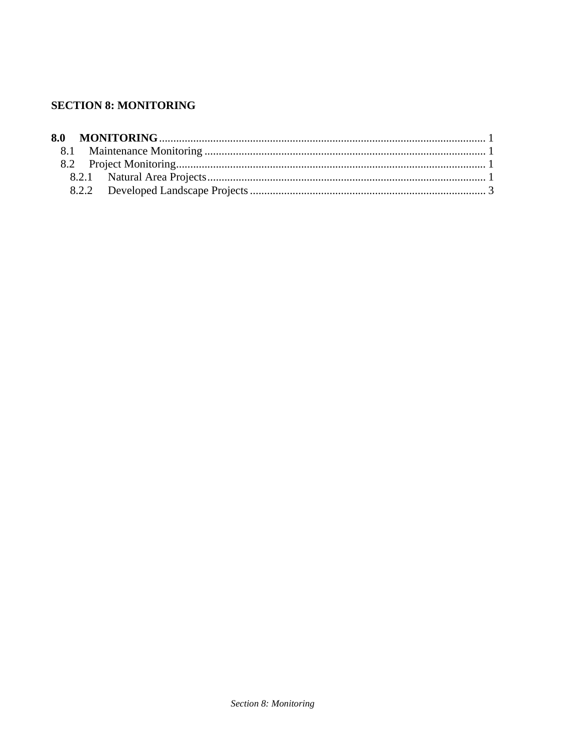## **SECTION 8: MONITORING**

| 8.0 | <b>MONITORING</b> |
|-----|-------------------|
|-----|-------------------|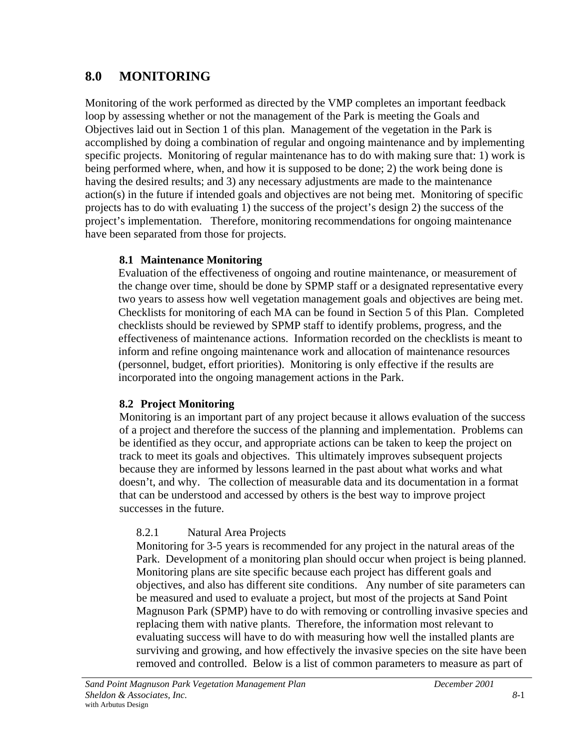## <span id="page-195-0"></span>**8.0 MONITORING**

Monitoring of the work performed as directed by the VMP completes an important feedback loop by assessing whether or not the management of the Park is meeting the Goals and Objectives laid out in Section 1 of this plan. Management of the vegetation in the Park is accomplished by doing a combination of regular and ongoing maintenance and by implementing specific projects. Monitoring of regular maintenance has to do with making sure that: 1) work is being performed where, when, and how it is supposed to be done; 2) the work being done is having the desired results; and 3) any necessary adjustments are made to the maintenance action(s) in the future if intended goals and objectives are not being met. Monitoring of specific projects has to do with evaluating 1) the success of the project's design 2) the success of the project's implementation. Therefore, monitoring recommendations for ongoing maintenance have been separated from those for projects.

## **8.1 Maintenance Monitoring**

Evaluation of the effectiveness of ongoing and routine maintenance, or measurement of the change over time, should be done by SPMP staff or a designated representative every two years to assess how well vegetation management goals and objectives are being met. Checklists for monitoring of each MA can be found in Section 5 of this Plan. Completed checklists should be reviewed by SPMP staff to identify problems, progress, and the effectiveness of maintenance actions. Information recorded on the checklists is meant to inform and refine ongoing maintenance work and allocation of maintenance resources (personnel, budget, effort priorities). Monitoring is only effective if the results are incorporated into the ongoing management actions in the Park.

## **8.2 Project Monitoring**

Monitoring is an important part of any project because it allows evaluation of the success of a project and therefore the success of the planning and implementation. Problems can be identified as they occur, and appropriate actions can be taken to keep the project on track to meet its goals and objectives. This ultimately improves subsequent projects because they are informed by lessons learned in the past about what works and what doesn't, and why. The collection of measurable data and its documentation in a format that can be understood and accessed by others is the best way to improve project successes in the future.

## 8.2.1 Natural Area Projects

Monitoring for 3-5 years is recommended for any project in the natural areas of the Park. Development of a monitoring plan should occur when project is being planned. Monitoring plans are site specific because each project has different goals and objectives, and also has different site conditions. Any number of site parameters can be measured and used to evaluate a project, but most of the projects at Sand Point Magnuson Park (SPMP) have to do with removing or controlling invasive species and replacing them with native plants. Therefore, the information most relevant to evaluating success will have to do with measuring how well the installed plants are surviving and growing, and how effectively the invasive species on the site have been removed and controlled. Below is a list of common parameters to measure as part of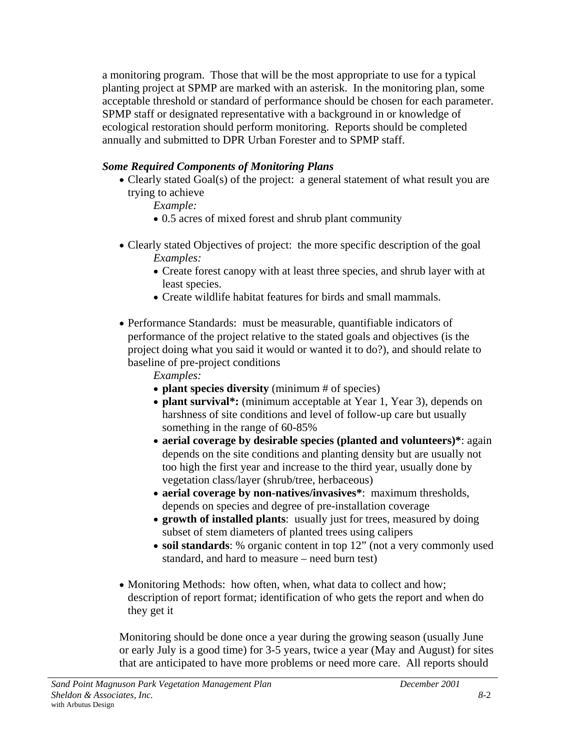a monitoring program. Those that will be the most appropriate to use for a typical planting project at SPMP are marked with an asterisk. In the monitoring plan, some acceptable threshold or standard of performance should be chosen for each parameter. SPMP staff or designated representative with a background in or knowledge of ecological restoration should perform monitoring. Reports should be completed annually and submitted to DPR Urban Forester and to SPMP staff.

## *Some Required Components of Monitoring Plans*

• Clearly stated Goal(s) of the project: a general statement of what result you are trying to achieve

*Example:*

- 0.5 acres of mixed forest and shrub plant community
- Clearly stated Objectives of project: the more specific description of the goal *Examples:*
	- Create forest canopy with at least three species, and shrub layer with at least species.
	- Create wildlife habitat features for birds and small mammals.
- Performance Standards: must be measurable, quantifiable indicators of performance of the project relative to the stated goals and objectives (is the project doing what you said it would or wanted it to do?), and should relate to baseline of pre-project conditions

*Examples:*

- **plant species diversity** (minimum # of species)
- **plant survival\*:** (minimum acceptable at Year 1, Year 3), depends on harshness of site conditions and level of follow-up care but usually something in the range of 60-85%
- **aerial coverage by desirable species (planted and volunteers)\***: again depends on the site conditions and planting density but are usually not too high the first year and increase to the third year, usually done by vegetation class/layer (shrub/tree, herbaceous)
- **aerial coverage by non-natives/invasives\***: maximum thresholds, depends on species and degree of pre-installation coverage
- **growth of installed plants**: usually just for trees, measured by doing subset of stem diameters of planted trees using calipers
- **soil standards**: % organic content in top 12" (not a very commonly used standard, and hard to measure – need burn test)
- Monitoring Methods: how often, when, what data to collect and how; description of report format; identification of who gets the report and when do they get it

Monitoring should be done once a year during the growing season (usually June or early July is a good time) for 3-5 years, twice a year (May and August) for sites that are anticipated to have more problems or need more care. All reports should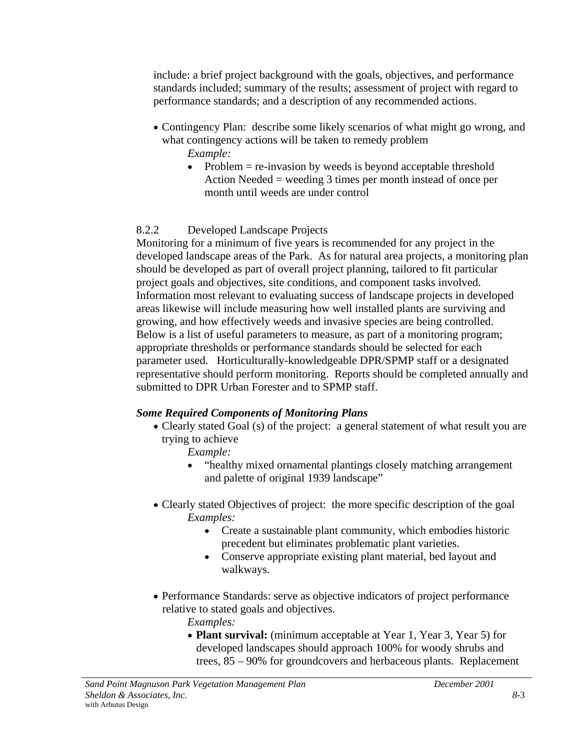include: a brief project background with the goals, objectives, and performance standards included; summary of the results; assessment of project with regard to performance standards; and a description of any recommended actions.

- Contingency Plan: describe some likely scenarios of what might go wrong, and what contingency actions will be taken to remedy problem *Example:*
	- Problem  $=$  re-invasion by weeds is beyond acceptable threshold Action Needed = weeding 3 times per month instead of once per month until weeds are under control

## 8.2.2 Developed Landscape Projects

Monitoring for a minimum of five years is recommended for any project in the developed landscape areas of the Park. As for natural area projects, a monitoring plan should be developed as part of overall project planning, tailored to fit particular project goals and objectives, site conditions, and component tasks involved. Information most relevant to evaluating success of landscape projects in developed areas likewise will include measuring how well installed plants are surviving and growing, and how effectively weeds and invasive species are being controlled. Below is a list of useful parameters to measure, as part of a monitoring program; appropriate thresholds or performance standards should be selected for each parameter used. Horticulturally-knowledgeable DPR/SPMP staff or a designated representative should perform monitoring. Reports should be completed annually and submitted to DPR Urban Forester and to SPMP staff.

## *Some Required Components of Monitoring Plans*

• Clearly stated Goal (s) of the project: a general statement of what result you are trying to achieve

*Example:*

- "healthy mixed ornamental plantings closely matching arrangement and palette of original 1939 landscape"
- Clearly stated Objectives of project: the more specific description of the goal *Examples:*
	- Create a sustainable plant community, which embodies historic precedent but eliminates problematic plant varieties.
	- Conserve appropriate existing plant material, bed layout and walkways.
- Performance Standards: serve as objective indicators of project performance relative to stated goals and objectives.
	- *Examples:*
	- **Plant survival:** (minimum acceptable at Year 1, Year 3, Year 5) for developed landscapes should approach 100% for woody shrubs and trees, 85 – 90% for groundcovers and herbaceous plants. Replacement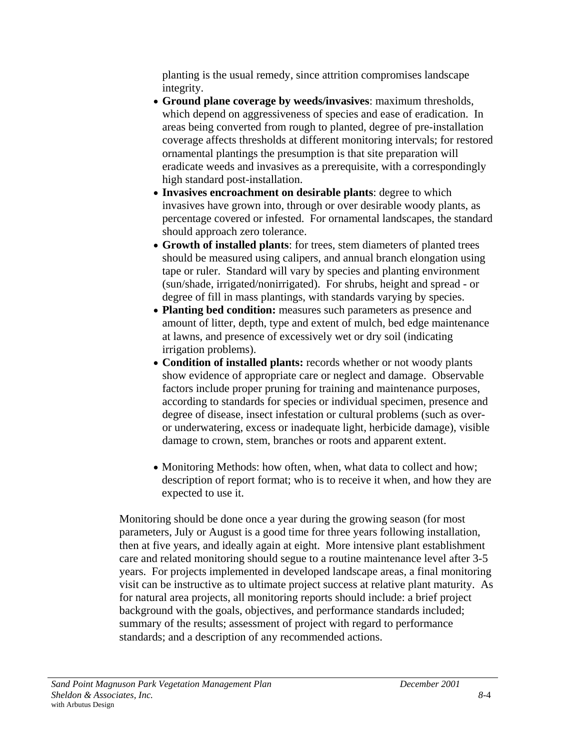planting is the usual remedy, since attrition compromises landscape integrity.

- **Ground plane coverage by weeds/invasives**: maximum thresholds, which depend on aggressiveness of species and ease of eradication. In areas being converted from rough to planted, degree of pre-installation coverage affects thresholds at different monitoring intervals; for restored ornamental plantings the presumption is that site preparation will eradicate weeds and invasives as a prerequisite, with a correspondingly high standard post-installation.
- **Invasives encroachment on desirable plants**: degree to which invasives have grown into, through or over desirable woody plants, as percentage covered or infested. For ornamental landscapes, the standard should approach zero tolerance.
- **Growth of installed plants**: for trees, stem diameters of planted trees should be measured using calipers, and annual branch elongation using tape or ruler. Standard will vary by species and planting environment (sun/shade, irrigated/nonirrigated). For shrubs, height and spread - or degree of fill in mass plantings, with standards varying by species.
- **Planting bed condition:** measures such parameters as presence and amount of litter, depth, type and extent of mulch, bed edge maintenance at lawns, and presence of excessively wet or dry soil (indicating irrigation problems).
- **Condition of installed plants:** records whether or not woody plants show evidence of appropriate care or neglect and damage. Observable factors include proper pruning for training and maintenance purposes, according to standards for species or individual specimen, presence and degree of disease, insect infestation or cultural problems (such as overor underwatering, excess or inadequate light, herbicide damage), visible damage to crown, stem, branches or roots and apparent extent.
- Monitoring Methods: how often, when, what data to collect and how; description of report format; who is to receive it when, and how they are expected to use it.

Monitoring should be done once a year during the growing season (for most parameters, July or August is a good time for three years following installation, then at five years, and ideally again at eight. More intensive plant establishment care and related monitoring should segue to a routine maintenance level after 3-5 years. For projects implemented in developed landscape areas, a final monitoring visit can be instructive as to ultimate project success at relative plant maturity. As for natural area projects, all monitoring reports should include: a brief project background with the goals, objectives, and performance standards included; summary of the results; assessment of project with regard to performance standards; and a description of any recommended actions.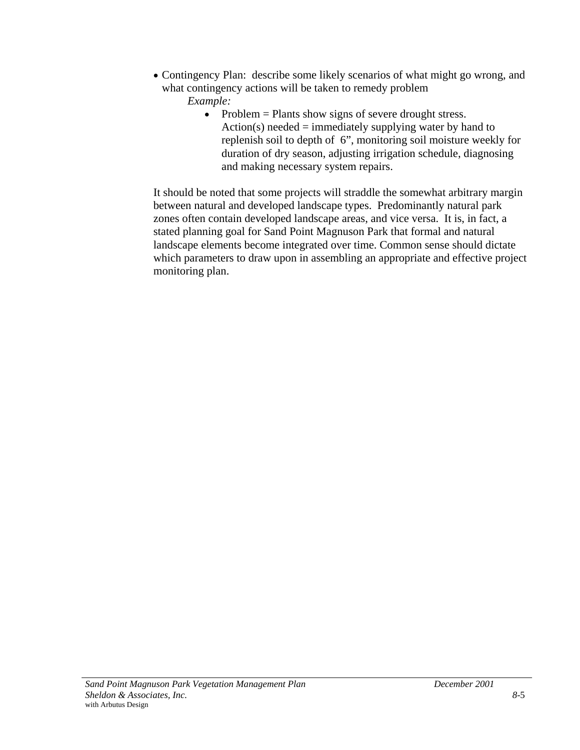- Contingency Plan: describe some likely scenarios of what might go wrong, and what contingency actions will be taken to remedy problem
	- *Example:*
		- Problem = Plants show signs of severe drought stress. Action(s) needed  $=$  immediately supplying water by hand to replenish soil to depth of 6", monitoring soil moisture weekly for duration of dry season, adjusting irrigation schedule, diagnosing and making necessary system repairs.

It should be noted that some projects will straddle the somewhat arbitrary margin between natural and developed landscape types. Predominantly natural park zones often contain developed landscape areas, and vice versa. It is, in fact, a stated planning goal for Sand Point Magnuson Park that formal and natural landscape elements become integrated over time. Common sense should dictate which parameters to draw upon in assembling an appropriate and effective project monitoring plan.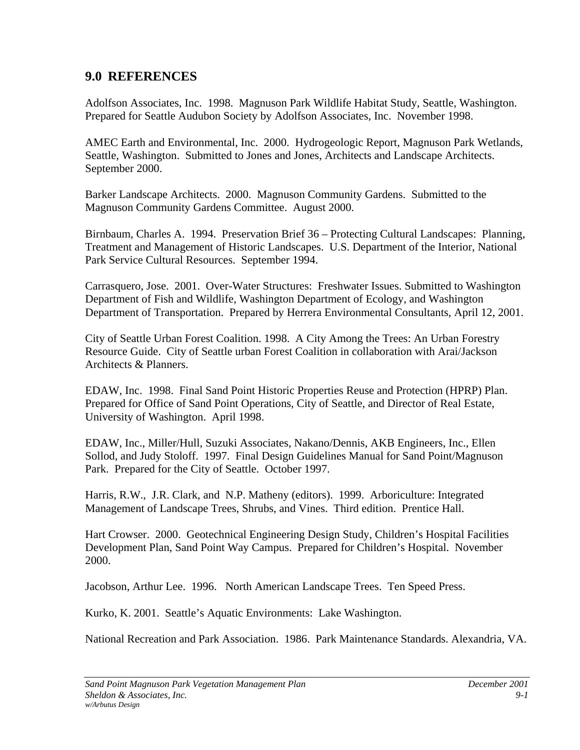## **9.0 REFERENCES**

Adolfson Associates, Inc. 1998. Magnuson Park Wildlife Habitat Study, Seattle, Washington. Prepared for Seattle Audubon Society by Adolfson Associates, Inc. November 1998.

AMEC Earth and Environmental, Inc. 2000. Hydrogeologic Report, Magnuson Park Wetlands, Seattle, Washington. Submitted to Jones and Jones, Architects and Landscape Architects. September 2000.

Barker Landscape Architects. 2000. Magnuson Community Gardens. Submitted to the Magnuson Community Gardens Committee. August 2000.

Birnbaum, Charles A. 1994. Preservation Brief 36 – Protecting Cultural Landscapes: Planning, Treatment and Management of Historic Landscapes. U.S. Department of the Interior, National Park Service Cultural Resources. September 1994.

Carrasquero, Jose. 2001. Over-Water Structures: Freshwater Issues. Submitted to Washington Department of Fish and Wildlife, Washington Department of Ecology, and Washington Department of Transportation. Prepared by Herrera Environmental Consultants, April 12, 2001.

City of Seattle Urban Forest Coalition. 1998. A City Among the Trees: An Urban Forestry Resource Guide. City of Seattle urban Forest Coalition in collaboration with Arai/Jackson Architects & Planners.

EDAW, Inc. 1998. Final Sand Point Historic Properties Reuse and Protection (HPRP) Plan. Prepared for Office of Sand Point Operations, City of Seattle, and Director of Real Estate, University of Washington. April 1998.

EDAW, Inc., Miller/Hull, Suzuki Associates, Nakano/Dennis, AKB Engineers, Inc., Ellen Sollod, and Judy Stoloff. 1997. Final Design Guidelines Manual for Sand Point/Magnuson Park. Prepared for the City of Seattle. October 1997.

Harris, R.W., J.R. Clark, and N.P. Matheny (editors). 1999. Arboriculture: Integrated Management of Landscape Trees, Shrubs, and Vines. Third edition. Prentice Hall.

Hart Crowser. 2000. Geotechnical Engineering Design Study, Children's Hospital Facilities Development Plan, Sand Point Way Campus. Prepared for Children's Hospital. November 2000.

Jacobson, Arthur Lee. 1996. North American Landscape Trees. Ten Speed Press.

Kurko, K. 2001. Seattle's Aquatic Environments: Lake Washington.

National Recreation and Park Association. 1986. Park Maintenance Standards. Alexandria, VA.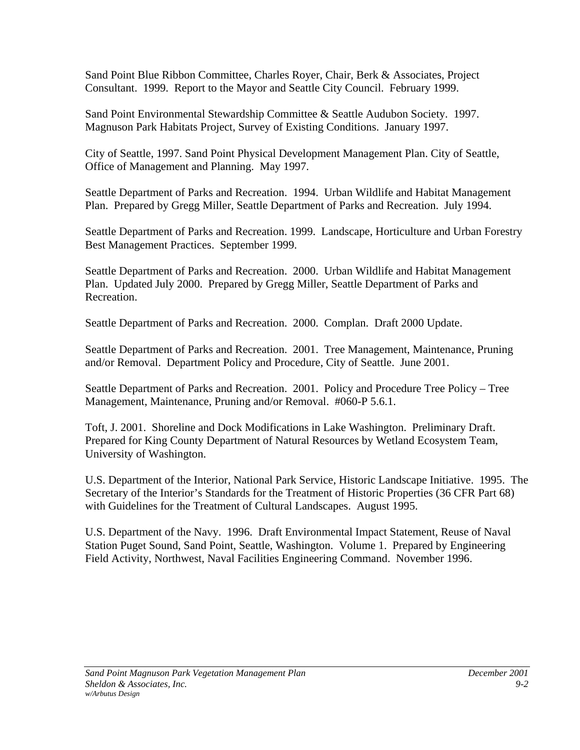Sand Point Blue Ribbon Committee, Charles Royer, Chair, Berk & Associates, Project Consultant. 1999. Report to the Mayor and Seattle City Council. February 1999.

Sand Point Environmental Stewardship Committee & Seattle Audubon Society. 1997. Magnuson Park Habitats Project, Survey of Existing Conditions. January 1997.

City of Seattle, 1997. Sand Point Physical Development Management Plan. City of Seattle, Office of Management and Planning. May 1997.

Seattle Department of Parks and Recreation. 1994. Urban Wildlife and Habitat Management Plan. Prepared by Gregg Miller, Seattle Department of Parks and Recreation. July 1994.

Seattle Department of Parks and Recreation. 1999. Landscape, Horticulture and Urban Forestry Best Management Practices. September 1999.

Seattle Department of Parks and Recreation. 2000. Urban Wildlife and Habitat Management Plan. Updated July 2000. Prepared by Gregg Miller, Seattle Department of Parks and Recreation.

Seattle Department of Parks and Recreation. 2000. Complan. Draft 2000 Update.

Seattle Department of Parks and Recreation. 2001. Tree Management, Maintenance, Pruning and/or Removal. Department Policy and Procedure, City of Seattle. June 2001.

Seattle Department of Parks and Recreation. 2001. Policy and Procedure Tree Policy – Tree Management, Maintenance, Pruning and/or Removal. #060-P 5.6.1.

Toft, J. 2001. Shoreline and Dock Modifications in Lake Washington. Preliminary Draft. Prepared for King County Department of Natural Resources by Wetland Ecosystem Team, University of Washington.

U.S. Department of the Interior, National Park Service, Historic Landscape Initiative. 1995. The Secretary of the Interior's Standards for the Treatment of Historic Properties (36 CFR Part 68) with Guidelines for the Treatment of Cultural Landscapes. August 1995.

U.S. Department of the Navy. 1996. Draft Environmental Impact Statement, Reuse of Naval Station Puget Sound, Sand Point, Seattle, Washington. Volume 1. Prepared by Engineering Field Activity, Northwest, Naval Facilities Engineering Command. November 1996.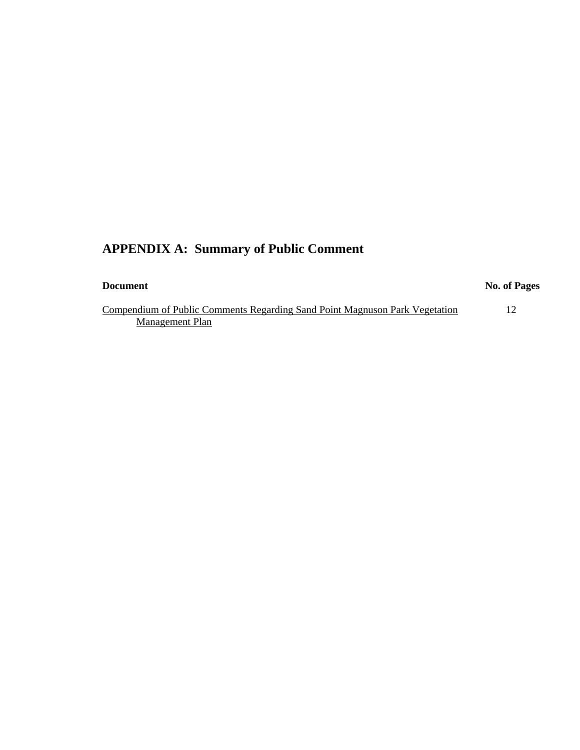## **APPENDIX A: Summary of Public Comment**

| <b>Document</b> |
|-----------------|
|-----------------|

#### **No. of Pages**

Compendium of Public Comments Regarding Sand Point Magnuson Park Vegetation 12 Management Plan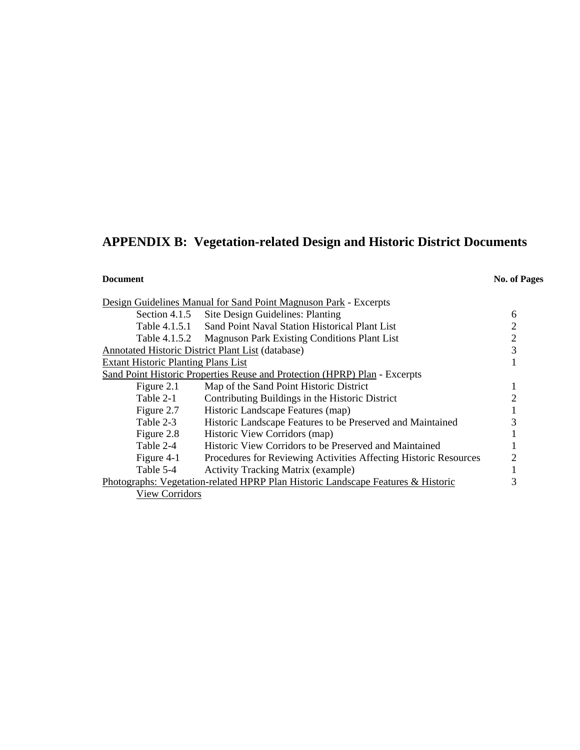# **APPENDIX B: Vegetation-related Design and Historic District Documents**

### **Document** No. of Pages

|                                            | Design Guidelines Manual for Sand Point Magnuson Park - Excerpts                 |   |
|--------------------------------------------|----------------------------------------------------------------------------------|---|
|                                            | Section 4.1.5 Site Design Guidelines: Planting                                   | 6 |
| Table 4.1.5.1                              | Sand Point Naval Station Historical Plant List                                   | 2 |
| Table 4.1.5.2                              | <b>Magnuson Park Existing Conditions Plant List</b>                              | 2 |
|                                            | Annotated Historic District Plant List (database)                                | 3 |
| <b>Extant Historic Planting Plans List</b> |                                                                                  |   |
|                                            | Sand Point Historic Properties Reuse and Protection (HPRP) Plan - Excerpts       |   |
| Figure 2.1                                 | Map of the Sand Point Historic District                                          | 1 |
| Table 2-1                                  | Contributing Buildings in the Historic District                                  | 2 |
| Figure 2.7                                 | Historic Landscape Features (map)                                                |   |
| Table 2-3                                  | Historic Landscape Features to be Preserved and Maintained                       | 3 |
| Figure 2.8                                 | Historic View Corridors (map)                                                    |   |
| Table 2-4                                  | Historic View Corridors to be Preserved and Maintained                           |   |
| Figure 4-1                                 | Procedures for Reviewing Activities Affecting Historic Resources                 | 2 |
| Table 5-4                                  | <b>Activity Tracking Matrix (example)</b>                                        |   |
|                                            | Photographs: Vegetation-related HPRP Plan Historic Landscape Features & Historic | 3 |
| <b>View Corridors</b>                      |                                                                                  |   |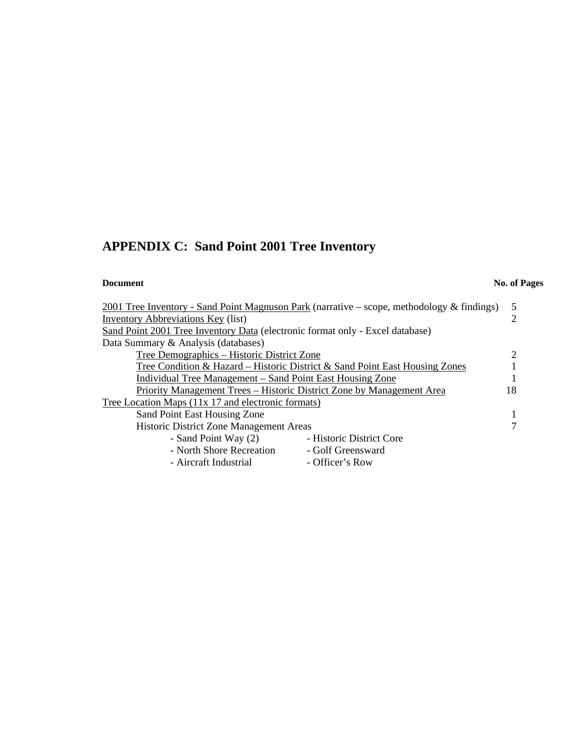# **APPENDIX C: Sand Point 2001 Tree Inventory**

### **Document** No. of Pages

| 2001 Tree Inventory - Sand Point Magnuson Park (narrative – scope, methodology & findings) |  |  |
|--------------------------------------------------------------------------------------------|--|--|
| Inventory Abbreviations Key (list)                                                         |  |  |
| Sand Point 2001 Tree Inventory Data (electronic format only - Excel database)              |  |  |
| Data Summary & Analysis (databases)                                                        |  |  |
| Tree Demographics - Historic District Zone                                                 |  |  |
| Tree Condition & Hazard – Historic District & Sand Point East Housing Zones                |  |  |
| Individual Tree Management – Sand Point East Housing Zone                                  |  |  |
| Priority Management Trees - Historic District Zone by Management Area                      |  |  |
| Tree Location Maps (11x 17 and electronic formats)                                         |  |  |
| Sand Point East Housing Zone                                                               |  |  |
| Historic District Zone Management Areas                                                    |  |  |
| - Historic District Core<br>- Sand Point Way (2)                                           |  |  |
| - North Shore Recreation<br>- Golf Greensward                                              |  |  |
| - Aircraft Industrial<br>- Officer's Row                                                   |  |  |